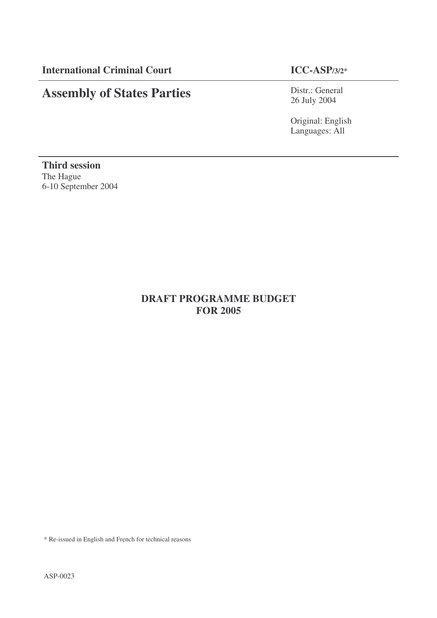# **Assembly of States Parties**

Distr.: General 26 July 2004

Original: English Languages: All

**Third session** The Hague 6-10 September 2004

# **DRAFT PROGRAMME BUDGET FOR 2005**

\* Re-issued in English and French for technical reasons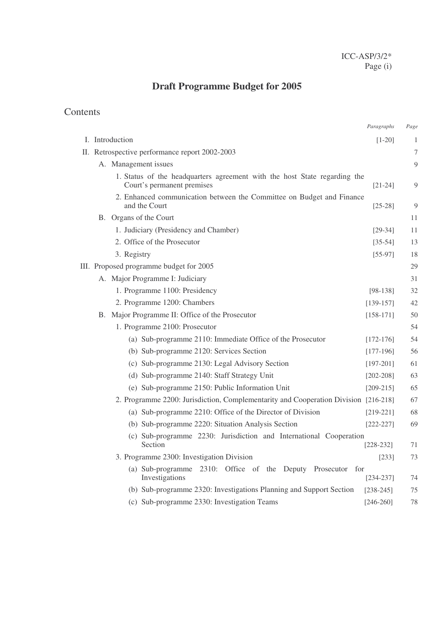# **Draft Programme Budget for 2005**

# Contents

|                                                                                                         | Paragraphs    | Page |
|---------------------------------------------------------------------------------------------------------|---------------|------|
| I. Introduction                                                                                         | $[1-20]$      | 1    |
| II. Retrospective performance report 2002-2003                                                          |               | 7    |
| A. Management issues                                                                                    |               | 9    |
| 1. Status of the headquarters agreement with the host State regarding the<br>Court's permanent premises | $[21-24]$     | 9    |
| 2. Enhanced communication between the Committee on Budget and Finance<br>and the Court                  | $[25-28]$     | 9    |
| B. Organs of the Court                                                                                  |               | 11   |
| 1. Judiciary (Presidency and Chamber)                                                                   | $[29-34]$     | 11   |
| 2. Office of the Prosecutor                                                                             | $[35-54]$     | 13   |
| 3. Registry                                                                                             | $[55-97]$     | 18   |
| III. Proposed programme budget for 2005                                                                 |               | 29   |
| A. Major Programme I: Judiciary                                                                         |               | 31   |
| 1. Programme 1100: Presidency                                                                           | $[98-138]$    | 32   |
| 2. Programme 1200: Chambers                                                                             | $[139-157]$   | 42   |
| B. Major Programme II: Office of the Prosecutor                                                         | $[158-171]$   | 50   |
| 1. Programme 2100: Prosecutor                                                                           |               | 54   |
| (a) Sub-programme 2110: Immediate Office of the Prosecutor                                              | $[172-176]$   | 54   |
| (b) Sub-programme 2120: Services Section                                                                | $[177-196]$   | 56   |
| (c) Sub-programme 2130: Legal Advisory Section                                                          | $[197 - 201]$ | 61   |
| (d) Sub-programme 2140: Staff Strategy Unit                                                             | $[202 - 208]$ | 63   |
| (e) Sub-programme 2150: Public Information Unit                                                         | $[209-215]$   | 65   |
| 2. Programme 2200: Jurisdiction, Complementarity and Cooperation Division [216-218]                     |               | 67   |
| (a) Sub-programme 2210: Office of the Director of Division                                              | $[219-221]$   | 68   |
| (b) Sub-programme 2220: Situation Analysis Section                                                      | $[222 - 227]$ | 69   |
| (c) Sub-programme 2230: Jurisdiction and International Cooperation<br>Section                           | $[228 - 232]$ | 71   |
| 3. Programme 2300: Investigation Division                                                               | $[233]$       | 73   |
| (a) Sub-programme 2310: Office of the Deputy Prosecutor for<br>Investigations                           | $[234 - 237]$ | 74   |
| (b) Sub-programme 2320: Investigations Planning and Support Section                                     | $[238 - 245]$ | 75   |
| (c) Sub-programme 2330: Investigation Teams                                                             | $[246 - 260]$ | 78   |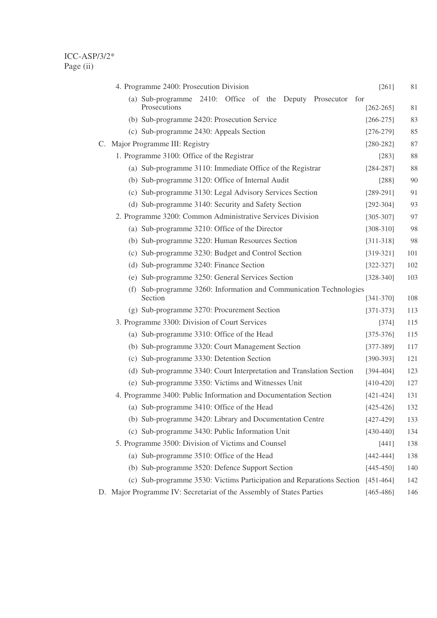# ICC-ASP/3/2\* Page (ii)

|                                                                   |                                                  | 4. Programme 2400: Prosecution Division                               | $[261]$       | 81         |  |  |  |  |  |
|-------------------------------------------------------------------|--------------------------------------------------|-----------------------------------------------------------------------|---------------|------------|--|--|--|--|--|
|                                                                   |                                                  | (a) Sub-programme 2410: Office of the Deputy Prosecutor for           |               |            |  |  |  |  |  |
|                                                                   |                                                  | Prosecutions                                                          | $[262 - 265]$ | 81         |  |  |  |  |  |
|                                                                   |                                                  | (b) Sub-programme 2420: Prosecution Service                           | $[266 - 275]$ | 83         |  |  |  |  |  |
|                                                                   |                                                  | (c) Sub-programme 2430: Appeals Section                               | $[276 - 279]$ | 85         |  |  |  |  |  |
|                                                                   |                                                  | C. Major Programme III: Registry                                      | $[280 - 282]$ | 87         |  |  |  |  |  |
|                                                                   |                                                  | 1. Programme 3100: Office of the Registrar                            | [283]         | 88         |  |  |  |  |  |
|                                                                   |                                                  | (a) Sub-programme 3110: Immediate Office of the Registrar             | $[284 - 287]$ | 88         |  |  |  |  |  |
|                                                                   |                                                  | (b) Sub-programme 3120: Office of Internal Audit                      | [288]         | 90         |  |  |  |  |  |
|                                                                   |                                                  | (c) Sub-programme 3130: Legal Advisory Services Section               | $[289-291]$   | 91         |  |  |  |  |  |
|                                                                   |                                                  | (d) Sub-programme 3140: Security and Safety Section                   | $[292 - 304]$ | 93         |  |  |  |  |  |
|                                                                   |                                                  | 2. Programme 3200: Common Administrative Services Division            | $[305 - 307]$ | 97         |  |  |  |  |  |
|                                                                   |                                                  | (a) Sub-programme 3210: Office of the Director                        | $[308 - 310]$ | 98         |  |  |  |  |  |
|                                                                   |                                                  | (b) Sub-programme 3220: Human Resources Section                       | $[311 - 318]$ | 98         |  |  |  |  |  |
|                                                                   |                                                  | (c) Sub-programme 3230: Budget and Control Section                    | $[319-321]$   | 101        |  |  |  |  |  |
|                                                                   |                                                  | (d) Sub-programme 3240: Finance Section                               | $[322 - 327]$ | 102        |  |  |  |  |  |
| (e) Sub-programme 3250: General Services Section<br>$[328 - 340]$ |                                                  |                                                                       |               |            |  |  |  |  |  |
|                                                                   |                                                  | (f) Sub-programme 3260: Information and Communication Technologies    |               |            |  |  |  |  |  |
|                                                                   |                                                  | Section                                                               | $[341 - 370]$ | 108        |  |  |  |  |  |
|                                                                   |                                                  | (g) Sub-programme 3270: Procurement Section                           | $[371 - 373]$ | 113<br>115 |  |  |  |  |  |
|                                                                   |                                                  | 3. Programme 3300: Division of Court Services<br>[374]                |               |            |  |  |  |  |  |
|                                                                   |                                                  | (a) Sub-programme 3310: Office of the Head                            | $[375 - 376]$ | 115        |  |  |  |  |  |
|                                                                   | (b) Sub-programme 3320: Court Management Section | $[377 - 389]$                                                         | 117           |            |  |  |  |  |  |
|                                                                   |                                                  | (c) Sub-programme 3330: Detention Section                             | $[390 - 393]$ | 121        |  |  |  |  |  |
|                                                                   |                                                  | (d) Sub-programme 3340: Court Interpretation and Translation Section  | $[394 - 404]$ | 123        |  |  |  |  |  |
|                                                                   |                                                  | (e) Sub-programme 3350: Victims and Witnesses Unit                    | $[410-420]$   | 127        |  |  |  |  |  |
|                                                                   |                                                  | 4. Programme 3400: Public Information and Documentation Section       | $[421 - 424]$ | 131        |  |  |  |  |  |
|                                                                   |                                                  | (a) Sub-programme 3410: Office of the Head                            | $[425 - 426]$ | 132        |  |  |  |  |  |
|                                                                   |                                                  | (b) Sub-programme 3420: Library and Documentation Centre              | $[427 - 429]$ | 133        |  |  |  |  |  |
|                                                                   |                                                  | (c) Sub-programme 3430: Public Information Unit                       | $[430 - 440]$ | 134        |  |  |  |  |  |
|                                                                   |                                                  | 5. Programme 3500: Division of Victims and Counsel                    | [441]         | 138        |  |  |  |  |  |
|                                                                   |                                                  | (a) Sub-programme 3510: Office of the Head                            | $[442 - 444]$ | 138        |  |  |  |  |  |
|                                                                   |                                                  | (b) Sub-programme 3520: Defence Support Section                       | $[445 - 450]$ | 140        |  |  |  |  |  |
|                                                                   |                                                  | (c) Sub-programme 3530: Victims Participation and Reparations Section | $[451 - 464]$ | 142        |  |  |  |  |  |
|                                                                   |                                                  | D. Major Programme IV: Secretariat of the Assembly of States Parties  | $[465 - 486]$ | 146        |  |  |  |  |  |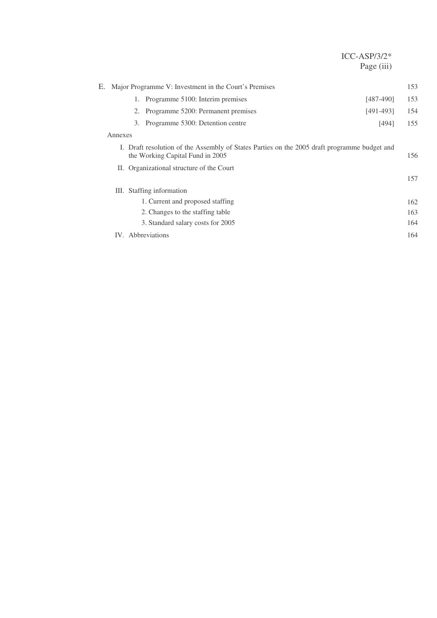| Е.<br>Major Programme V: Investment in the Court's Premises                                                                      |         |  |                                       |           |     |  |  |
|----------------------------------------------------------------------------------------------------------------------------------|---------|--|---------------------------------------|-----------|-----|--|--|
|                                                                                                                                  |         |  | 1. Programme 5100: Interim premises   | [487-490] | 153 |  |  |
|                                                                                                                                  |         |  | 2. Programme 5200: Permanent premises | [491-493] | 154 |  |  |
|                                                                                                                                  |         |  | 3. Programme 5300: Detention centre   | [494]     | 155 |  |  |
|                                                                                                                                  | Annexes |  |                                       |           |     |  |  |
| I. Draft resolution of the Assembly of States Parties on the 2005 draft programme budget and<br>the Working Capital Fund in 2005 |         |  |                                       |           |     |  |  |
| II. Organizational structure of the Court                                                                                        |         |  |                                       |           |     |  |  |
|                                                                                                                                  |         |  |                                       |           | 157 |  |  |
|                                                                                                                                  |         |  | III. Staffing information             |           |     |  |  |
|                                                                                                                                  |         |  | 1. Current and proposed staffing      |           | 162 |  |  |
|                                                                                                                                  |         |  | 2. Changes to the staffing table      |           | 163 |  |  |
|                                                                                                                                  |         |  | 3. Standard salary costs for 2005     |           | 164 |  |  |
|                                                                                                                                  |         |  | IV. Abbreviations                     |           | 164 |  |  |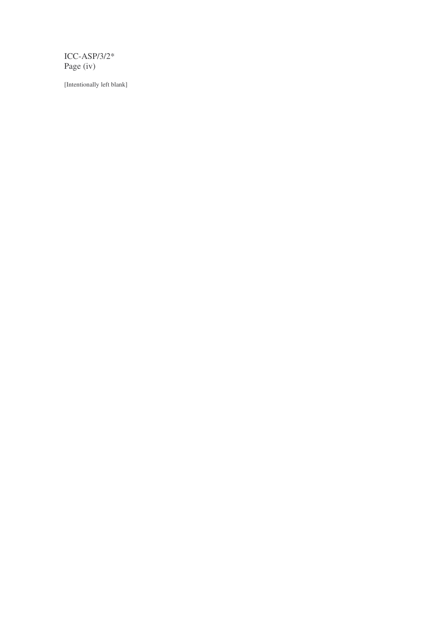ICC-ASP/3/2\* Page (iv)

[Intentionally left blank]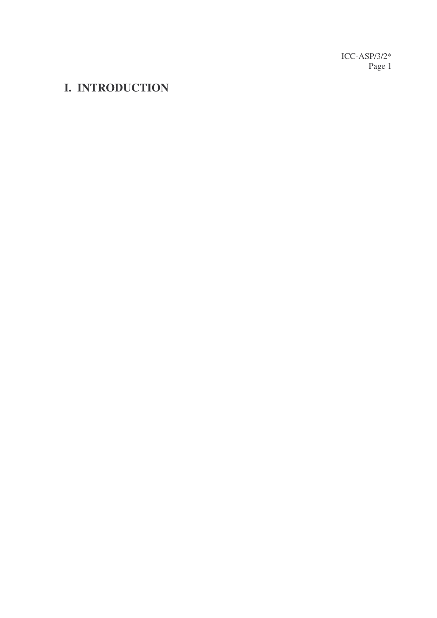# **I.** INTRODUCTION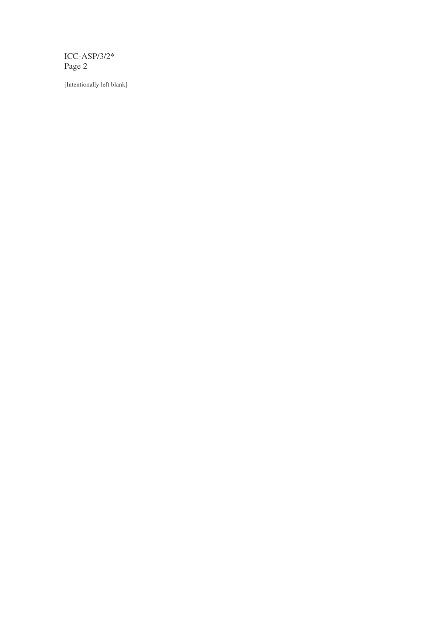[Intentionally left blank]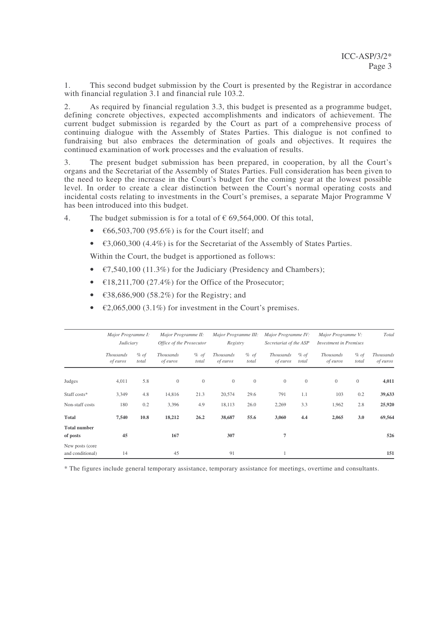1. This second budget submission by the Court is presented by the Registrar in accordance with financial regulation 3.1 and financial rule 103.2.

2. As required by financial regulation 3.3, this budget is presented as a programme budget, defining concrete objectives, expected accomplishments and indicators of achievement. The current budget submission is regarded by the Court as part of a comprehensive process of continuing dialogue with the Assembly of States Parties. This dialogue is not confined to fundraising but also embraces the determination of goals and objectives. It requires the continued examination of work processes and the evaluation of results.

3. The present budget submission has been prepared, in cooperation, by all the Court's organs and the Secretariat of the Assembly of States Parties. Full consideration has been given to the need to keep the increase in the Court's budget for the coming year at the lowest possible level. In order to create a clear distinction between the Court's normal operating costs and incidental costs relating to investments in the Court's premises, a separate Major Programme V has been introduced into this budget.

- 4. The budget submission is for a total of  $\epsilon$  69,564,000. Of this total,
	- $\epsilon$ 66,503,700 (95.6%) is for the Court itself; and
	- $\epsilon$ 3,060,300 (4.4%) is for the Secretariat of the Assembly of States Parties.

Within the Court, the budget is apportioned as follows:

- $\epsilon$ 7,540,100 (11.3%) for the Judiciary (Presidency and Chambers);
- $\in$ 18,211,700 (27.4%) for the Office of the Prosecutor;
- $\epsilon$ 38,686,900 (58.2%) for the Registry; and
- $\in$  2,065,000 (3.1%) for investment in the Court's premises.

|                                     | Major Programme I:<br>Judiciary |                 | Major Programme II:<br>Office of the Prosecutor |                | Major Programme III:<br>Registry |               | Major Programme IV:<br>Secretariat of the ASP |               | Major Programme V:<br><b>Investment</b> in Premises |                  | Total                        |  |
|-------------------------------------|---------------------------------|-----------------|-------------------------------------------------|----------------|----------------------------------|---------------|-----------------------------------------------|---------------|-----------------------------------------------------|------------------|------------------------------|--|
|                                     | <b>Thousands</b><br>of euros    | $%$ of<br>total | <b>Thousands</b><br>of euros                    | % of<br>total  | <b>Thousands</b><br>of euros     | % of<br>total | <b>Thousands</b><br>of euros                  | % of<br>total | <b>Thousands</b><br>of euros                        | % of<br>total    | <b>Thousands</b><br>of euros |  |
| Judges                              | 4,011                           | 5.8             | $\theta$                                        | $\overline{0}$ | $\mathbf{0}$                     | $\theta$      | $\overline{0}$                                | $\mathbf{0}$  | $\theta$                                            | $\boldsymbol{0}$ | 4,011                        |  |
| Staff costs*                        | 3,349                           | 4.8             | 14,816                                          | 21.3           | 20,574                           | 29.6          | 791                                           | 1.1           | 103                                                 | 0.2              | 39,633                       |  |
| Non-staff costs                     | 180                             | 0.2             | 3,396                                           | 4.9            | 18,113                           | 26.0          | 2,269                                         | 3.3           | 1,962                                               | 2.8              | 25,920                       |  |
| Total                               | 7,540                           | 10.8            | 18,212                                          | 26.2           | 38,687                           | 55.6          | 3,060                                         | 4.4           | 2,065                                               | 3.0              | 69,564                       |  |
| <b>Total number</b><br>of posts     | 45                              |                 | 167                                             |                | 307                              |               | $\overline{7}$                                |               |                                                     |                  | 526                          |  |
| New posts (core<br>and conditional) | 14                              |                 | 45                                              |                | 91                               |               |                                               |               |                                                     |                  | 151                          |  |

\* The figures include general temporary assistance, temporary assistance for meetings, overtime and consultants.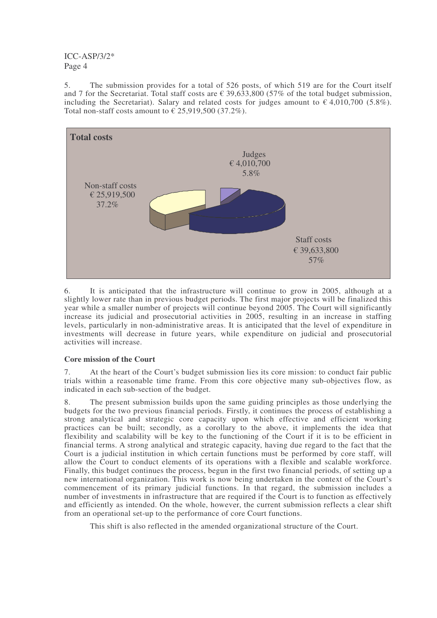5. The submission provides for a total of 526 posts, of which 519 are for the Court itself and 7 for the Secretariat. Total staff costs are  $\epsilon$  39,633,800 (57% of the total budget submission, including the Secretariat). Salary and related costs for judges amount to  $\epsilon$  4,010,700 (5.8%). Total non-staff costs amount to  $\epsilon$  25,919,500 (37.2%).



6. It is anticipated that the infrastructure will continue to grow in 2005, although at a slightly lower rate than in previous budget periods. The first major projects will be finalized this year while a smaller number of projects will continue beyond 2005. The Court will significantly increase its judicial and prosecutorial activities in 2005, resulting in an increase in staffing levels, particularly in non-administrative areas. It is anticipated that the level of expenditure in investments will decrease in future years, while expenditure on judicial and prosecutorial activities will increase.

# **Core mission of the Court**

7. At the heart of the Court's budget submission lies its core mission: to conduct fair public trials within a reasonable time frame. From this core objective many sub-objectives flow, as indicated in each sub-section of the budget.

8. The present submission builds upon the same guiding principles as those underlying the budgets for the two previous financial periods. Firstly, it continues the process of establishing a strong analytical and strategic core capacity upon which effective and efficient working practices can be built; secondly, as a corollary to the above, it implements the idea that flexibility and scalability will be key to the functioning of the Court if it is to be efficient in financial terms. A strong analytical and strategic capacity, having due regard to the fact that the Court is a judicial institution in which certain functions must be performed by core staff, will allow the Court to conduct elements of its operations with a flexible and scalable workforce. Finally, this budget continues the process, begun in the first two financial periods, of setting up a new international organization. This work is now being undertaken in the context of the Court's commencement of its primary judicial functions. In that regard, the submission includes a number of investments in infrastructure that are required if the Court is to function as effectively and efficiently as intended. On the whole, however, the current submission reflects a clear shift from an operational set-up to the performance of core Court functions.

This shift is also reflected in the amended organizational structure of the Court.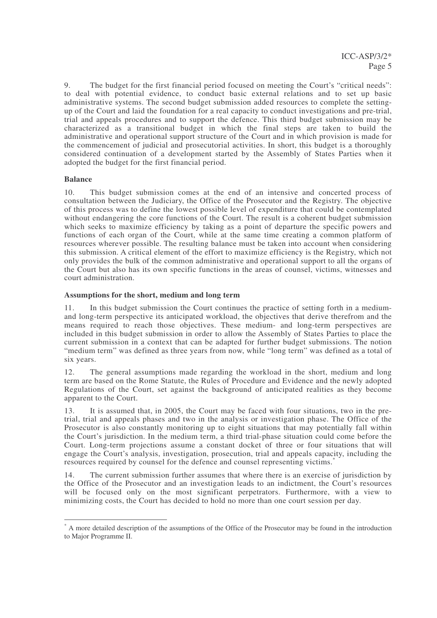9. The budget for the first financial period focused on meeting the Court's "critical needs": to deal with potential evidence, to conduct basic external relations and to set up basic administrative systems. The second budget submission added resources to complete the settingup of the Court and laid the foundation for a real capacity to conduct investigations and pre-trial, trial and appeals procedures and to support the defence. This third budget submission may be characterized as a transitional budget in which the final steps are taken to build the administrative and operational support structure of the Court and in which provision is made for the commencement of judicial and prosecutorial activities. In short, this budget is a thoroughly considered continuation of a development started by the Assembly of States Parties when it adopted the budget for the first financial period.

# **Balance**

10. This budget submission comes at the end of an intensive and concerted process of consultation between the Judiciary, the Office of the Prosecutor and the Registry. The objective of this process was to define the lowest possible level of expenditure that could be contemplated without endangering the core functions of the Court. The result is a coherent budget submission which seeks to maximize efficiency by taking as a point of departure the specific powers and functions of each organ of the Court, while at the same time creating a common platform of resources wherever possible. The resulting balance must be taken into account when considering this submission. A critical element of the effort to maximize efficiency is the Registry, which not only provides the bulk of the common administrative and operational support to all the organs of the Court but also has its own specific functions in the areas of counsel, victims, witnesses and court administration.

# **Assumptions for the short, medium and long term**

11. In this budget submission the Court continues the practice of setting forth in a mediumand long-term perspective its anticipated workload, the objectives that derive therefrom and the means required to reach those objectives. These medium- and long-term perspectives are included in this budget submission in order to allow the Assembly of States Parties to place the current submission in a context that can be adapted for further budget submissions. The notion "medium term" was defined as three years from now, while "long term" was defined as a total of six years.

12. The general assumptions made regarding the workload in the short, medium and long term are based on the Rome Statute, the Rules of Procedure and Evidence and the newly adopted Regulations of the Court, set against the background of anticipated realities as they become apparent to the Court.

13. It is assumed that, in 2005, the Court may be faced with four situations, two in the pretrial, trial and appeals phases and two in the analysis or investigation phase. The Office of the Prosecutor is also constantly monitoring up to eight situations that may potentially fall within the Court's jurisdiction. In the medium term, a third trial-phase situation could come before the Court. Long-term projections assume a constant docket of three or four situations that will engage the Court's analysis, investigation, prosecution, trial and appeals capacity, including the resources required by counsel for the defence and counsel representing victims.<sup>\*</sup>

14. The current submission further assumes that where there is an exercise of jurisdiction by the Office of the Prosecutor and an investigation leads to an indictment, the Court's resources will be focused only on the most significant perpetrators. Furthermore, with a view to minimizing costs, the Court has decided to hold no more than one court session per day.

<sup>\*</sup> A more detailed description of the assumptions of the Office of the Prosecutor may be found in the introduction to Major Programme II.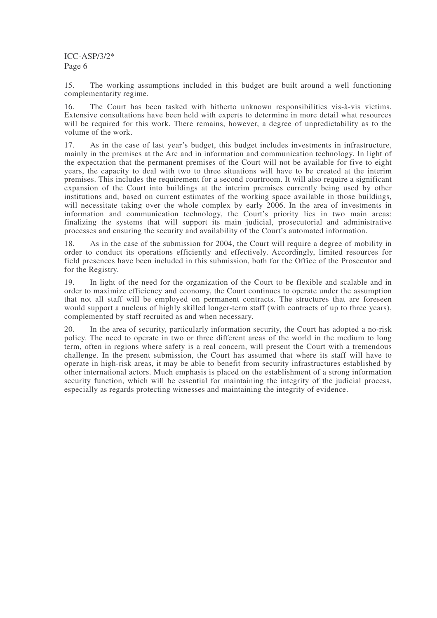15. The working assumptions included in this budget are built around a well functioning complementarity regime.

16. The Court has been tasked with hitherto unknown responsibilities vis-à-vis victims. Extensive consultations have been held with experts to determine in more detail what resources will be required for this work. There remains, however, a degree of unpredictability as to the volume of the work.

17. As in the case of last year's budget, this budget includes investments in infrastructure, mainly in the premises at the Arc and in information and communication technology. In light of the expectation that the permanent premises of the Court will not be available for five to eight years, the capacity to deal with two to three situations will have to be created at the interim premises. This includes the requirement for a second courtroom. It will also require a significant expansion of the Court into buildings at the interim premises currently being used by other institutions and, based on current estimates of the working space available in those buildings, will necessitate taking over the whole complex by early 2006. In the area of investments in information and communication technology, the Court's priority lies in two main areas: finalizing the systems that will support its main judicial, prosecutorial and administrative processes and ensuring the security and availability of the Court's automated information.

18. As in the case of the submission for 2004, the Court will require a degree of mobility in order to conduct its operations efficiently and effectively. Accordingly, limited resources for field presences have been included in this submission, both for the Office of the Prosecutor and for the Registry.

19. In light of the need for the organization of the Court to be flexible and scalable and in order to maximize efficiency and economy, the Court continues to operate under the assumption that not all staff will be employed on permanent contracts. The structures that are foreseen would support a nucleus of highly skilled longer-term staff (with contracts of up to three years), complemented by staff recruited as and when necessary.

20. In the area of security, particularly information security, the Court has adopted a no-risk policy. The need to operate in two or three different areas of the world in the medium to long term, often in regions where safety is a real concern, will present the Court with a tremendous challenge. In the present submission, the Court has assumed that where its staff will have to operate in high-risk areas, it may be able to benefit from security infrastructures established by other international actors. Much emphasis is placed on the establishment of a strong information security function, which will be essential for maintaining the integrity of the judicial process, especially as regards protecting witnesses and maintaining the integrity of evidence.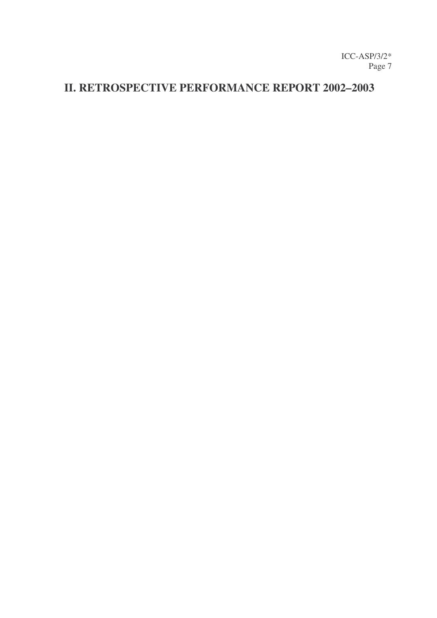# **II. RETROSPECTIVE PERFORMANCE REPORT 2002–2003**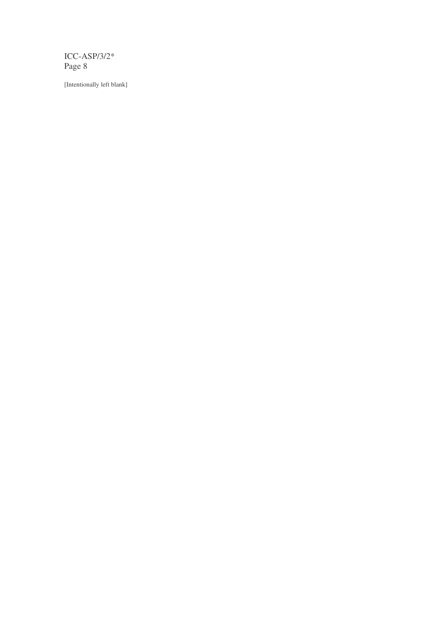[Intentionally left blank]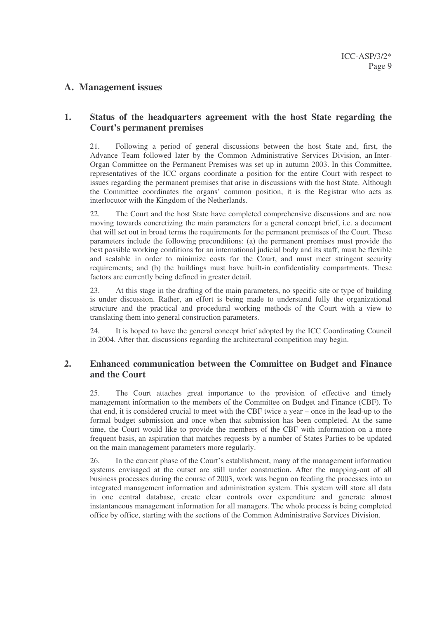# **A. Management issues**

# **1. Status of the headquarters agreement with the host State regarding the Court's permanent premises**

21. Following a period of general discussions between the host State and, first, the Advance Team followed later by the Common Administrative Services Division, an Inter-Organ Committee on the Permanent Premises was set up in autumn 2003. In this Committee, representatives of the ICC organs coordinate a position for the entire Court with respect to issues regarding the permanent premises that arise in discussions with the host State. Although the Committee coordinates the organs' common position, it is the Registrar who acts as interlocutor with the Kingdom of the Netherlands.

22. The Court and the host State have completed comprehensive discussions and are now moving towards concretizing the main parameters for a general concept brief, i.e. a document that will set out in broad terms the requirements for the permanent premises of the Court. These parameters include the following preconditions: (a) the permanent premises must provide the best possible working conditions for an international judicial body and its staff, must be flexible and scalable in order to minimize costs for the Court, and must meet stringent security requirements; and (b) the buildings must have built-in confidentiality compartments. These factors are currently being defined in greater detail.

23. At this stage in the drafting of the main parameters, no specific site or type of building is under discussion. Rather, an effort is being made to understand fully the organizational structure and the practical and procedural working methods of the Court with a view to translating them into general construction parameters.

24. It is hoped to have the general concept brief adopted by the ICC Coordinating Council in 2004. After that, discussions regarding the architectural competition may begin.

# **2. Enhanced communication between the Committee on Budget and Finance and the Court**

25. The Court attaches great importance to the provision of effective and timely management information to the members of the Committee on Budget and Finance (CBF). To that end, it is considered crucial to meet with the CBF twice a year – once in the lead-up to the formal budget submission and once when that submission has been completed. At the same time, the Court would like to provide the members of the CBF with information on a more frequent basis, an aspiration that matches requests by a number of States Parties to be updated on the main management parameters more regularly.

26. In the current phase of the Court's establishment, many of the management information systems envisaged at the outset are still under construction. After the mapping-out of all business processes during the course of 2003, work was begun on feeding the processes into an integrated management information and administration system. This system will store all data in one central database, create clear controls over expenditure and generate almost instantaneous management information for all managers. The whole process is being completed office by office, starting with the sections of the Common Administrative Services Division.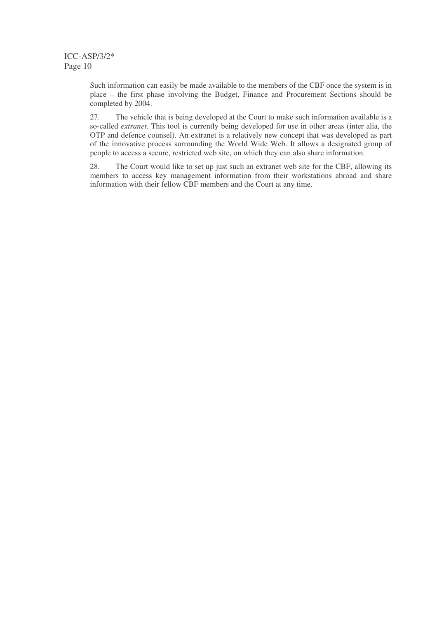Such information can easily be made available to the members of the CBF once the system is in place – the first phase involving the Budget, Finance and Procurement Sections should be completed by 2004.

27. The vehicle that is being developed at the Court to make such information available is a so-called *extranet*. This tool is currently being developed for use in other areas (inter alia, the OTP and defence counsel). An extranet is a relatively new concept that was developed as part of the innovative process surrounding the World Wide Web. It allows a designated group of people to access a secure, restricted web site, on which they can also share information.

28. The Court would like to set up just such an extranet web site for the CBF, allowing its members to access key management information from their workstations abroad and share information with their fellow CBF members and the Court at any time.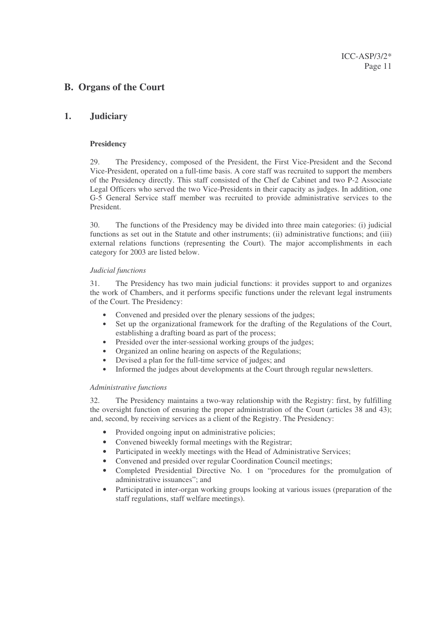# **B. Organs of the Court**

# **1. Judiciary**

# **Presidency**

29. The Presidency, composed of the President, the First Vice-President and the Second Vice-President, operated on a full-time basis. A core staff was recruited to support the members of the Presidency directly. This staff consisted of the Chef de Cabinet and two P-2 Associate Legal Officers who served the two Vice-Presidents in their capacity as judges. In addition, one G-5 General Service staff member was recruited to provide administrative services to the President.

30. The functions of the Presidency may be divided into three main categories: (i) judicial functions as set out in the Statute and other instruments; (ii) administrative functions; and (iii) external relations functions (representing the Court). The major accomplishments in each category for 2003 are listed below.

# *Judicial functions*

31. The Presidency has two main judicial functions: it provides support to and organizes the work of Chambers, and it performs specific functions under the relevant legal instruments of the Court. The Presidency:

- Convened and presided over the plenary sessions of the judges;
- Set up the organizational framework for the drafting of the Regulations of the Court, establishing a drafting board as part of the process;
- Presided over the inter-sessional working groups of the judges;
- Organized an online hearing on aspects of the Regulations;
- Devised a plan for the full-time service of judges; and
- Informed the judges about developments at the Court through regular newsletters.

# *Administrative functions*

32. The Presidency maintains a two-way relationship with the Registry: first, by fulfilling the oversight function of ensuring the proper administration of the Court (articles 38 and 43); and, second, by receiving services as a client of the Registry. The Presidency:

- Provided ongoing input on administrative policies:
- Convened biweekly formal meetings with the Registrar;
- Participated in weekly meetings with the Head of Administrative Services;
- Convened and presided over regular Coordination Council meetings;
- Completed Presidential Directive No. 1 on "procedures for the promulgation of administrative issuances"; and
- Participated in inter-organ working groups looking at various issues (preparation of the staff regulations, staff welfare meetings).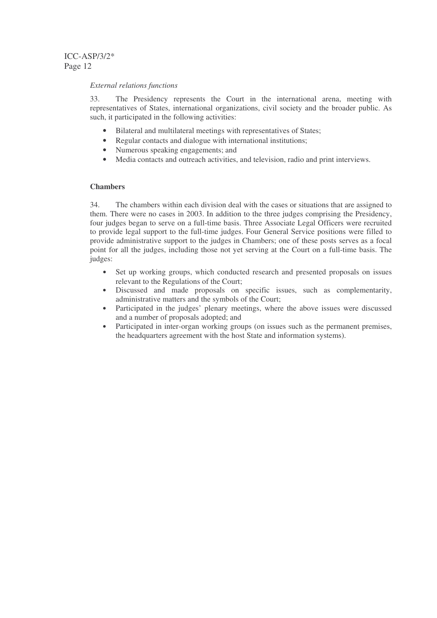# *External relations functions*

33. The Presidency represents the Court in the international arena, meeting with representatives of States, international organizations, civil society and the broader public. As such, it participated in the following activities:

- Bilateral and multilateral meetings with representatives of States;
- Regular contacts and dialogue with international institutions;
- Numerous speaking engagements; and
- Media contacts and outreach activities, and television, radio and print interviews.

# **Chambers**

34. The chambers within each division deal with the cases or situations that are assigned to them. There were no cases in 2003. In addition to the three judges comprising the Presidency, four judges began to serve on a full-time basis. Three Associate Legal Officers were recruited to provide legal support to the full-time judges. Four General Service positions were filled to provide administrative support to the judges in Chambers; one of these posts serves as a focal point for all the judges, including those not yet serving at the Court on a full-time basis. The judges:

- Set up working groups, which conducted research and presented proposals on issues relevant to the Regulations of the Court;
- Discussed and made proposals on specific issues, such as complementarity, administrative matters and the symbols of the Court;
- Participated in the judges' plenary meetings, where the above issues were discussed and a number of proposals adopted; and
- Participated in inter-organ working groups (on issues such as the permanent premises, the headquarters agreement with the host State and information systems).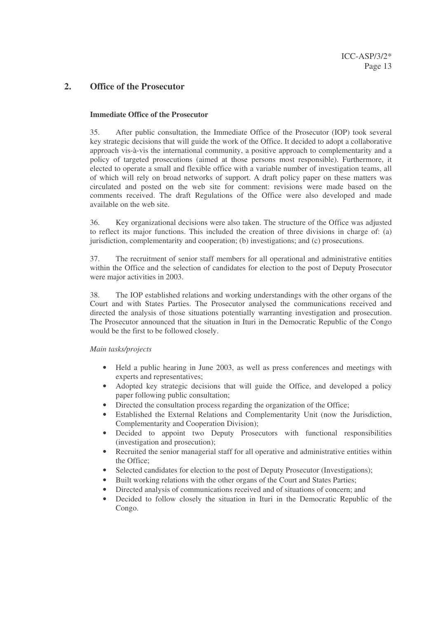# **2. Office of the Prosecutor**

# **Immediate Office of the Prosecutor**

35. After public consultation, the Immediate Office of the Prosecutor (IOP) took several key strategic decisions that will guide the work of the Office. It decided to adopt a collaborative approach vis-à-vis the international community, a positive approach to complementarity and a policy of targeted prosecutions (aimed at those persons most responsible). Furthermore, it elected to operate a small and flexible office with a variable number of investigation teams, all of which will rely on broad networks of support. A draft policy paper on these matters was circulated and posted on the web site for comment: revisions were made based on the comments received. The draft Regulations of the Office were also developed and made available on the web site.

36. Key organizational decisions were also taken. The structure of the Office was adjusted to reflect its major functions. This included the creation of three divisions in charge of: (a) jurisdiction, complementarity and cooperation; (b) investigations; and (c) prosecutions.

37. The recruitment of senior staff members for all operational and administrative entities within the Office and the selection of candidates for election to the post of Deputy Prosecutor were major activities in 2003.

38. The IOP established relations and working understandings with the other organs of the Court and with States Parties. The Prosecutor analysed the communications received and directed the analysis of those situations potentially warranting investigation and prosecution. The Prosecutor announced that the situation in Ituri in the Democratic Republic of the Congo would be the first to be followed closely.

### *Main tasks/projects*

- Held a public hearing in June 2003, as well as press conferences and meetings with experts and representatives;
- Adopted key strategic decisions that will guide the Office, and developed a policy paper following public consultation;
- Directed the consultation process regarding the organization of the Office;
- Established the External Relations and Complementarity Unit (now the Jurisdiction, Complementarity and Cooperation Division);
- Decided to appoint two Deputy Prosecutors with functional responsibilities (investigation and prosecution);
- Recruited the senior managerial staff for all operative and administrative entities within the Office;
- Selected candidates for election to the post of Deputy Prosecutor (Investigations);
- Built working relations with the other organs of the Court and States Parties;
- Directed analysis of communications received and of situations of concern; and
- Decided to follow closely the situation in Ituri in the Democratic Republic of the Congo.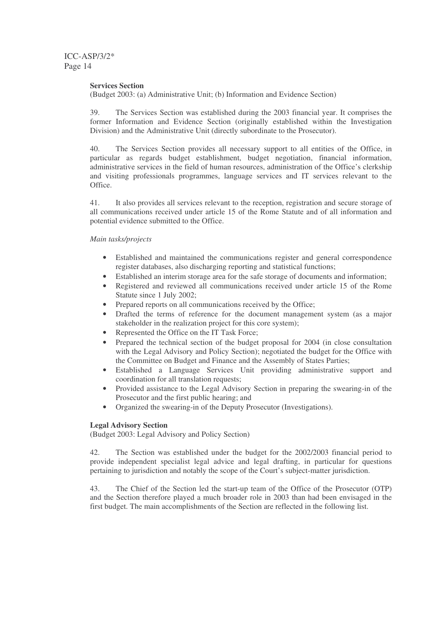### **Services Section**

(Budget 2003: (a) Administrative Unit; (b) Information and Evidence Section)

39. The Services Section was established during the 2003 financial year. It comprises the former Information and Evidence Section (originally established within the Investigation Division) and the Administrative Unit (directly subordinate to the Prosecutor).

40. The Services Section provides all necessary support to all entities of the Office, in particular as regards budget establishment, budget negotiation, financial information, administrative services in the field of human resources, administration of the Office's clerkship and visiting professionals programmes, language services and IT services relevant to the Office.

41. It also provides all services relevant to the reception, registration and secure storage of all communications received under article 15 of the Rome Statute and of all information and potential evidence submitted to the Office.

# *Main tasks/projects*

- Established and maintained the communications register and general correspondence register databases, also discharging reporting and statistical functions;
- Established an interim storage area for the safe storage of documents and information;
- Registered and reviewed all communications received under article 15 of the Rome Statute since 1 July 2002;
- Prepared reports on all communications received by the Office;
- Drafted the terms of reference for the document management system (as a major stakeholder in the realization project for this core system);
- Represented the Office on the IT Task Force;
- Prepared the technical section of the budget proposal for 2004 (in close consultation with the Legal Advisory and Policy Section); negotiated the budget for the Office with the Committee on Budget and Finance and the Assembly of States Parties;
- Established a Language Services Unit providing administrative support and coordination for all translation requests;
- Provided assistance to the Legal Advisory Section in preparing the swearing-in of the Prosecutor and the first public hearing; and
- Organized the swearing-in of the Deputy Prosecutor (Investigations).

# **Legal Advisory Section**

(Budget 2003: Legal Advisory and Policy Section)

42. The Section was established under the budget for the 2002/2003 financial period to provide independent specialist legal advice and legal drafting, in particular for questions pertaining to jurisdiction and notably the scope of the Court's subject-matter jurisdiction.

43. The Chief of the Section led the start-up team of the Office of the Prosecutor (OTP) and the Section therefore played a much broader role in 2003 than had been envisaged in the first budget. The main accomplishments of the Section are reflected in the following list.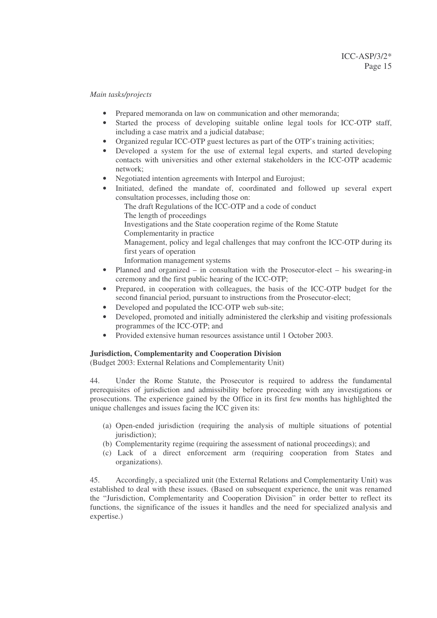### *Main tasks/projects*

- Prepared memoranda on law on communication and other memoranda;
- Started the process of developing suitable online legal tools for ICC-OTP staff, including a case matrix and a judicial database;
- Organized regular ICC-OTP guest lectures as part of the OTP's training activities;
- Developed a system for the use of external legal experts, and started developing contacts with universities and other external stakeholders in the ICC-OTP academic network;
- Negotiated intention agreements with Interpol and Eurojust;
- Initiated, defined the mandate of, coordinated and followed up several expert consultation processes, including those on:

The draft Regulations of the ICC-OTP and a code of conduct The length of proceedings Investigations and the State cooperation regime of the Rome Statute Complementarity in practice Management, policy and legal challenges that may confront the ICC-OTP during its first years of operation Information management systems

- Planned and organized in consultation with the Prosecutor-elect his swearing-in ceremony and the first public hearing of the ICC-OTP;
- Prepared, in cooperation with colleagues, the basis of the ICC-OTP budget for the second financial period, pursuant to instructions from the Prosecutor-elect;
- Developed and populated the ICC-OTP web sub-site;
- Developed, promoted and initially administered the clerkship and visiting professionals programmes of the ICC-OTP; and
- Provided extensive human resources assistance until 1 October 2003.

### **Jurisdiction, Complementarity and Cooperation Division**

(Budget 2003: External Relations and Complementarity Unit)

44. Under the Rome Statute, the Prosecutor is required to address the fundamental prerequisites of jurisdiction and admissibility before proceeding with any investigations or prosecutions. The experience gained by the Office in its first few months has highlighted the unique challenges and issues facing the ICC given its:

- (a) Open-ended jurisdiction (requiring the analysis of multiple situations of potential jurisdiction):
- (b) Complementarity regime (requiring the assessment of national proceedings); and
- (c) Lack of a direct enforcement arm (requiring cooperation from States and organizations).

45. Accordingly, a specialized unit (the External Relations and Complementarity Unit) was established to deal with these issues. (Based on subsequent experience, the unit was renamed the "Jurisdiction, Complementarity and Cooperation Division" in order better to reflect its functions, the significance of the issues it handles and the need for specialized analysis and expertise.)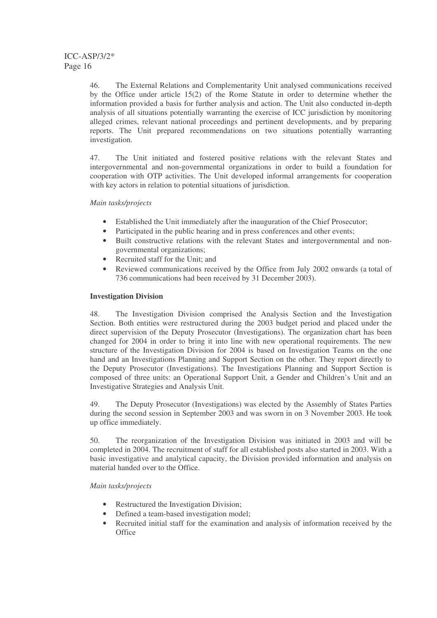46. The External Relations and Complementarity Unit analysed communications received by the Office under article 15(2) of the Rome Statute in order to determine whether the information provided a basis for further analysis and action. The Unit also conducted in-depth analysis of all situations potentially warranting the exercise of ICC jurisdiction by monitoring alleged crimes, relevant national proceedings and pertinent developments, and by preparing reports. The Unit prepared recommendations on two situations potentially warranting investigation.

47. The Unit initiated and fostered positive relations with the relevant States and intergovernmental and non-governmental organizations in order to build a foundation for cooperation with OTP activities. The Unit developed informal arrangements for cooperation with key actors in relation to potential situations of jurisdiction.

# *Main tasks/projects*

- Established the Unit immediately after the inauguration of the Chief Prosecutor;
- Participated in the public hearing and in press conferences and other events;
- Built constructive relations with the relevant States and intergovernmental and nongovernmental organizations;
- Recruited staff for the Unit; and
- Reviewed communications received by the Office from July 2002 onwards (a total of 736 communications had been received by 31 December 2003).

# **Investigation Division**

48. The Investigation Division comprised the Analysis Section and the Investigation Section. Both entities were restructured during the 2003 budget period and placed under the direct supervision of the Deputy Prosecutor (Investigations). The organization chart has been changed for 2004 in order to bring it into line with new operational requirements. The new structure of the Investigation Division for 2004 is based on Investigation Teams on the one hand and an Investigations Planning and Support Section on the other. They report directly to the Deputy Prosecutor (Investigations). The Investigations Planning and Support Section is composed of three units: an Operational Support Unit, a Gender and Children's Unit and an Investigative Strategies and Analysis Unit.

49. The Deputy Prosecutor (Investigations) was elected by the Assembly of States Parties during the second session in September 2003 and was sworn in on 3 November 2003. He took up office immediately.

50. The reorganization of the Investigation Division was initiated in 2003 and will be completed in 2004. The recruitment of staff for all established posts also started in 2003. With a basic investigative and analytical capacity, the Division provided information and analysis on material handed over to the Office.

### *Main tasks/projects*

- Restructured the Investigation Division;
- Defined a team-based investigation model;
- Recruited initial staff for the examination and analysis of information received by the **Office**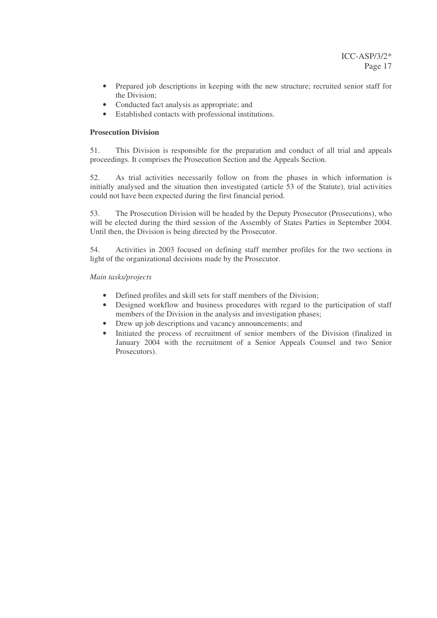- Prepared job descriptions in keeping with the new structure; recruited senior staff for the Division;
- Conducted fact analysis as appropriate; and
- Established contacts with professional institutions.

# **Prosecution Division**

51. This Division is responsible for the preparation and conduct of all trial and appeals proceedings. It comprises the Prosecution Section and the Appeals Section.

52. As trial activities necessarily follow on from the phases in which information is initially analysed and the situation then investigated (article 53 of the Statute), trial activities could not have been expected during the first financial period.

53. The Prosecution Division will be headed by the Deputy Prosecutor (Prosecutions), who will be elected during the third session of the Assembly of States Parties in September 2004. Until then, the Division is being directed by the Prosecutor.

54. Activities in 2003 focused on defining staff member profiles for the two sections in light of the organizational decisions made by the Prosecutor.

*Main tasks/projects*

- Defined profiles and skill sets for staff members of the Division;
- Designed workflow and business procedures with regard to the participation of staff members of the Division in the analysis and investigation phases;
- Drew up job descriptions and vacancy announcements; and
- Initiated the process of recruitment of senior members of the Division (finalized in January 2004 with the recruitment of a Senior Appeals Counsel and two Senior Prosecutors).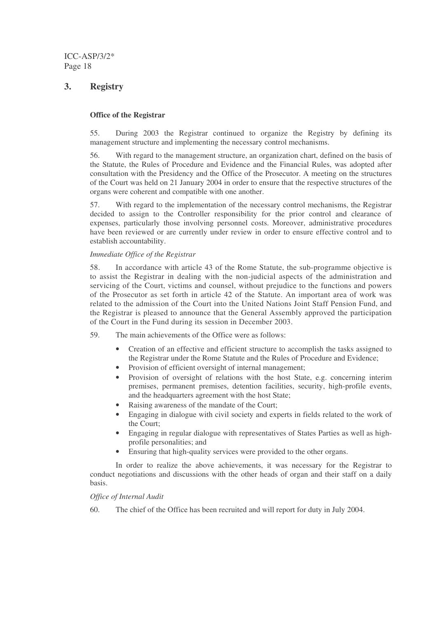# **3. Registry**

# **Office of the Registrar**

55. During 2003 the Registrar continued to organize the Registry by defining its management structure and implementing the necessary control mechanisms.

56. With regard to the management structure, an organization chart, defined on the basis of the Statute, the Rules of Procedure and Evidence and the Financial Rules, was adopted after consultation with the Presidency and the Office of the Prosecutor. A meeting on the structures of the Court was held on 21 January 2004 in order to ensure that the respective structures of the organs were coherent and compatible with one another.

57. With regard to the implementation of the necessary control mechanisms, the Registrar decided to assign to the Controller responsibility for the prior control and clearance of expenses, particularly those involving personnel costs. Moreover, administrative procedures have been reviewed or are currently under review in order to ensure effective control and to establish accountability.

# *Immediate Office of the Registrar*

58. In accordance with article 43 of the Rome Statute, the sub-programme objective is to assist the Registrar in dealing with the non-judicial aspects of the administration and servicing of the Court, victims and counsel, without prejudice to the functions and powers of the Prosecutor as set forth in article 42 of the Statute. An important area of work was related to the admission of the Court into the United Nations Joint Staff Pension Fund, and the Registrar is pleased to announce that the General Assembly approved the participation of the Court in the Fund during its session in December 2003.

59. The main achievements of the Office were as follows:

- Creation of an effective and efficient structure to accomplish the tasks assigned to the Registrar under the Rome Statute and the Rules of Procedure and Evidence;
- Provision of efficient oversight of internal management;
- Provision of oversight of relations with the host State, e.g. concerning interim premises, permanent premises, detention facilities, security, high-profile events, and the headquarters agreement with the host State;
- Raising awareness of the mandate of the Court;
- Engaging in dialogue with civil society and experts in fields related to the work of the Court;
- Engaging in regular dialogue with representatives of States Parties as well as highprofile personalities; and
- Ensuring that high-quality services were provided to the other organs.

In order to realize the above achievements, it was necessary for the Registrar to conduct negotiations and discussions with the other heads of organ and their staff on a daily basis.

### *Office of Internal Audit*

60. The chief of the Office has been recruited and will report for duty in July 2004.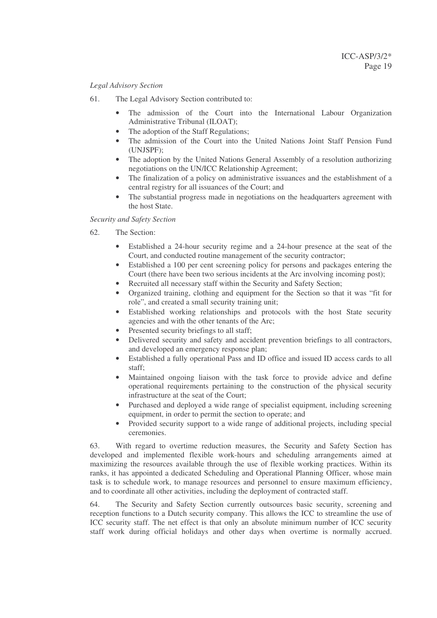### *Legal Advisory Section*

- 61. The Legal Advisory Section contributed to:
	- The admission of the Court into the International Labour Organization Administrative Tribunal (ILOAT);
	- The adoption of the Staff Regulations;
	- The admission of the Court into the United Nations Joint Staff Pension Fund (UNJSPF);
	- The adoption by the United Nations General Assembly of a resolution authorizing negotiations on the UN/ICC Relationship Agreement;
	- The finalization of a policy on administrative issuances and the establishment of a central registry for all issuances of the Court; and
	- The substantial progress made in negotiations on the headquarters agreement with the host State.

### *Security and Safety Section*

- 62. The Section:
	- Established a 24-hour security regime and a 24-hour presence at the seat of the Court, and conducted routine management of the security contractor;
	- Established a 100 per cent screening policy for persons and packages entering the Court (there have been two serious incidents at the Arc involving incoming post);
	- Recruited all necessary staff within the Security and Safety Section;
	- Organized training, clothing and equipment for the Section so that it was "fit for role", and created a small security training unit;
	- Established working relationships and protocols with the host State security agencies and with the other tenants of the Arc;
	- Presented security briefings to all staff;
	- Delivered security and safety and accident prevention briefings to all contractors, and developed an emergency response plan;
	- Established a fully operational Pass and ID office and issued ID access cards to all staff;
	- Maintained ongoing liaison with the task force to provide advice and define operational requirements pertaining to the construction of the physical security infrastructure at the seat of the Court;
	- Purchased and deployed a wide range of specialist equipment, including screening equipment, in order to permit the section to operate; and
	- Provided security support to a wide range of additional projects, including special ceremonies.

63. With regard to overtime reduction measures, the Security and Safety Section has developed and implemented flexible work-hours and scheduling arrangements aimed at maximizing the resources available through the use of flexible working practices. Within its ranks, it has appointed a dedicated Scheduling and Operational Planning Officer, whose main task is to schedule work, to manage resources and personnel to ensure maximum efficiency, and to coordinate all other activities, including the deployment of contracted staff.

64. The Security and Safety Section currently outsources basic security, screening and reception functions to a Dutch security company. This allows the ICC to streamline the use of ICC security staff. The net effect is that only an absolute minimum number of ICC security staff work during official holidays and other days when overtime is normally accrued.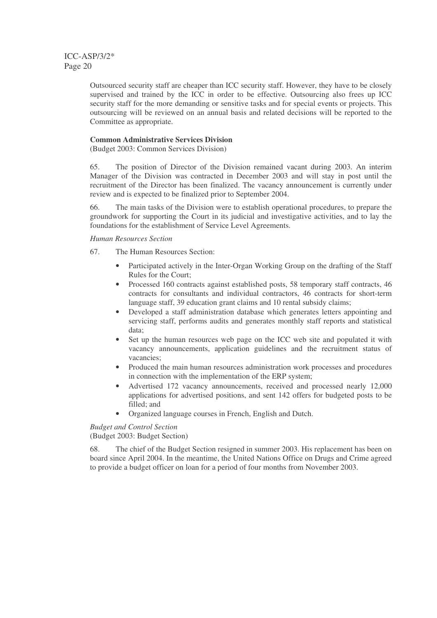Outsourced security staff are cheaper than ICC security staff. However, they have to be closely supervised and trained by the ICC in order to be effective. Outsourcing also frees up ICC security staff for the more demanding or sensitive tasks and for special events or projects. This outsourcing will be reviewed on an annual basis and related decisions will be reported to the Committee as appropriate.

# **Common Administrative Services Division**

(Budget 2003: Common Services Division)

65. The position of Director of the Division remained vacant during 2003. An interim Manager of the Division was contracted in December 2003 and will stay in post until the recruitment of the Director has been finalized. The vacancy announcement is currently under review and is expected to be finalized prior to September 2004.

66. The main tasks of the Division were to establish operational procedures, to prepare the groundwork for supporting the Court in its judicial and investigative activities, and to lay the foundations for the establishment of Service Level Agreements.

*Human Resources Section*

67. The Human Resources Section:

- Participated actively in the Inter-Organ Working Group on the drafting of the Staff Rules for the Court;
- Processed 160 contracts against established posts, 58 temporary staff contracts, 46 contracts for consultants and individual contractors, 46 contracts for short-term language staff, 39 education grant claims and 10 rental subsidy claims;
- Developed a staff administration database which generates letters appointing and servicing staff, performs audits and generates monthly staff reports and statistical data;
- Set up the human resources web page on the ICC web site and populated it with vacancy announcements, application guidelines and the recruitment status of vacancies;
- Produced the main human resources administration work processes and procedures in connection with the implementation of the ERP system;
- Advertised 172 vacancy announcements, received and processed nearly 12,000 applications for advertised positions, and sent 142 offers for budgeted posts to be filled; and
- Organized language courses in French, English and Dutch.

# *Budget and Control Section* (Budget 2003: Budget Section)

68. The chief of the Budget Section resigned in summer 2003. His replacement has been on board since April 2004. In the meantime, the United Nations Office on Drugs and Crime agreed to provide a budget officer on loan for a period of four months from November 2003.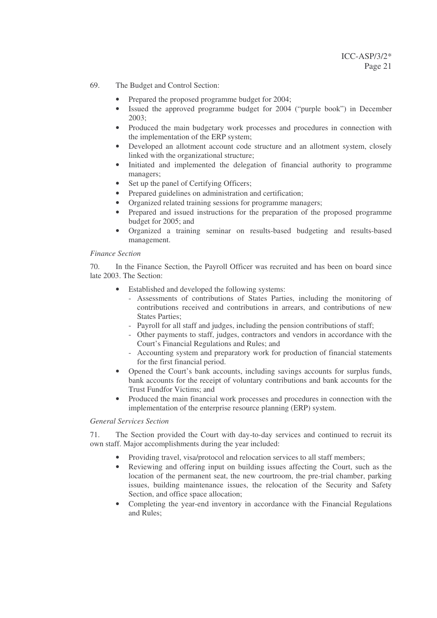- 69. The Budget and Control Section:
	- Prepared the proposed programme budget for 2004;
	- Issued the approved programme budget for 2004 ("purple book") in December  $2003$
	- Produced the main budgetary work processes and procedures in connection with the implementation of the ERP system;
	- Developed an allotment account code structure and an allotment system, closely linked with the organizational structure;
	- Initiated and implemented the delegation of financial authority to programme managers;
	- Set up the panel of Certifying Officers;
	- Prepared guidelines on administration and certification;
	- Organized related training sessions for programme managers;
	- Prepared and issued instructions for the preparation of the proposed programme budget for 2005; and
	- Organized a training seminar on results-based budgeting and results-based management.

### *Finance Section*

70. In the Finance Section, the Payroll Officer was recruited and has been on board since late 2003. The Section:

- Established and developed the following systems:
	- Assessments of contributions of States Parties, including the monitoring of contributions received and contributions in arrears, and contributions of new States Parties;
	- Payroll for all staff and judges, including the pension contributions of staff;
	- Other payments to staff, judges, contractors and vendors in accordance with the Court's Financial Regulations and Rules; and
	- Accounting system and preparatory work for production of financial statements for the first financial period.
- Opened the Court's bank accounts, including savings accounts for surplus funds, bank accounts for the receipt of voluntary contributions and bank accounts for the Trust Fundfor Victims; and
- Produced the main financial work processes and procedures in connection with the implementation of the enterprise resource planning (ERP) system.

### *General Services Section*

71. The Section provided the Court with day-to-day services and continued to recruit its own staff. Major accomplishments during the year included:

- Providing travel, visa/protocol and relocation services to all staff members;
- Reviewing and offering input on building issues affecting the Court, such as the location of the permanent seat, the new courtroom, the pre-trial chamber, parking issues, building maintenance issues, the relocation of the Security and Safety Section, and office space allocation;
- Completing the year-end inventory in accordance with the Financial Regulations and Rules;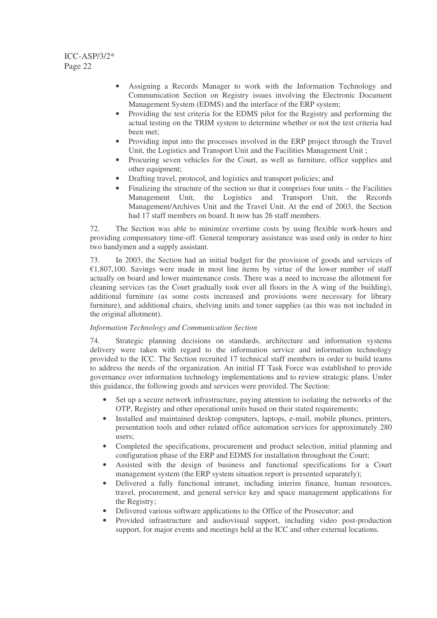- Assigning a Records Manager to work with the Information Technology and Communication Section on Registry issues involving the Electronic Document Management System (EDMS) and the interface of the ERP system;
- Providing the test criteria for the EDMS pilot for the Registry and performing the actual testing on the TRIM system to determine whether or not the test criteria had been met;
- Providing input into the processes involved in the ERP project through the Travel Unit, the Logistics and Transport Unit and the Facilities Management Unit ;
- Procuring seven vehicles for the Court, as well as furniture, office supplies and other equipment;
- Drafting travel, protocol, and logistics and transport policies; and
- Finalizing the structure of the section so that it comprises four units the Facilities Management Unit, the Logistics and Transport Unit, the Records Management/Archives Unit and the Travel Unit. At the end of 2003, the Section had 17 staff members on board. It now has 26 staff members.

72. The Section was able to minimize overtime costs by using flexible work-hours and providing compensatory time-off. General temporary assistance was used only in order to hire two handymen and a supply assistant.

73. In 2003, the Section had an initial budget for the provision of goods and services of  $€1,807,100$ . Savings were made in most line items by virtue of the lower number of staff actually on board and lower maintenance costs. There was a need to increase the allotment for cleaning services (as the Court gradually took over all floors in the A wing of the building), additional furniture (as some costs increased and provisions were necessary for library furniture), and additional chairs, shelving units and toner supplies (as this was not included in the original allotment).

# *Information Technology and Communication Section*

74. Strategic planning decisions on standards, architecture and information systems delivery were taken with regard to the information service and information technology provided to the ICC. The Section recruited 17 technical staff members in order to build teams to address the needs of the organization. An initial IT Task Force was established to provide governance over information technology implementations and to review strategic plans. Under this guidance, the following goods and services were provided. The Section:

- Set up a secure network infrastructure, paying attention to isolating the networks of the OTP, Registry and other operational units based on their stated requirements;
- Installed and maintained desktop computers, laptops, e-mail, mobile phones, printers, presentation tools and other related office automation services for approximately 280 users;
- Completed the specifications, procurement and product selection, initial planning and configuration phase of the ERP and EDMS for installation throughout the Court;
- Assisted with the design of business and functional specifications for a Court management system (the ERP system situation report is presented separately);
- Delivered a fully functional intranet, including interim finance, human resources, travel, procurement, and general service key and space management applications for the Registry;
- Delivered various software applications to the Office of the Prosecutor; and
- Provided infrastructure and audiovisual support, including video post-production support, for major events and meetings held at the ICC and other external locations.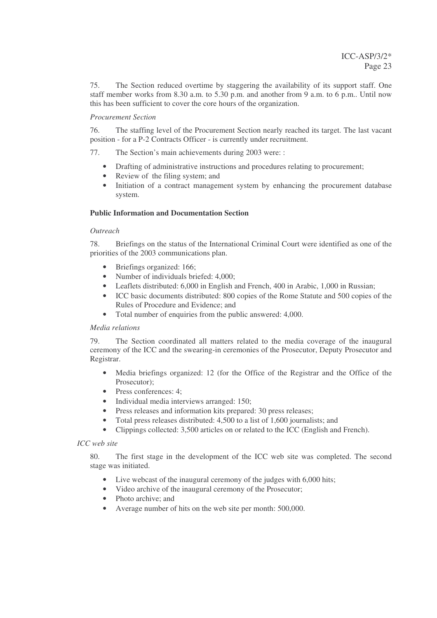75. The Section reduced overtime by staggering the availability of its support staff. One staff member works from 8.30 a.m. to 5.30 p.m. and another from 9 a.m. to 6 p.m.. Until now this has been sufficient to cover the core hours of the organization.

### *Procurement Section*

76. The staffing level of the Procurement Section nearly reached its target. The last vacant position - for a P-2 Contracts Officer - is currently under recruitment.

77. The Section's main achievements during 2003 were: :

- Drafting of administrative instructions and procedures relating to procurement;
- Review of the filing system; and
- Initiation of a contract management system by enhancing the procurement database system.

# **Public Information and Documentation Section**

### *Outreach*

78. Briefings on the status of the International Criminal Court were identified as one of the priorities of the 2003 communications plan.

- Briefings organized: 166;
- Number of individuals briefed: 4,000;
- Leaflets distributed: 6,000 in English and French, 400 in Arabic, 1,000 in Russian;
- ICC basic documents distributed: 800 copies of the Rome Statute and 500 copies of the Rules of Procedure and Evidence; and
- Total number of enquiries from the public answered: 4,000.

### *Media relations*

79. The Section coordinated all matters related to the media coverage of the inaugural ceremony of the ICC and the swearing-in ceremonies of the Prosecutor, Deputy Prosecutor and Registrar.

- Media briefings organized: 12 (for the Office of the Registrar and the Office of the Prosecutor);
- Press conferences: 4:
- Individual media interviews arranged: 150;
- Press releases and information kits prepared: 30 press releases;
- Total press releases distributed: 4,500 to a list of 1,600 journalists; and
- Clippings collected: 3,500 articles on or related to the ICC (English and French).

### *ICC web site*

80. The first stage in the development of the ICC web site was completed. The second stage was initiated.

- Live webcast of the inaugural ceremony of the judges with 6,000 hits;
- Video archive of the inaugural ceremony of the Prosecutor:
- Photo archive; and
- Average number of hits on the web site per month: 500,000.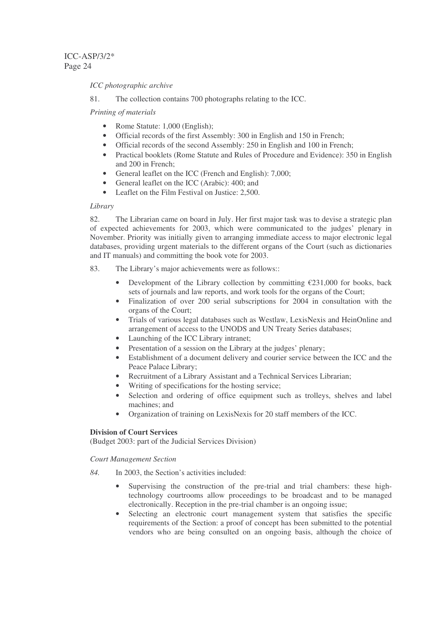# *ICC photographic archive*

# 81. The collection contains 700 photographs relating to the ICC.

# *Printing of materials*

- Rome Statute: 1,000 (English);
- Official records of the first Assembly: 300 in English and 150 in French;
- Official records of the second Assembly: 250 in English and 100 in French;
- Practical booklets (Rome Statute and Rules of Procedure and Evidence): 350 in English and 200 in French;
- General leaflet on the ICC (French and English): 7,000;
- General leaflet on the ICC (Arabic): 400; and
- Leaflet on the Film Festival on Justice: 2,500.

# *Library*

82. The Librarian came on board in July. Her first major task was to devise a strategic plan of expected achievements for 2003, which were communicated to the judges' plenary in November. Priority was initially given to arranging immediate access to major electronic legal databases, providing urgent materials to the different organs of the Court (such as dictionaries and IT manuals) and committing the book vote for 2003.

83. The Library's major achievements were as follows::

- Development of the Library collection by committing  $E231,000$  for books, back sets of journals and law reports, and work tools for the organs of the Court;
- Finalization of over 200 serial subscriptions for 2004 in consultation with the organs of the Court;
- Trials of various legal databases such as Westlaw, LexisNexis and HeinOnline and arrangement of access to the UNODS and UN Treaty Series databases;
- Launching of the ICC Library intranet;
- Presentation of a session on the Library at the judges' plenary;
- Establishment of a document delivery and courier service between the ICC and the Peace Palace Library;
- Recruitment of a Library Assistant and a Technical Services Librarian;
- Writing of specifications for the hosting service;
- Selection and ordering of office equipment such as trolleys, shelves and label machines; and
- Organization of training on LexisNexis for 20 staff members of the ICC.

# **Division of Court Services**

(Budget 2003: part of the Judicial Services Division)

### *Court Management Section*

- *84.* In 2003, the Section's activities included:
	- Supervising the construction of the pre-trial and trial chambers: these hightechnology courtrooms allow proceedings to be broadcast and to be managed electronically. Reception in the pre-trial chamber is an ongoing issue;
	- Selecting an electronic court management system that satisfies the specific requirements of the Section: a proof of concept has been submitted to the potential vendors who are being consulted on an ongoing basis, although the choice of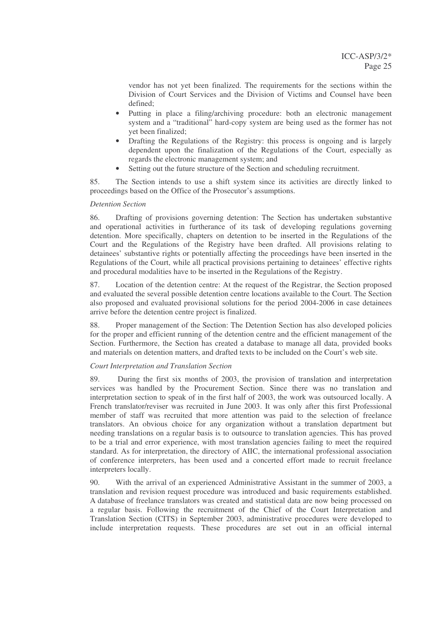vendor has not yet been finalized. The requirements for the sections within the Division of Court Services and the Division of Victims and Counsel have been defined;

- Putting in place a filing/archiving procedure: both an electronic management system and a "traditional" hard-copy system are being used as the former has not yet been finalized;
- Drafting the Regulations of the Registry: this process is ongoing and is largely dependent upon the finalization of the Regulations of the Court, especially as regards the electronic management system; and
- Setting out the future structure of the Section and scheduling recruitment.

85. The Section intends to use a shift system since its activities are directly linked to proceedings based on the Office of the Prosecutor's assumptions.

# *Detention Section*

86. Drafting of provisions governing detention: The Section has undertaken substantive and operational activities in furtherance of its task of developing regulations governing detention. More specifically, chapters on detention to be inserted in the Regulations of the Court and the Regulations of the Registry have been drafted. All provisions relating to detainees' substantive rights or potentially affecting the proceedings have been inserted in the Regulations of the Court, while all practical provisions pertaining to detainees' effective rights and procedural modalities have to be inserted in the Regulations of the Registry.

87. Location of the detention centre: At the request of the Registrar, the Section proposed and evaluated the several possible detention centre locations available to the Court. The Section also proposed and evaluated provisional solutions for the period 2004-2006 in case detainees arrive before the detention centre project is finalized.

88. Proper management of the Section: The Detention Section has also developed policies for the proper and efficient running of the detention centre and the efficient management of the Section. Furthermore, the Section has created a database to manage all data, provided books and materials on detention matters, and drafted texts to be included on the Court's web site.

# *Court Interpretation and Translation Section*

89. During the first six months of 2003, the provision of translation and interpretation services was handled by the Procurement Section. Since there was no translation and interpretation section to speak of in the first half of 2003, the work was outsourced locally. A French translator/reviser was recruited in June 2003. It was only after this first Professional member of staff was recruited that more attention was paid to the selection of freelance translators. An obvious choice for any organization without a translation department but needing translations on a regular basis is to outsource to translation agencies. This has proved to be a trial and error experience, with most translation agencies failing to meet the required standard. As for interpretation, the directory of AIIC, the international professional association of conference interpreters, has been used and a concerted effort made to recruit freelance interpreters locally.

90. With the arrival of an experienced Administrative Assistant in the summer of 2003, a translation and revision request procedure was introduced and basic requirements established. A database of freelance translators was created and statistical data are now being processed on a regular basis. Following the recruitment of the Chief of the Court Interpretation and Translation Section (CITS) in September 2003, administrative procedures were developed to include interpretation requests. These procedures are set out in an official internal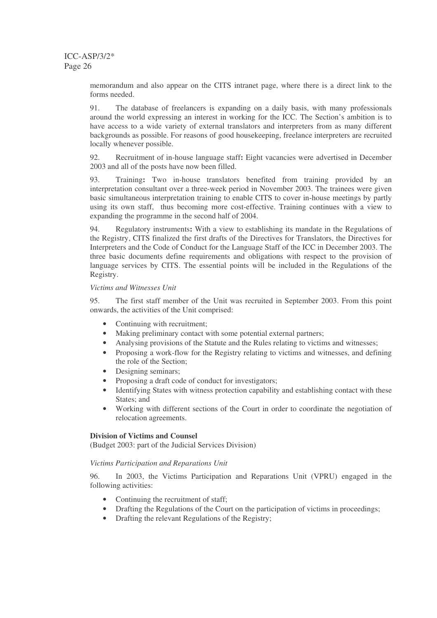> memorandum and also appear on the CITS intranet page, where there is a direct link to the forms needed.

> 91. The database of freelancers is expanding on a daily basis, with many professionals around the world expressing an interest in working for the ICC. The Section's ambition is to have access to a wide variety of external translators and interpreters from as many different backgrounds as possible. For reasons of good housekeeping, freelance interpreters are recruited locally whenever possible.

> 92. Recruitment of in-house language staff**:** Eight vacancies were advertised in December 2003 and all of the posts have now been filled.

> 93. Training**:** Two in-house translators benefited from training provided by an interpretation consultant over a three-week period in November 2003. The trainees were given basic simultaneous interpretation training to enable CITS to cover in-house meetings by partly using its own staff, thus becoming more cost-effective. Training continues with a view to expanding the programme in the second half of 2004.

> 94. Regulatory instruments**:** With a view to establishing its mandate in the Regulations of the Registry, CITS finalized the first drafts of the Directives for Translators, the Directives for Interpreters and the Code of Conduct for the Language Staff of the ICC in December 2003. The three basic documents define requirements and obligations with respect to the provision of language services by CITS. The essential points will be included in the Regulations of the Registry.

# *Victims and Witnesses Unit*

95. The first staff member of the Unit was recruited in September 2003. From this point onwards, the activities of the Unit comprised:

- Continuing with recruitment;
- Making preliminary contact with some potential external partners;
- Analysing provisions of the Statute and the Rules relating to victims and witnesses;
- Proposing a work-flow for the Registry relating to victims and witnesses, and defining the role of the Section;
- Designing seminars;
- Proposing a draft code of conduct for investigators;
- Identifying States with witness protection capability and establishing contact with these States; and
- Working with different sections of the Court in order to coordinate the negotiation of relocation agreements.

### **Division of Victims and Counsel**

(Budget 2003: part of the Judicial Services Division)

### *Victims Participation and Reparations Unit*

96. In 2003, the Victims Participation and Reparations Unit (VPRU) engaged in the following activities:

- Continuing the recruitment of staff;
- Drafting the Regulations of the Court on the participation of victims in proceedings;
- Drafting the relevant Regulations of the Registry;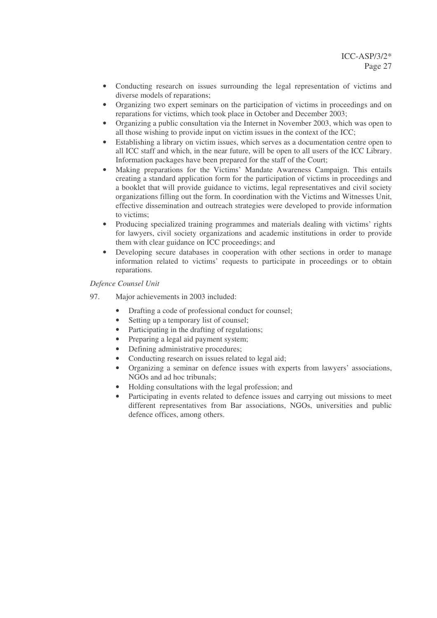- Conducting research on issues surrounding the legal representation of victims and diverse models of reparations;
- Organizing two expert seminars on the participation of victims in proceedings and on reparations for victims, which took place in October and December 2003;
- Organizing a public consultation via the Internet in November 2003, which was open to all those wishing to provide input on victim issues in the context of the ICC;
- Establishing a library on victim issues, which serves as a documentation centre open to all ICC staff and which, in the near future, will be open to all users of the ICC Library. Information packages have been prepared for the staff of the Court;
- Making preparations for the Victims' Mandate Awareness Campaign. This entails creating a standard application form for the participation of victims in proceedings and a booklet that will provide guidance to victims, legal representatives and civil society organizations filling out the form. In coordination with the Victims and Witnesses Unit, effective dissemination and outreach strategies were developed to provide information to victims;
- Producing specialized training programmes and materials dealing with victims' rights for lawyers, civil society organizations and academic institutions in order to provide them with clear guidance on ICC proceedings; and
- Developing secure databases in cooperation with other sections in order to manage information related to victims' requests to participate in proceedings or to obtain reparations.

*Defence Counsel Unit*

- 97. Major achievements in 2003 included:
	- Drafting a code of professional conduct for counsel;
	- Setting up a temporary list of counsel;
	- Participating in the drafting of regulations;
	- Preparing a legal aid payment system;
	- Defining administrative procedures;
	- Conducting research on issues related to legal aid:
	- Organizing a seminar on defence issues with experts from lawyers' associations, NGOs and ad hoc tribunals;
	- Holding consultations with the legal profession; and
	- Participating in events related to defence issues and carrying out missions to meet different representatives from Bar associations, NGOs, universities and public defence offices, among others.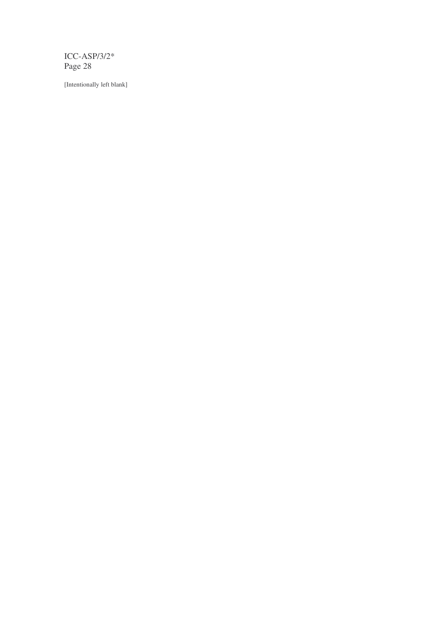[Intentionally left blank]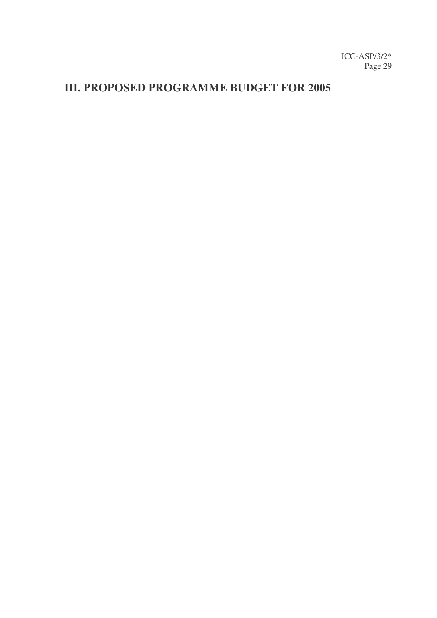# **III. PROPOSED PROGRAMME BUDGET FOR 2005**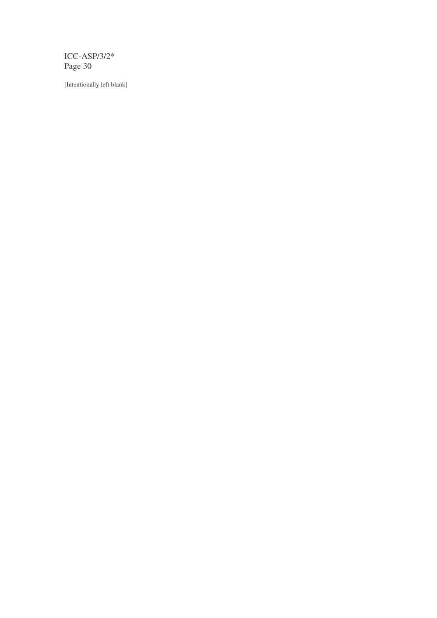[Intentionally left blank]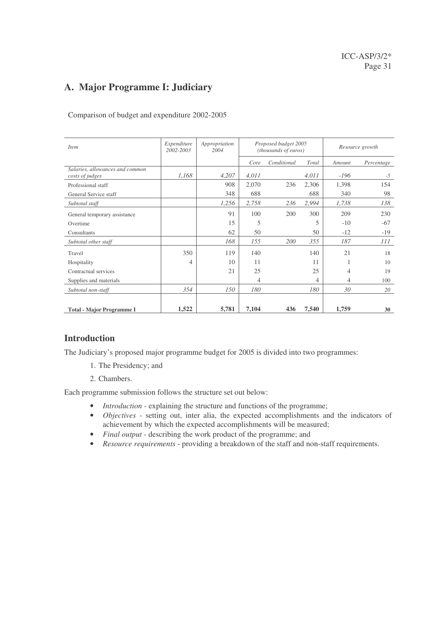# **A. Major Programme I: Judiciary**

Comparison of budget and expenditure 2002-2005

| <i>Item</i>                                        | Expenditure<br>2002-2003 | Appropriation<br>2004 | Proposed budget 2005<br>(thousands of euros) |             | Resource growth |                |                 |
|----------------------------------------------------|--------------------------|-----------------------|----------------------------------------------|-------------|-----------------|----------------|-----------------|
|                                                    |                          |                       | Core                                         | Conditional | Total           | Amount         | Percentage      |
| Salaries, allowances and common<br>costs of judges | 1,168                    | 4,207                 | 4,011                                        |             | 4,011           | $-196$         | -5              |
| Professional staff                                 |                          | 908                   | 2,070                                        | 236         | 2,306           | 1,398          | 154             |
| General Service staff                              |                          | 348                   | 688                                          |             | 688             | 340            | 98              |
| Subtotal staff                                     |                          | 1,256                 | 2,758                                        | 236         | 2,994           | 1,738          | 138             |
| General temporary assistance                       |                          | 91                    | 100                                          | 200         | 300             | 209            | 230             |
| Overtime                                           |                          | 15                    | 5                                            |             | 5               | $-10$          | $-67$           |
| Consultants                                        |                          | 62                    | 50                                           |             | 50              | $-12$          | $-19$           |
| Subtotal other staff                               |                          | 168                   | 155                                          | 200         | 355             | 187            | 111             |
| Travel                                             | 350                      | 119                   | 140                                          |             | 140             | 21             | 18              |
| Hospitality                                        | 4                        | 10                    | 11                                           |             | 11              |                | 10 <sup>1</sup> |
| Contractual services                               |                          | 21                    | 25                                           |             | 25              | $\overline{4}$ | 19              |
| Supplies and materials                             |                          |                       | 4                                            |             | 4               | $\overline{4}$ | 100             |
| Subtotal non-staff                                 | 354                      | 150                   | 180                                          |             | 180             | 30             | 20              |
|                                                    |                          |                       |                                              |             |                 |                |                 |
| <b>Total - Major Programme I</b>                   | 1,522                    | 5,781                 | 7,104                                        | 436         | 7,540           | 1,759          | 30              |

# **Introduction**

The Judiciary's proposed major programme budget for 2005 is divided into two programmes:

- 1. The Presidency; and
- 2. Chambers.

Each programme submission follows the structure set out below:

- *Introduction* explaining the structure and functions of the programme;
- *Objectives* setting out, inter alia, the expected accomplishments and the indicators of achievement by which the expected accomplishments will be measured;
- *Final output* describing the work product of the programme; and
- *Resource requirements* providing a breakdown of the staff and non-staff requirements.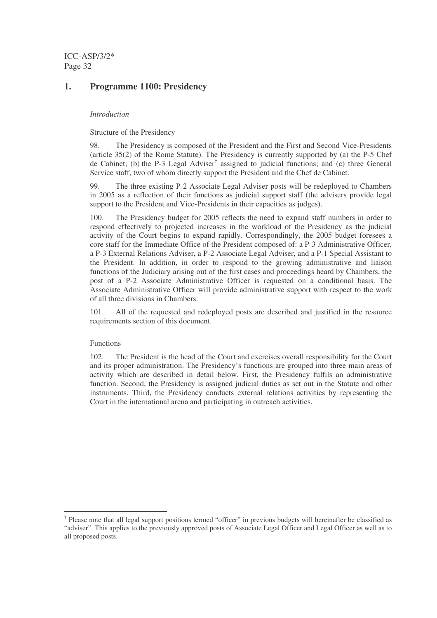# **1. Programme 1100: Presidency**

#### *Introduction*

Structure of the Presidency

98. The Presidency is composed of the President and the First and Second Vice-Presidents (article 35(2) of the Rome Statute). The Presidency is currently supported by (a) the P-5 Chef de Cabinet; (b) the P-3 Legal Adviser † assigned to judicial functions; and (c) three General Service staff, two of whom directly support the President and the Chef de Cabinet.

99. The three existing P-2 Associate Legal Adviser posts will be redeployed to Chambers in 2005 as a reflection of their functions as judicial support staff (the advisers provide legal support to the President and Vice-Presidents in their capacities as judges).

100. The Presidency budget for 2005 reflects the need to expand staff numbers in order to respond effectively to projected increases in the workload of the Presidency as the judicial activity of the Court begins to expand rapidly. Correspondingly, the 2005 budget foresees a core staff for the Immediate Office of the President composed of: a P-3 Administrative Officer, a P-3 External Relations Adviser, a P-2 Associate Legal Adviser, and a P-1 Special Assistant to the President. In addition, in order to respond to the growing administrative and liaison functions of the Judiciary arising out of the first cases and proceedings heard by Chambers, the post of a P-2 Associate Administrative Officer is requested on a conditional basis. The Associate Administrative Officer will provide administrative support with respect to the work of all three divisions in Chambers.

101. All of the requested and redeployed posts are described and justified in the resource requirements section of this document.

# Functions

102. The President is the head of the Court and exercises overall responsibility for the Court and its proper administration. The Presidency's functions are grouped into three main areas of activity which are described in detail below. First, the Presidency fulfils an administrative function. Second, the Presidency is assigned judicial duties as set out in the Statute and other instruments. Third, the Presidency conducts external relations activities by representing the Court in the international arena and participating in outreach activities.

<sup>†</sup> Please note that all legal support positions termed "officer" in previous budgets will hereinafter be classified as "adviser". This applies to the previously approved posts of Associate Legal Officer and Legal Officer as well as to all proposed posts.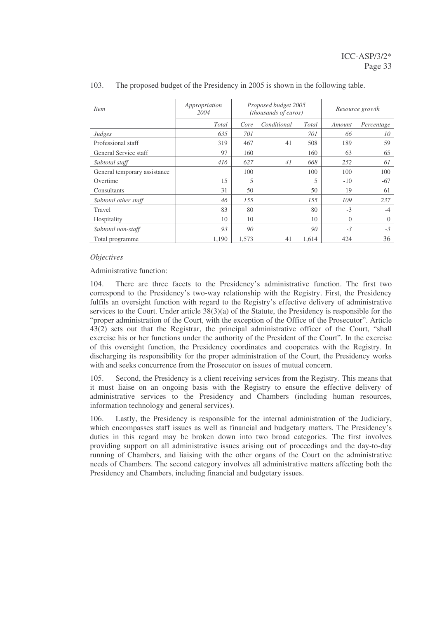| <i>Item</i>                  | Appropriation<br>2004 | Proposed budget 2005<br>(thousands of euros) |             |       |          | Resource growth |  |  |
|------------------------------|-----------------------|----------------------------------------------|-------------|-------|----------|-----------------|--|--|
|                              | Total                 | Core                                         | Conditional | Total | Amount   | Percentage      |  |  |
| Judges                       | 635                   | 701                                          |             | 701   | 66       | 10              |  |  |
| Professional staff           | 319                   | 467                                          | 41          | 508   | 189      | 59              |  |  |
| General Service staff        | 97                    | 160                                          |             | 160   | 63       | 65              |  |  |
| Subtotal staff               | 416                   | 627                                          | 41          | 668   | 252      | 61              |  |  |
| General temporary assistance |                       | 100                                          |             | 100   | 100      | 100             |  |  |
| Overtime                     | 15                    | 5                                            |             | 5     | $-10$    | $-67$           |  |  |
| Consultants                  | 31                    | 50                                           |             | 50    | 19       | 61              |  |  |
| Subtotal other staff         | 46                    | 155                                          |             | 155   | 109      | 237             |  |  |
| Travel                       | 83                    | 80                                           |             | 80    | $-3$     | $-4$            |  |  |
| Hospitality                  | 10                    | 10                                           |             | 10    | $\Omega$ | $\Omega$        |  |  |
| Subtotal non-staff           | 93                    | 90                                           |             | 90    | $-3$     | $-3$            |  |  |
| Total programme              | 1,190                 | 1,573                                        | 41          | 1,614 | 424      | 36              |  |  |

#### 103. The proposed budget of the Presidency in 2005 is shown in the following table.

#### *Objectives*

Administrative function:

104. There are three facets to the Presidency's administrative function. The first two correspond to the Presidency's two-way relationship with the Registry. First, the Presidency fulfils an oversight function with regard to the Registry's effective delivery of administrative services to the Court. Under article 38(3)(a) of the Statute, the Presidency is responsible for the "proper administration of the Court, with the exception of the Office of the Prosecutor". Article 43(2) sets out that the Registrar, the principal administrative officer of the Court, "shall exercise his or her functions under the authority of the President of the Court". In the exercise of this oversight function, the Presidency coordinates and cooperates with the Registry. In discharging its responsibility for the proper administration of the Court, the Presidency works with and seeks concurrence from the Prosecutor on issues of mutual concern.

105. Second, the Presidency is a client receiving services from the Registry. This means that it must liaise on an ongoing basis with the Registry to ensure the effective delivery of administrative services to the Presidency and Chambers (including human resources, information technology and general services).

106. Lastly, the Presidency is responsible for the internal administration of the Judiciary, which encompasses staff issues as well as financial and budgetary matters. The Presidency's duties in this regard may be broken down into two broad categories. The first involves providing support on all administrative issues arising out of proceedings and the day-to-day running of Chambers, and liaising with the other organs of the Court on the administrative needs of Chambers. The second category involves all administrative matters affecting both the Presidency and Chambers, including financial and budgetary issues.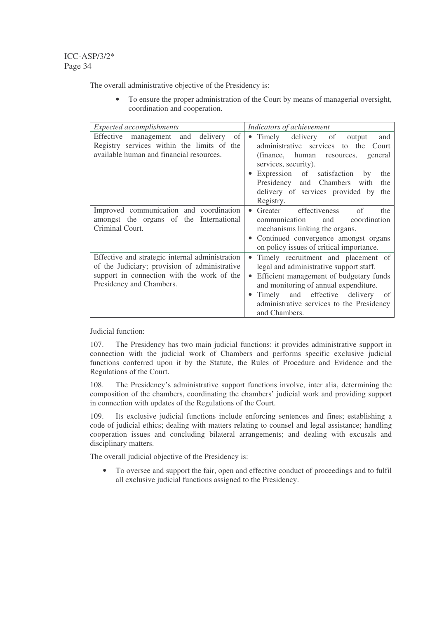The overall administrative objective of the Presidency is:

• To ensure the proper administration of the Court by means of managerial oversight, coordination and cooperation.

| <i>Expected accomplishments</i>                                                                                                                                            | Indicators of achievement                                                                                                                                                                                                                                                                           |
|----------------------------------------------------------------------------------------------------------------------------------------------------------------------------|-----------------------------------------------------------------------------------------------------------------------------------------------------------------------------------------------------------------------------------------------------------------------------------------------------|
| of<br>Effective management and delivery<br>Registry services within the limits of the<br>available human and financial resources.                                          | Timely delivery of output<br>and<br>$\bullet$<br>administrative services to the Court<br>(finance, human resources,<br>general<br>services, security).<br>Expression of satisfaction<br>by<br>the<br>Presidency and Chambers<br>with<br>the<br>delivery of services provided by<br>the<br>Registry. |
| Improved communication and coordination<br>amongst the organs of the International<br>Criminal Court.                                                                      | Greater effectiveness<br>of<br>the<br>$\bullet$<br>communication and<br>coordination<br>mechanisms linking the organs.<br>Continued convergence amongst organs<br>on policy issues of critical importance.                                                                                          |
| Effective and strategic internal administration<br>of the Judiciary; provision of administrative<br>support in connection with the work of the<br>Presidency and Chambers. | Timely recruitment and placement of<br>legal and administrative support staff.<br>Efficient management of budgetary funds<br>and monitoring of annual expenditure.<br>Timely and effective delivery<br>- of<br>administrative services to the Presidency<br>and Chambers.                           |

Judicial function:

107. The Presidency has two main judicial functions: it provides administrative support in connection with the judicial work of Chambers and performs specific exclusive judicial functions conferred upon it by the Statute, the Rules of Procedure and Evidence and the Regulations of the Court.

108. The Presidency's administrative support functions involve, inter alia, determining the composition of the chambers, coordinating the chambers' judicial work and providing support in connection with updates of the Regulations of the Court.

109. Its exclusive judicial functions include enforcing sentences and fines; establishing a code of judicial ethics; dealing with matters relating to counsel and legal assistance; handling cooperation issues and concluding bilateral arrangements; and dealing with excusals and disciplinary matters.

The overall judicial objective of the Presidency is:

• To oversee and support the fair, open and effective conduct of proceedings and to fulfil all exclusive judicial functions assigned to the Presidency.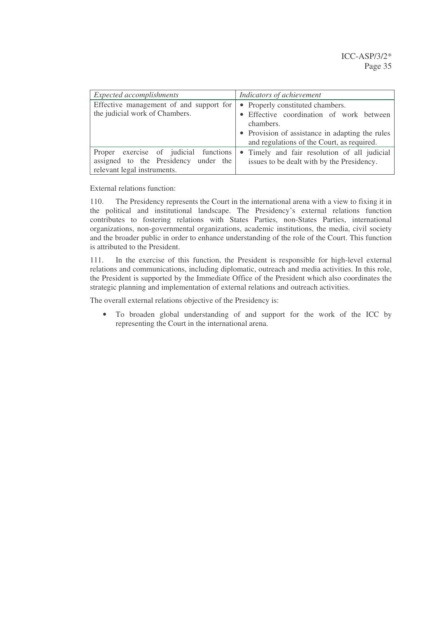| Expected accomplishments                | Indicators of achievement                             |  |  |  |
|-----------------------------------------|-------------------------------------------------------|--|--|--|
| Effective management of and support for | • Properly constituted chambers.                      |  |  |  |
| the judicial work of Chambers.          | • Effective coordination of work between<br>chambers. |  |  |  |
|                                         | • Provision of assistance in adapting the rules       |  |  |  |
|                                         | and regulations of the Court, as required.            |  |  |  |
| Proper exercise of judicial functions   | • Timely and fair resolution of all judicial          |  |  |  |
| assigned to the Presidency under the    | issues to be dealt with by the Presidency.            |  |  |  |
| relevant legal instruments.             |                                                       |  |  |  |

External relations function:

110. The Presidency represents the Court in the international arena with a view to fixing it in the political and institutional landscape. The Presidency's external relations function contributes to fostering relations with States Parties, non-States Parties, international organizations, non-governmental organizations, academic institutions, the media, civil society and the broader public in order to enhance understanding of the role of the Court. This function is attributed to the President.

111. In the exercise of this function, the President is responsible for high-level external relations and communications, including diplomatic, outreach and media activities. In this role, the President is supported by the Immediate Office of the President which also coordinates the strategic planning and implementation of external relations and outreach activities.

The overall external relations objective of the Presidency is:

• To broaden global understanding of and support for the work of the ICC by representing the Court in the international arena.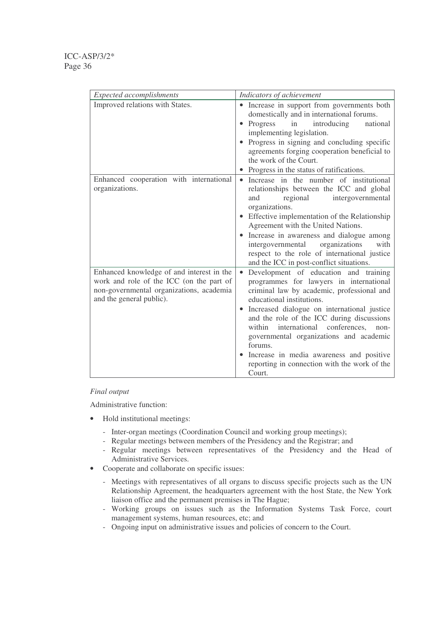| Indicators of achievement                                                                   |
|---------------------------------------------------------------------------------------------|
| • Increase in support from governments both                                                 |
| domestically and in international forums.                                                   |
| introducing<br>Progress<br>in<br>national                                                   |
| implementing legislation.                                                                   |
| Progress in signing and concluding specific<br>agreements forging cooperation beneficial to |
| the work of the Court.                                                                      |
| Progress in the status of ratifications.                                                    |
| • Increase in the number of institutional                                                   |
| relationships between the ICC and global                                                    |
| regional<br>intergovernmental<br>and                                                        |
| organizations.                                                                              |
| Effective implementation of the Relationship                                                |
| Agreement with the United Nations.                                                          |
| • Increase in awareness and dialogue among                                                  |
| organizations<br>intergovernmental<br>with                                                  |
| respect to the role of international justice                                                |
| and the ICC in post-conflict situations.                                                    |
| Development of education and training                                                       |
| programmes for lawyers in international                                                     |
| criminal law by academic, professional and                                                  |
| educational institutions.                                                                   |
| Increased dialogue on international justice                                                 |
| and the role of the ICC during discussions                                                  |
| within international conferences,<br>non-                                                   |
| governmental organizations and academic<br>forums.                                          |
| Increase in media awareness and positive                                                    |
| reporting in connection with the work of the                                                |
| Court.                                                                                      |
|                                                                                             |

# *Final output*

Administrative function:

- Hold institutional meetings:
	- Inter-organ meetings (Coordination Council and working group meetings);
	- Regular meetings between members of the Presidency and the Registrar; and
	- Regular meetings between representatives of the Presidency and the Head of Administrative Services.
- Cooperate and collaborate on specific issues:
	- Meetings with representatives of all organs to discuss specific projects such as the UN Relationship Agreement, the headquarters agreement with the host State, the New York liaison office and the permanent premises in The Hague;
	- Working groups on issues such as the Information Systems Task Force, court management systems, human resources, etc; and
	- Ongoing input on administrative issues and policies of concern to the Court.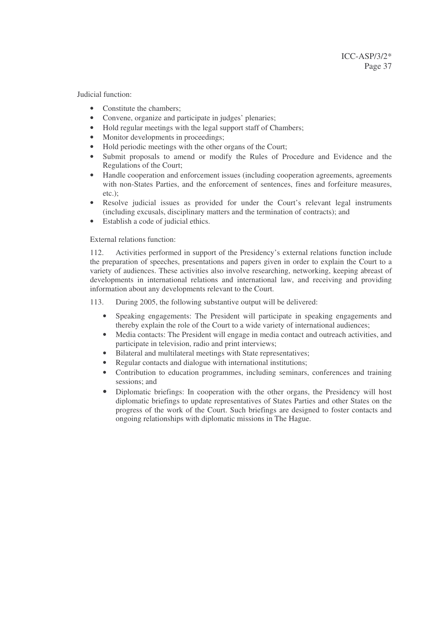Judicial function:

- Constitute the chambers;
- Convene, organize and participate in judges' plenaries;
- Hold regular meetings with the legal support staff of Chambers;
- Monitor developments in proceedings;
- Hold periodic meetings with the other organs of the Court;
- Submit proposals to amend or modify the Rules of Procedure and Evidence and the Regulations of the Court;
- Handle cooperation and enforcement issues (including cooperation agreements, agreements with non-States Parties, and the enforcement of sentences, fines and forfeiture measures, etc.);
- Resolve judicial issues as provided for under the Court's relevant legal instruments (including excusals, disciplinary matters and the termination of contracts); and
- Establish a code of judicial ethics.

External relations function:

112. Activities performed in support of the Presidency's external relations function include the preparation of speeches, presentations and papers given in order to explain the Court to a variety of audiences. These activities also involve researching, networking, keeping abreast of developments in international relations and international law, and receiving and providing information about any developments relevant to the Court.

113. During 2005, the following substantive output will be delivered:

- Speaking engagements: The President will participate in speaking engagements and thereby explain the role of the Court to a wide variety of international audiences;
- Media contacts: The President will engage in media contact and outreach activities, and participate in television, radio and print interviews;
- Bilateral and multilateral meetings with State representatives;
- Regular contacts and dialogue with international institutions;
- Contribution to education programmes, including seminars, conferences and training sessions; and
- Diplomatic briefings: In cooperation with the other organs, the Presidency will host diplomatic briefings to update representatives of States Parties and other States on the progress of the work of the Court. Such briefings are designed to foster contacts and ongoing relationships with diplomatic missions in The Hague.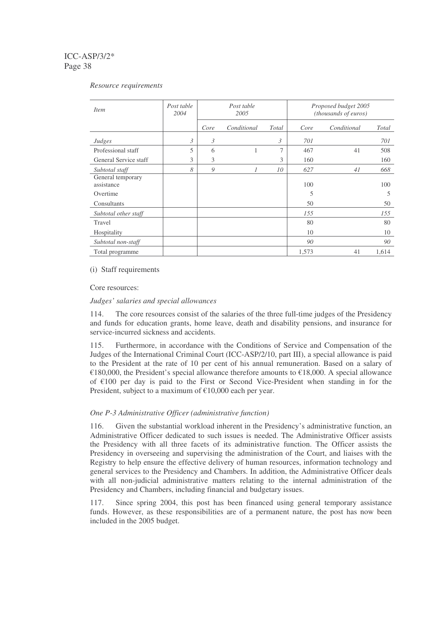#### *Resource requirements*

| <b>Item</b>                     | Post table<br>2004 | Post table<br>2005 |             |        | Proposed budget 2005<br><i>(thousands of euros)</i> |             |       |  |
|---------------------------------|--------------------|--------------------|-------------|--------|-----------------------------------------------------|-------------|-------|--|
|                                 |                    | Core               | Conditional | Total  | Core                                                | Conditional | Total |  |
| Judges                          | 3                  | 3                  |             | 3      | 701                                                 |             | 701   |  |
| Professional staff              | 5                  | 6                  | 1           | $\tau$ | 467                                                 | 41          | 508   |  |
| General Service staff           | 3                  | 3                  |             | 3      | 160                                                 |             | 160   |  |
| Subtotal staff                  | 8                  | 9                  | 1           | 10     | 627                                                 | 41          | 668   |  |
| General temporary<br>assistance |                    |                    |             |        | 100                                                 |             | 100   |  |
| Overtime                        |                    |                    |             |        | 5                                                   |             | 5     |  |
| Consultants                     |                    |                    |             |        | 50                                                  |             | 50    |  |
| Subtotal other staff            |                    |                    |             |        | 155                                                 |             | 155   |  |
| Travel                          |                    |                    |             |        | 80                                                  |             | 80    |  |
| Hospitality                     |                    |                    |             |        | 10                                                  |             | 10    |  |
| Subtotal non-staff              |                    |                    |             |        | 90                                                  |             | 90    |  |
| Total programme                 |                    |                    |             |        | 1,573                                               | 41          | 1,614 |  |

#### (i) Staff requirements

Core resources:

#### *Judges' salaries and special allowances*

114. The core resources consist of the salaries of the three full-time judges of the Presidency and funds for education grants, home leave, death and disability pensions, and insurance for service-incurred sickness and accidents.

115. Furthermore, in accordance with the Conditions of Service and Compensation of the Judges of the International Criminal Court (ICC-ASP/2/10, part III), a special allowance is paid to the President at the rate of 10 per cent of his annual remuneration. Based on a salary of €180,000, the President's special allowance therefore amounts to €18,000. A special allowance of €100 per day is paid to the First or Second Vice-President when standing in for the President, subject to a maximum of €10,000 each per year.

# *One P-3 Administrative Officer (administrative function)*

116. Given the substantial workload inherent in the Presidency's administrative function, an Administrative Officer dedicated to such issues is needed. The Administrative Officer assists the Presidency with all three facets of its administrative function. The Officer assists the Presidency in overseeing and supervising the administration of the Court, and liaises with the Registry to help ensure the effective delivery of human resources, information technology and general services to the Presidency and Chambers. In addition, the Administrative Officer deals with all non-judicial administrative matters relating to the internal administration of the Presidency and Chambers, including financial and budgetary issues.

117. Since spring 2004, this post has been financed using general temporary assistance funds. However, as these responsibilities are of a permanent nature, the post has now been included in the 2005 budget.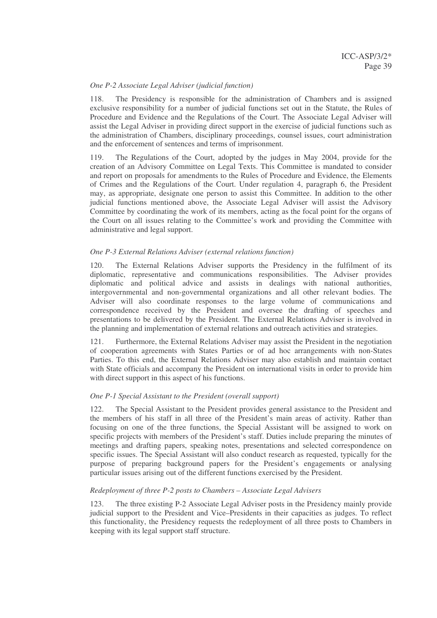### *One P-2 Associate Legal Adviser (judicial function)*

118. The Presidency is responsible for the administration of Chambers and is assigned exclusive responsibility for a number of judicial functions set out in the Statute, the Rules of Procedure and Evidence and the Regulations of the Court. The Associate Legal Adviser will assist the Legal Adviser in providing direct support in the exercise of judicial functions such as the administration of Chambers, disciplinary proceedings, counsel issues, court administration and the enforcement of sentences and terms of imprisonment.

119. The Regulations of the Court, adopted by the judges in May 2004, provide for the creation of an Advisory Committee on Legal Texts. This Committee is mandated to consider and report on proposals for amendments to the Rules of Procedure and Evidence, the Elements of Crimes and the Regulations of the Court. Under regulation 4, paragraph 6, the President may, as appropriate, designate one person to assist this Committee. In addition to the other judicial functions mentioned above, the Associate Legal Adviser will assist the Advisory Committee by coordinating the work of its members, acting as the focal point for the organs of the Court on all issues relating to the Committee's work and providing the Committee with administrative and legal support.

### *One P-3 External Relations Adviser (external relations function)*

120. The External Relations Adviser supports the Presidency in the fulfilment of its diplomatic, representative and communications responsibilities. The Adviser provides diplomatic and political advice and assists in dealings with national authorities, intergovernmental and non-governmental organizations and all other relevant bodies. The Adviser will also coordinate responses to the large volume of communications and correspondence received by the President and oversee the drafting of speeches and presentations to be delivered by the President. The External Relations Adviser is involved in the planning and implementation of external relations and outreach activities and strategies.

121. Furthermore, the External Relations Adviser may assist the President in the negotiation of cooperation agreements with States Parties or of ad hoc arrangements with non-States Parties. To this end, the External Relations Adviser may also establish and maintain contact with State officials and accompany the President on international visits in order to provide him with direct support in this aspect of his functions.

# *One P-1 Special Assistant to the President (overall support)*

122. The Special Assistant to the President provides general assistance to the President and the members of his staff in all three of the President's main areas of activity. Rather than focusing on one of the three functions, the Special Assistant will be assigned to work on specific projects with members of the President's staff. Duties include preparing the minutes of meetings and drafting papers, speaking notes, presentations and selected correspondence on specific issues. The Special Assistant will also conduct research as requested, typically for the purpose of preparing background papers for the President's engagements or analysing particular issues arising out of the different functions exercised by the President.

#### *Redeployment of three P-2 posts to Chambers – Associate Legal Advisers*

123. The three existing P-2 Associate Legal Adviser posts in the Presidency mainly provide judicial support to the President and Vice–Presidents in their capacities as judges. To reflect this functionality, the Presidency requests the redeployment of all three posts to Chambers in keeping with its legal support staff structure.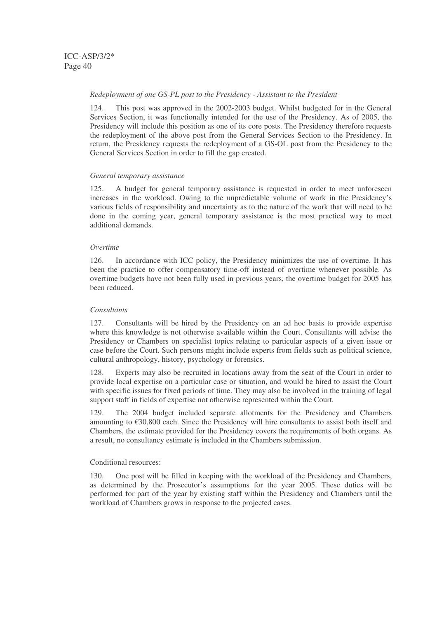## *Redeployment of one GS-PL post to the Presidency - Assistant to the President*

124. This post was approved in the 2002-2003 budget. Whilst budgeted for in the General Services Section, it was functionally intended for the use of the Presidency. As of 2005, the Presidency will include this position as one of its core posts. The Presidency therefore requests the redeployment of the above post from the General Services Section to the Presidency. In return, the Presidency requests the redeployment of a GS-OL post from the Presidency to the General Services Section in order to fill the gap created.

### *General temporary assistance*

125. A budget for general temporary assistance is requested in order to meet unforeseen increases in the workload. Owing to the unpredictable volume of work in the Presidency's various fields of responsibility and uncertainty as to the nature of the work that will need to be done in the coming year, general temporary assistance is the most practical way to meet additional demands.

### *Overtime*

126. In accordance with ICC policy, the Presidency minimizes the use of overtime. It has been the practice to offer compensatory time-off instead of overtime whenever possible. As overtime budgets have not been fully used in previous years, the overtime budget for 2005 has been reduced.

# *Consultants*

127. Consultants will be hired by the Presidency on an ad hoc basis to provide expertise where this knowledge is not otherwise available within the Court. Consultants will advise the Presidency or Chambers on specialist topics relating to particular aspects of a given issue or case before the Court. Such persons might include experts from fields such as political science, cultural anthropology, history, psychology or forensics.

128. Experts may also be recruited in locations away from the seat of the Court in order to provide local expertise on a particular case or situation, and would be hired to assist the Court with specific issues for fixed periods of time. They may also be involved in the training of legal support staff in fields of expertise not otherwise represented within the Court.

129. The 2004 budget included separate allotments for the Presidency and Chambers amounting to €30,800 each. Since the Presidency will hire consultants to assist both itself and Chambers, the estimate provided for the Presidency covers the requirements of both organs. As a result, no consultancy estimate is included in the Chambers submission.

# Conditional resources:

130. One post will be filled in keeping with the workload of the Presidency and Chambers, as determined by the Prosecutor's assumptions for the year 2005. These duties will be performed for part of the year by existing staff within the Presidency and Chambers until the workload of Chambers grows in response to the projected cases.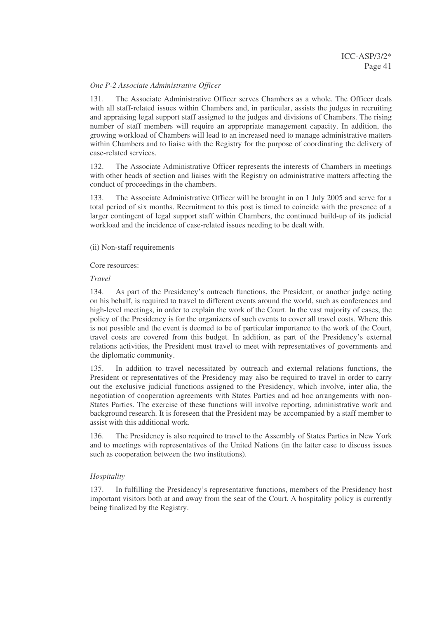#### *One P-2 Associate Administrative Officer*

131. The Associate Administrative Officer serves Chambers as a whole. The Officer deals with all staff-related issues within Chambers and, in particular, assists the judges in recruiting and appraising legal support staff assigned to the judges and divisions of Chambers. The rising number of staff members will require an appropriate management capacity. In addition, the growing workload of Chambers will lead to an increased need to manage administrative matters within Chambers and to liaise with the Registry for the purpose of coordinating the delivery of case-related services.

132. The Associate Administrative Officer represents the interests of Chambers in meetings with other heads of section and liaises with the Registry on administrative matters affecting the conduct of proceedings in the chambers.

133. The Associate Administrative Officer will be brought in on 1 July 2005 and serve for a total period of six months. Recruitment to this post is timed to coincide with the presence of a larger contingent of legal support staff within Chambers, the continued build-up of its judicial workload and the incidence of case-related issues needing to be dealt with.

#### (ii) Non-staff requirements

#### Core resources:

### *Travel*

134. As part of the Presidency's outreach functions, the President, or another judge acting on his behalf, is required to travel to different events around the world, such as conferences and high-level meetings, in order to explain the work of the Court. In the vast majority of cases, the policy of the Presidency is for the organizers of such events to cover all travel costs. Where this is not possible and the event is deemed to be of particular importance to the work of the Court, travel costs are covered from this budget. In addition, as part of the Presidency's external relations activities, the President must travel to meet with representatives of governments and the diplomatic community.

135. In addition to travel necessitated by outreach and external relations functions, the President or representatives of the Presidency may also be required to travel in order to carry out the exclusive judicial functions assigned to the Presidency, which involve, inter alia, the negotiation of cooperation agreements with States Parties and ad hoc arrangements with non-States Parties. The exercise of these functions will involve reporting, administrative work and background research. It is foreseen that the President may be accompanied by a staff member to assist with this additional work.

136. The Presidency is also required to travel to the Assembly of States Parties in New York and to meetings with representatives of the United Nations (in the latter case to discuss issues such as cooperation between the two institutions).

# *Hospitality*

137. In fulfilling the Presidency's representative functions, members of the Presidency host important visitors both at and away from the seat of the Court. A hospitality policy is currently being finalized by the Registry.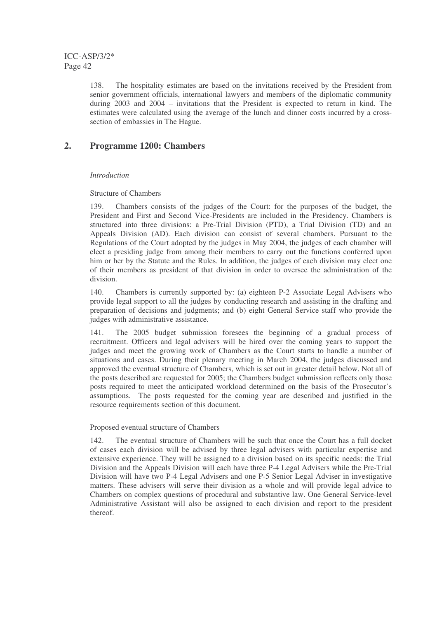138. The hospitality estimates are based on the invitations received by the President from senior government officials, international lawyers and members of the diplomatic community during 2003 and 2004 – invitations that the President is expected to return in kind. The estimates were calculated using the average of the lunch and dinner costs incurred by a crosssection of embassies in The Hague.

# **2. Programme 1200: Chambers**

# *Introduction*

# Structure of Chambers

139. Chambers consists of the judges of the Court: for the purposes of the budget, the President and First and Second Vice-Presidents are included in the Presidency. Chambers is structured into three divisions: a Pre-Trial Division (PTD), a Trial Division (TD) and an Appeals Division (AD). Each division can consist of several chambers. Pursuant to the Regulations of the Court adopted by the judges in May 2004, the judges of each chamber will elect a presiding judge from among their members to carry out the functions conferred upon him or her by the Statute and the Rules. In addition, the judges of each division may elect one of their members as president of that division in order to oversee the administration of the division.

140. Chambers is currently supported by: (a) eighteen P-2 Associate Legal Advisers who provide legal support to all the judges by conducting research and assisting in the drafting and preparation of decisions and judgments; and (b) eight General Service staff who provide the judges with administrative assistance.

141. The 2005 budget submission foresees the beginning of a gradual process of recruitment. Officers and legal advisers will be hired over the coming years to support the judges and meet the growing work of Chambers as the Court starts to handle a number of situations and cases. During their plenary meeting in March 2004, the judges discussed and approved the eventual structure of Chambers, which is set out in greater detail below. Not all of the posts described are requested for 2005; the Chambers budget submission reflects only those posts required to meet the anticipated workload determined on the basis of the Prosecutor's assumptions. The posts requested for the coming year are described and justified in the resource requirements section of this document.

# Proposed eventual structure of Chambers

142. The eventual structure of Chambers will be such that once the Court has a full docket of cases each division will be advised by three legal advisers with particular expertise and extensive experience. They will be assigned to a division based on its specific needs: the Trial Division and the Appeals Division will each have three P-4 Legal Advisers while the Pre-Trial Division will have two P-4 Legal Advisers and one P-5 Senior Legal Adviser in investigative matters. These advisers will serve their division as a whole and will provide legal advice to Chambers on complex questions of procedural and substantive law. One General Service-level Administrative Assistant will also be assigned to each division and report to the president thereof.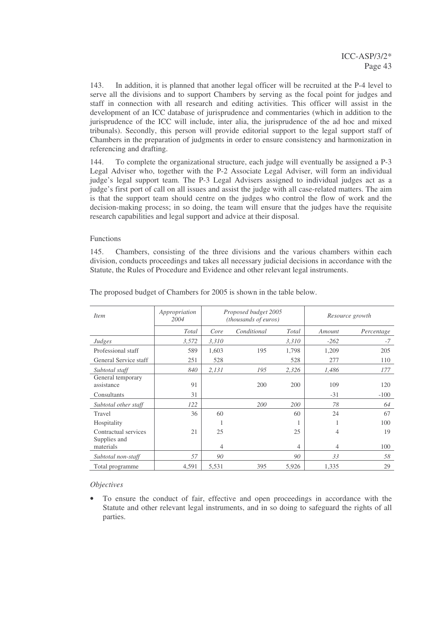143. In addition, it is planned that another legal officer will be recruited at the P-4 level to serve all the divisions and to support Chambers by serving as the focal point for judges and staff in connection with all research and editing activities. This officer will assist in the development of an ICC database of jurisprudence and commentaries (which in addition to the jurisprudence of the ICC will include, inter alia, the jurisprudence of the ad hoc and mixed tribunals). Secondly, this person will provide editorial support to the legal support staff of Chambers in the preparation of judgments in order to ensure consistency and harmonization in referencing and drafting.

144. To complete the organizational structure, each judge will eventually be assigned a P-3 Legal Adviser who, together with the P-2 Associate Legal Adviser, will form an individual judge's legal support team. The P-3 Legal Advisers assigned to individual judges act as a judge's first port of call on all issues and assist the judge with all case-related matters. The aim is that the support team should centre on the judges who control the flow of work and the decision-making process; in so doing, the team will ensure that the judges have the requisite research capabilities and legal support and advice at their disposal.

#### Functions

145. Chambers, consisting of the three divisions and the various chambers within each division, conducts proceedings and takes all necessary judicial decisions in accordance with the Statute, the Rules of Procedure and Evidence and other relevant legal instruments.

| <i>Item</i>                          | Appropriation<br>2004 | Proposed budget 2005<br>( <i>thousands of euros</i> ) |             |       |                | Resource growth |
|--------------------------------------|-----------------------|-------------------------------------------------------|-------------|-------|----------------|-----------------|
|                                      | Total                 | Core                                                  | Conditional | Total | Amount         | Percentage      |
| Judges                               | 3,572                 | 3,310                                                 |             | 3,310 | $-262$         | $-7$            |
| Professional staff                   | 589                   | 1,603                                                 | 195         | 1,798 | 1,209          | 205             |
| General Service staff                | 251                   | 528                                                   |             | 528   | 277            | 110             |
| Subtotal staff                       | 840                   | 2,131                                                 | 195         | 2,326 | 1,486          | 177             |
| General temporary<br>assistance      | 91                    |                                                       | 200         | 200   | 109            | 120             |
| Consultants                          | 31                    |                                                       |             |       | $-31$          | $-100$          |
| Subtotal other staff                 | 122                   |                                                       | 200         | 200   | 78             | 64              |
| Travel                               | 36                    | 60                                                    |             | 60    | 24             | 67              |
| Hospitality                          |                       |                                                       |             |       |                | 100             |
| Contractual services<br>Supplies and | 21                    | 25                                                    |             | 25    | $\overline{4}$ | 19              |
| materials                            |                       | 4                                                     |             | 4     | $\overline{4}$ | 100             |
| Subtotal non-staff                   | 57                    | 90                                                    |             | 90    | 33             | 58              |
| Total programme                      | 4,591                 | 5,531                                                 | 395         | 5,926 | 1,335          | 29              |

The proposed budget of Chambers for 2005 is shown in the table below.

#### *Objectives*

• To ensure the conduct of fair, effective and open proceedings in accordance with the Statute and other relevant legal instruments, and in so doing to safeguard the rights of all parties.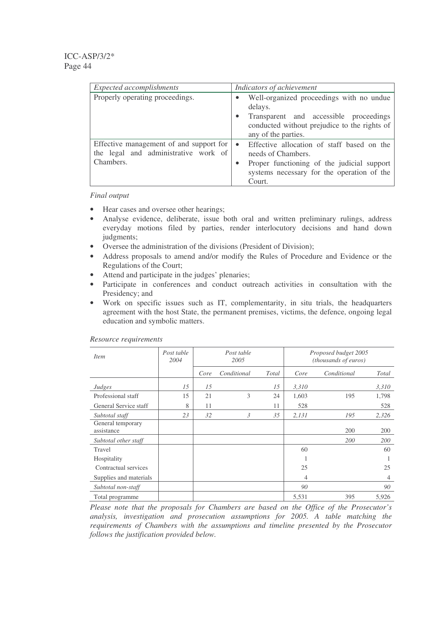| Expected accomplishments                                                                     | Indicators of achievement                                                                                                                                                           |
|----------------------------------------------------------------------------------------------|-------------------------------------------------------------------------------------------------------------------------------------------------------------------------------------|
| Properly operating proceedings.                                                              | Well-organized proceedings with no undue<br>$\bullet$<br>delays.<br>Transparent and accessible proceedings<br>conducted without prejudice to the rights of<br>any of the parties.   |
| Effective management of and support for<br>the legal and administrative work of<br>Chambers. | Effective allocation of staff based on the<br>$\bullet$<br>needs of Chambers.<br>Proper functioning of the judicial support<br>systems necessary for the operation of the<br>Court. |

# *Final output*

- Hear cases and oversee other hearings;
- Analyse evidence, deliberate, issue both oral and written preliminary rulings, address everyday motions filed by parties, render interlocutory decisions and hand down judgments;
- Oversee the administration of the divisions (President of Division);
- Address proposals to amend and/or modify the Rules of Procedure and Evidence or the Regulations of the Court;
- Attend and participate in the judges' plenaries;
- Participate in conferences and conduct outreach activities in consultation with the Presidency; and
- Work on specific issues such as IT, complementarity, in situ trials, the headquarters agreement with the host State, the permanent premises, victims, the defence, ongoing legal education and symbolic matters.

| <i>Item</i>                     | Post table<br>2004 | Post table<br>2005 |                |       | Proposed budget 2005<br>(thousands of euros) |             |       |  |
|---------------------------------|--------------------|--------------------|----------------|-------|----------------------------------------------|-------------|-------|--|
|                                 |                    | Core               | Conditional    | Total | Core                                         | Conditional | Total |  |
| Judges                          | 15                 | 15                 |                | 15    | 3,310                                        |             | 3,310 |  |
| Professional staff              | 15                 | 21                 | 3              | 24    | 1,603                                        | 195         | 1,798 |  |
| General Service staff           | 8                  | 11                 |                | 11    | 528                                          |             | 528   |  |
| Subtotal staff                  | 23                 | 32                 | $\mathfrak{Z}$ | 35    | 2,131                                        | 195         | 2,326 |  |
| General temporary<br>assistance |                    |                    |                |       |                                              | 200         | 200   |  |
| Subtotal other staff            |                    |                    |                |       |                                              | 200         | 200   |  |
| Travel                          |                    |                    |                |       | 60                                           |             | 60    |  |
| Hospitality                     |                    |                    |                |       |                                              |             |       |  |
| Contractual services            |                    |                    |                |       | 25                                           |             | 25    |  |
| Supplies and materials          |                    |                    |                |       | $\overline{4}$                               |             | 4     |  |
| Subtotal non-staff              |                    |                    |                |       | 90                                           |             | 90    |  |
| Total programme                 |                    |                    |                |       | 5,531                                        | 395         | 5,926 |  |

#### *Resource requirements*

*Please note that the proposals for Chambers are based on the Office of the Prosecutor's analysis, investigation and prosecution assumptions for 2005. A table matching the requirements of Chambers with the assumptions and timeline presented by the Prosecutor follows the justification provided below.*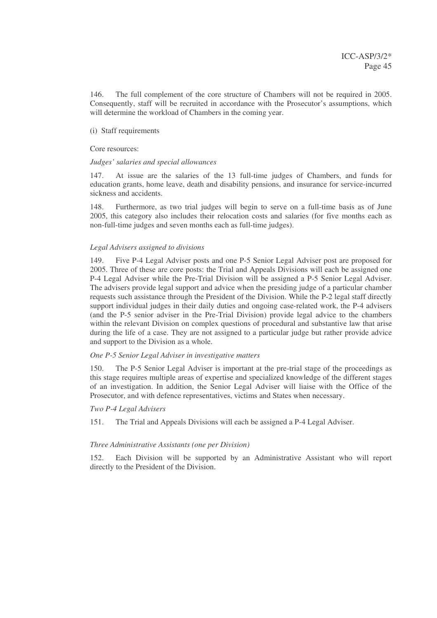146. The full complement of the core structure of Chambers will not be required in 2005. Consequently, staff will be recruited in accordance with the Prosecutor's assumptions, which will determine the workload of Chambers in the coming year.

#### (i) Staff requirements

#### Core resources:

#### *Judges' salaries and special allowances*

147. At issue are the salaries of the 13 full-time judges of Chambers, and funds for education grants, home leave, death and disability pensions, and insurance for service-incurred sickness and accidents.

148. Furthermore, as two trial judges will begin to serve on a full-time basis as of June 2005, this category also includes their relocation costs and salaries (for five months each as non-full-time judges and seven months each as full-time judges).

#### *Legal Advisers assigned to divisions*

149. Five P-4 Legal Adviser posts and one P-5 Senior Legal Adviser post are proposed for 2005. Three of these are core posts: the Trial and Appeals Divisions will each be assigned one P-4 Legal Adviser while the Pre-Trial Division will be assigned a P-5 Senior Legal Adviser. The advisers provide legal support and advice when the presiding judge of a particular chamber requests such assistance through the President of the Division. While the P-2 legal staff directly support individual judges in their daily duties and ongoing case-related work, the P-4 advisers (and the P-5 senior adviser in the Pre-Trial Division) provide legal advice to the chambers within the relevant Division on complex questions of procedural and substantive law that arise during the life of a case. They are not assigned to a particular judge but rather provide advice and support to the Division as a whole.

#### *One P-5 Senior Legal Adviser in investigative matters*

150. The P-5 Senior Legal Adviser is important at the pre-trial stage of the proceedings as this stage requires multiple areas of expertise and specialized knowledge of the different stages of an investigation. In addition, the Senior Legal Adviser will liaise with the Office of the Prosecutor, and with defence representatives, victims and States when necessary.

#### *Two P-4 Legal Advisers*

151. The Trial and Appeals Divisions will each be assigned a P-4 Legal Adviser.

#### *Three Administrative Assistants (one per Division)*

152. Each Division will be supported by an Administrative Assistant who will report directly to the President of the Division.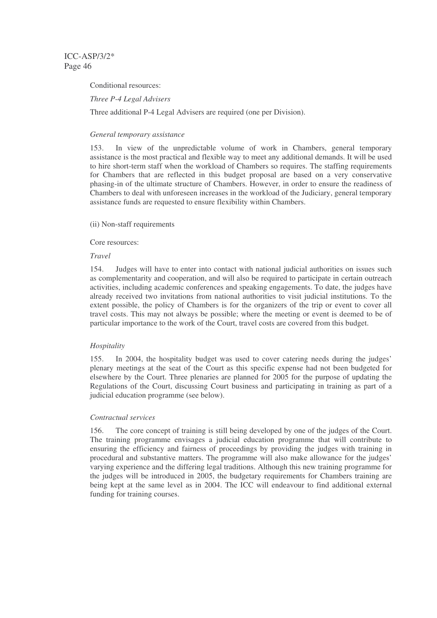Conditional resources:

*Three P-4 Legal Advisers*

Three additional P-4 Legal Advisers are required (one per Division).

### *General temporary assistance*

153. In view of the unpredictable volume of work in Chambers, general temporary assistance is the most practical and flexible way to meet any additional demands. It will be used to hire short-term staff when the workload of Chambers so requires. The staffing requirements for Chambers that are reflected in this budget proposal are based on a very conservative phasing-in of the ultimate structure of Chambers. However, in order to ensure the readiness of Chambers to deal with unforeseen increases in the workload of the Judiciary, general temporary assistance funds are requested to ensure flexibility within Chambers.

### (ii) Non-staff requirements

Core resources:

## *Travel*

154. Judges will have to enter into contact with national judicial authorities on issues such as complementarity and cooperation, and will also be required to participate in certain outreach activities, including academic conferences and speaking engagements. To date, the judges have already received two invitations from national authorities to visit judicial institutions. To the extent possible, the policy of Chambers is for the organizers of the trip or event to cover all travel costs. This may not always be possible; where the meeting or event is deemed to be of particular importance to the work of the Court, travel costs are covered from this budget.

# *Hospitality*

155. In 2004, the hospitality budget was used to cover catering needs during the judges' plenary meetings at the seat of the Court as this specific expense had not been budgeted for elsewhere by the Court. Three plenaries are planned for 2005 for the purpose of updating the Regulations of the Court, discussing Court business and participating in training as part of a judicial education programme (see below).

#### *Contractual services*

156. The core concept of training is still being developed by one of the judges of the Court. The training programme envisages a judicial education programme that will contribute to ensuring the efficiency and fairness of proceedings by providing the judges with training in procedural and substantive matters. The programme will also make allowance for the judges' varying experience and the differing legal traditions. Although this new training programme for the judges will be introduced in 2005, the budgetary requirements for Chambers training are being kept at the same level as in 2004. The ICC will endeavour to find additional external funding for training courses.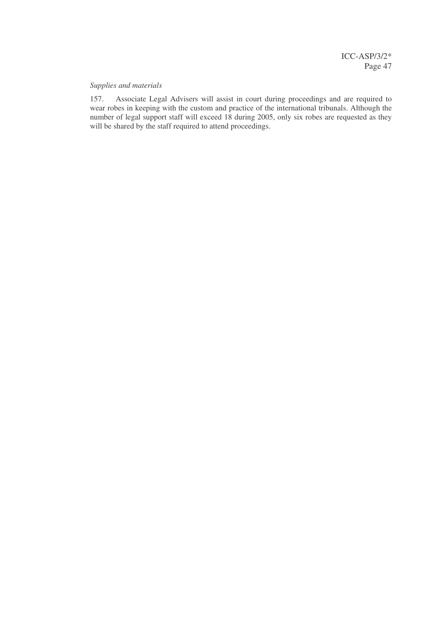# *Supplies and materials*

157. Associate Legal Advisers will assist in court during proceedings and are required to wear robes in keeping with the custom and practice of the international tribunals. Although the number of legal support staff will exceed 18 during 2005, only six robes are requested as they will be shared by the staff required to attend proceedings.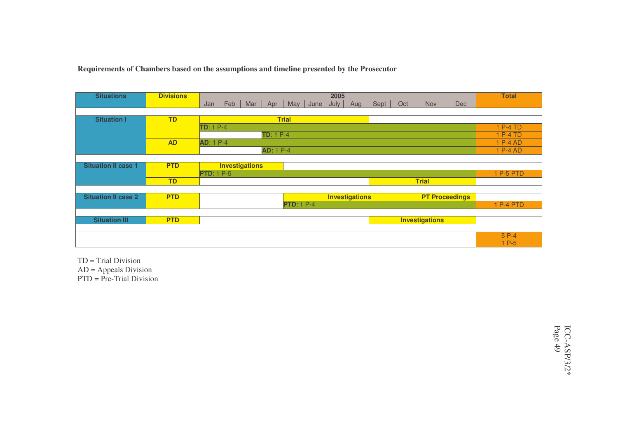**Requirements of Chambers based on the assumptions and timeline presented by the Prosecutor**

| <b>Situations</b>          | <b>Divisions</b> | 2005                                                                                       | <b>Total</b> |
|----------------------------|------------------|--------------------------------------------------------------------------------------------|--------------|
|                            |                  | Feb<br>July<br>Sept<br>Oct<br>Mar<br>May<br>Nov<br><b>Dec</b><br>Aug<br>Jan<br>Apr<br>June |              |
|                            |                  |                                                                                            |              |
| <b>Situation I</b>         | <b>TD</b>        | <b>Trial</b>                                                                               |              |
|                            |                  | <b>TD: 1 P-4</b>                                                                           | 1 P-4 TD     |
|                            |                  | $TD: 1 P-4$                                                                                | 1 P-4 TD     |
|                            | <b>AD</b>        | <b>AD:</b> 1 P-4                                                                           | 1 P-4 AD     |
|                            |                  | <b>AD: 1 P-4</b>                                                                           | 1 P-4 AD     |
|                            |                  |                                                                                            |              |
| <b>Situation II case 1</b> | <b>PTD</b>       | <b>Investigations</b>                                                                      |              |
|                            |                  | <b>PTD: 1 P-5</b>                                                                          | 1 P-5 PTD    |
|                            | <b>TD</b>        | <b>Trial</b>                                                                               |              |
|                            |                  |                                                                                            |              |
| <b>Situation II case 2</b> | <b>PTD</b>       | <b>Investigations</b><br><b>PT Proceedings</b>                                             |              |
|                            |                  | <b>PTD: 1 P-4</b>                                                                          | 1 P-4 PTD    |
|                            |                  |                                                                                            |              |
| <b>Situation III</b>       | <b>PTD</b>       | <b>Investigations</b>                                                                      |              |
|                            |                  |                                                                                            |              |
|                            |                  |                                                                                            | $5P-4$       |
|                            |                  |                                                                                            | $1P-5$       |

TD <sup>=</sup> Trial Division AD <sup>=</sup> Appeals Division PTD <sup>=</sup> Pre-Trial Division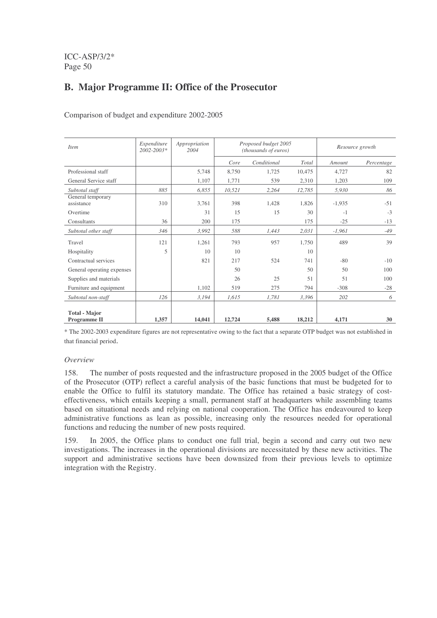# **B. Major Programme II: Office of the Prosecutor**

| <i>Item</i>                                 | Expenditure<br>2002-2003* | Appropriation<br>2004 | Proposed budget 2005<br>(thousands of euros) |             |        | Resource growth |            |
|---------------------------------------------|---------------------------|-----------------------|----------------------------------------------|-------------|--------|-----------------|------------|
|                                             |                           |                       | Core                                         | Conditional | Total  | Amount          | Percentage |
| Professional staff                          |                           | 5,748                 | 8,750                                        | 1,725       | 10,475 | 4,727           | 82         |
| General Service staff                       |                           | 1,107                 | 1,771                                        | 539         | 2,310  | 1,203           | 109        |
| Subtotal staff                              | 885                       | 6,855                 | 10,521                                       | 2,264       | 12,785 | 5,930           | 86         |
| General temporary<br>assistance             | 310                       | 3,761                 | 398                                          | 1,428       | 1,826  | $-1,935$        | $-51$      |
| Overtime                                    |                           | 31                    | 15                                           | 15          | 30     | $-1$            | $-3$       |
| Consultants                                 | 36                        | 200                   | 175                                          |             | 175    | $-25$           | $-13$      |
| Subtotal other staff                        | 346                       | 3,992                 | 588                                          | 1,443       | 2,031  | $-1,961$        | $-49$      |
| Travel                                      | 121                       | 1,261                 | 793                                          | 957         | 1,750  | 489             | 39         |
| Hospitality                                 | 5                         | 10                    | 10                                           |             | 10     |                 |            |
| Contractual services                        |                           | 821                   | 217                                          | 524         | 741    | $-80$           | $-10$      |
| General operating expenses                  |                           |                       | 50                                           |             | 50     | 50              | 100        |
| Supplies and materials                      |                           |                       | 26                                           | 25          | 51     | 51              | 100        |
| Furniture and equipment                     |                           | 1,102                 | 519                                          | 275         | 794    | $-308$          | $-28$      |
| Subtotal non-staff                          | 126                       | 3,194                 | 1,615                                        | 1,781       | 3,396  | 202             | 6          |
| <b>Total - Major</b><br><b>Programme II</b> | 1,357                     | 14,041                | 12,724                                       | 5,488       | 18,212 | 4,171           | 30         |

Comparison of budget and expenditure 2002-2005

\* The 2002-2003 expenditure figures are not representative owing to the fact that a separate OTP budget was not established in that financial period.

#### *Overview*

158. The number of posts requested and the infrastructure proposed in the 2005 budget of the Office of the Prosecutor (OTP) reflect a careful analysis of the basic functions that must be budgeted for to enable the Office to fulfil its statutory mandate. The Office has retained a basic strategy of costeffectiveness, which entails keeping a small, permanent staff at headquarters while assembling teams based on situational needs and relying on national cooperation. The Office has endeavoured to keep administrative functions as lean as possible, increasing only the resources needed for operational functions and reducing the number of new posts required.

159. In 2005, the Office plans to conduct one full trial, begin a second and carry out two new investigations. The increases in the operational divisions are necessitated by these new activities. The support and administrative sections have been downsized from their previous levels to optimize integration with the Registry.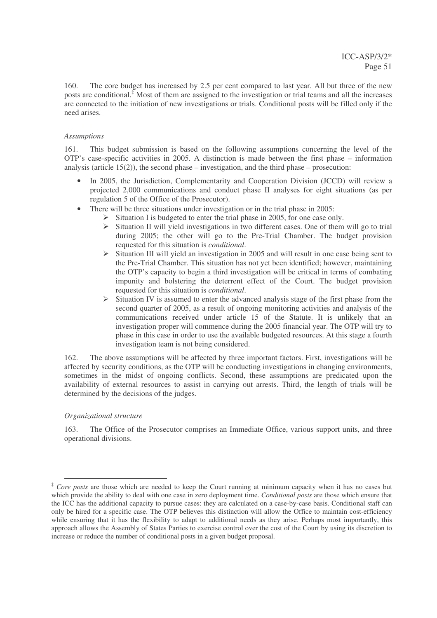160. The core budget has increased by 2.5 per cent compared to last year. All but three of the new posts are conditional.<sup>‡</sup> Most of them are assigned to the investigation or trial teams and all the increases are connected to the initiation of new investigations or trials. Conditional posts will be filled only if the need arises.

## *Assumptions*

161. This budget submission is based on the following assumptions concerning the level of the OTP's case-specific activities in 2005. A distinction is made between the first phase – information analysis (article  $15(2)$ ), the second phase – investigation, and the third phase – prosecution:

- In 2005, the Jurisdiction, Complementarity and Cooperation Division (JCCD) will review a projected 2,000 communications and conduct phase II analyses for eight situations (as per regulation 5 of the Office of the Prosecutor).
- There will be three situations under investigation or in the trial phase in 2005:
	- $\triangleright$  Situation I is budgeted to enter the trial phase in 2005, for one case only.
	- $\triangleright$  Situation II will yield investigations in two different cases. One of them will go to trial during 2005; the other will go to the Pre-Trial Chamber. The budget provision requested for this situation is *conditional*.
	- $\triangleright$  Situation III will yield an investigation in 2005 and will result in one case being sent to the Pre-Trial Chamber. This situation has not yet been identified; however, maintaining the OTP's capacity to begin a third investigation will be critical in terms of combating impunity and bolstering the deterrent effect of the Court. The budget provision requested for this situation is *conditional*.
	- $\triangleright$  Situation IV is assumed to enter the advanced analysis stage of the first phase from the second quarter of 2005, as a result of ongoing monitoring activities and analysis of the communications received under article 15 of the Statute. It is unlikely that an investigation proper will commence during the 2005 financial year. The OTP will try to phase in this case in order to use the available budgeted resources. At this stage a fourth investigation team is not being considered.

162. The above assumptions will be affected by three important factors. First, investigations will be affected by security conditions, as the OTP will be conducting investigations in changing environments, sometimes in the midst of ongoing conflicts. Second, these assumptions are predicated upon the availability of external resources to assist in carrying out arrests. Third, the length of trials will be determined by the decisions of the judges.

#### *Organizational structure*

163. The Office of the Prosecutor comprises an Immediate Office, various support units, and three operational divisions.

<sup>&</sup>lt;sup>‡</sup> *Core* posts are those which are needed to keep the Court running at minimum capacity when it has no cases but which provide the ability to deal with one case in zero deployment time. *Conditional posts* are those which ensure that the ICC has the additional capacity to pursue cases: they are calculated on a case-by-case basis. Conditional staff can only be hired for a specific case. The OTP believes this distinction will allow the Office to maintain cost-efficiency while ensuring that it has the flexibility to adapt to additional needs as they arise. Perhaps most importantly, this approach allows the Assembly of States Parties to exercise control over the cost of the Court by using its discretion to increase or reduce the number of conditional posts in a given budget proposal.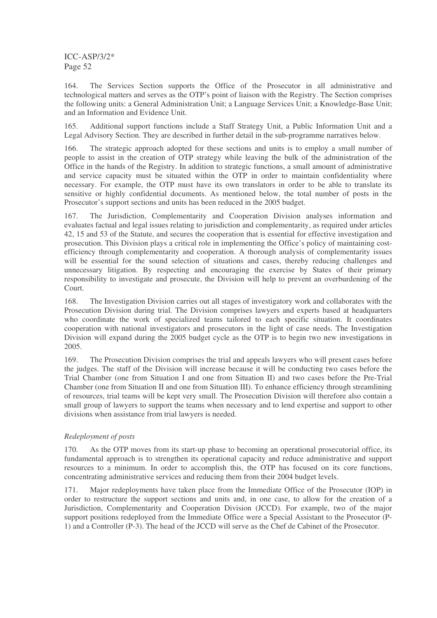164. The Services Section supports the Office of the Prosecutor in all administrative and technological matters and serves as the OTP's point of liaison with the Registry. The Section comprises the following units: a General Administration Unit; a Language Services Unit; a Knowledge-Base Unit; and an Information and Evidence Unit.

165. Additional support functions include a Staff Strategy Unit, a Public Information Unit and a Legal Advisory Section. They are described in further detail in the sub-programme narratives below.

166. The strategic approach adopted for these sections and units is to employ a small number of people to assist in the creation of OTP strategy while leaving the bulk of the administration of the Office in the hands of the Registry. In addition to strategic functions, a small amount of administrative and service capacity must be situated within the OTP in order to maintain confidentiality where necessary. For example, the OTP must have its own translators in order to be able to translate its sensitive or highly confidential documents. As mentioned below, the total number of posts in the Prosecutor's support sections and units has been reduced in the 2005 budget.

167. The Jurisdiction, Complementarity and Cooperation Division analyses information and evaluates factual and legal issues relating to jurisdiction and complementarity, as required under articles 42, 15 and 53 of the Statute, and secures the cooperation that is essential for effective investigation and prosecution. This Division plays a critical role in implementing the Office's policy of maintaining costefficiency through complementarity and cooperation. A thorough analysis of complementarity issues will be essential for the sound selection of situations and cases, thereby reducing challenges and unnecessary litigation. By respecting and encouraging the exercise by States of their primary responsibility to investigate and prosecute, the Division will help to prevent an overburdening of the Court.

168. The Investigation Division carries out all stages of investigatory work and collaborates with the Prosecution Division during trial. The Division comprises lawyers and experts based at headquarters who coordinate the work of specialized teams tailored to each specific situation. It coordinates cooperation with national investigators and prosecutors in the light of case needs. The Investigation Division will expand during the 2005 budget cycle as the OTP is to begin two new investigations in 2005.

169. The Prosecution Division comprises the trial and appeals lawyers who will present cases before the judges. The staff of the Division will increase because it will be conducting two cases before the Trial Chamber (one from Situation I and one from Situation II) and two cases before the Pre-Trial Chamber (one from Situation II and one from Situation III). To enhance efficiency through streamlining of resources, trial teams will be kept very small. The Prosecution Division will therefore also contain a small group of lawyers to support the teams when necessary and to lend expertise and support to other divisions when assistance from trial lawyers is needed.

# *Redeployment of posts*

170. As the OTP moves from its start-up phase to becoming an operational prosecutorial office, its fundamental approach is to strengthen its operational capacity and reduce administrative and support resources to a minimum. In order to accomplish this, the OTP has focused on its core functions, concentrating administrative services and reducing them from their 2004 budget levels.

171. Major redeployments have taken place from the Immediate Office of the Prosecutor (IOP) in order to restructure the support sections and units and, in one case, to allow for the creation of a Jurisdiction, Complementarity and Cooperation Division (JCCD). For example, two of the major support positions redeployed from the Immediate Office were a Special Assistant to the Prosecutor (P-1) and a Controller (P-3). The head of the JCCD will serve as the Chef de Cabinet of the Prosecutor.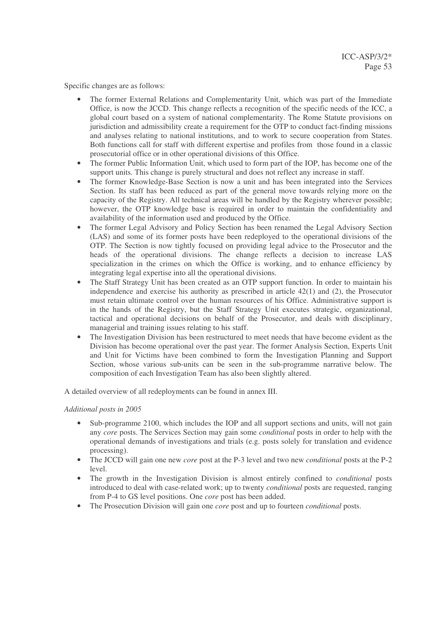Specific changes are as follows:

- The former External Relations and Complementarity Unit, which was part of the Immediate Office, is now the JCCD. This change reflects a recognition of the specific needs of the ICC, a global court based on a system of national complementarity. The Rome Statute provisions on jurisdiction and admissibility create a requirement for the OTP to conduct fact-finding missions and analyses relating to national institutions, and to work to secure cooperation from States. Both functions call for staff with different expertise and profiles from those found in a classic prosecutorial office or in other operational divisions of this Office.
- The former Public Information Unit, which used to form part of the IOP, has become one of the support units. This change is purely structural and does not reflect any increase in staff.
- The former Knowledge-Base Section is now a unit and has been integrated into the Services Section. Its staff has been reduced as part of the general move towards relying more on the capacity of the Registry. All technical areas will be handled by the Registry wherever possible; however, the OTP knowledge base is required in order to maintain the confidentiality and availability of the information used and produced by the Office.
- The former Legal Advisory and Policy Section has been renamed the Legal Advisory Section (LAS) and some of its former posts have been redeployed to the operational divisions of the OTP. The Section is now tightly focused on providing legal advice to the Prosecutor and the heads of the operational divisions. The change reflects a decision to increase LAS specialization in the crimes on which the Office is working, and to enhance efficiency by integrating legal expertise into all the operational divisions.
- The Staff Strategy Unit has been created as an OTP support function. In order to maintain his independence and exercise his authority as prescribed in article 42(1) and (2), the Prosecutor must retain ultimate control over the human resources of his Office. Administrative support is in the hands of the Registry, but the Staff Strategy Unit executes strategic, organizational, tactical and operational decisions on behalf of the Prosecutor, and deals with disciplinary, managerial and training issues relating to his staff.
- The Investigation Division has been restructured to meet needs that have become evident as the Division has become operational over the past year. The former Analysis Section, Experts Unit and Unit for Victims have been combined to form the Investigation Planning and Support Section, whose various sub-units can be seen in the sub-programme narrative below. The composition of each Investigation Team has also been slightly altered.

A detailed overview of all redeployments can be found in annex III.

# *Additional posts in 2005*

- Sub-programme 2100, which includes the IOP and all support sections and units, will not gain any *core* posts. The Services Section may gain some *conditional* posts in order to help with the operational demands of investigations and trials (e.g. posts solely for translation and evidence processing).
- The JCCD will gain one new *core* post at the P-3 level and two new *conditional* posts at the P-2 level.
- The growth in the Investigation Division is almost entirely confined to *conditional* posts introduced to deal with case-related work; up to twenty *conditional* posts are requested, ranging from P-4 to GS level positions. One *core* post has been added.
- The Prosecution Division will gain one *core* post and up to fourteen *conditional* posts.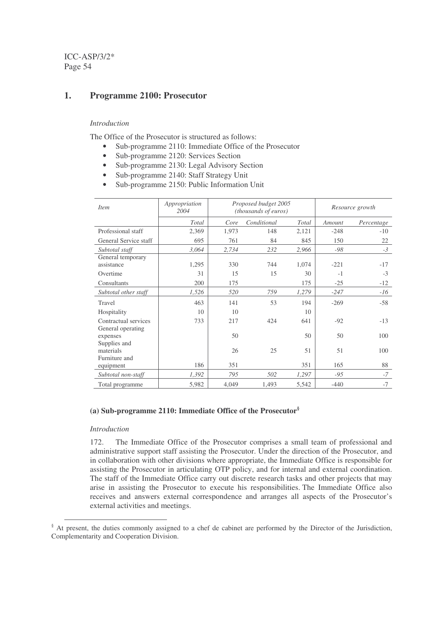# **1. Programme 2100: Prosecutor**

#### *Introduction*

The Office of the Prosecutor is structured as follows:

- Sub-programme 2110: Immediate Office of the Prosecutor
- Sub-programme 2120: Services Section
- Sub-programme 2130: Legal Advisory Section
- Sub-programme 2140: Staff Strategy Unit
- Sub-programme 2150: Public Information Unit

| <b>Item</b>                                   | Appropriation<br>2004 | Proposed budget 2005<br>(thousands of euros) |             |       | Resource growth |            |
|-----------------------------------------------|-----------------------|----------------------------------------------|-------------|-------|-----------------|------------|
|                                               | Total                 | Core                                         | Conditional | Total | Amount          | Percentage |
| Professional staff                            | 2,369                 | 1,973                                        | 148         | 2,121 | $-248$          | $-10$      |
| General Service staff                         | 695                   | 761                                          | 84          | 845   | 150             | 22         |
| Subtotal staff                                | 3,064                 | 2,734                                        | 232         | 2,966 | -98             | $-3$       |
| General temporary<br>assistance               | 1,295                 | 330                                          | 744         | 1,074 | $-221$          | $-17$      |
| Overtime                                      | 31                    | 15                                           | 15          | 30    | $-1$            | $-3$       |
| Consultants                                   | 200                   | 175                                          |             | 175   | $-25$           | $-12$      |
| Subtotal other staff                          | 1,526                 | 520                                          | 759         | 1,279 | $-247$          | -16        |
| Travel                                        | 463                   | 141                                          | 53          | 194   | $-269$          | $-58$      |
| Hospitality                                   | 10                    | 10                                           |             | 10    |                 |            |
| Contractual services                          | 733                   | 217                                          | 424         | 641   | $-92$           | $-13$      |
| General operating<br>expenses<br>Supplies and |                       | 50                                           |             | 50    | 50              | 100        |
| materials                                     |                       | 26                                           | 25          | 51    | 51              | 100        |
| Furniture and                                 |                       |                                              |             |       |                 |            |
| equipment                                     | 186                   | 351                                          |             | 351   | 165             | 88         |
| Subtotal non-staff                            | 1,392                 | 795                                          | 502         | 1,297 | $-95$           | $-7$       |
| Total programme                               | 5,982                 | 4,049                                        | 1,493       | 5,542 | $-440$          | $-7$       |

# **(a) Sub-programme 2110: Immediate Office of the Prosecutor §**

### *Introduction*

172. The Immediate Office of the Prosecutor comprises a small team of professional and administrative support staff assisting the Prosecutor. Under the direction of the Prosecutor, and in collaboration with other divisions where appropriate, the Immediate Office is responsible for assisting the Prosecutor in articulating OTP policy, and for internal and external coordination. The staff of the Immediate Office carry out discrete research tasks and other projects that may arise in assisting the Prosecutor to execute his responsibilities. The Immediate Office also receives and answers external correspondence and arranges all aspects of the Prosecutor's external activities and meetings.

<sup>§</sup> At present, the duties commonly assigned to a chef de cabinet are performed by the Director of the Jurisdiction, Complementarity and Cooperation Division.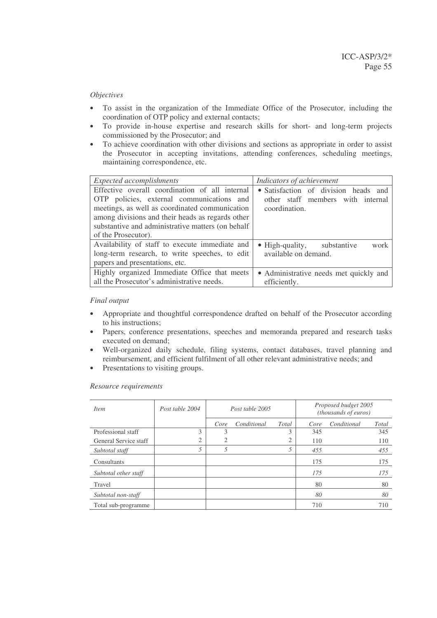## *Objectives*

- To assist in the organization of the Immediate Office of the Prosecutor, including the coordination of OTP policy and external contacts;
- To provide in-house expertise and research skills for short- and long-term projects commissioned by the Prosecutor; and
- To achieve coordination with other divisions and sections as appropriate in order to assist the Prosecutor in accepting invitations, attending conferences, scheduling meetings, maintaining correspondence, etc.

| Expected accomplishments                                                                                                                                                                                                                                                       | Indicators of achievement                                                                  |  |  |  |
|--------------------------------------------------------------------------------------------------------------------------------------------------------------------------------------------------------------------------------------------------------------------------------|--------------------------------------------------------------------------------------------|--|--|--|
| Effective overall coordination of all internal<br>OTP policies, external communications and<br>meetings, as well as coordinated communication<br>among divisions and their heads as regards other<br>substantive and administrative matters (on behalf)<br>of the Prosecutor). | • Satisfaction of division heads and<br>other staff members with internal<br>coordination. |  |  |  |
| Availability of staff to execute immediate and                                                                                                                                                                                                                                 | • High-quality, substantive                                                                |  |  |  |
| long-term research, to write speeches, to edit                                                                                                                                                                                                                                 | work                                                                                       |  |  |  |
| papers and presentations, etc.                                                                                                                                                                                                                                                 | available on demand.                                                                       |  |  |  |
| Highly organized Immediate Office that meets                                                                                                                                                                                                                                   | • Administrative needs met quickly and                                                     |  |  |  |
| all the Prosecutor's administrative needs.                                                                                                                                                                                                                                     | efficiently.                                                                               |  |  |  |

### *Final output*

- Appropriate and thoughtful correspondence drafted on behalf of the Prosecutor according to his instructions;
- Papers, conference presentations, speeches and memoranda prepared and research tasks executed on demand;
- Well-organized daily schedule, filing systems, contact databases, travel planning and reimbursement, and efficient fulfilment of all other relevant administrative needs; and
- Presentations to visiting groups.

## *Resource requirements*

| <i>Item</i>           | Post table 2004 | Post table 2005 |             | Proposed budget 2005<br><i>(thousands of euros)</i> |      |             |       |
|-----------------------|-----------------|-----------------|-------------|-----------------------------------------------------|------|-------------|-------|
|                       |                 | Core            | Conditional | Total                                               | Core | Conditional | Total |
| Professional staff    | 3               | 3               |             | 3                                                   | 345  |             | 345   |
| General Service staff | ◠               | っ               |             |                                                     | 110  |             | 110   |
| Subtotal staff        |                 | 5               |             |                                                     | 455  |             | 455   |
| Consultants           |                 |                 |             |                                                     | 175  |             | 175   |
| Subtotal other staff  |                 |                 |             |                                                     | 175  |             | 175   |
| Travel                |                 |                 |             |                                                     | 80   |             | 80    |
| Subtotal non-staff    |                 |                 |             |                                                     | 80   |             | 80    |
| Total sub-programme   |                 |                 |             |                                                     | 710  |             | 710   |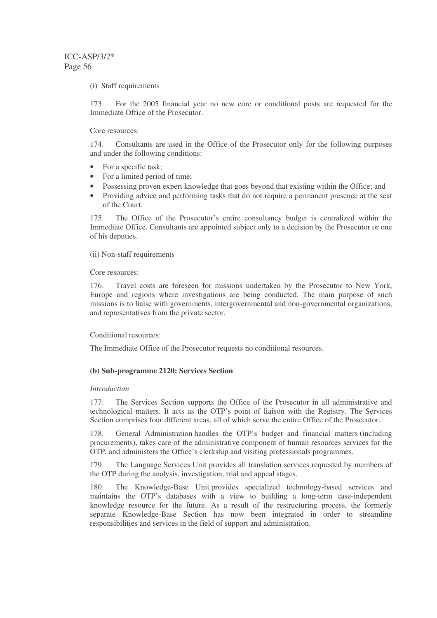(i) Staff requirements

173. For the 2005 financial year no new core or conditional posts are requested for the Immediate Office of the Prosecutor.

Core resources:

174. Consultants are used in the Office of the Prosecutor only for the following purposes and under the following conditions:

- For a specific task;
- For a limited period of time;
- Possessing proven expert knowledge that goes beyond that existing within the Office; and
- Providing advice and performing tasks that do not require a permanent presence at the seat of the Court.

175. The Office of the Prosecutor's entire consultancy budget is centralized within the Immediate Office. Consultants are appointed subject only to a decision by the Prosecutor or one of his deputies.

(ii) Non-staff requirements

Core resources:

176. Travel costs are foreseen for missions undertaken by the Prosecutor to New York, Europe and regions where investigations are being conducted. The main purpose of such missions is to liaise with governments, intergovernmental and non-governmental organizations, and representatives from the private sector.

# Conditional resources:

The Immediate Office of the Prosecutor requests no conditional resources.

# **(b) Sub-programme 2120: Services Section**

#### *Introduction*

177. The Services Section supports the Office of the Prosecutor in all administrative and technological matters. It acts as the OTP's point of liaison with the Registry. The Services Section comprises four different areas, all of which serve the entire Office of the Prosecutor.

178. General Administration handles the OTP's budget and financial matters (including procurements), takes care of the administrative component of human resources services for the OTP, and administers the Office's clerkship and visiting professionals programmes.

179. The Language Services Unit provides all translation services requested by members of the OTP during the analysis, investigation, trial and appeal stages.

180. The Knowledge-Base Unit provides specialized technology-based services and maintains the OTP's databases with a view to building a long-term case-independent knowledge resource for the future. As a result of the restructuring process, the formerly separate Knowledge-Base Section has now been integrated in order to streamline responsibilities and services in the field of support and administration.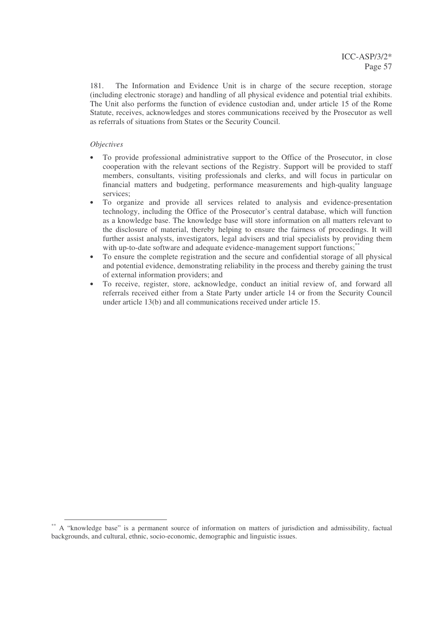181. The Information and Evidence Unit is in charge of the secure reception, storage (including electronic storage) and handling of all physical evidence and potential trial exhibits. The Unit also performs the function of evidence custodian and, under article 15 of the Rome Statute, receives, acknowledges and stores communications received by the Prosecutor as well as referrals of situations from States or the Security Council.

#### *Objectives*

- To provide professional administrative support to the Office of the Prosecutor, in close cooperation with the relevant sections of the Registry. Support will be provided to staff members, consultants, visiting professionals and clerks, and will focus in particular on financial matters and budgeting, performance measurements and high-quality language services;
- To organize and provide all services related to analysis and evidence-presentation technology, including the Office of the Prosecutor's central database, which will function as a knowledge base. The knowledge base will store information on all matters relevant to the disclosure of material, thereby helping to ensure the fairness of proceedings. It will further assist analysts, investigators, legal advisers and trial specialists by providing them with up-to-date software and adequate evidence-management support functions;<sup>\*\*</sup>
- To ensure the complete registration and the secure and confidential storage of all physical and potential evidence, demonstrating reliability in the process and thereby gaining the trust of external information providers; and
- To receive, register, store, acknowledge, conduct an initial review of, and forward all referrals received either from a State Party under article 14 or from the Security Council under article 13(b) and all communications received under article 15.

<sup>\*\*</sup> A "knowledge base" is a permanent source of information on matters of jurisdiction and admissibility, factual backgrounds, and cultural, ethnic, socio-economic, demographic and linguistic issues.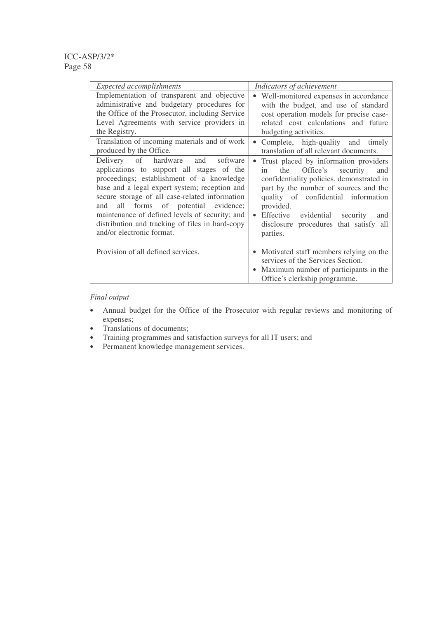| <b>Expected accomplishments</b>                                                                                                                                                                                                                                                                                                                                                                                   | Indicators of achievement                                                                                                                                                                                                                                                                                                                   |
|-------------------------------------------------------------------------------------------------------------------------------------------------------------------------------------------------------------------------------------------------------------------------------------------------------------------------------------------------------------------------------------------------------------------|---------------------------------------------------------------------------------------------------------------------------------------------------------------------------------------------------------------------------------------------------------------------------------------------------------------------------------------------|
| Implementation of transparent and objective<br>administrative and budgetary procedures for<br>the Office of the Prosecutor, including Service<br>Level Agreements with service providers in<br>the Registry.                                                                                                                                                                                                      | Well-monitored expenses in accordance<br>$\bullet$<br>with the budget, and use of standard<br>cost operation models for precise case-<br>related cost calculations and future<br>budgeting activities.                                                                                                                                      |
| Translation of incoming materials and of work<br>produced by the Office.                                                                                                                                                                                                                                                                                                                                          | Complete, high-quality and timely<br>$\bullet$<br>translation of all relevant documents.                                                                                                                                                                                                                                                    |
| Delivery of hardware<br>and<br>software<br>applications to support all stages of the<br>proceedings; establishment of a knowledge<br>base and a legal expert system; reception and<br>secure storage of all case-related information<br>all forms of potential evidence;<br>and<br>maintenance of defined levels of security; and<br>distribution and tracking of files in hard-copy<br>and/or electronic format. | Trust placed by information providers<br>٠<br>Office's security<br>the<br>and<br>in<br>confidentiality policies, demonstrated in<br>part by the number of sources and the<br>quality of confidential information<br>provided.<br>Effective<br>evidential security<br>$\bullet$<br>and<br>disclosure procedures that satisfy all<br>parties. |
| Provision of all defined services.                                                                                                                                                                                                                                                                                                                                                                                | Motivated staff members relying on the<br>$\bullet$<br>services of the Services Section.<br>Maximum number of participants in the<br>$\bullet$<br>Office's clerkship programme.                                                                                                                                                             |

# *Final output*

- Annual budget for the Office of the Prosecutor with regular reviews and monitoring of expenses;
- Translations of documents;
- Training programmes and satisfaction surveys for all IT users; and
- Permanent knowledge management services.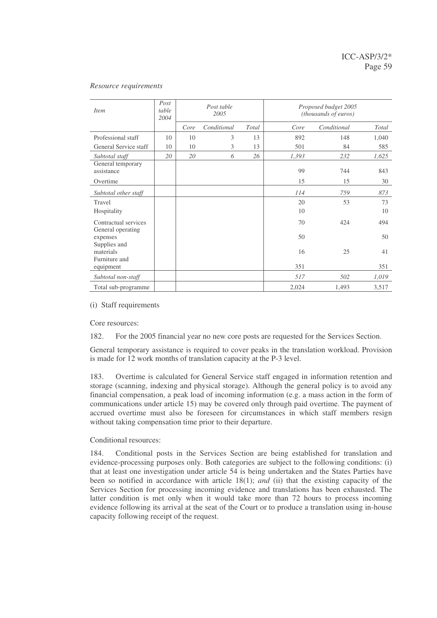#### *Resource requirements*

| <b>Item</b>                                   | Post<br>table<br>2004 | Post table<br>2005 |             |       |       |             |       | Proposed budget 2005<br><i>(thousands of euros)</i> |  |
|-----------------------------------------------|-----------------------|--------------------|-------------|-------|-------|-------------|-------|-----------------------------------------------------|--|
|                                               |                       | Core               | Conditional | Total | Core  | Conditional | Total |                                                     |  |
| Professional staff                            | 10                    | 10                 | 3           | 13    | 892   | 148         | 1,040 |                                                     |  |
| General Service staff                         | 10                    | 10                 | 3           | 13    | 501   | 84          | 585   |                                                     |  |
| Subtotal staff                                | 20                    | 20                 | 6           | 26    | 1,393 | 232         | 1,625 |                                                     |  |
| General temporary<br>assistance               |                       |                    |             |       | 99    | 744         | 843   |                                                     |  |
| Overtime                                      |                       |                    |             |       | 15    | 15          | 30    |                                                     |  |
| Subtotal other staff                          |                       |                    |             |       | 114   | 759         | 873   |                                                     |  |
| Travel                                        |                       |                    |             |       | 20    | 53          | 73    |                                                     |  |
| Hospitality                                   |                       |                    |             |       | 10    |             | 10    |                                                     |  |
| Contractual services                          |                       |                    |             |       | 70    | 424         | 494   |                                                     |  |
| General operating<br>expenses<br>Supplies and |                       |                    |             |       | 50    |             | 50    |                                                     |  |
| materials<br>Furniture and                    |                       |                    |             |       | 16    | 25          | 41    |                                                     |  |
| equipment                                     |                       |                    |             |       | 351   |             | 351   |                                                     |  |
| Subtotal non-staff                            |                       |                    |             |       | 517   | 502         | 1,019 |                                                     |  |
| Total sub-programme                           |                       |                    |             |       | 2,024 | 1,493       | 3,517 |                                                     |  |

#### (i) Staff requirements

Core resources:

182. For the 2005 financial year no new core posts are requested for the Services Section.

General temporary assistance is required to cover peaks in the translation workload. Provision is made for 12 work months of translation capacity at the P-3 level.

183. Overtime is calculated for General Service staff engaged in information retention and storage (scanning, indexing and physical storage). Although the general policy is to avoid any financial compensation, a peak load of incoming information (e.g. a mass action in the form of communications under article 15) may be covered only through paid overtime. The payment of accrued overtime must also be foreseen for circumstances in which staff members resign without taking compensation time prior to their departure.

#### Conditional resources:

184. Conditional posts in the Services Section are being established for translation and evidence-processing purposes only. Both categories are subject to the following conditions: (i) that at least one investigation under article 54 is being undertaken and the States Parties have been so notified in accordance with article 18(1); *and* (ii) that the existing capacity of the Services Section for processing incoming evidence and translations has been exhausted. The latter condition is met only when it would take more than 72 hours to process incoming evidence following its arrival at the seat of the Court or to produce a translation using in-house capacity following receipt of the request.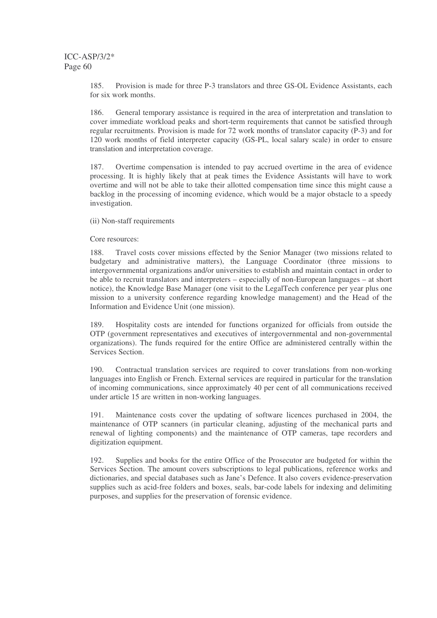185. Provision is made for three P-3 translators and three GS-OL Evidence Assistants, each for six work months.

186. General temporary assistance is required in the area of interpretation and translation to cover immediate workload peaks and short-term requirements that cannot be satisfied through regular recruitments. Provision is made for 72 work months of translator capacity (P-3) and for 120 work months of field interpreter capacity (GS-PL, local salary scale) in order to ensure translation and interpretation coverage.

187. Overtime compensation is intended to pay accrued overtime in the area of evidence processing. It is highly likely that at peak times the Evidence Assistants will have to work overtime and will not be able to take their allotted compensation time since this might cause a backlog in the processing of incoming evidence, which would be a major obstacle to a speedy investigation.

(ii) Non-staff requirements

Core resources:

188. Travel costs cover missions effected by the Senior Manager (two missions related to budgetary and administrative matters), the Language Coordinator (three missions to intergovernmental organizations and/or universities to establish and maintain contact in order to be able to recruit translators and interpreters – especially of non-European languages – at short notice), the Knowledge Base Manager (one visit to the LegalTech conference per year plus one mission to a university conference regarding knowledge management) and the Head of the Information and Evidence Unit (one mission).

189. Hospitality costs are intended for functions organized for officials from outside the OTP (government representatives and executives of intergovernmental and non-governmental organizations). The funds required for the entire Office are administered centrally within the Services Section.

190. Contractual translation services are required to cover translations from non-working languages into English or French. External services are required in particular for the translation of incoming communications, since approximately 40 per cent of all communications received under article 15 are written in non-working languages.

191. Maintenance costs cover the updating of software licences purchased in 2004, the maintenance of OTP scanners (in particular cleaning, adjusting of the mechanical parts and renewal of lighting components) and the maintenance of OTP cameras, tape recorders and digitization equipment.

192. Supplies and books for the entire Office of the Prosecutor are budgeted for within the Services Section. The amount covers subscriptions to legal publications, reference works and dictionaries, and special databases such as Jane's Defence. It also covers evidence-preservation supplies such as acid-free folders and boxes, seals, bar-code labels for indexing and delimiting purposes, and supplies for the preservation of forensic evidence.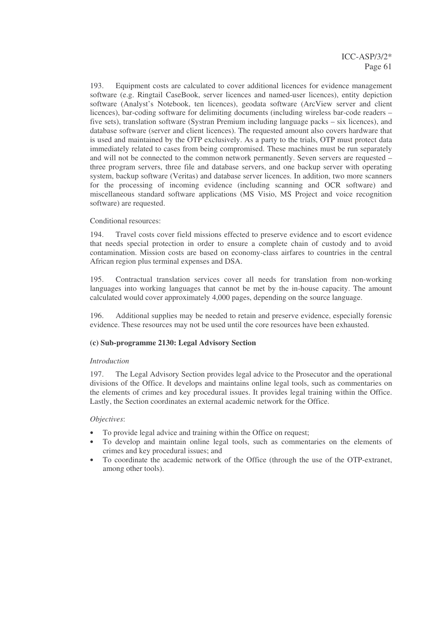193. Equipment costs are calculated to cover additional licences for evidence management software (e.g. Ringtail CaseBook, server licences and named-user licences), entity depiction software (Analyst's Notebook, ten licences), geodata software (ArcView server and client licences), bar-coding software for delimiting documents (including wireless bar-code readers – five sets), translation software (Systran Premium including language packs – six licences), and database software (server and client licences). The requested amount also covers hardware that is used and maintained by the OTP exclusively. As a party to the trials, OTP must protect data immediately related to cases from being compromised. These machines must be run separately and will not be connected to the common network permanently. Seven servers are requested – three program servers, three file and database servers, and one backup server with operating system, backup software (Veritas) and database server licences. In addition, two more scanners for the processing of incoming evidence (including scanning and OCR software) and miscellaneous standard software applications (MS Visio, MS Project and voice recognition software) are requested.

### Conditional resources:

194. Travel costs cover field missions effected to preserve evidence and to escort evidence that needs special protection in order to ensure a complete chain of custody and to avoid contamination. Mission costs are based on economy-class airfares to countries in the central African region plus terminal expenses and DSA.

195. Contractual translation services cover all needs for translation from non-working languages into working languages that cannot be met by the in-house capacity. The amount calculated would cover approximately 4,000 pages, depending on the source language.

196. Additional supplies may be needed to retain and preserve evidence, especially forensic evidence. These resources may not be used until the core resources have been exhausted.

# **(c) Sub-programme 2130: Legal Advisory Section**

#### *Introduction*

197. The Legal Advisory Section provides legal advice to the Prosecutor and the operational divisions of the Office. It develops and maintains online legal tools, such as commentaries on the elements of crimes and key procedural issues. It provides legal training within the Office. Lastly, the Section coordinates an external academic network for the Office.

#### *Objectives*:

- To provide legal advice and training within the Office on request;
- To develop and maintain online legal tools, such as commentaries on the elements of crimes and key procedural issues; and
- To coordinate the academic network of the Office (through the use of the OTP-extranet, among other tools).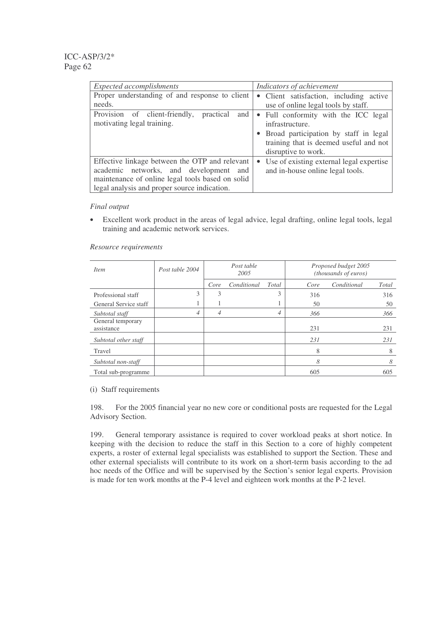| Expected accomplishments                                                                                                                                                                     | Indicators of achievement                                                                                                                                           |
|----------------------------------------------------------------------------------------------------------------------------------------------------------------------------------------------|---------------------------------------------------------------------------------------------------------------------------------------------------------------------|
| Proper understanding of and response to client                                                                                                                                               | • Client satisfaction, including active                                                                                                                             |
| needs.                                                                                                                                                                                       | use of online legal tools by staff.                                                                                                                                 |
| Provision of client-friendly,<br>practical<br>and<br>motivating legal training.                                                                                                              | • Full conformity with the ICC legal<br>infrastructure.<br>• Broad participation by staff in legal<br>training that is deemed useful and not<br>disruptive to work. |
| Effective linkage between the OTP and relevant<br>academic networks, and development and<br>maintenance of online legal tools based on solid<br>legal analysis and proper source indication. | • Use of existing external legal expertise<br>and in-house online legal tools.                                                                                      |

# *Final output*

• Excellent work product in the areas of legal advice, legal drafting, online legal tools, legal training and academic network services.

### *Resource requirements*

| <i>Item</i>                     | Post table 2004 | Post table<br>2005 |             |                | Proposed budget 2005<br>(thousands of euros) |             |       |
|---------------------------------|-----------------|--------------------|-------------|----------------|----------------------------------------------|-------------|-------|
|                                 |                 | Core               | Conditional | Total          | Core                                         | Conditional | Total |
| Professional staff              | 3               | 3                  |             | 3              | 316                                          |             | 316   |
| General Service staff           |                 |                    |             |                | 50                                           |             | 50    |
| Subtotal staff                  | 4               | $\overline{4}$     |             | $\overline{4}$ | 366                                          |             | 366   |
| General temporary<br>assistance |                 |                    |             |                | 231                                          |             | 231   |
| Subtotal other staff            |                 |                    |             |                | 231                                          |             | 231   |
| Travel                          |                 |                    |             |                | 8                                            |             | 8     |
| Subtotal non-staff              |                 |                    |             |                | 8                                            |             | 8     |
| Total sub-programme             |                 |                    |             |                | 605                                          |             | 605   |

# (i) Staff requirements

198. For the 2005 financial year no new core or conditional posts are requested for the Legal Advisory Section.

199. General temporary assistance is required to cover workload peaks at short notice. In keeping with the decision to reduce the staff in this Section to a core of highly competent experts, a roster of external legal specialists was established to support the Section. These and other external specialists will contribute to its work on a short-term basis according to the ad hoc needs of the Office and will be supervised by the Section's senior legal experts. Provision is made for ten work months at the P-4 level and eighteen work months at the P-2 level.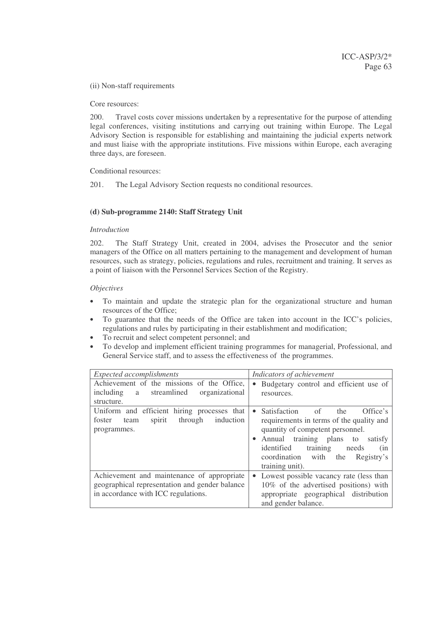(ii) Non-staff requirements

Core resources:

200. Travel costs cover missions undertaken by a representative for the purpose of attending legal conferences, visiting institutions and carrying out training within Europe. The Legal Advisory Section is responsible for establishing and maintaining the judicial experts network and must liaise with the appropriate institutions. Five missions within Europe, each averaging three days, are foreseen.

Conditional resources:

201. The Legal Advisory Section requests no conditional resources.

### **(d) Sub-programme 2140: Staff Strategy Unit**

### *Introduction*

202. The Staff Strategy Unit, created in 2004, advises the Prosecutor and the senior managers of the Office on all matters pertaining to the management and development of human resources, such as strategy, policies, regulations and rules, recruitment and training. It serves as a point of liaison with the Personnel Services Section of the Registry.

#### *Objectives*

- To maintain and update the strategic plan for the organizational structure and human resources of the Office;
- To guarantee that the needs of the Office are taken into account in the ICC's policies, regulations and rules by participating in their establishment and modification;
- To recruit and select competent personnel; and
- To develop and implement efficient training programmes for managerial, Professional, and General Service staff, and to assess the effectiveness of the programmes.

| Expected accomplishments                                                                                                            | Indicators of achievement                                                                                                                                                                                                                                               |  |  |  |  |
|-------------------------------------------------------------------------------------------------------------------------------------|-------------------------------------------------------------------------------------------------------------------------------------------------------------------------------------------------------------------------------------------------------------------------|--|--|--|--|
| Achievement of the missions of the Office,<br>including a streamlined<br>organizational<br>structure.                               | Budgetary control and efficient use of<br>$\bullet$<br>resources.                                                                                                                                                                                                       |  |  |  |  |
| Uniform and efficient hiring processes that<br>through<br>induction<br>foster<br>spirit<br>team<br>programmes.                      | Satisfaction of<br>the<br>Office's<br>$\bullet$<br>requirements in terms of the quality and<br>quantity of competent personnel.<br>Annual training plans to<br>satisfy<br>training needs<br>identified<br>(in<br>coordination with the<br>Registry's<br>training unit). |  |  |  |  |
| Achievement and maintenance of appropriate<br>geographical representation and gender balance<br>in accordance with ICC regulations. | • Lowest possible vacancy rate (less than<br>10% of the advertised positions) with<br>appropriate geographical distribution<br>and gender balance.                                                                                                                      |  |  |  |  |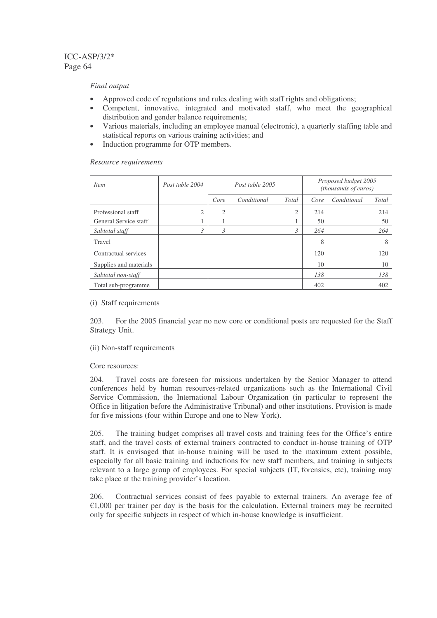#### *Final output*

- Approved code of regulations and rules dealing with staff rights and obligations;
- Competent, innovative, integrated and motivated staff, who meet the geographical distribution and gender balance requirements;
- Various materials, including an employee manual (electronic), a quarterly staffing table and statistical reports on various training activities; and
- Induction programme for OTP members.

#### *Resource requirements*

| <i>Item</i>            | Post table 2004 | Post table 2005 |             |                | Proposed budget 2005<br>(thousands of euros) |             |       |
|------------------------|-----------------|-----------------|-------------|----------------|----------------------------------------------|-------------|-------|
|                        |                 | Core            | Conditional | Total          | Core                                         | Conditional | Total |
| Professional staff     | $\overline{c}$  | $\overline{c}$  |             | $\overline{c}$ | 214                                          |             | 214   |
| General Service staff  |                 |                 |             |                | 50                                           |             | 50    |
| Subtotal staff         | 3               | 3               |             | 3              | 264                                          |             | 264   |
| Travel                 |                 |                 |             |                | 8                                            |             | 8     |
| Contractual services   |                 |                 |             |                | 120                                          |             | 120   |
| Supplies and materials |                 |                 |             |                | 10                                           |             | 10    |
| Subtotal non-staff     |                 |                 |             |                | 138                                          |             | 138   |
| Total sub-programme    |                 |                 |             |                | 402                                          |             | 402   |

### (i) Staff requirements

203. For the 2005 financial year no new core or conditional posts are requested for the Staff Strategy Unit.

#### (ii) Non-staff requirements

# Core resources:

204. Travel costs are foreseen for missions undertaken by the Senior Manager to attend conferences held by human resources-related organizations such as the International Civil Service Commission, the International Labour Organization (in particular to represent the Office in litigation before the Administrative Tribunal) and other institutions. Provision is made for five missions (four within Europe and one to New York).

205. The training budget comprises all travel costs and training fees for the Office's entire staff, and the travel costs of external trainers contracted to conduct in-house training of OTP staff. It is envisaged that in-house training will be used to the maximum extent possible, especially for all basic training and inductions for new staff members, and training in subjects relevant to a large group of employees. For special subjects (IT, forensics, etc), training may take place at the training provider's location.

206. Contractual services consist of fees payable to external trainers. An average fee of  $\epsilon$ 1,000 per trainer per day is the basis for the calculation. External trainers may be recruited only for specific subjects in respect of which in-house knowledge is insufficient.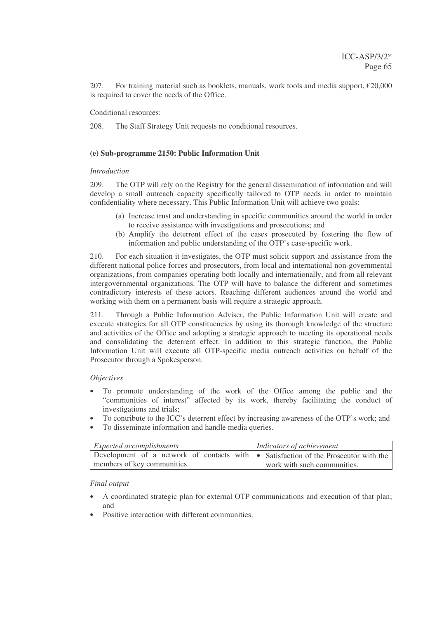207. For training material such as booklets, manuals, work tools and media support,  $\epsilon$ 20,000 is required to cover the needs of the Office.

Conditional resources:

208. The Staff Strategy Unit requests no conditional resources.

# **(e) Sub-programme 2150: Public Information Unit**

#### *Introduction*

209. The OTP will rely on the Registry for the general dissemination of information and will develop a small outreach capacity specifically tailored to OTP needs in order to maintain confidentiality where necessary. This Public Information Unit will achieve two goals:

- (a) Increase trust and understanding in specific communities around the world in order to receive assistance with investigations and prosecutions; and
- (b) Amplify the deterrent effect of the cases prosecuted by fostering the flow of information and public understanding of the OTP's case-specific work.

210. For each situation it investigates, the OTP must solicit support and assistance from the different national police forces and prosecutors, from local and international non-governmental organizations, from companies operating both locally and internationally, and from all relevant intergovernmental organizations. The OTP will have to balance the different and sometimes contradictory interests of these actors. Reaching different audiences around the world and working with them on a permanent basis will require a strategic approach.

211. Through a Public Information Adviser, the Public Information Unit will create and execute strategies for all OTP constituencies by using its thorough knowledge of the structure and activities of the Office and adopting a strategic approach to meeting its operational needs and consolidating the deterrent effect. In addition to this strategic function, the Public Information Unit will execute all OTP-specific media outreach activities on behalf of the Prosecutor through a Spokesperson.

#### *Objectives*

- To promote understanding of the work of the Office among the public and the "communities of interest" affected by its work, thereby facilitating the conduct of investigations and trials;
- To contribute to the ICC's deterrent effect by increasing awareness of the OTP's work; and
- To disseminate information and handle media queries.

| <i>Expected accomplishments</i>                                                             | Indicators of achievement   |
|---------------------------------------------------------------------------------------------|-----------------------------|
| Development of a network of contacts with $\bullet$ Satisfaction of the Prosecutor with the |                             |
| members of key communities.                                                                 | work with such communities. |

#### *Final output*

- A coordinated strategic plan for external OTP communications and execution of that plan; and
- Positive interaction with different communities.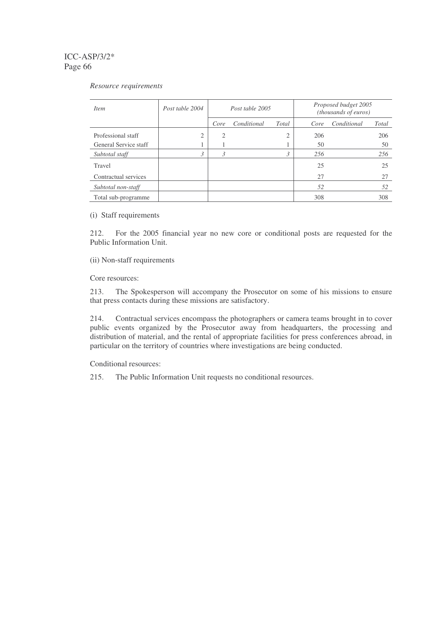### *Resource requirements*

| <i>Item</i>           | Post table 2004 | Post table 2005 |             |        | Proposed budget 2005<br>(thousands of euros) |             |       |
|-----------------------|-----------------|-----------------|-------------|--------|----------------------------------------------|-------------|-------|
|                       |                 | Core            | Conditional | Total  | Core                                         | Conditional | Total |
| Professional staff    | $\mathcal{D}$   | $\overline{2}$  |             | ◠<br>∠ | 206                                          |             | 206   |
| General Service staff |                 |                 |             |        | 50                                           |             | 50    |
| Subtotal staff        | $\mathfrak{Z}$  | 3               |             | 3      | 256                                          |             | 256   |
| Travel                |                 |                 |             |        | 25                                           |             | 25    |
| Contractual services  |                 |                 |             |        | 27                                           |             | 27    |
| Subtotal non-staff    |                 |                 |             |        | 52                                           |             | 52    |
| Total sub-programme   |                 |                 |             |        | 308                                          |             | 308   |

(i) Staff requirements

212. For the 2005 financial year no new core or conditional posts are requested for the Public Information Unit.

(ii) Non-staff requirements

Core resources:

213. The Spokesperson will accompany the Prosecutor on some of his missions to ensure that press contacts during these missions are satisfactory.

214. Contractual services encompass the photographers or camera teams brought in to cover public events organized by the Prosecutor away from headquarters, the processing and distribution of material, and the rental of appropriate facilities for press conferences abroad, in particular on the territory of countries where investigations are being conducted.

Conditional resources:

215. The Public Information Unit requests no conditional resources.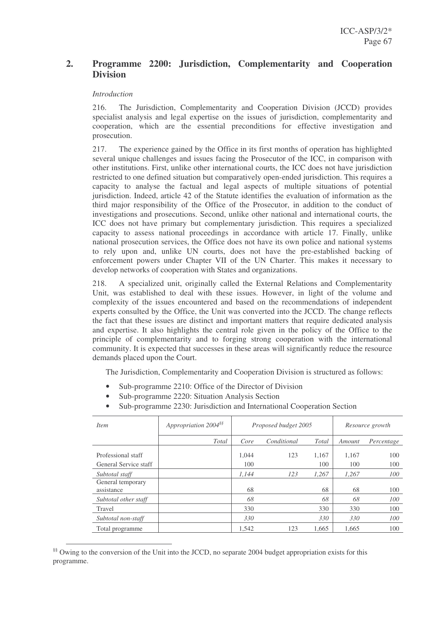# **2. Programme 2200: Jurisdiction, Complementarity and Cooperation Division**

### *Introduction*

216. The Jurisdiction, Complementarity and Cooperation Division (JCCD) provides specialist analysis and legal expertise on the issues of jurisdiction, complementarity and cooperation, which are the essential preconditions for effective investigation and prosecution.

217. The experience gained by the Office in its first months of operation has highlighted several unique challenges and issues facing the Prosecutor of the ICC, in comparison with other institutions. First, unlike other international courts, the ICC does not have jurisdiction restricted to one defined situation but comparatively open-ended jurisdiction. This requires a capacity to analyse the factual and legal aspects of multiple situations of potential jurisdiction. Indeed, article 42 of the Statute identifies the evaluation of information as the third major responsibility of the Office of the Prosecutor, in addition to the conduct of investigations and prosecutions. Second, unlike other national and international courts, the ICC does not have primary but complementary jurisdiction. This requires a specialized capacity to assess national proceedings in accordance with article 17. Finally, unlike national prosecution services, the Office does not have its own police and national systems to rely upon and, unlike UN courts, does not have the pre-established backing of enforcement powers under Chapter VII of the UN Charter. This makes it necessary to develop networks of cooperation with States and organizations.

218. A specialized unit, originally called the External Relations and Complementarity Unit, was established to deal with these issues. However, in light of the volume and complexity of the issues encountered and based on the recommendations of independent experts consulted by the Office, the Unit was converted into the JCCD. The change reflects the fact that these issues are distinct and important matters that require dedicated analysis and expertise. It also highlights the central role given in the policy of the Office to the principle of complementarity and to forging strong cooperation with the international community. It is expected that successes in these areas will significantly reduce the resource demands placed upon the Court.

The Jurisdiction, Complementarity and Cooperation Division is structured as follows:

- Sub-programme 2210: Office of the Director of Division
- Sub-programme 2220: Situation Analysis Section
- Sub-programme 2230: Jurisdiction and International Cooperation Section

| <i>Item</i>                                 | Appropriation 2004 <sup>§§</sup> | Proposed budget 2005 |             |              | Resource growth |            |  |
|---------------------------------------------|----------------------------------|----------------------|-------------|--------------|-----------------|------------|--|
|                                             | Total                            | Core                 | Conditional | Total        | Amount          | Percentage |  |
| Professional staff<br>General Service staff |                                  | 1.044<br>100         | 123         | 1,167<br>100 | 1.167<br>100    | 100<br>100 |  |
| Subtotal staff                              |                                  | 1.144                | 123         | 1.267        | 1.267           | 100        |  |
| General temporary<br>assistance             |                                  | 68                   |             | 68           | 68              | 100        |  |
| Subtotal other staff                        |                                  | 68                   |             | 68           | 68              | 100        |  |
| Travel                                      |                                  | 330                  |             | 330          | 330             | 100        |  |
| Subtotal non-staff                          |                                  | 330                  |             | 330          | 330             | 100        |  |
| Total programme                             |                                  | 1.542                | 123         | 1.665        | 1.665           | 100        |  |

<sup>&</sup>lt;sup>§§</sup> Owing to the conversion of the Unit into the JCCD, no separate 2004 budget appropriation exists for this programme.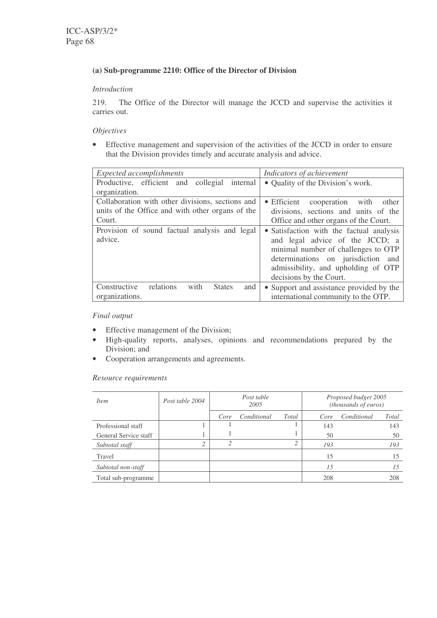# **(a) Sub-programme 2210: Office of the Director of Division**

# *Introduction*

219. The Office of the Director will manage the JCCD and supervise the activities it carries out.

# *Objectives*

• Effective management and supervision of the activities of the JCCD in order to ensure that the Division provides timely and accurate analysis and advice.

| Expected accomplishments                                  | Indicators of achievement                |  |  |  |
|-----------------------------------------------------------|------------------------------------------|--|--|--|
| Productive, efficient and collegial internal              | • Quality of the Division's work.        |  |  |  |
| organization.                                             |                                          |  |  |  |
| Collaboration with other divisions, sections and          | • Efficient<br>cooperation with other    |  |  |  |
| units of the Office and with other organs of the          | divisions, sections and units of the     |  |  |  |
| Court.                                                    | Office and other organs of the Court.    |  |  |  |
| Provision of sound factual analysis and legal             | • Satisfaction with the factual analysis |  |  |  |
| advice.                                                   | and legal advice of the JCCD; a          |  |  |  |
|                                                           | minimal number of challenges to OTP      |  |  |  |
|                                                           | determinations on jurisdiction and       |  |  |  |
|                                                           | admissibility, and upholding of OTP      |  |  |  |
|                                                           | decisions by the Court.                  |  |  |  |
| Constructive<br>with<br>relations<br><b>States</b><br>and | • Support and assistance provided by the |  |  |  |
| organizations.                                            | international community to the OTP.      |  |  |  |

# *Final output*

- Effective management of the Division;
- High-quality reports, analyses, opinions and recommendations prepared by the Division; and
- Cooperation arrangements and agreements.

*Resource requirements*

| <i>Item</i>           | Post table 2004 | Post table<br>2005 |             |                                 | Proposed budget 2005<br><i>(thousands of euros)</i> |             |       |  |
|-----------------------|-----------------|--------------------|-------------|---------------------------------|-----------------------------------------------------|-------------|-------|--|
|                       |                 | Core               | Conditional | Total                           | Core                                                | Conditional | Total |  |
| Professional staff    |                 |                    |             |                                 | 143                                                 |             | 143   |  |
| General Service staff |                 |                    |             |                                 | 50                                                  |             | 50    |  |
| Subtotal staff        | 2               | C                  |             | <sup><math>\supset</math></sup> | 193                                                 |             | 193   |  |
| Travel                |                 |                    |             |                                 | 15                                                  |             | 15    |  |
| Subtotal non-staff    |                 |                    |             |                                 | 15                                                  |             | 15    |  |
| Total sub-programme   |                 |                    |             |                                 | 208                                                 |             | 208   |  |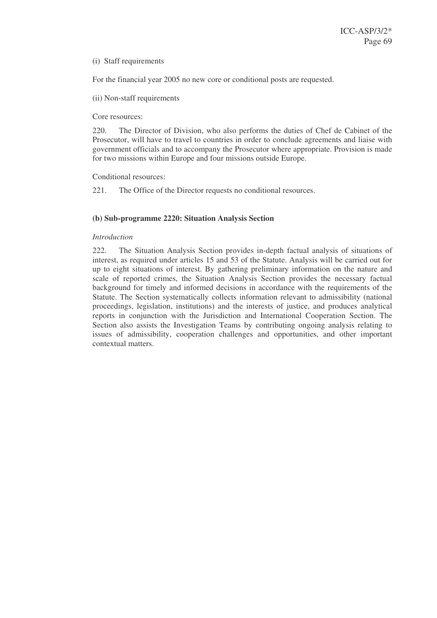### (i) Staff requirements

For the financial year 2005 no new core or conditional posts are requested.

### (ii) Non-staff requirements

Core resources:

220. The Director of Division, who also performs the duties of Chef de Cabinet of the Prosecutor, will have to travel to countries in order to conclude agreements and liaise with government officials and to accompany the Prosecutor where appropriate. Provision is made for two missions within Europe and four missions outside Europe.

Conditional resources:

221. The Office of the Director requests no conditional resources.

### **(b) Sub-programme 2220: Situation Analysis Section**

### *Introduction*

222. The Situation Analysis Section provides in-depth factual analysis of situations of interest, as required under articles 15 and 53 of the Statute. Analysis will be carried out for up to eight situations of interest. By gathering preliminary information on the nature and scale of reported crimes, the Situation Analysis Section provides the necessary factual background for timely and informed decisions in accordance with the requirements of the Statute. The Section systematically collects information relevant to admissibility (national proceedings, legislation, institutions) and the interests of justice, and produces analytical reports in conjunction with the Jurisdiction and International Cooperation Section. The Section also assists the Investigation Teams by contributing ongoing analysis relating to issues of admissibility, cooperation challenges and opportunities, and other important contextual matters.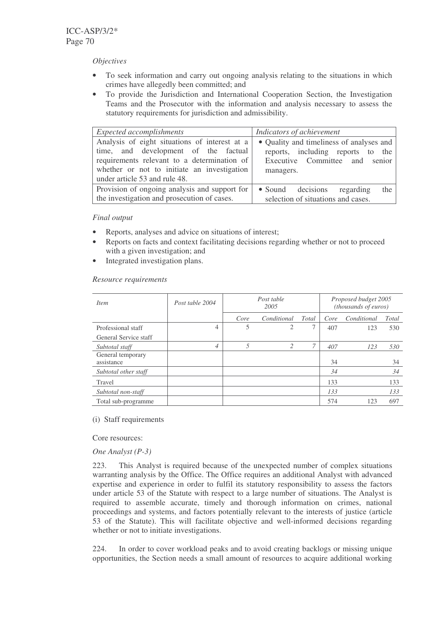# *Objectives*

- To seek information and carry out ongoing analysis relating to the situations in which crimes have allegedly been committed; and
- To provide the Jurisdiction and International Cooperation Section, the Investigation Teams and the Prosecutor with the information and analysis necessary to assess the statutory requirements for jurisdiction and admissibility.

| Expected accomplishments                                                                                                                                                                                             | Indicators of achievement                                                                                                    |
|----------------------------------------------------------------------------------------------------------------------------------------------------------------------------------------------------------------------|------------------------------------------------------------------------------------------------------------------------------|
| Analysis of eight situations of interest at a<br>time, and development of the factual<br>requirements relevant to a determination of<br>whether or not to initiate an investigation<br>under article 53 and rule 48. | • Quality and timeliness of analyses and<br>reports, including reports to the<br>Executive Committee and senior<br>managers. |
| Provision of ongoing analysis and support for<br>the investigation and prosecution of cases.                                                                                                                         | • Sound decisions regarding<br>the<br>selection of situations and cases.                                                     |

### *Final output*

- Reports, analyses and advice on situations of interest;
- Reports on facts and context facilitating decisions regarding whether or not to proceed with a given investigation; and
- Integrated investigation plans.

### *Resource requirements*

| <i>Item</i>           | Post table 2004 | Post table<br>2005 |             |       | Proposed budget 2005<br>( <i>thousands of euros</i> ) |             |       |
|-----------------------|-----------------|--------------------|-------------|-------|-------------------------------------------------------|-------------|-------|
|                       |                 | Core               | Conditional | Total | Core                                                  | Conditional | Total |
| Professional staff    | $\overline{4}$  | 5                  | 2           | 7     | 407                                                   | 123         | 530   |
| General Service staff |                 |                    |             |       |                                                       |             |       |
| Subtotal staff        | 4               | 5                  | 2           | 7     | 407                                                   | 123         | 530   |
| General temporary     |                 |                    |             |       |                                                       |             |       |
| assistance            |                 |                    |             |       | 34                                                    |             | 34    |
| Subtotal other staff  |                 |                    |             |       | 34                                                    |             | 34    |
| Travel                |                 |                    |             |       | 133                                                   |             | 133   |
| Subtotal non-staff    |                 |                    |             |       | 133                                                   |             | 133   |
| Total sub-programme   |                 |                    |             |       | 574                                                   | 123         | 697   |

# (i) Staff requirements

Core resources:

# *One Analyst (P-3)*

223. This Analyst is required because of the unexpected number of complex situations warranting analysis by the Office. The Office requires an additional Analyst with advanced expertise and experience in order to fulfil its statutory responsibility to assess the factors under article 53 of the Statute with respect to a large number of situations. The Analyst is required to assemble accurate, timely and thorough information on crimes, national proceedings and systems, and factors potentially relevant to the interests of justice (article 53 of the Statute). This will facilitate objective and well-informed decisions regarding whether or not to initiate investigations.

224. In order to cover workload peaks and to avoid creating backlogs or missing unique opportunities, the Section needs a small amount of resources to acquire additional working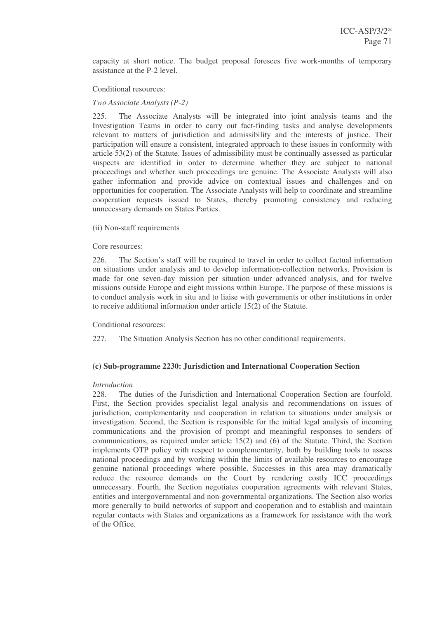capacity at short notice. The budget proposal foresees five work-months of temporary assistance at the P-2 level.

### Conditional resources:

# *Two Associate Analysts (P-2)*

225. The Associate Analysts will be integrated into joint analysis teams and the Investigation Teams in order to carry out fact-finding tasks and analyse developments relevant to matters of jurisdiction and admissibility and the interests of justice. Their participation will ensure a consistent, integrated approach to these issues in conformity with article 53(2) of the Statute. Issues of admissibility must be continually assessed as particular suspects are identified in order to determine whether they are subject to national proceedings and whether such proceedings are genuine. The Associate Analysts will also gather information and provide advice on contextual issues and challenges and on opportunities for cooperation. The Associate Analysts will help to coordinate and streamline cooperation requests issued to States, thereby promoting consistency and reducing unnecessary demands on States Parties.

### (ii) Non-staff requirements

### Core resources:

226. The Section's staff will be required to travel in order to collect factual information on situations under analysis and to develop information-collection networks. Provision is made for one seven-day mission per situation under advanced analysis, and for twelve missions outside Europe and eight missions within Europe. The purpose of these missions is to conduct analysis work in situ and to liaise with governments or other institutions in order to receive additional information under article 15(2) of the Statute.

### Conditional resources:

227. The Situation Analysis Section has no other conditional requirements.

### **(c) Sub-programme 2230: Jurisdiction and International Cooperation Section**

### *Introduction*

228. The duties of the Jurisdiction and International Cooperation Section are fourfold. First, the Section provides specialist legal analysis and recommendations on issues of jurisdiction, complementarity and cooperation in relation to situations under analysis or investigation. Second, the Section is responsible for the initial legal analysis of incoming communications and the provision of prompt and meaningful responses to senders of communications, as required under article 15(2) and (6) of the Statute. Third, the Section implements OTP policy with respect to complementarity, both by building tools to assess national proceedings and by working within the limits of available resources to encourage genuine national proceedings where possible. Successes in this area may dramatically reduce the resource demands on the Court by rendering costly ICC proceedings unnecessary. Fourth, the Section negotiates cooperation agreements with relevant States, entities and intergovernmental and non-governmental organizations. The Section also works more generally to build networks of support and cooperation and to establish and maintain regular contacts with States and organizations as a framework for assistance with the work of the Office.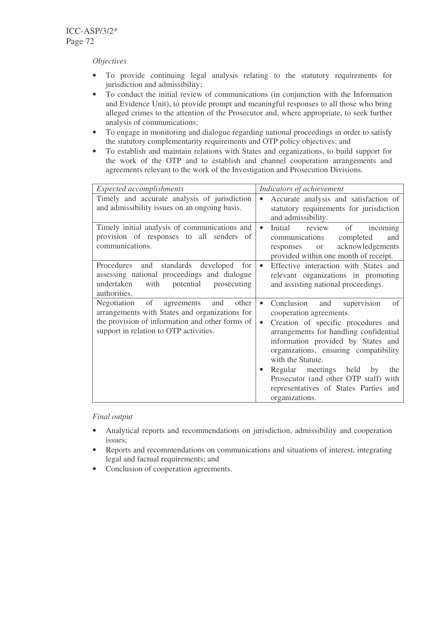# *Objectives*

- To provide continuing legal analysis relating to the statutory requirements for jurisdiction and admissibility;
- To conduct the initial review of communications (in conjunction with the Information and Evidence Unit), to provide prompt and meaningful responses to all those who bring alleged crimes to the attention of the Prosecutor and, where appropriate, to seek further analysis of communications;
- To engage in monitoring and dialogue regarding national proceedings in order to satisfy the statutory complementarity requirements and OTP policy objectives; and
- To establish and maintain relations with States and organizations, to build support for the work of the OTP and to establish and channel cooperation arrangements and agreements relevant to the work of the Investigation and Prosecution Divisions.

| <b>Expected accomplishments</b>                                                                                                                                                                | Indicators of achievement                                                                                                                                                                                                                                                                                                                                                                                               |  |  |  |
|------------------------------------------------------------------------------------------------------------------------------------------------------------------------------------------------|-------------------------------------------------------------------------------------------------------------------------------------------------------------------------------------------------------------------------------------------------------------------------------------------------------------------------------------------------------------------------------------------------------------------------|--|--|--|
| Timely and accurate analysis of jurisdiction<br>and admissibility issues on an ongoing basis.                                                                                                  | Accurate analysis and satisfaction of<br>$\bullet$<br>statutory requirements for jurisdiction<br>and admissibility.                                                                                                                                                                                                                                                                                                     |  |  |  |
| Timely initial analysis of communications and<br>provision of responses to all senders of<br>communications.                                                                                   | Initial review<br>of<br>incoming<br>$\bullet$<br>communications<br>completed<br>and<br>acknowledgements<br>or<br>responses<br>provided within one month of receipt.                                                                                                                                                                                                                                                     |  |  |  |
| standards<br>Procedures and<br>developed<br>for<br>assessing national proceedings and dialogue<br>undertaken<br>potential<br>with<br>prosecuting<br>authorities.                               | Effective interaction with States and<br>$\bullet$<br>relevant organizations in promoting<br>and assisting national proceedings.                                                                                                                                                                                                                                                                                        |  |  |  |
| of<br>Negotiation<br>other<br>agreements<br>and<br>arrangements with States and organizations for<br>the provision of information and other forms of<br>support in relation to OTP activities. | supervision<br>Conclusion and<br>of<br>$\bullet$<br>cooperation agreements.<br>Creation of specific procedures and<br>$\bullet$<br>arrangements for handling confidential<br>information provided by States and<br>organizations, ensuring compatibility<br>with the Statute.<br>Regular meetings held<br>by<br>the<br>Prosecutor (and other OTP staff) with<br>representatives of States Parties and<br>organizations. |  |  |  |

# *Final output*

- Analytical reports and recommendations on jurisdiction, admissibility and cooperation issues;
- Reports and recommendations on communications and situations of interest, integrating legal and factual requirements; and
- Conclusion of cooperation agreements.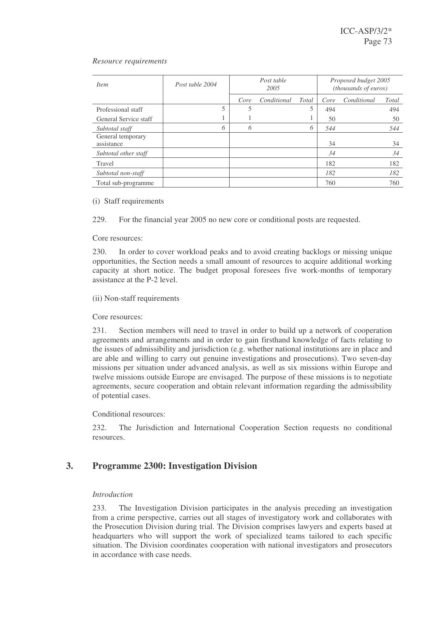# *Resource requirements*

| <i>Item</i>           | Post table 2004 | Post table<br>2005 |             |       | Proposed budget 2005<br><i>(thousands of euros)</i> |             |       |
|-----------------------|-----------------|--------------------|-------------|-------|-----------------------------------------------------|-------------|-------|
|                       |                 | Core               | Conditional | Total | Core                                                | Conditional | Total |
| Professional staff    | 5               | 5                  |             | 5     | 494                                                 |             | 494   |
| General Service staff |                 |                    |             |       | 50                                                  |             | 50    |
| Subtotal staff        | 6               | 6                  |             | 6     | 544                                                 |             | 544   |
| General temporary     |                 |                    |             |       |                                                     |             |       |
| assistance            |                 |                    |             |       | 34                                                  |             | 34    |
| Subtotal other staff  |                 |                    |             |       | 34                                                  |             | 34    |
| Travel                |                 |                    |             |       | 182                                                 |             | 182   |
| Subtotal non-staff    |                 |                    |             |       | 182                                                 |             | 182   |
| Total sub-programme   |                 |                    |             |       | 760                                                 |             | 760   |

# (i) Staff requirements

229. For the financial year 2005 no new core or conditional posts are requested.

# Core resources:

230. In order to cover workload peaks and to avoid creating backlogs or missing unique opportunities, the Section needs a small amount of resources to acquire additional working capacity at short notice. The budget proposal foresees five work-months of temporary assistance at the P-2 level.

# (ii) Non-staff requirements

# Core resources:

231. Section members will need to travel in order to build up a network of cooperation agreements and arrangements and in order to gain firsthand knowledge of facts relating to the issues of admissibility and jurisdiction (e.g. whether national institutions are in place and are able and willing to carry out genuine investigations and prosecutions). Two seven-day missions per situation under advanced analysis, as well as six missions within Europe and twelve missions outside Europe are envisaged. The purpose of these missions is to negotiate agreements, secure cooperation and obtain relevant information regarding the admissibility of potential cases.

# Conditional resources:

232. The Jurisdiction and International Cooperation Section requests no conditional resources.

# **3. Programme 2300: Investigation Division**

# *Introduction*

233. The Investigation Division participates in the analysis preceding an investigation from a crime perspective, carries out all stages of investigatory work and collaborates with the Prosecution Division during trial. The Division comprises lawyers and experts based at headquarters who will support the work of specialized teams tailored to each specific situation. The Division coordinates cooperation with national investigators and prosecutors in accordance with case needs.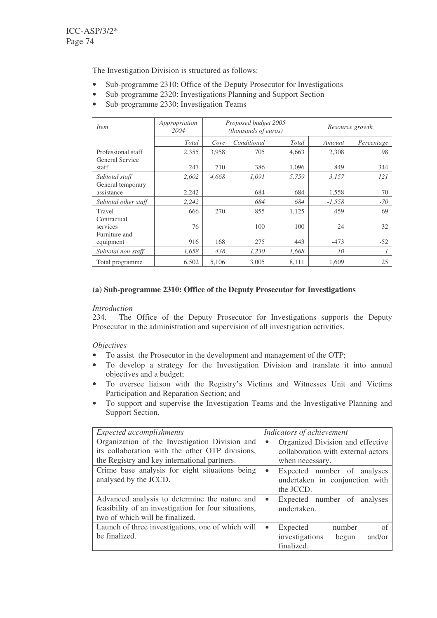The Investigation Division is structured as follows:

- Sub-programme 2310: Office of the Deputy Prosecutor for Investigations
- Sub-programme 2320: Investigations Planning and Support Section
- Sub-programme 2330: Investigation Teams

| <i>Item</i>                              | Appropriation<br>2004 | Proposed budget 2005<br>(thousands of euros) |             |              | Resource growth |            |  |
|------------------------------------------|-----------------------|----------------------------------------------|-------------|--------------|-----------------|------------|--|
|                                          | Total                 | Core                                         | Conditional | <b>Total</b> | Amount          | Percentage |  |
| Professional staff<br>General Service    | 2,355                 | 3.958                                        | 705         | 4,663        | 2.308           | 98         |  |
| staff                                    | 247                   | 710                                          | 386         | 1,096        | 849             | 344        |  |
| Subtotal staff                           | 2.602                 | 4,668                                        | 1.091       | 5,759        | 3.157           | 121        |  |
| General temporary<br>assistance          | 2,242                 |                                              | 684         | 684          | $-1,558$        | $-70$      |  |
| Subtotal other staff                     | 2,242                 |                                              | 684         | 684          | $-1,558$        | $-70$      |  |
| Travel                                   | 666                   | 270                                          | 855         | 1,125        | 459             | 69         |  |
| Contractual<br>services<br>Furniture and | 76                    |                                              | 100         | 100          | 24              | 32         |  |
| equipment                                | 916                   | 168                                          | 275         | 443          | $-473$          | $-52$      |  |
| Subtotal non-staff                       | 1.658                 | 438                                          | 1,230       | 1,668        | 10              |            |  |
| Total programme                          | 6.502                 | 5.106                                        | 3,005       | 8,111        | 1.609           | 25         |  |

# **(a) Sub-programme 2310: Office of the Deputy Prosecutor for Investigations**

# *Introduction*

234. The Office of the Deputy Prosecutor for Investigations supports the Deputy Prosecutor in the administration and supervision of all investigation activities.

# *Objectives*

- To assist the Prosecutor in the development and management of the OTP;
- To develop a strategy for the Investigation Division and translate it into annual objectives and a budget;
- To oversee liaison with the Registry's Victims and Witnesses Unit and Victims Participation and Reparation Section; and
- To support and supervise the Investigation Teams and the Investigative Planning and Support Section.

| <i>Expected accomplishments</i>                      | Indicators of achievement                     |
|------------------------------------------------------|-----------------------------------------------|
| Organization of the Investigation Division and       | Organized Division and effective<br>$\bullet$ |
| its collaboration with the other OTP divisions,      | collaboration with external actors            |
| the Registry and key international partners.         | when necessary.                               |
| Crime base analysis for eight situations being       | Expected number of analyses<br>$\bullet$      |
| analysed by the JCCD.                                | undertaken in conjunction with                |
|                                                      | the JCCD.                                     |
| Advanced analysis to determine the nature and        | Expected number of analyses<br>$\bullet$      |
| feasibility of an investigation for four situations, | undertaken.                                   |
| two of which will be finalized.                      |                                               |
| Launch of three investigations, one of which will    | $\sigma$<br>number<br>Expected<br>$\bullet$   |
| be finalized.                                        | investigations<br>and/or<br>begun             |
|                                                      | finalized.                                    |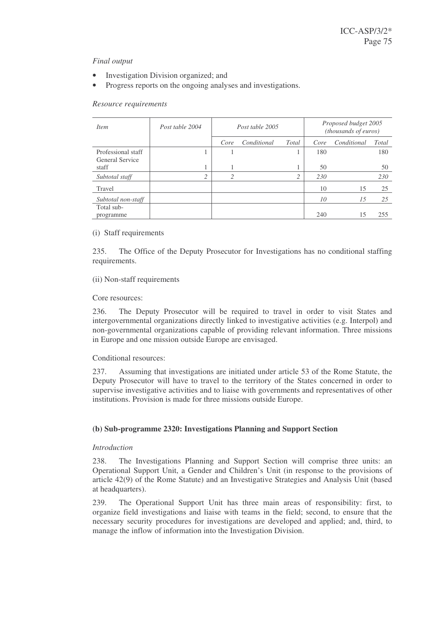# *Final output*

- Investigation Division organized; and
- Progress reports on the ongoing analyses and investigations.

# *Resource requirements*

| <i>Item</i>        | Post table 2004 | Post table 2005 |             |               | Proposed budget 2005<br><i>(thousands of euros)</i> |             |       |  |
|--------------------|-----------------|-----------------|-------------|---------------|-----------------------------------------------------|-------------|-------|--|
|                    |                 | Core            | Conditional | Total         | Core                                                | Conditional | Total |  |
| Professional staff |                 |                 |             |               | 180                                                 |             | 180   |  |
| General Service    |                 |                 |             |               |                                                     |             |       |  |
| staff              |                 |                 |             |               | 50                                                  |             | 50    |  |
| Subtotal staff     | 2               | 2               |             | $\mathcal{L}$ | 230                                                 |             | 230   |  |
| Travel             |                 |                 |             |               | 10                                                  | 15          | 25    |  |
| Subtotal non-staff |                 |                 |             |               | 10                                                  | 15          | 25    |  |
| Total sub-         |                 |                 |             |               |                                                     |             |       |  |
| programme          |                 |                 |             |               | 240                                                 | 15          | 255   |  |

### (i) Staff requirements

235. The Office of the Deputy Prosecutor for Investigations has no conditional staffing requirements.

# (ii) Non-staff requirements

Core resources:

236. The Deputy Prosecutor will be required to travel in order to visit States and intergovernmental organizations directly linked to investigative activities (e.g. Interpol) and non-governmental organizations capable of providing relevant information. Three missions in Europe and one mission outside Europe are envisaged.

# Conditional resources:

237. Assuming that investigations are initiated under article 53 of the Rome Statute, the Deputy Prosecutor will have to travel to the territory of the States concerned in order to supervise investigative activities and to liaise with governments and representatives of other institutions. Provision is made for three missions outside Europe.

# **(b) Sub-programme 2320: Investigations Planning and Support Section**

### *Introduction*

238. The Investigations Planning and Support Section will comprise three units: an Operational Support Unit, a Gender and Children's Unit (in response to the provisions of article 42(9) of the Rome Statute) and an Investigative Strategies and Analysis Unit (based at headquarters).

239. The Operational Support Unit has three main areas of responsibility: first, to organize field investigations and liaise with teams in the field; second, to ensure that the necessary security procedures for investigations are developed and applied; and, third, to manage the inflow of information into the Investigation Division.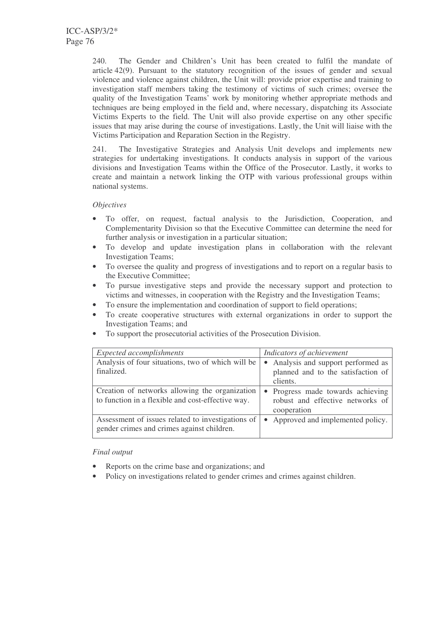240. The Gender and Children's Unit has been created to fulfil the mandate of article 42(9). Pursuant to the statutory recognition of the issues of gender and sexual violence and violence against children, the Unit will: provide prior expertise and training to investigation staff members taking the testimony of victims of such crimes; oversee the quality of the Investigation Teams' work by monitoring whether appropriate methods and techniques are being employed in the field and, where necessary, dispatching its Associate Victims Experts to the field. The Unit will also provide expertise on any other specific issues that may arise during the course of investigations. Lastly, the Unit will liaise with the Victims Participation and Reparation Section in the Registry.

241. The Investigative Strategies and Analysis Unit develops and implements new strategies for undertaking investigations. It conducts analysis in support of the various divisions and Investigation Teams within the Office of the Prosecutor. Lastly, it works to create and maintain a network linking the OTP with various professional groups within national systems.

# *Objectives*

- To offer, on request, factual analysis to the Jurisdiction, Cooperation, and Complementarity Division so that the Executive Committee can determine the need for further analysis or investigation in a particular situation;
- To develop and update investigation plans in collaboration with the relevant Investigation Teams;
- To oversee the quality and progress of investigations and to report on a regular basis to the Executive Committee;
- To pursue investigative steps and provide the necessary support and protection to victims and witnesses, in cooperation with the Registry and the Investigation Teams;
- To ensure the implementation and coordination of support to field operations;
- To create cooperative structures with external organizations in order to support the Investigation Teams; and
- To support the prosecutorial activities of the Prosecution Division.

| Expected accomplishments                                                                            | Indicators of achievement                                                                        |
|-----------------------------------------------------------------------------------------------------|--------------------------------------------------------------------------------------------------|
| Analysis of four situations, two of which will be<br>finalized.                                     | Analysis and support performed as<br>$\bullet$<br>planned and to the satisfaction of<br>clients. |
| Creation of networks allowing the organization<br>to function in a flexible and cost-effective way. | Progress made towards achieving<br>$\bullet$<br>robust and effective networks of<br>cooperation  |
| Assessment of issues related to investigations of<br>gender crimes and crimes against children.     | Approved and implemented policy.<br>$\bullet$                                                    |

# *Final output*

- Reports on the crime base and organizations; and
- Policy on investigations related to gender crimes and crimes against children.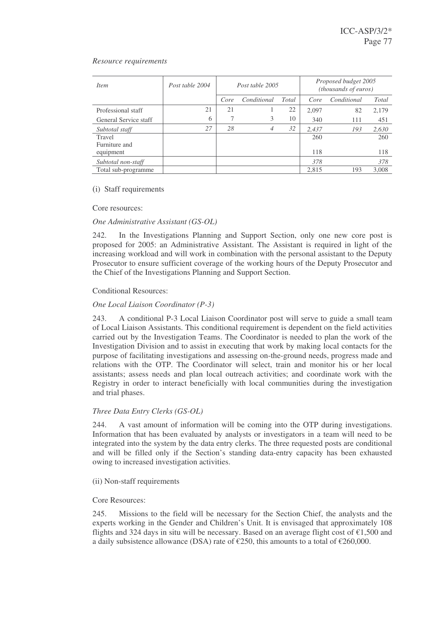# *Resource requirements*

| <i>Item</i>           | Post table 2004 | Post table 2005 |                |       | Proposed budget 2005<br><i>(thousands of euros)</i> |             |       |  |
|-----------------------|-----------------|-----------------|----------------|-------|-----------------------------------------------------|-------------|-------|--|
|                       |                 | Core            | Conditional    | Total | Core                                                | Conditional | Total |  |
| Professional staff    | 21              | 21              |                | 22    | 2,097                                               | 82          | 2,179 |  |
| General Service staff | 6               |                 | 3              | 10    | 340                                                 | 111         | 451   |  |
| Subtotal staff        | 27              | 28              | $\overline{4}$ | 32    | 2.437                                               | 193         | 2,630 |  |
| Travel                |                 |                 |                |       | 260                                                 |             | 260   |  |
| Furniture and         |                 |                 |                |       |                                                     |             |       |  |
| equipment             |                 |                 |                |       | 118                                                 |             | 118   |  |
| Subtotal non-staff    |                 |                 |                |       | 378                                                 |             | 378   |  |
| Total sub-programme   |                 |                 |                |       | 2,815                                               | 193         | 3.008 |  |

# (i) Staff requirements

Core resources:

### *One Administrative Assistant (GS-OL)*

242. In the Investigations Planning and Support Section, only one new core post is proposed for 2005: an Administrative Assistant. The Assistant is required in light of the increasing workload and will work in combination with the personal assistant to the Deputy Prosecutor to ensure sufficient coverage of the working hours of the Deputy Prosecutor and the Chief of the Investigations Planning and Support Section.

### Conditional Resources:

### *One Local Liaison Coordinator (P-3)*

243. A conditional P-3 Local Liaison Coordinator post will serve to guide a small team of Local Liaison Assistants. This conditional requirement is dependent on the field activities carried out by the Investigation Teams. The Coordinator is needed to plan the work of the Investigation Division and to assist in executing that work by making local contacts for the purpose of facilitating investigations and assessing on-the-ground needs, progress made and relations with the OTP. The Coordinator will select, train and monitor his or her local assistants; assess needs and plan local outreach activities; and coordinate work with the Registry in order to interact beneficially with local communities during the investigation and trial phases.

### *Three Data Entry Clerks (GS-OL)*

244. A vast amount of information will be coming into the OTP during investigations. Information that has been evaluated by analysts or investigators in a team will need to be integrated into the system by the data entry clerks. The three requested posts are conditional and will be filled only if the Section's standing data-entry capacity has been exhausted owing to increased investigation activities.

### (ii) Non-staff requirements

### Core Resources:

245. Missions to the field will be necessary for the Section Chief, the analysts and the experts working in the Gender and Children's Unit. It is envisaged that approximately 108 flights and 324 days in situ will be necessary. Based on an average flight cost of  $\epsilon$ 1,500 and a daily subsistence allowance (DSA) rate of  $\epsilon$ 250, this amounts to a total of  $\epsilon$ 260,000.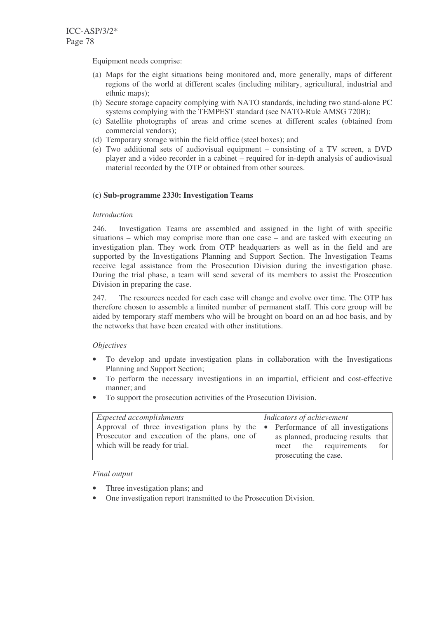Equipment needs comprise:

- (a) Maps for the eight situations being monitored and, more generally, maps of different regions of the world at different scales (including military, agricultural, industrial and ethnic maps);
- (b) Secure storage capacity complying with NATO standards, including two stand-alone PC systems complying with the TEMPEST standard (see NATO-Rule AMSG 720B);
- (c) Satellite photographs of areas and crime scenes at different scales (obtained from commercial vendors);
- (d) Temporary storage within the field office (steel boxes); and
- (e) Two additional sets of audiovisual equipment consisting of a TV screen, a DVD player and a video recorder in a cabinet – required for in-depth analysis of audiovisual material recorded by the OTP or obtained from other sources.

# **(c) Sub-programme 2330: Investigation Teams**

### *Introduction*

246. Investigation Teams are assembled and assigned in the light of with specific situations – which may comprise more than one case – and are tasked with executing an investigation plan. They work from OTP headquarters as well as in the field and are supported by the Investigations Planning and Support Section. The Investigation Teams receive legal assistance from the Prosecution Division during the investigation phase. During the trial phase, a team will send several of its members to assist the Prosecution Division in preparing the case.

247. The resources needed for each case will change and evolve over time. The OTP has therefore chosen to assemble a limited number of permanent staff. This core group will be aided by temporary staff members who will be brought on board on an ad hoc basis, and by the networks that have been created with other institutions.

# *Objectives*

- To develop and update investigation plans in collaboration with the Investigations Planning and Support Section;
- To perform the necessary investigations in an impartial, efficient and cost-effective manner; and
- To support the prosecution activities of the Prosecution Division.

| <i>Expected accomplishments</i>                        | Indicators of achievement          |
|--------------------------------------------------------|------------------------------------|
| Approval of three investigation plans by the $\bullet$ | Performance of all investigations  |
| Prosecutor and execution of the plans, one of          | as planned, producing results that |
| which will be ready for trial.                         | meet the requirements<br>for       |
|                                                        | prosecuting the case.              |

# *Final output*

- Three investigation plans; and
- One investigation report transmitted to the Prosecution Division.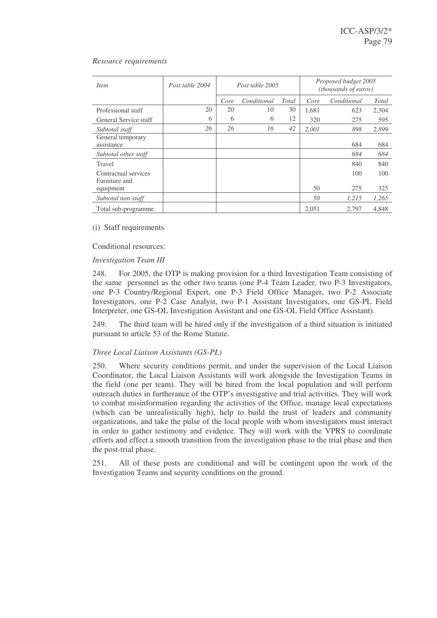| <i>Item</i>                           | Post table 2004 | Post table 2005 |             |       | Proposed budget 2005<br><i>(thousands of euros)</i> |             |       |
|---------------------------------------|-----------------|-----------------|-------------|-------|-----------------------------------------------------|-------------|-------|
|                                       |                 | Core            | Conditional | Total | Core                                                | Conditional | Total |
| Professional staff                    | 20              | 20              | 10          | 30    | 1,681                                               | 623         | 2,304 |
| General Service staff                 | 6               | 6               | 6           | 12    | 320                                                 | 275         | 595   |
| Subtotal staff                        | 26              | 26              | 16          | 42    | 2,001                                               | 898         | 2,899 |
| General temporary<br>assistance       |                 |                 |             |       |                                                     | 684         | 684   |
| Subtotal other staff                  |                 |                 |             |       |                                                     | 684         | 684   |
| Travel                                |                 |                 |             |       |                                                     | 840         | 840   |
| Contractual services<br>Furniture and |                 |                 |             |       |                                                     | 100         | 100   |
| equipment                             |                 |                 |             |       | 50                                                  | 275         | 325   |
| Subtotal non-staff                    |                 |                 |             |       | 50                                                  | 1,215       | 1,265 |
| Total sub-programme                   |                 |                 |             |       | 2.051                                               | 2,797       | 4.848 |

### *Resource requirements*

### (i) Staff requirements

### Conditional resources:

### *Investigation Team III*

248. For 2005, the OTP is making provision for a third Investigation Team consisting of the same personnel as the other two teams (one P-4 Team Leader, two P-3 Investigators, one P-3 Country/Regional Expert, one P-3 Field Office Manager, two P-2 Associate Investigators, one P-2 Case Analyst, two P-1 Assistant Investigators, one GS-PL Field Interpreter, one GS-OL Investigation Assistant and one GS-OL Field Office Assistant).

249. The third team will be hired only if the investigation of a third situation is initiated pursuant to article 53 of the Rome Statute.

# *Three Local Liaison Assistants (GS-PL)*

250. Where security conditions permit, and under the supervision of the Local Liaison Coordinator, the Local Liaison Assistants will work alongside the Investigation Teams in the field (one per team). They will be hired from the local population and will perform outreach duties in furtherance of the OTP's investigative and trial activities. They will work to combat misinformation regarding the activities of the Office, manage local expectations (which can be unrealistically high), help to build the trust of leaders and community organizations, and take the pulse of the local people with whom investigators must interact in order to gather testimony and evidence. They will work with the VPRS to coordinate efforts and effect a smooth transition from the investigation phase to the trial phase and then the post-trial phase.

251. All of these posts are conditional and will be contingent upon the work of the Investigation Teams and security conditions on the ground.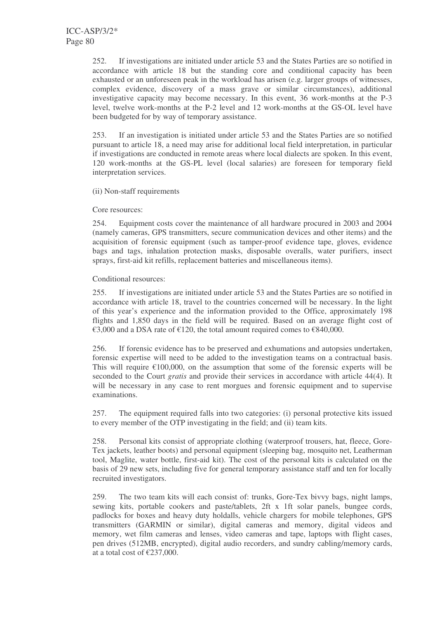252. If investigations are initiated under article 53 and the States Parties are so notified in accordance with article 18 but the standing core and conditional capacity has been exhausted or an unforeseen peak in the workload has arisen (e.g. larger groups of witnesses, complex evidence, discovery of a mass grave or similar circumstances), additional investigative capacity may become necessary. In this event, 36 work-months at the P-3 level, twelve work-months at the P-2 level and 12 work-months at the GS-OL level have been budgeted for by way of temporary assistance.

253. If an investigation is initiated under article 53 and the States Parties are so notified pursuant to article 18, a need may arise for additional local field interpretation, in particular if investigations are conducted in remote areas where local dialects are spoken. In this event, 120 work-months at the GS-PL level (local salaries) are foreseen for temporary field interpretation services.

(ii) Non-staff requirements

### Core resources:

254. Equipment costs cover the maintenance of all hardware procured in 2003 and 2004 (namely cameras, GPS transmitters, secure communication devices and other items) and the acquisition of forensic equipment (such as tamper-proof evidence tape, gloves, evidence bags and tags, inhalation protection masks, disposable overalls, water purifiers, insect sprays, first-aid kit refills, replacement batteries and miscellaneous items).

### Conditional resources:

255. If investigations are initiated under article 53 and the States Parties are so notified in accordance with article 18, travel to the countries concerned will be necessary. In the light of this year's experience and the information provided to the Office, approximately 198 flights and 1,850 days in the field will be required. Based on an average flight cost of €3,000 and a DSA rate of €120, the total amount required comes to €840,000.

256. If forensic evidence has to be preserved and exhumations and autopsies undertaken, forensic expertise will need to be added to the investigation teams on a contractual basis. This will require  $\epsilon$ 100,000, on the assumption that some of the forensic experts will be seconded to the Court *gratis* and provide their services in accordance with article 44(4). It will be necessary in any case to rent morgues and forensic equipment and to supervise examinations.

257. The equipment required falls into two categories: (i) personal protective kits issued to every member of the OTP investigating in the field; and (ii) team kits.

258. Personal kits consist of appropriate clothing (waterproof trousers, hat, fleece, Gore-Tex jackets, leather boots) and personal equipment (sleeping bag, mosquito net, Leatherman tool, Maglite, water bottle, first-aid kit). The cost of the personal kits is calculated on the basis of 29 new sets, including five for general temporary assistance staff and ten for locally recruited investigators.

259. The two team kits will each consist of: trunks, Gore-Tex bivvy bags, night lamps, sewing kits, portable cookers and paste/tablets, 2ft x 1ft solar panels, bungee cords, padlocks for boxes and heavy duty holdalls, vehicle chargers for mobile telephones, GPS transmitters (GARMIN or similar), digital cameras and memory, digital videos and memory, wet film cameras and lenses, video cameras and tape, laptops with flight cases, pen drives (512MB, encrypted), digital audio recorders, and sundry cabling/memory cards, at a total cost of  $\epsilon$ 237,000.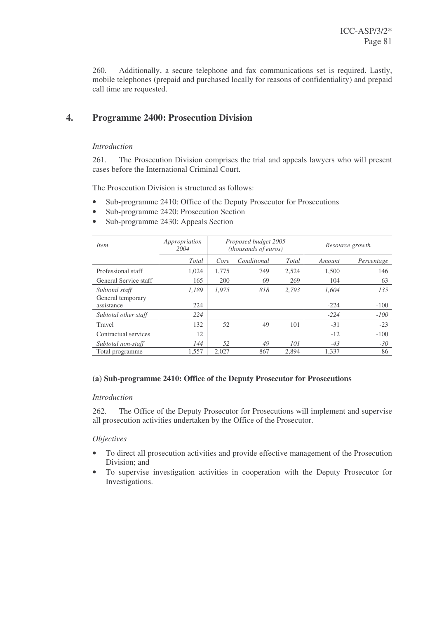260. Additionally, a secure telephone and fax communications set is required. Lastly, mobile telephones (prepaid and purchased locally for reasons of confidentiality) and prepaid call time are requested.

# **4. Programme 2400: Prosecution Division**

# *Introduction*

261. The Prosecution Division comprises the trial and appeals lawyers who will present cases before the International Criminal Court.

The Prosecution Division is structured as follows:

- Sub-programme 2410: Office of the Deputy Prosecutor for Prosecutions
- Sub-programme 2420: Prosecution Section
- Sub-programme 2430: Appeals Section

| <i>Item</i>                     | Appropriation<br>2004 |       | Proposed budget 2005<br>(thousands of euros) |       | Resource growth |            |
|---------------------------------|-----------------------|-------|----------------------------------------------|-------|-----------------|------------|
|                                 | Total                 | Core  | Conditional<br>Total                         |       | Amount          | Percentage |
| Professional staff              | 1.024                 | 1.775 | 749                                          | 2.524 | 1.500           | 146        |
| General Service staff           | 165                   | 200   | 69                                           | 269   | 104             | 63         |
| Subtotal staff                  | 1.189                 | 1.975 | 818                                          | 2.793 | 1.604           | 135        |
| General temporary<br>assistance | 224                   |       |                                              |       | $-224$          | $-100$     |
| Subtotal other staff            | 224                   |       |                                              |       | $-224$          | $-100$     |
| Travel                          | 132                   | 52    | 49                                           | 101   | $-31$           | $-23$      |
| Contractual services            | 12                    |       |                                              |       | $-12$           | $-100$     |
| Subtotal non-staff              | 144                   | 52    | 49                                           | 101   | $-4.3$          | $-30$      |
| Total programme                 | 1,557                 | 2,027 | 867                                          | 2,894 | 1,337           | 86         |

### **(a) Sub-programme 2410: Office of the Deputy Prosecutor for Prosecutions**

### *Introduction*

262. The Office of the Deputy Prosecutor for Prosecutions will implement and supervise all prosecution activities undertaken by the Office of the Prosecutor.

# *Objectives*

- To direct all prosecution activities and provide effective management of the Prosecution Division; and
- To supervise investigation activities in cooperation with the Deputy Prosecutor for Investigations.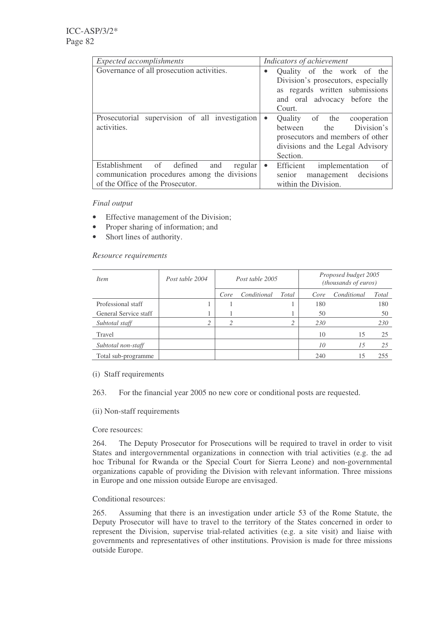| Expected accomplishments                       | Indicators of achievement                        |  |  |  |  |
|------------------------------------------------|--------------------------------------------------|--|--|--|--|
| Governance of all prosecution activities.      | Quality of the work of the<br>$\bullet$          |  |  |  |  |
|                                                | Division's prosecutors, especially               |  |  |  |  |
|                                                | as regards written submissions                   |  |  |  |  |
|                                                | and oral advocacy before the                     |  |  |  |  |
|                                                | Court.                                           |  |  |  |  |
| Prosecutorial supervision of all investigation | Quality of the<br>cooperation<br>$\bullet$       |  |  |  |  |
| activities.                                    | Division's<br>the<br><b>between</b>              |  |  |  |  |
|                                                | prosecutors and members of other                 |  |  |  |  |
|                                                | divisions and the Legal Advisory                 |  |  |  |  |
|                                                | Section.                                         |  |  |  |  |
| Establishment<br>of defined<br>and<br>regular  | implementation<br>Efficient<br>- of<br>$\bullet$ |  |  |  |  |
| communication procedures among the divisions   | senior<br>management decisions                   |  |  |  |  |
| of the Office of the Prosecutor.               | within the Division.                             |  |  |  |  |

# *Final output*

- Effective management of the Division;
- Proper sharing of information; and
- Short lines of authority.

### *Resource requirements*

| <i>Item</i>           | Post table 2004 | Post table 2005 |             |               | Proposed budget 2005<br>( <i>thousands of euros</i> ) |             |       |
|-----------------------|-----------------|-----------------|-------------|---------------|-------------------------------------------------------|-------------|-------|
|                       |                 | Core            | Conditional | Total         | Core                                                  | Conditional | Total |
| Professional staff    |                 |                 |             |               | 180                                                   |             | 180   |
| General Service staff |                 |                 |             |               | 50                                                    |             | 50    |
| Subtotal staff        | ∍               |                 |             | $\mathcal{D}$ | 230                                                   |             | 230   |
| Travel                |                 |                 |             |               | 10                                                    | 15          | 25    |
| Subtotal non-staff    |                 |                 |             |               | 10                                                    | 15          | 25    |
| Total sub-programme   |                 |                 |             |               | 240                                                   |             | 255   |

# (i) Staff requirements

263. For the financial year 2005 no new core or conditional posts are requested.

(ii) Non-staff requirements

### Core resources:

264. The Deputy Prosecutor for Prosecutions will be required to travel in order to visit States and intergovernmental organizations in connection with trial activities (e.g. the ad hoc Tribunal for Rwanda or the Special Court for Sierra Leone) and non-governmental organizations capable of providing the Division with relevant information. Three missions in Europe and one mission outside Europe are envisaged.

# Conditional resources:

265. Assuming that there is an investigation under article 53 of the Rome Statute, the Deputy Prosecutor will have to travel to the territory of the States concerned in order to represent the Division, supervise trial-related activities (e.g. a site visit) and liaise with governments and representatives of other institutions. Provision is made for three missions outside Europe.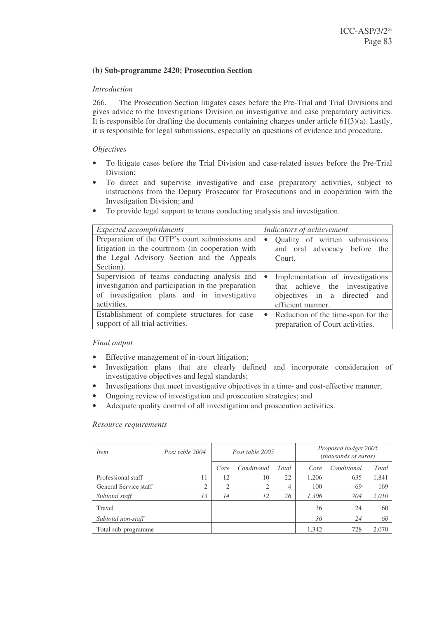# **(b) Sub-programme 2420: Prosecution Section**

# *Introduction*

266. The Prosecution Section litigates cases before the Pre-Trial and Trial Divisions and gives advice to the Investigations Division on investigative and case preparatory activities. It is responsible for drafting the documents containing charges under article  $61(3)(a)$ . Lastly, it is responsible for legal submissions, especially on questions of evidence and procedure.

# *Objectives*

- To litigate cases before the Trial Division and case-related issues before the Pre-Trial Division;
- To direct and supervise investigative and case preparatory activities, subject to instructions from the Deputy Prosecutor for Prosecutions and in cooperation with the Investigation Division; and
- To provide legal support to teams conducting analysis and investigation.

| Expected accomplishments                                                                                                                                         | Indicators of achievement                                                                                                            |
|------------------------------------------------------------------------------------------------------------------------------------------------------------------|--------------------------------------------------------------------------------------------------------------------------------------|
| Preparation of the OTP's court submissions and<br>litigation in the courtroom (in cooperation with<br>the Legal Advisory Section and the Appeals<br>Section).    | Quality of written submissions<br>$\bullet$<br>and oral advocacy before the<br>Court.                                                |
| Supervision of teams conducting analysis and<br>investigation and participation in the preparation<br>of investigation plans and in investigative<br>activities. | Implementation of investigations<br>$\bullet$<br>that achieve the investigative<br>objectives in a directed and<br>efficient manner. |
| Establishment of complete structures for case<br>support of all trial activities.                                                                                | Reduction of the time-span for the<br>$\bullet$<br>preparation of Court activities.                                                  |

# *Final output*

- Effective management of in-court litigation;
- Investigation plans that are clearly defined and incorporate consideration of investigative objectives and legal standards;
- Investigations that meet investigative objectives in a time- and cost-effective manner;
- Ongoing review of investigation and prosecution strategies; and
- Adequate quality control of all investigation and prosecution activities.

# *Resource requirements*

| <i>Item</i>           | Post table 2004 | Post table 2005 |             |                | Proposed budget 2005<br><i>(thousands of euros)</i> |             |       |  |
|-----------------------|-----------------|-----------------|-------------|----------------|-----------------------------------------------------|-------------|-------|--|
|                       |                 | Core            | Conditional | Total          | Core                                                | Conditional | Total |  |
| Professional staff    | 11              | 12              | 10          | 22             | 1,206                                               | 635         | 1,841 |  |
| General Service staff | 2               | 2               | 2           | $\overline{4}$ | 100                                                 | 69          | 169   |  |
| Subtotal staff        | 13              | 14              | 12          | 26             | 1.306                                               | 704         | 2,010 |  |
| Travel                |                 |                 |             |                | 36                                                  | 24          | 60    |  |
| Subtotal non-staff    |                 |                 |             |                | 36                                                  | 24          | 60    |  |
| Total sub-programme   |                 |                 |             |                | 1.342                                               | 728         | 2.070 |  |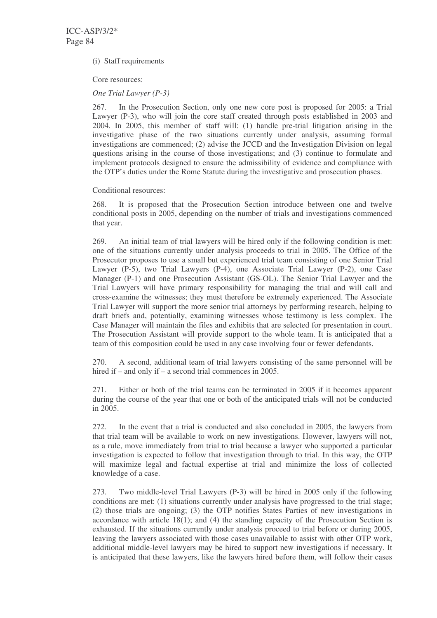# (i) Staff requirements

Core resources:

*One Trial Lawyer (P-3)*

267. In the Prosecution Section, only one new core post is proposed for 2005: a Trial Lawyer (P-3), who will join the core staff created through posts established in 2003 and 2004. In 2005, this member of staff will: (1) handle pre-trial litigation arising in the investigative phase of the two situations currently under analysis, assuming formal investigations are commenced; (2) advise the JCCD and the Investigation Division on legal questions arising in the course of those investigations; and (3) continue to formulate and implement protocols designed to ensure the admissibility of evidence and compliance with the OTP's duties under the Rome Statute during the investigative and prosecution phases.

### Conditional resources:

268. It is proposed that the Prosecution Section introduce between one and twelve conditional posts in 2005, depending on the number of trials and investigations commenced that year.

269. An initial team of trial lawyers will be hired only if the following condition is met: one of the situations currently under analysis proceeds to trial in 2005. The Office of the Prosecutor proposes to use a small but experienced trial team consisting of one Senior Trial Lawyer (P-5), two Trial Lawyers (P-4), one Associate Trial Lawyer (P-2), one Case Manager (P-1) and one Prosecution Assistant (GS-OL). The Senior Trial Lawyer and the Trial Lawyers will have primary responsibility for managing the trial and will call and cross-examine the witnesses; they must therefore be extremely experienced. The Associate Trial Lawyer will support the more senior trial attorneys by performing research, helping to draft briefs and, potentially, examining witnesses whose testimony is less complex. The Case Manager will maintain the files and exhibits that are selected for presentation in court. The Prosecution Assistant will provide support to the whole team. It is anticipated that a team of this composition could be used in any case involving four or fewer defendants.

270. A second, additional team of trial lawyers consisting of the same personnel will be hired if – and only if – a second trial commences in 2005.

271. Either or both of the trial teams can be terminated in 2005 if it becomes apparent during the course of the year that one or both of the anticipated trials will not be conducted in 2005.

272. In the event that a trial is conducted and also concluded in 2005, the lawyers from that trial team will be available to work on new investigations. However, lawyers will not, as a rule, move immediately from trial to trial because a lawyer who supported a particular investigation is expected to follow that investigation through to trial. In this way, the OTP will maximize legal and factual expertise at trial and minimize the loss of collected knowledge of a case.

273. Two middle-level Trial Lawyers (P-3) will be hired in 2005 only if the following conditions are met: (1) situations currently under analysis have progressed to the trial stage; (2) those trials are ongoing; (3) the OTP notifies States Parties of new investigations in accordance with article 18(1); and (4) the standing capacity of the Prosecution Section is exhausted. If the situations currently under analysis proceed to trial before or during 2005, leaving the lawyers associated with those cases unavailable to assist with other OTP work, additional middle-level lawyers may be hired to support new investigations if necessary. It is anticipated that these lawyers, like the lawyers hired before them, will follow their cases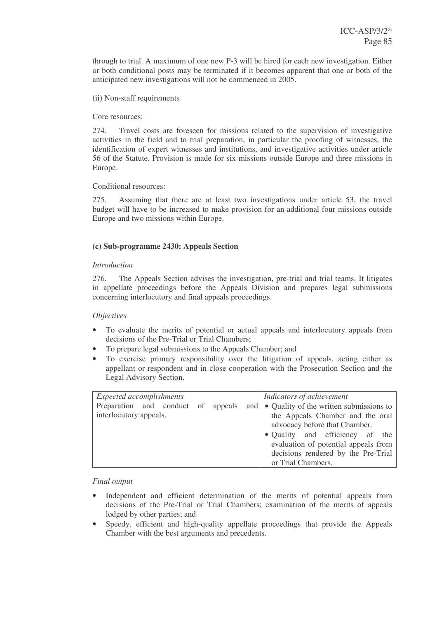through to trial. A maximum of one new P-3 will be hired for each new investigation. Either or both conditional posts may be terminated if it becomes apparent that one or both of the anticipated new investigations will not be commenced in 2005.

(ii) Non-staff requirements

# Core resources:

274. Travel costs are foreseen for missions related to the supervision of investigative activities in the field and to trial preparation, in particular the proofing of witnesses, the identification of expert witnesses and institutions, and investigative activities under article 56 of the Statute. Provision is made for six missions outside Europe and three missions in Europe.

### Conditional resources:

275. Assuming that there are at least two investigations under article 53, the travel budget will have to be increased to make provision for an additional four missions outside Europe and two missions within Europe.

# **(c) Sub-programme 2430: Appeals Section**

# *Introduction*

276. The Appeals Section advises the investigation, pre-trial and trial teams. It litigates in appellate proceedings before the Appeals Division and prepares legal submissions concerning interlocutory and final appeals proceedings.

# *Objectives*

- To evaluate the merits of potential or actual appeals and interlocutory appeals from decisions of the Pre-Trial or Trial Chambers;
- To prepare legal submissions to the Appeals Chamber; and
- To exercise primary responsibility over the litigation of appeals, acting either as appellant or respondent and in close cooperation with the Prosecution Section and the Legal Advisory Section.

| Expected accomplishments |  |  |  |  |  | Indicators of achievement                                                      |  |  |
|--------------------------|--|--|--|--|--|--------------------------------------------------------------------------------|--|--|
|                          |  |  |  |  |  | Preparation and conduct of appeals and • Quality of the written submissions to |  |  |
| interlocutory appeals.   |  |  |  |  |  | the Appeals Chamber and the oral                                               |  |  |
|                          |  |  |  |  |  | advocacy before that Chamber.                                                  |  |  |
|                          |  |  |  |  |  | • Quality and efficiency of the                                                |  |  |
|                          |  |  |  |  |  | evaluation of potential appeals from                                           |  |  |
|                          |  |  |  |  |  | decisions rendered by the Pre-Trial                                            |  |  |
|                          |  |  |  |  |  | or Trial Chambers.                                                             |  |  |

# *Final output*

- Independent and efficient determination of the merits of potential appeals from decisions of the Pre-Trial or Trial Chambers; examination of the merits of appeals lodged by other parties; and
- Speedy, efficient and high-quality appellate proceedings that provide the Appeals Chamber with the best arguments and precedents.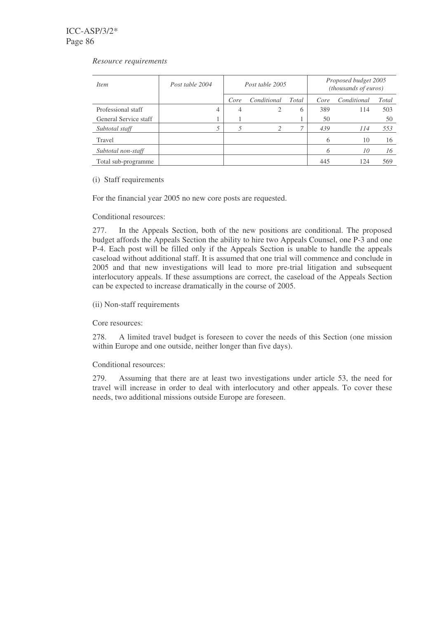# ICC-ASP/3/2\* Page 86

# *Resource requirements*

| <i>Item</i>           | Proposed budget 2005<br>Post table 2004<br>Post table 2005<br><i>(thousands of euros)</i> |      |             |       |      |             |       |
|-----------------------|-------------------------------------------------------------------------------------------|------|-------------|-------|------|-------------|-------|
|                       |                                                                                           | Core | Conditional | Total | Core | Conditional | Total |
| Professional staff    | $\overline{4}$                                                                            | 4    |             | 6     | 389  | 114         | 503   |
| General Service staff |                                                                                           |      |             |       | 50   |             | 50    |
| Subtotal staff        | 5                                                                                         | 5    | 2           | ⇁     | 439  | 114         | 553   |
| Travel                |                                                                                           |      |             |       | 6    | 10          | 16    |
| Subtotal non-staff    |                                                                                           |      |             |       |      | 10          | 16    |
| Total sub-programme   |                                                                                           |      |             |       | 445  | 124         | 569   |

# (i) Staff requirements

For the financial year 2005 no new core posts are requested.

# Conditional resources:

277. In the Appeals Section, both of the new positions are conditional. The proposed budget affords the Appeals Section the ability to hire two Appeals Counsel, one P-3 and one P-4. Each post will be filled only if the Appeals Section is unable to handle the appeals caseload without additional staff. It is assumed that one trial will commence and conclude in 2005 and that new investigations will lead to more pre-trial litigation and subsequent interlocutory appeals. If these assumptions are correct, the caseload of the Appeals Section can be expected to increase dramatically in the course of 2005.

# (ii) Non-staff requirements

# Core resources:

278. A limited travel budget is foreseen to cover the needs of this Section (one mission within Europe and one outside, neither longer than five days).

# Conditional resources:

279. Assuming that there are at least two investigations under article 53, the need for travel will increase in order to deal with interlocutory and other appeals. To cover these needs, two additional missions outside Europe are foreseen.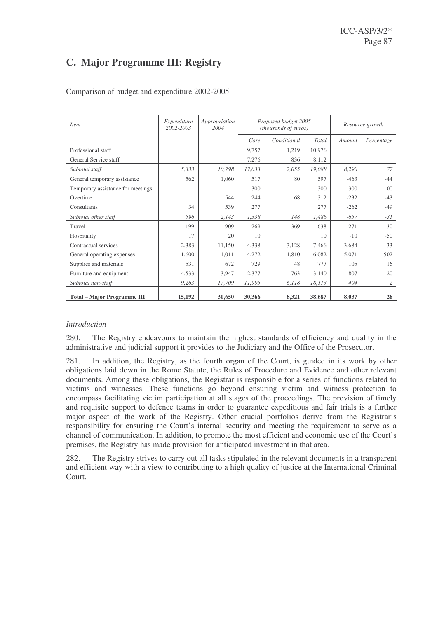# **C. Major Programme III: Registry**

| <i>Item</i>                        | Expenditure<br>2002-2003 | Appropriation<br>2004 | Proposed budget 2005<br>(thousands of euros) |             |        | Resource growth |            |
|------------------------------------|--------------------------|-----------------------|----------------------------------------------|-------------|--------|-----------------|------------|
|                                    |                          |                       | Core                                         | Conditional | Total  | Amount          | Percentage |
| Professional staff                 |                          |                       | 9,757                                        | 1,219       | 10,976 |                 |            |
| General Service staff              |                          |                       | 7,276                                        | 836         | 8,112  |                 |            |
| Subtotal staff                     | 5,333                    | 10,798                | 17,033                                       | 2,055       | 19,088 | 8,290           | 77         |
| General temporary assistance       | 562                      | 1,060                 | 517                                          | 80          | 597    | $-463$          | $-44$      |
| Temporary assistance for meetings  |                          |                       | 300                                          |             | 300    | 300             | 100        |
| Overtime                           |                          | 544                   | 244                                          | 68          | 312    | $-232$          | $-43$      |
| Consultants                        | 34                       | 539                   | 277                                          |             | 277    | $-262$          | $-49$      |
| Subtotal other staff               | 596                      | 2,143                 | 1,338                                        | 148         | 1,486  | $-657$          | $-31$      |
| Travel                             | 199                      | 909                   | 269                                          | 369         | 638    | $-271$          | $-30$      |
| Hospitality                        | 17                       | 20                    | 10                                           |             | 10     | $-10$           | $-50$      |
| Contractual services               | 2,383                    | 11,150                | 4,338                                        | 3,128       | 7,466  | $-3,684$        | $-33$      |
| General operating expenses         | 1,600                    | 1,011                 | 4,272                                        | 1,810       | 6,082  | 5,071           | 502        |
| Supplies and materials             | 531                      | 672                   | 729                                          | 48          | 777    | 105             | 16         |
| Furniture and equipment            | 4,533                    | 3,947                 | 2,377                                        | 763         | 3,140  | $-807$          | $-20$      |
| Subtotal non-staff                 | 9,263                    | 17,709                | 11,995                                       | 6,118       | 18,113 | 404             | 2          |
| <b>Total – Major Programme III</b> | 15,192                   | 30,650                | 30,366                                       | 8,321       | 38,687 | 8,037           | 26         |

Comparison of budget and expenditure 2002-2005

# *Introduction*

280. The Registry endeavours to maintain the highest standards of efficiency and quality in the administrative and judicial support it provides to the Judiciary and the Office of the Prosecutor.

281. In addition, the Registry, as the fourth organ of the Court, is guided in its work by other obligations laid down in the Rome Statute, the Rules of Procedure and Evidence and other relevant documents. Among these obligations, the Registrar is responsible for a series of functions related to victims and witnesses. These functions go beyond ensuring victim and witness protection to encompass facilitating victim participation at all stages of the proceedings. The provision of timely and requisite support to defence teams in order to guarantee expeditious and fair trials is a further major aspect of the work of the Registry. Other crucial portfolios derive from the Registrar's responsibility for ensuring the Court's internal security and meeting the requirement to serve as a channel of communication. In addition, to promote the most efficient and economic use of the Court's premises, the Registry has made provision for anticipated investment in that area.

282. The Registry strives to carry out all tasks stipulated in the relevant documents in a transparent and efficient way with a view to contributing to a high quality of justice at the International Criminal Court.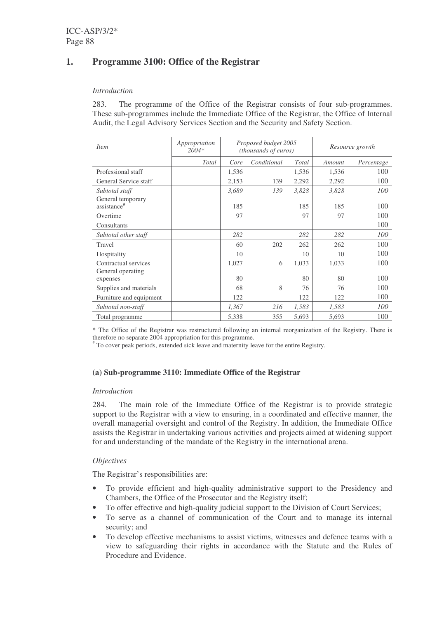# **1. Programme 3100: Office of the Registrar**

# *Introduction*

283. The programme of the Office of the Registrar consists of four sub-programmes. These sub-programmes include the Immediate Office of the Registrar, the Office of Internal Audit, the Legal Advisory Services Section and the Security and Safety Section.

| <i>Item</i>                                    | Appropriation<br>$2004*$ | Proposed budget 2005<br>( <i>thousands of euros</i> ) |             |       | Resource growth |            |
|------------------------------------------------|--------------------------|-------------------------------------------------------|-------------|-------|-----------------|------------|
|                                                | Total                    | Core                                                  | Conditional | Total | Amount          | Percentage |
| Professional staff                             |                          | 1,536                                                 |             | 1,536 | 1,536           | 100        |
| General Service staff                          |                          | 2,153                                                 | 139         | 2,292 | 2,292           | 100        |
| Subtotal staff                                 |                          | 3,689                                                 | 139         | 3,828 | 3,828           | 100        |
| General temporary<br>$assistance$ <sup>#</sup> |                          | 185                                                   |             | 185   | 185             | 100        |
| Overtime                                       |                          | 97                                                    |             | 97    | 97              | 100        |
| Consultants                                    |                          |                                                       |             |       |                 | 100        |
| Subtotal other staff                           |                          | 282                                                   |             | 282   | 282             | 100        |
| Travel                                         |                          | 60                                                    | 202         | 262   | 262             | 100        |
| Hospitality                                    |                          | 10                                                    |             | 10    | 10              | 100        |
| Contractual services<br>General operating      |                          | 1,027                                                 | 6           | 1,033 | 1,033           | 100        |
| expenses                                       |                          | 80                                                    |             | 80    | 80              | 100        |
| Supplies and materials                         |                          | 68                                                    | 8           | 76    | 76              | 100        |
| Furniture and equipment                        |                          | 122                                                   |             | 122   | 122             | 100        |
| Subtotal non-staff                             |                          | 1,367                                                 | 216         | 1,583 | 1,583           | 100        |
| Total programme                                |                          | 5,338                                                 | 355         | 5,693 | 5,693           | 100        |

\* The Office of the Registrar was restructured following an internal reorganization of the Registry. There is therefore no separate 2004 appropriation for this programme.

# To cover peak periods, extended sick leave and maternity leave for the entire Registry.

# **(a) Sub-programme 3110: Immediate Office of the Registrar**

# *Introduction*

284. The main role of the Immediate Office of the Registrar is to provide strategic support to the Registrar with a view to ensuring, in a coordinated and effective manner, the overall managerial oversight and control of the Registry. In addition, the Immediate Office assists the Registrar in undertaking various activities and projects aimed at widening support for and understanding of the mandate of the Registry in the international arena.

# *Objectives*

The Registrar's responsibilities are:

- To provide efficient and high-quality administrative support to the Presidency and Chambers, the Office of the Prosecutor and the Registry itself;
- To offer effective and high-quality judicial support to the Division of Court Services;
- To serve as a channel of communication of the Court and to manage its internal security; and
- To develop effective mechanisms to assist victims, witnesses and defence teams with a view to safeguarding their rights in accordance with the Statute and the Rules of Procedure and Evidence.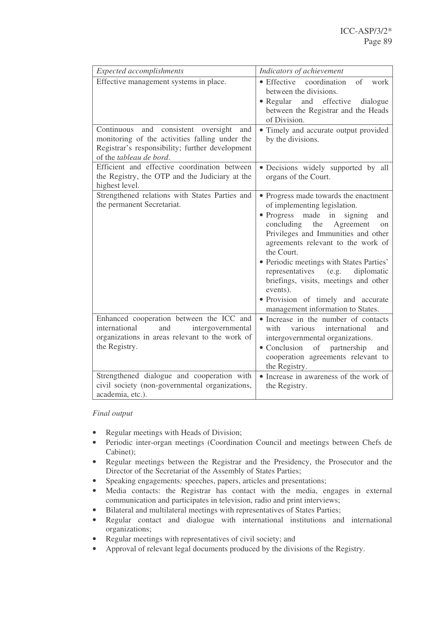| <b>Expected accomplishments</b>                                                                                                                                            | Indicators of achievement                                                                                                                                                                                                                                                                                                                                                                                                                                              |
|----------------------------------------------------------------------------------------------------------------------------------------------------------------------------|------------------------------------------------------------------------------------------------------------------------------------------------------------------------------------------------------------------------------------------------------------------------------------------------------------------------------------------------------------------------------------------------------------------------------------------------------------------------|
| Effective management systems in place.                                                                                                                                     | • Effective<br>coordination<br>of<br>work<br>between the divisions.<br>$\bullet$ Regular<br>effective dialogue<br>and<br>between the Registrar and the Heads<br>of Division.                                                                                                                                                                                                                                                                                           |
| Continuous and consistent oversight<br>and<br>monitoring of the activities falling under the<br>Registrar's responsibility; further development<br>of the tableau de bord. | • Timely and accurate output provided<br>by the divisions.                                                                                                                                                                                                                                                                                                                                                                                                             |
| Efficient and effective coordination between<br>the Registry, the OTP and the Judiciary at the<br>highest level.                                                           | · Decisions widely supported by all<br>organs of the Court.                                                                                                                                                                                                                                                                                                                                                                                                            |
| Strengthened relations with States Parties and<br>the permanent Secretariat.                                                                                               | • Progress made towards the enactment<br>of implementing legislation.<br>• Progress made<br>in<br>signing<br>and<br>concluding the<br>Agreement<br>on<br>Privileges and Immunities and other<br>agreements relevant to the work of<br>the Court.<br>• Periodic meetings with States Parties'<br>diplomatic<br>representatives<br>(e.g.<br>briefings, visits, meetings and other<br>events).<br>· Provision of timely and accurate<br>management information to States. |
| Enhanced cooperation between the ICC and<br>international<br>and<br>intergovernmental<br>organizations in areas relevant to the work of<br>the Registry.                   | • Increase in the number of contacts<br>various<br>international<br>with<br>and<br>intergovernmental organizations.<br>• Conclusion<br>of partnership<br>and<br>cooperation agreements relevant to<br>the Registry.                                                                                                                                                                                                                                                    |
| Strengthened dialogue and cooperation with<br>civil society (non-governmental organizations,<br>academia, etc.).                                                           | • Increase in awareness of the work of<br>the Registry.                                                                                                                                                                                                                                                                                                                                                                                                                |

# *Final output*

- Regular meetings with Heads of Division;
- Periodic inter-organ meetings (Coordination Council and meetings between Chefs de Cabinet);
- Regular meetings between the Registrar and the Presidency, the Prosecutor and the Director of the Secretariat of the Assembly of States Parties;
- Speaking engagements*:* speeches, papers, articles and presentations;
- Media contacts: the Registrar has contact with the media, engages in external communication and participates in television, radio and print interviews;
- Bilateral and multilateral meetings with representatives of States Parties;
- Regular contact and dialogue with international institutions and international organizations;
- Regular meetings with representatives of civil society; and
- Approval of relevant legal documents produced by the divisions of the Registry.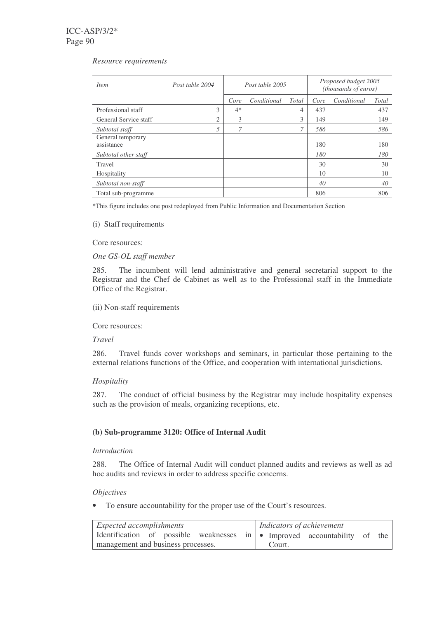# ICC-ASP/3/2\* Page 90

# *Resource requirements*

| <i>Item</i>                     | Post table 2004 | Post table 2005 |             |       | Proposed budget 2005<br><i>(thousands of euros)</i> |             |       |
|---------------------------------|-----------------|-----------------|-------------|-------|-----------------------------------------------------|-------------|-------|
|                                 |                 | Core            | Conditional | Total | Core                                                | Conditional | Total |
| Professional staff              | 3               | $4*$            |             | 4     | 437                                                 |             | 437   |
| General Service staff           | 2               | 3               |             | 3     | 149                                                 |             | 149   |
| Subtotal staff                  | 5               |                 |             | 7     | 586                                                 |             | 586   |
| General temporary<br>assistance |                 |                 |             |       | 180                                                 |             | 180   |
| Subtotal other staff            |                 |                 |             |       | 180                                                 |             | 180   |
| Travel                          |                 |                 |             |       | 30                                                  |             | 30    |
| Hospitality                     |                 |                 |             |       | 10                                                  |             | 10    |
| Subtotal non-staff              |                 |                 |             |       | 40                                                  |             | 40    |
| Total sub-programme             |                 |                 |             |       | 806                                                 |             | 806   |

\*This figure includes one post redeployed from Public Information and Documentation Section

### (i) Staff requirements

Core resources:

### *One GS-OL staff member*

285. The incumbent will lend administrative and general secretarial support to the Registrar and the Chef de Cabinet as well as to the Professional staff in the Immediate Office of the Registrar.

# (ii) Non-staff requirements

### Core resources:

*Travel*

286. Travel funds cover workshops and seminars, in particular those pertaining to the external relations functions of the Office, and cooperation with international jurisdictions.

# *Hospitality*

287. The conduct of official business by the Registrar may include hospitality expenses such as the provision of meals, organizing receptions, etc.

# **(b) Sub-programme 3120: Office of Internal Audit**

### *Introduction*

288. The Office of Internal Audit will conduct planned audits and reviews as well as ad hoc audits and reviews in order to address specific concerns.

### *Objectives*

• To ensure accountability for the proper use of the Court's resources.

| <i>Expected accomplishments</i>                                           |  |  |  | Indicators of achievement |  |  |
|---------------------------------------------------------------------------|--|--|--|---------------------------|--|--|
| Identification of possible weaknesses in • Improved accountability of the |  |  |  |                           |  |  |
| management and business processes.                                        |  |  |  | Court.                    |  |  |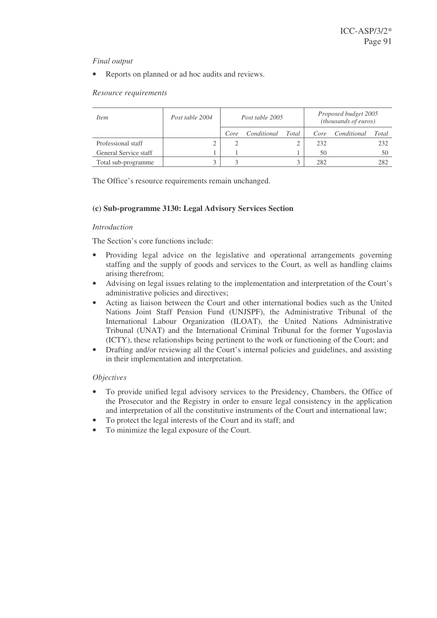# *Final output*

Reports on planned or ad hoc audits and reviews.

# *Resource requirements*

| <i>Item</i>           | Post table 2004<br>Post table 2005 |      |             |       |      | Proposed budget 2005<br>( <i>thousands of euros</i> ) |       |
|-----------------------|------------------------------------|------|-------------|-------|------|-------------------------------------------------------|-------|
|                       |                                    | Core | Conditional | Total | Core | Conditional                                           | Total |
| Professional staff    |                                    |      |             |       | 232  |                                                       | 232   |
| General Service staff |                                    |      |             |       | 50   |                                                       | 50    |
| Total sub-programme   |                                    |      |             |       | 282  |                                                       | 282   |

The Office's resource requirements remain unchanged.

# **(c) Sub-programme 3130: Legal Advisory Services Section**

### *Introduction*

The Section's core functions include:

- Providing legal advice on the legislative and operational arrangements governing staffing and the supply of goods and services to the Court, as well as handling claims arising therefrom;
- Advising on legal issues relating to the implementation and interpretation of the Court's administrative policies and directives;
- Acting as liaison between the Court and other international bodies such as the United Nations Joint Staff Pension Fund (UNJSPF), the Administrative Tribunal of the International Labour Organization (ILOAT), the United Nations Administrative Tribunal (UNAT) and the International Criminal Tribunal for the former Yugoslavia (ICTY), these relationships being pertinent to the work or functioning of the Court; and
- Drafting and/or reviewing all the Court's internal policies and guidelines, and assisting in their implementation and interpretation.

# *Objectives*

- To provide unified legal advisory services to the Presidency, Chambers, the Office of the Prosecutor and the Registry in order to ensure legal consistency in the application and interpretation of all the constitutive instruments of the Court and international law;
- To protect the legal interests of the Court and its staff; and
- To minimize the legal exposure of the Court.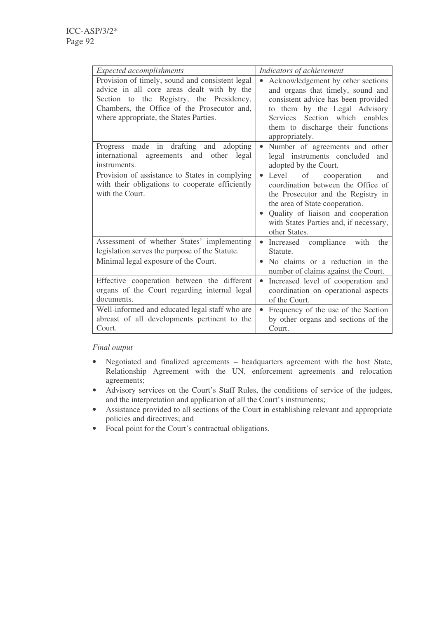| <b>Expected accomplishments</b>                                                                                                                                                                                                    | Indicators of achievement                                                                                                                                                                                                                                     |
|------------------------------------------------------------------------------------------------------------------------------------------------------------------------------------------------------------------------------------|---------------------------------------------------------------------------------------------------------------------------------------------------------------------------------------------------------------------------------------------------------------|
| Provision of timely, sound and consistent legal<br>advice in all core areas dealt with by the<br>Section to the Registry, the Presidency,<br>Chambers, the Office of the Prosecutor and,<br>where appropriate, the States Parties. | Acknowledgement by other sections<br>and organs that timely, sound and<br>consistent advice has been provided<br>to them by the Legal Advisory<br>Services Section which enables<br>them to discharge their functions<br>appropriately.                       |
| Progress made in drafting and adopting<br>agreements and<br>international<br>other<br>legal<br>instruments.                                                                                                                        | Number of agreements and other<br>$\bullet$<br>legal instruments concluded and<br>adopted by the Court.                                                                                                                                                       |
| Provision of assistance to States in complying<br>with their obligations to cooperate efficiently<br>with the Court.                                                                                                               | $\bullet$<br>Level<br>of<br>cooperation<br>and<br>coordination between the Office of<br>the Prosecutor and the Registry in<br>the area of State cooperation.<br>Quality of liaison and cooperation<br>with States Parties and, if necessary,<br>other States. |
| Assessment of whether States' implementing<br>legislation serves the purpose of the Statute.                                                                                                                                       | Increased compliance with<br>$\bullet$<br>the<br>Statute.                                                                                                                                                                                                     |
| Minimal legal exposure of the Court.                                                                                                                                                                                               | No claims or a reduction in the<br>$\bullet$<br>number of claims against the Court.                                                                                                                                                                           |
| Effective cooperation between the different<br>organs of the Court regarding internal legal<br>documents.                                                                                                                          | Increased level of cooperation and<br>$\bullet$<br>coordination on operational aspects<br>of the Court.                                                                                                                                                       |
| Well-informed and educated legal staff who are<br>abreast of all developments pertinent to the<br>Court.                                                                                                                           | Frequency of the use of the Section<br>$\bullet$<br>by other organs and sections of the<br>Court.                                                                                                                                                             |

# *Final output*

- Negotiated and finalized agreements headquarters agreement with the host State, Relationship Agreement with the UN, enforcement agreements and relocation agreements;
- Advisory services on the Court's Staff Rules, the conditions of service of the judges, and the interpretation and application of all the Court's instruments;
- Assistance provided to all sections of the Court in establishing relevant and appropriate policies and directives; and
- Focal point for the Court's contractual obligations.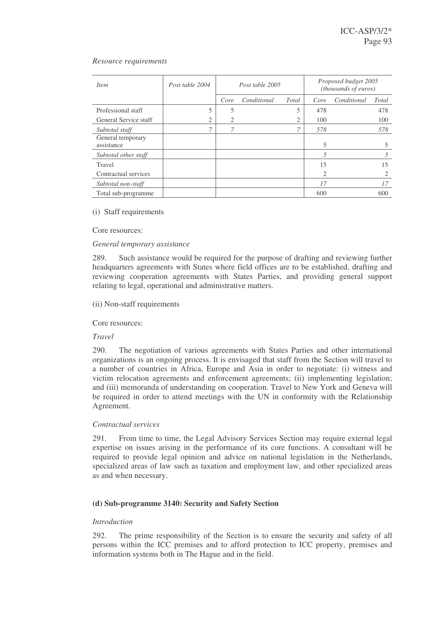# *Resource requirements*

| <i>Item</i>                     | Post table 2004 | Post table 2005 |             | Proposed budget 2005<br><i>(thousands of euros)</i> |                             |             |       |
|---------------------------------|-----------------|-----------------|-------------|-----------------------------------------------------|-----------------------------|-------------|-------|
|                                 |                 | Core            | Conditional | Total                                               | Core                        | Conditional | Total |
| Professional staff              | 5               | 5               |             | 5                                                   | 478                         |             | 478   |
| General Service staff           | 2               | 2               |             | 2                                                   | 100                         |             | 100   |
| Subtotal staff                  | 7               |                 |             | 7                                                   | 578                         |             | 578   |
| General temporary<br>assistance |                 |                 |             |                                                     | 5                           |             |       |
| Subtotal other staff            |                 |                 |             |                                                     |                             |             |       |
| Travel                          |                 |                 |             |                                                     | 15                          |             | 15    |
| Contractual services            |                 |                 |             |                                                     | $\mathcal{D}_{\mathcal{L}}$ |             |       |
| Subtotal non-staff              |                 |                 |             |                                                     | 17                          |             | 17    |
| Total sub-programme             |                 |                 |             |                                                     | 600                         |             | 600   |

### (i) Staff requirements

Core resources:

### *General temporary assistance*

289. Such assistance would be required for the purpose of drafting and reviewing further headquarters agreements with States where field offices are to be established, drafting and reviewing cooperation agreements with States Parties, and providing general support relating to legal, operational and administrative matters.

### (ii) Non-staff requirements

# Core resources:

# *Travel*

290. The negotiation of various agreements with States Parties and other international organizations is an ongoing process. It is envisaged that staff from the Section will travel to a number of countries in Africa, Europe and Asia in order to negotiate: (i) witness and victim relocation agreements and enforcement agreements; (ii) implementing legislation; and (iii) memoranda of understanding on cooperation. Travel to New York and Geneva will be required in order to attend meetings with the UN in conformity with the Relationship Agreement.

### *Contractual services*

291. From time to time, the Legal Advisory Services Section may require external legal expertise on issues arising in the performance of its core functions. A consultant will be required to provide legal opinion and advice on national legislation in the Netherlands, specialized areas of law such as taxation and employment law, and other specialized areas as and when necessary.

# **(d) Sub-programme 3140: Security and Safety Section**

### *Introduction*

292. The prime responsibility of the Section is to ensure the security and safety of all persons within the ICC premises and to afford protection to ICC property, premises and information systems both in The Hague and in the field.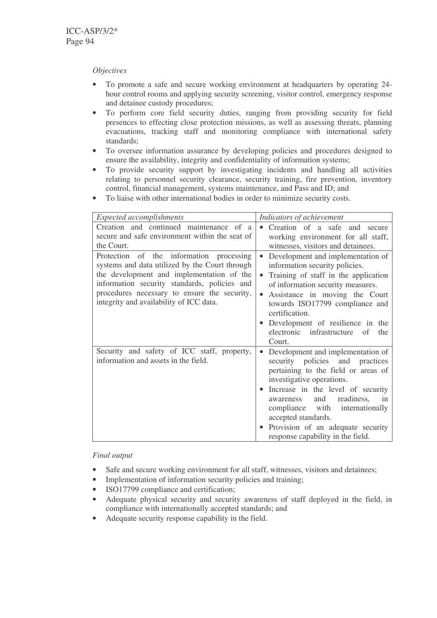# *Objectives*

- To promote a safe and secure working environment at headquarters by operating 24 hour control rooms and applying security screening, visitor control, emergency response and detainee custody procedures;
- To perform core field security duties, ranging from providing security for field presences to effecting close protection missions, as well as assessing threats, planning evacuations, tracking staff and monitoring compliance with international safety standards;
- To oversee information assurance by developing policies and procedures designed to ensure the availability, integrity and confidentiality of information systems;
- To provide security support by investigating incidents and handling all activities relating to personnel security clearance, security training, fire prevention, inventory control, financial management, systems maintenance, and Pass and ID; and
- To liaise with other international bodies in order to minimize security costs.

| Expected accomplishments                                                                                                                                                                                                                                                              | Indicators of achievement                                                                                                                                                                                                                                                                                                                                 |
|---------------------------------------------------------------------------------------------------------------------------------------------------------------------------------------------------------------------------------------------------------------------------------------|-----------------------------------------------------------------------------------------------------------------------------------------------------------------------------------------------------------------------------------------------------------------------------------------------------------------------------------------------------------|
| Creation and continued maintenance of a<br>secure and safe environment within the seat of                                                                                                                                                                                             | Creation of a safe and secure<br>working environment for all staff,                                                                                                                                                                                                                                                                                       |
| the Court.                                                                                                                                                                                                                                                                            | witnesses, visitors and detainees.                                                                                                                                                                                                                                                                                                                        |
| Protection of the information<br>processing<br>systems and data utilized by the Court through<br>the development and implementation of the<br>information security standards, policies and<br>procedures necessary to ensure the security,<br>integrity and availability of ICC data. | Development and implementation of<br>$\bullet$<br>information security policies.<br>Training of staff in the application<br>$\bullet$<br>of information security measures.<br>Assistance in moving the Court<br>towards ISO17799 compliance and<br>certification.<br>Development of resilience in the<br>electronic infrastructure<br>of<br>the<br>Court. |
| Security and safety of ICC staff, property,<br>information and assets in the field.                                                                                                                                                                                                   | Development and implementation of<br>security policies and practices<br>pertaining to the field or areas of<br>investigative operations.<br>Increase in the level of security<br>readiness,<br>and<br>awareness<br>in<br>compliance with internationally<br>accepted standards.<br>Provision of an adequate security<br>response capability in the field. |

# *Final output*

- Safe and secure working environment for all staff, witnesses, visitors and detainees;
- Implementation of information security policies and training:
- ISO17799 compliance and certification;
- Adequate physical security and security awareness of staff deployed in the field, in compliance with internationally accepted standards; and
- Adequate security response capability in the field.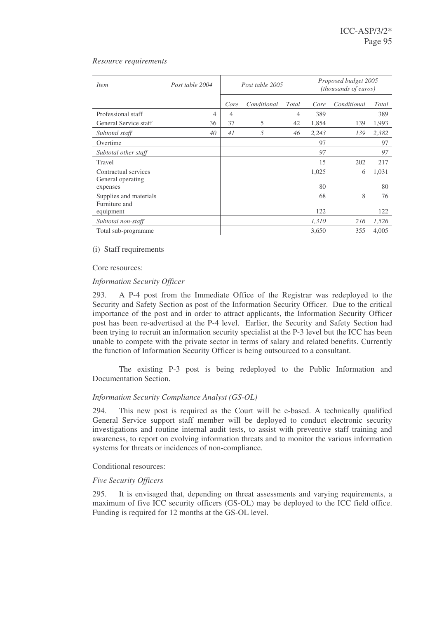| <i>Item</i>                   | Post table 2004 | Post table 2005 |             |       | Proposed budget 2005<br><i>(thousands of euros)</i> |             |       |
|-------------------------------|-----------------|-----------------|-------------|-------|-----------------------------------------------------|-------------|-------|
|                               |                 | Core            | Conditional | Total | Core                                                | Conditional | Total |
| Professional staff            | 4               | 4               |             | 4     | 389                                                 |             | 389   |
| General Service staff         | 36              | 37              | 5           | 42    | 1,854                                               | 139         | 1,993 |
| Subtotal staff                | 40              | 41              | 5           | 46    | 2,243                                               | 139         | 2,382 |
| Overtime                      |                 |                 |             |       | 97                                                  |             | 97    |
| Subtotal other staff          |                 |                 |             |       | 97                                                  |             | 97    |
| Travel                        |                 |                 |             |       | 15                                                  | 202         | 217   |
| Contractual services          |                 |                 |             |       | 1,025                                               | 6           | 1,031 |
| General operating<br>expenses |                 |                 |             |       | 80                                                  |             | 80    |
| Supplies and materials        |                 |                 |             |       | 68                                                  | 8           | 76    |
| Furniture and<br>equipment    |                 |                 |             |       | 122                                                 |             | 122   |
| Subtotal non-staff            |                 |                 |             |       | 1,310                                               | 216         | 1,526 |
| Total sub-programme           |                 |                 |             |       | 3,650                                               | 355         | 4,005 |

#### *Resource requirements*

(i) Staff requirements

Core resources:

*Information Security Officer*

293. A P-4 post from the Immediate Office of the Registrar was redeployed to the Security and Safety Section as post of the Information Security Officer. Due to the critical importance of the post and in order to attract applicants, the Information Security Officer post has been re-advertised at the P-4 level. Earlier, the Security and Safety Section had been trying to recruit an information security specialist at the P-3 level but the ICC has been unable to compete with the private sector in terms of salary and related benefits. Currently the function of Information Security Officer is being outsourced to a consultant.

The existing P-3 post is being redeployed to the Public Information and Documentation Section.

### *Information Security Compliance Analyst (GS-OL)*

294. This new post is required as the Court will be e-based. A technically qualified General Service support staff member will be deployed to conduct electronic security investigations and routine internal audit tests, to assist with preventive staff training and awareness, to report on evolving information threats and to monitor the various information systems for threats or incidences of non-compliance.

Conditional resources:

#### *Five Security Officers*

295. It is envisaged that, depending on threat assessments and varying requirements, a maximum of five ICC security officers (GS-OL) may be deployed to the ICC field office. Funding is required for 12 months at the GS-OL level.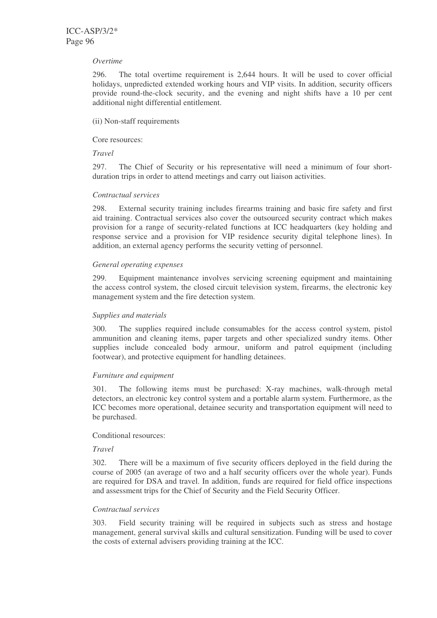### *Overtime*

296. The total overtime requirement is 2,644 hours. It will be used to cover official holidays, unpredicted extended working hours and VIP visits. In addition, security officers provide round-the-clock security, and the evening and night shifts have a 10 per cent additional night differential entitlement.

### (ii) Non-staff requirements

Core resources:

### *Travel*

297. The Chief of Security or his representative will need a minimum of four shortduration trips in order to attend meetings and carry out liaison activities.

### *Contractual services*

298. External security training includes firearms training and basic fire safety and first aid training. Contractual services also cover the outsourced security contract which makes provision for a range of security-related functions at ICC headquarters (key holding and response service and a provision for VIP residence security digital telephone lines). In addition, an external agency performs the security vetting of personnel.

### *General operating expenses*

299. Equipment maintenance involves servicing screening equipment and maintaining the access control system, the closed circuit television system, firearms, the electronic key management system and the fire detection system.

### *Supplies and materials*

300. The supplies required include consumables for the access control system, pistol ammunition and cleaning items, paper targets and other specialized sundry items. Other supplies include concealed body armour, uniform and patrol equipment (including footwear), and protective equipment for handling detainees.

### *Furniture and equipment*

301. The following items must be purchased: X-ray machines, walk-through metal detectors, an electronic key control system and a portable alarm system. Furthermore, as the ICC becomes more operational, detainee security and transportation equipment will need to be purchased.

### Conditional resources:

### *Travel*

302. There will be a maximum of five security officers deployed in the field during the course of 2005 (an average of two and a half security officers over the whole year). Funds are required for DSA and travel. In addition, funds are required for field office inspections and assessment trips for the Chief of Security and the Field Security Officer.

### *Contractual services*

303. Field security training will be required in subjects such as stress and hostage management, general survival skills and cultural sensitization. Funding will be used to cover the costs of external advisers providing training at the ICC.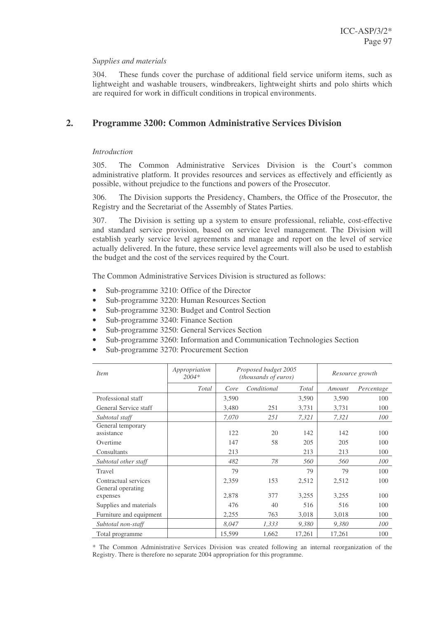# *Supplies and materials*

304. These funds cover the purchase of additional field service uniform items, such as lightweight and washable trousers, windbreakers, lightweight shirts and polo shirts which are required for work in difficult conditions in tropical environments.

# **2. Programme 3200: Common Administrative Services Division**

### *Introduction*

305. The Common Administrative Services Division is the Court's common administrative platform. It provides resources and services as effectively and efficiently as possible, without prejudice to the functions and powers of the Prosecutor.

306. The Division supports the Presidency, Chambers, the Office of the Prosecutor, the Registry and the Secretariat of the Assembly of States Parties.

307. The Division is setting up a system to ensure professional, reliable, cost-effective and standard service provision, based on service level management. The Division will establish yearly service level agreements and manage and report on the level of service actually delivered. In the future, these service level agreements will also be used to establish the budget and the cost of the services required by the Court.

The Common Administrative Services Division is structured as follows:

- Sub-programme 3210: Office of the Director
- Sub-programme 3220: Human Resources Section
- Sub-programme 3230: Budget and Control Section
- Sub-programme 3240: Finance Section
- Sub-programme 3250: General Services Section
- Sub-programme 3260: Information and Communication Technologies Section
- Sub-programme 3270: Procurement Section

| <i>Item</i>                               | Appropriation<br>$2004*$ |        | Proposed budget 2005<br>( <i>thousands of euros</i> ) | Resource growth |        |            |
|-------------------------------------------|--------------------------|--------|-------------------------------------------------------|-----------------|--------|------------|
|                                           | <b>Total</b>             | Core   | Conditional                                           | Total           | Amount | Percentage |
| Professional staff                        |                          | 3,590  |                                                       | 3,590           | 3,590  | 100        |
| General Service staff                     |                          | 3,480  | 251                                                   | 3,731           | 3,731  | 100        |
| Subtotal staff                            |                          | 7,070  | 251                                                   | 7,321           | 7,321  | 100        |
| General temporary<br>assistance           |                          | 122    | 20                                                    | 142             | 142    | 100        |
| Overtime                                  |                          | 147    | 58                                                    | 205             | 205    | 100        |
| Consultants                               |                          | 213    |                                                       | 213             | 213    | 100        |
| Subtotal other staff                      |                          | 482    | 78                                                    | 560             | 560    | 100        |
| Travel                                    |                          | 79     |                                                       | 79              | 79     | 100        |
| Contractual services<br>General operating |                          | 2,359  | 153                                                   | 2,512           | 2,512  | 100        |
| expenses                                  |                          | 2,878  | 377                                                   | 3,255           | 3,255  | 100        |
| Supplies and materials                    |                          | 476    | 40                                                    | 516             | 516    | 100        |
| Furniture and equipment                   |                          | 2,255  | 763                                                   | 3,018           | 3,018  | 100        |
| Subtotal non-staff                        |                          | 8,047  | 1,333                                                 | 9,380           | 9,380  | 100        |
| Total programme                           |                          | 15,599 | 1,662                                                 | 17,261          | 17,261 | 100        |

\* The Common Administrative Services Division was created following an internal reorganization of the Registry. There is therefore no separate 2004 appropriation for this programme.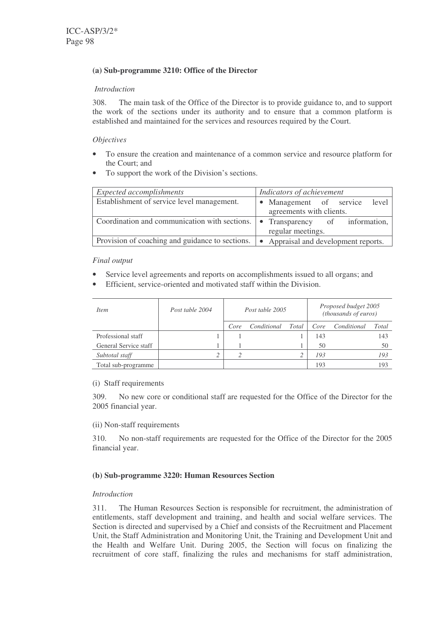# **(a) Sub-programme 3210: Office of the Director**

# *Introduction*

308. The main task of the Office of the Director is to provide guidance to, and to support the work of the sections under its authority and to ensure that a common platform is established and maintained for the services and resources required by the Court.

# *Objectives*

- To ensure the creation and maintenance of a common service and resource platform for the Court; and
- To support the work of the Division's sections.

| Expected accomplishments                                                                     | Indicators of achievement     |  |  |  |  |
|----------------------------------------------------------------------------------------------|-------------------------------|--|--|--|--|
| Establishment of service level management.                                                   | • Management of service level |  |  |  |  |
|                                                                                              | agreements with clients.      |  |  |  |  |
| Coordination and communication with sections. $\bullet$ Transparency of information,         |                               |  |  |  |  |
|                                                                                              | regular meetings.             |  |  |  |  |
| Provision of coaching and guidance to sections. $\bullet$ Appraisal and development reports. |                               |  |  |  |  |

# *Final output*

- Service level agreements and reports on accomplishments issued to all organs; and
- Efficient, service-oriented and motivated staff within the Division.

| <i>Item</i>           | Post table 2004 |      | Post table 2005   |   |     | Proposed budget 2005<br><i>(thousands of euros)</i> |       |
|-----------------------|-----------------|------|-------------------|---|-----|-----------------------------------------------------|-------|
|                       |                 | Core | Conditional Total |   |     | Core Conditional                                    | Total |
| Professional staff    |                 |      |                   |   | 143 |                                                     | 143   |
| General Service staff |                 |      |                   |   | 50  |                                                     | 50    |
| Subtotal staff        |                 |      |                   | っ | 193 |                                                     | 193   |
| Total sub-programme   |                 |      |                   |   | 193 |                                                     | 193   |

# (i) Staff requirements

309. No new core or conditional staff are requested for the Office of the Director for the 2005 financial year.

# (ii) Non-staff requirements

310. No non-staff requirements are requested for the Office of the Director for the 2005 financial year.

# **(b) Sub-programme 3220: Human Resources Section**

# *Introduction*

311. The Human Resources Section is responsible for recruitment, the administration of entitlements, staff development and training, and health and social welfare services. The Section is directed and supervised by a Chief and consists of the Recruitment and Placement Unit, the Staff Administration and Monitoring Unit, the Training and Development Unit and the Health and Welfare Unit. During 2005, the Section will focus on finalizing the recruitment of core staff, finalizing the rules and mechanisms for staff administration,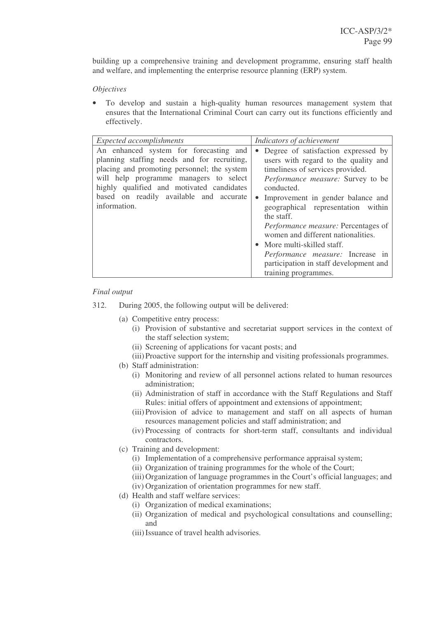building up a comprehensive training and development programme, ensuring staff health and welfare, and implementing the enterprise resource planning (ERP) system.

### *Objectives*

• To develop and sustain a high-quality human resources management system that ensures that the International Criminal Court can carry out its functions efficiently and effectively.

| <i>Expected accomplishments</i>                                                                                                                                                                                                                                                        | Indicators of achievement                                                                                                                                                                                                                                                                                                                                                                                                                                                                  |
|----------------------------------------------------------------------------------------------------------------------------------------------------------------------------------------------------------------------------------------------------------------------------------------|--------------------------------------------------------------------------------------------------------------------------------------------------------------------------------------------------------------------------------------------------------------------------------------------------------------------------------------------------------------------------------------------------------------------------------------------------------------------------------------------|
| An enhanced system for forecasting and<br>planning staffing needs and for recruiting,<br>placing and promoting personnel; the system<br>will help programme managers to select<br>highly qualified and motivated candidates<br>based on readily available and accurate<br>information. | Degree of satisfaction expressed by<br>$\bullet$<br>users with regard to the quality and<br>timeliness of services provided.<br>Performance measure: Survey to be<br>conducted.<br>Improvement in gender balance and<br>geographical representation within<br>the staff.<br>Performance measure: Percentages of<br>women and different nationalities.<br>• More multi-skilled staff.<br>Performance measure: Increase in<br>participation in staff development and<br>training programmes. |

### *Final output*

312. During 2005, the following output will be delivered:

- (a) Competitive entry process:
	- (i) Provision of substantive and secretariat support services in the context of the staff selection system;
	- (ii) Screening of applications for vacant posts; and
	- (iii) Proactive support for the internship and visiting professionals programmes.
- (b) Staff administration:
	- (i) Monitoring and review of all personnel actions related to human resources administration;
	- (ii) Administration of staff in accordance with the Staff Regulations and Staff Rules: initial offers of appointment and extensions of appointment;
	- (iii) Provision of advice to management and staff on all aspects of human resources management policies and staff administration; and
	- (iv) Processing of contracts for short-term staff, consultants and individual contractors.
- (c) Training and development:
	- (i) Implementation of a comprehensive performance appraisal system;
	- (ii) Organization of training programmes for the whole of the Court;
	- (iii)Organization of language programmes in the Court's official languages; and
	- (iv) Organization of orientation programmes for new staff.
- (d) Health and staff welfare services:
	- (i) Organization of medical examinations;
	- (ii) Organization of medical and psychological consultations and counselling; and
	- (iii)Issuance of travel health advisories.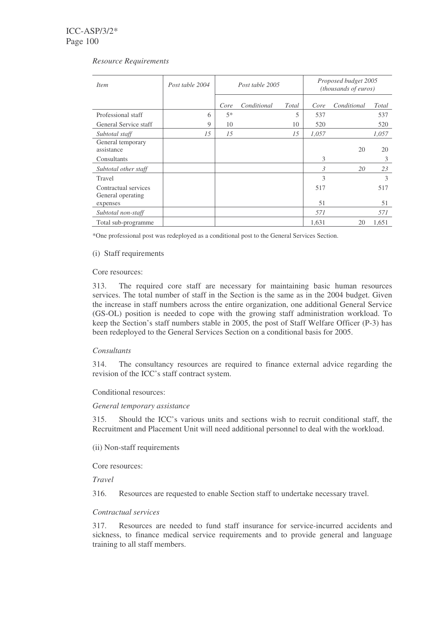### *Resource Requirements*

| <i>Item</i>                                    | Post table 2004 | Post table 2005 |             |              | Proposed budget 2005<br><i>(thousands of euros)</i> |             |         |
|------------------------------------------------|-----------------|-----------------|-------------|--------------|-----------------------------------------------------|-------------|---------|
|                                                |                 | Core            | Conditional | <b>Total</b> | Core                                                | Conditional | Total   |
| Professional staff                             | 6               | $5*$            |             | 5            | 537                                                 |             | 537     |
| General Service staff                          | 9               | 10              |             | 10           | 520                                                 |             | 520     |
| Subtotal staff                                 | 15              | 15              |             | 15           | 1,057                                               |             | 1,057   |
| General temporary<br>assistance<br>Consultants |                 |                 |             |              | 3                                                   | 20          | 20<br>3 |
| Subtotal other staff                           |                 |                 |             |              | 3                                                   | 20          | 23      |
| Travel                                         |                 |                 |             |              | $\mathcal{E}$                                       |             | 3       |
| Contractual services<br>General operating      |                 |                 |             |              | 517                                                 |             | 517     |
| expenses                                       |                 |                 |             |              | 51                                                  |             | 51      |
| Subtotal non-staff                             |                 |                 |             |              | 571                                                 |             | 571     |
| Total sub-programme                            |                 |                 |             |              | 1,631                                               | 20          | 1,651   |

\*One professional post was redeployed as a conditional post to the General Services Section.

### (i) Staff requirements

### Core resources:

313. The required core staff are necessary for maintaining basic human resources services. The total number of staff in the Section is the same as in the 2004 budget. Given the increase in staff numbers across the entire organization, one additional General Service (GS-OL) position is needed to cope with the growing staff administration workload. To keep the Section's staff numbers stable in 2005, the post of Staff Welfare Officer (P-3) has been redeployed to the General Services Section on a conditional basis for 2005.

# *Consultants*

314. The consultancy resources are required to finance external advice regarding the revision of the ICC's staff contract system.

### Conditional resources:

### *General temporary assistance*

315. Should the ICC's various units and sections wish to recruit conditional staff, the Recruitment and Placement Unit will need additional personnel to deal with the workload.

### (ii) Non-staff requirements

Core resources:

*Travel*

316. Resources are requested to enable Section staff to undertake necessary travel.

### *Contractual services*

317. Resources are needed to fund staff insurance for service-incurred accidents and sickness, to finance medical service requirements and to provide general and language training to all staff members.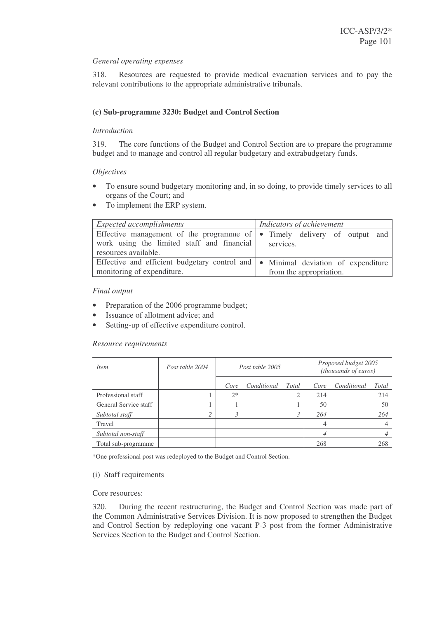# *General operating expenses*

318. Resources are requested to provide medical evacuation services and to pay the relevant contributions to the appropriate administrative tribunals.

# **(c) Sub-programme 3230: Budget and Control Section**

### *Introduction*

319. The core functions of the Budget and Control Section are to prepare the programme budget and to manage and control all regular budgetary and extrabudgetary funds.

### *Objectives*

- To ensure sound budgetary monitoring and, in so doing, to provide timely services to all organs of the Court; and
- To implement the ERP system.

| Expected accomplishments                                                                                                                               | Indicators of achievement |  |  |  |
|--------------------------------------------------------------------------------------------------------------------------------------------------------|---------------------------|--|--|--|
| Effective management of the programme of $\bullet$ Timely delivery of output and<br>work using the limited staff and financial<br>resources available. | services.                 |  |  |  |
| Effective and efficient budgetary control and $\bullet$ Minimal deviation of expenditure<br>monitoring of expenditure.                                 | from the appropriation.   |  |  |  |

### *Final output*

- Preparation of the 2006 programme budget;
- Issuance of allotment advice; and
- Setting-up of effective expenditure control.

### *Resource requirements*

| <i>Item</i>           | Post table 2004 | Post table 2005 |             |       | Proposed budget 2005<br>(thousands of euros) |             |       |
|-----------------------|-----------------|-----------------|-------------|-------|----------------------------------------------|-------------|-------|
|                       |                 | Core            | Conditional | Total | Core                                         | Conditional | Total |
| Professional staff    |                 | $2*$            |             | ◠     | 214                                          |             | 214   |
| General Service staff |                 |                 |             |       | 50                                           |             | 50    |
| Subtotal staff        |                 |                 |             |       | 264                                          |             | 264   |
| Travel                |                 |                 |             |       |                                              |             |       |
| Subtotal non-staff    |                 |                 |             |       |                                              |             |       |
| Total sub-programme   |                 |                 |             |       | 268                                          |             | 268   |

\*One professional post was redeployed to the Budget and Control Section.

### (i) Staff requirements

Core resources:

320. During the recent restructuring, the Budget and Control Section was made part of the Common Administrative Services Division. It is now proposed to strengthen the Budget and Control Section by redeploying one vacant P-3 post from the former Administrative Services Section to the Budget and Control Section.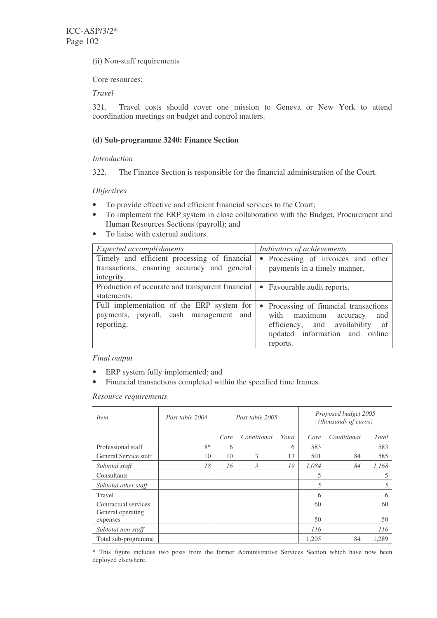# (ii) Non-staff requirements

Core resources:

*Travel*

321. Travel costs should cover one mission to Geneva or New York to attend coordination meetings on budget and control matters.

# **(d) Sub-programme 3240: Finance Section**

# *Introduction*

322. The Finance Section is responsible for the financial administration of the Court.

*Objectives*

- To provide effective and efficient financial services to the Court;
- To implement the ERP system in close collaboration with the Budget, Procurement and Human Resources Sections (payroll); and
- To liaise with external auditors.

| <i>Expected accomplishments</i>                                                                   | Indicators of achievements                                                                                                                              |  |  |  |
|---------------------------------------------------------------------------------------------------|---------------------------------------------------------------------------------------------------------------------------------------------------------|--|--|--|
| Timely and efficient processing of financial<br>transactions, ensuring accuracy and general       | • Processing of invoices and other<br>payments in a timely manner.                                                                                      |  |  |  |
| integrity.                                                                                        |                                                                                                                                                         |  |  |  |
| Production of accurate and transparent financial                                                  | • Favourable audit reports.                                                                                                                             |  |  |  |
| statements.                                                                                       |                                                                                                                                                         |  |  |  |
| Full implementation of the ERP system for<br>payments, payroll, cash management and<br>reporting. | • Processing of financial transactions<br>with maximum accuracy<br>and<br>efficiency, and availability of<br>updated information and online<br>reports. |  |  |  |

*Final output*

- ERP system fully implemented; and
- Financial transactions completed within the specified time frames.

*Resource requirements*

| <i>Item</i>           | Post table 2004 | Post table 2005 |               |       | Proposed budget 2005<br><i>(thousands of euros)</i> |             |       |
|-----------------------|-----------------|-----------------|---------------|-------|-----------------------------------------------------|-------------|-------|
|                       |                 | Core            | Conditional   | Total | Core                                                | Conditional | Total |
| Professional staff    | $8*$            | 6               |               | 6     | 583                                                 |             | 583   |
| General Service staff | 10              | 10              | 3             | 13    | 501                                                 | 84          | 585   |
| Subtotal staff        | 18              | 16              | $\mathcal{E}$ | 19    | 1,084                                               | 84          | 1,168 |
| Consultants           |                 |                 |               |       | 5                                                   |             | 5     |
| Subtotal other staff  |                 |                 |               |       | 5                                                   |             | 5     |
| Travel                |                 |                 |               |       | 6                                                   |             | 6     |
| Contractual services  |                 |                 |               |       | 60                                                  |             | 60    |
| General operating     |                 |                 |               |       |                                                     |             |       |
| expenses              |                 |                 |               |       | 50                                                  |             | 50    |
| Subtotal non-staff    |                 |                 |               |       | 116                                                 |             | 116   |
| Total sub-programme   |                 |                 |               |       | 1,205                                               | 84          | 1,289 |

\* This figure includes two posts from the former Administrative Services Section which have now been deployed elsewhere.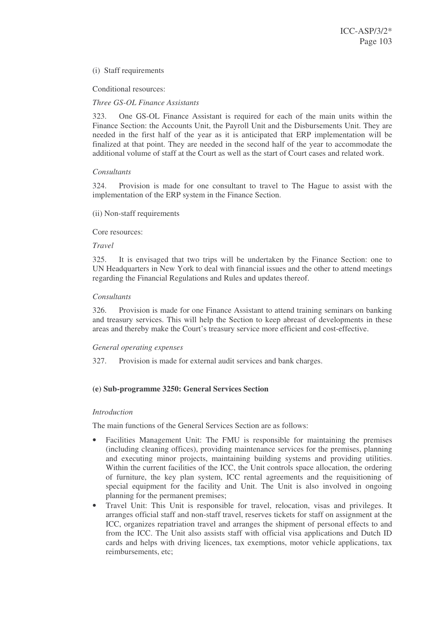### (i) Staff requirements

#### Conditional resources:

### *Three GS-OL Finance Assistants*

323. One GS-OL Finance Assistant is required for each of the main units within the Finance Section: the Accounts Unit, the Payroll Unit and the Disbursements Unit. They are needed in the first half of the year as it is anticipated that ERP implementation will be finalized at that point. They are needed in the second half of the year to accommodate the additional volume of staff at the Court as well as the start of Court cases and related work.

### *Consultants*

324. Provision is made for one consultant to travel to The Hague to assist with the implementation of the ERP system in the Finance Section.

### (ii) Non-staff requirements

#### Core resources:

#### *Travel*

325. It is envisaged that two trips will be undertaken by the Finance Section: one to UN Headquarters in New York to deal with financial issues and the other to attend meetings regarding the Financial Regulations and Rules and updates thereof.

#### *Consultants*

326. Provision is made for one Finance Assistant to attend training seminars on banking and treasury services. This will help the Section to keep abreast of developments in these areas and thereby make the Court's treasury service more efficient and cost-effective.

#### *General operating expenses*

327. Provision is made for external audit services and bank charges.

#### **(e) Sub-programme 3250: General Services Section**

#### *Introduction*

The main functions of the General Services Section are as follows:

- Facilities Management Unit: The FMU is responsible for maintaining the premises (including cleaning offices), providing maintenance services for the premises, planning and executing minor projects, maintaining building systems and providing utilities. Within the current facilities of the ICC, the Unit controls space allocation, the ordering of furniture, the key plan system, ICC rental agreements and the requisitioning of special equipment for the facility and Unit. The Unit is also involved in ongoing planning for the permanent premises;
- Travel Unit: This Unit is responsible for travel, relocation, visas and privileges. It arranges official staff and non-staff travel, reserves tickets for staff on assignment at the ICC, organizes repatriation travel and arranges the shipment of personal effects to and from the ICC. The Unit also assists staff with official visa applications and Dutch ID cards and helps with driving licences, tax exemptions, motor vehicle applications, tax reimbursements, etc;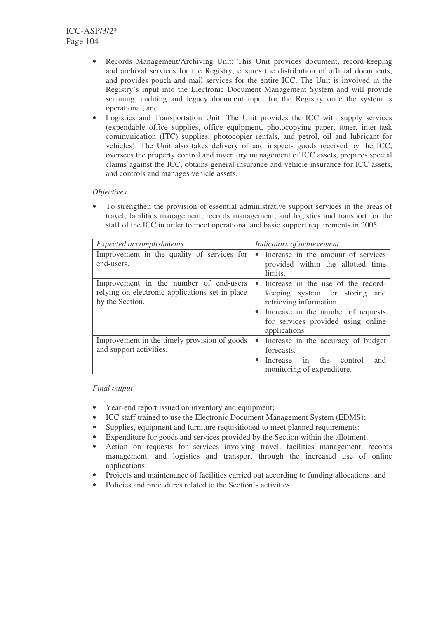- Records Management/Archiving Unit: This Unit provides document, record-keeping and archival services for the Registry, ensures the distribution of official documents, and provides pouch and mail services for the entire ICC. The Unit is involved in the Registry's input into the Electronic Document Management System and will provide scanning, auditing and legacy document input for the Registry once the system is operational; and
- Logistics and Transportation Unit: The Unit provides the ICC with supply services (expendable office supplies, office equipment, photocopying paper, toner, inter-task communication (ITC) supplies, photocopier rentals, and petrol, oil and lubricant for vehicles). The Unit also takes delivery of and inspects goods received by the ICC, oversees the property control and inventory management of ICC assets, prepares special claims against the ICC, obtains general insurance and vehicle insurance for ICC assets, and controls and manages vehicle assets.

### *Objectives*

• To strengthen the provision of essential administrative support services in the areas of travel, facilities management, records management, and logistics and transport for the staff of the ICC in order to meet operational and basic support requirements in 2005.

| <i>Expected accomplishments</i>                                                                              | Indicators of achievement                                                                                                                                                                    |
|--------------------------------------------------------------------------------------------------------------|----------------------------------------------------------------------------------------------------------------------------------------------------------------------------------------------|
| Improvement in the quality of services for<br>end-users.                                                     | Increase in the amount of services<br>$\bullet$<br>provided within the allotted time<br>limits.                                                                                              |
| Improvement in the number of end-users<br>relying on electronic applications set in place<br>by the Section. | Increase in the use of the record-<br>keeping system for storing and<br>retrieving information.<br>Increase in the number of requests<br>for services provided using online<br>applications. |
| Improvement in the timely provision of goods<br>and support activities.                                      | Increase in the accuracy of budget<br>forecasts.<br>Increase in the<br>control<br>and<br>monitoring of expenditure.                                                                          |

### *Final output*

- Year-end report issued on inventory and equipment;
- ICC staff trained to use the Electronic Document Management System (EDMS);
- Supplies, equipment and furniture requisitioned to meet planned requirements;
- Expenditure for goods and services provided by the Section within the allotment;
- Action on requests for services involving travel, facilities management, records management, and logistics and transport through the increased use of online applications;
- Projects and maintenance of facilities carried out according to funding allocations; and
- Policies and procedures related to the Section's activities.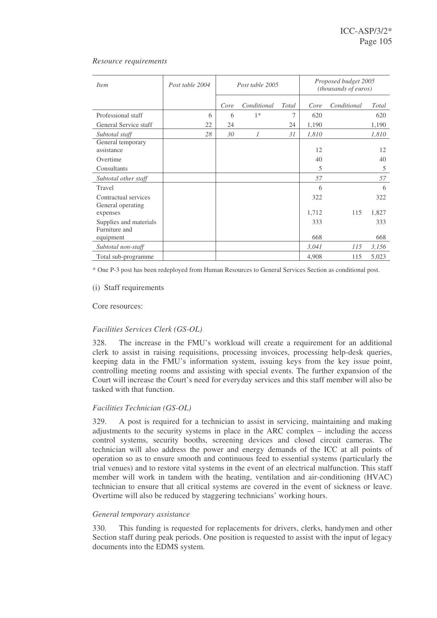| <i>Item</i>                               | Post table 2004 | Post table 2005 |                |       |       | Proposed budget 2005<br><i>(thousands of euros)</i> |       |  |
|-------------------------------------------|-----------------|-----------------|----------------|-------|-------|-----------------------------------------------------|-------|--|
|                                           |                 | Core            | Conditional    | Total | Core  | Conditional                                         | Total |  |
| Professional staff                        | 6               | 6               | $1*$           | 7     | 620   |                                                     | 620   |  |
| General Service staff                     | 22              | 24              |                | 24    | 1,190 |                                                     | 1,190 |  |
| Subtotal staff                            | 28              | 30              | $\overline{I}$ | 31    | 1,810 |                                                     | 1,810 |  |
| General temporary<br>assistance           |                 |                 |                |       | 12    |                                                     | 12    |  |
| Overtime                                  |                 |                 |                |       | 40    |                                                     | 40    |  |
| Consultants                               |                 |                 |                |       | 5     |                                                     | 5     |  |
| Subtotal other staff                      |                 |                 |                |       | 57    |                                                     | 57    |  |
| Travel                                    |                 |                 |                |       | 6     |                                                     | 6     |  |
| Contractual services<br>General operating |                 |                 |                |       | 322   |                                                     | 322   |  |
| expenses                                  |                 |                 |                |       | 1,712 | 115                                                 | 1,827 |  |
| Supplies and materials<br>Furniture and   |                 |                 |                |       | 333   |                                                     | 333   |  |
| equipment                                 |                 |                 |                |       | 668   |                                                     | 668   |  |
| Subtotal non-staff                        |                 |                 |                |       | 3,041 | 115                                                 | 3,156 |  |
| Total sub-programme                       |                 |                 |                |       | 4,908 | 115                                                 | 5,023 |  |

#### *Resource requirements*

\* One P-3 post has been redeployed from Human Resources to General Services Section as conditional post.

#### (i) Staff requirements

Core resources:

### *Facilities Services Clerk (GS-OL)*

328. The increase in the FMU's workload will create a requirement for an additional clerk to assist in raising requisitions, processing invoices, processing help-desk queries, keeping data in the FMU's information system, issuing keys from the key issue point, controlling meeting rooms and assisting with special events. The further expansion of the Court will increase the Court's need for everyday services and this staff member will also be tasked with that function.

### *Facilities Technician (GS-OL)*

329. A post is required for a technician to assist in servicing, maintaining and making adjustments to the security systems in place in the ARC complex – including the access control systems, security booths, screening devices and closed circuit cameras. The technician will also address the power and energy demands of the ICC at all points of operation so as to ensure smooth and continuous feed to essential systems (particularly the trial venues) and to restore vital systems in the event of an electrical malfunction. This staff member will work in tandem with the heating, ventilation and air-conditioning (HVAC) technician to ensure that all critical systems are covered in the event of sickness or leave. Overtime will also be reduced by staggering technicians' working hours.

#### *General temporary assistance*

330. This funding is requested for replacements for drivers, clerks, handymen and other Section staff during peak periods. One position is requested to assist with the input of legacy documents into the EDMS system.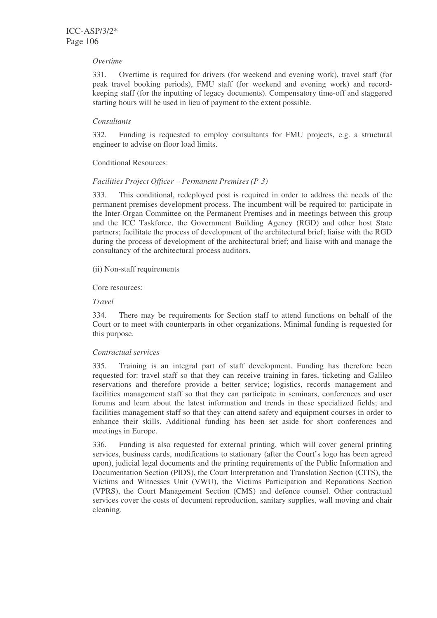### *Overtime*

331. Overtime is required for drivers (for weekend and evening work), travel staff (for peak travel booking periods), FMU staff (for weekend and evening work) and recordkeeping staff (for the inputting of legacy documents). Compensatory time-off and staggered starting hours will be used in lieu of payment to the extent possible.

### *Consultants*

332. Funding is requested to employ consultants for FMU projects, e.g. a structural engineer to advise on floor load limits.

### Conditional Resources:

### *Facilities Project Officer – Permanent Premises (P-3)*

333. This conditional, redeployed post is required in order to address the needs of the permanent premises development process. The incumbent will be required to: participate in the Inter-Organ Committee on the Permanent Premises and in meetings between this group and the ICC Taskforce, the Government Building Agency (RGD) and other host State partners; facilitate the process of development of the architectural brief; liaise with the RGD during the process of development of the architectural brief; and liaise with and manage the consultancy of the architectural process auditors.

### (ii) Non-staff requirements

#### Core resources:

### *Travel*

334. There may be requirements for Section staff to attend functions on behalf of the Court or to meet with counterparts in other organizations. Minimal funding is requested for this purpose.

#### *Contractual services*

335. Training is an integral part of staff development. Funding has therefore been requested for: travel staff so that they can receive training in fares, ticketing and Galileo reservations and therefore provide a better service; logistics, records management and facilities management staff so that they can participate in seminars, conferences and user forums and learn about the latest information and trends in these specialized fields; and facilities management staff so that they can attend safety and equipment courses in order to enhance their skills. Additional funding has been set aside for short conferences and meetings in Europe.

336. Funding is also requested for external printing, which will cover general printing services, business cards, modifications to stationary (after the Court's logo has been agreed upon), judicial legal documents and the printing requirements of the Public Information and Documentation Section (PIDS), the Court Interpretation and Translation Section (CITS), the Victims and Witnesses Unit (VWU), the Victims Participation and Reparations Section (VPRS), the Court Management Section (CMS) and defence counsel. Other contractual services cover the costs of document reproduction, sanitary supplies, wall moving and chair cleaning.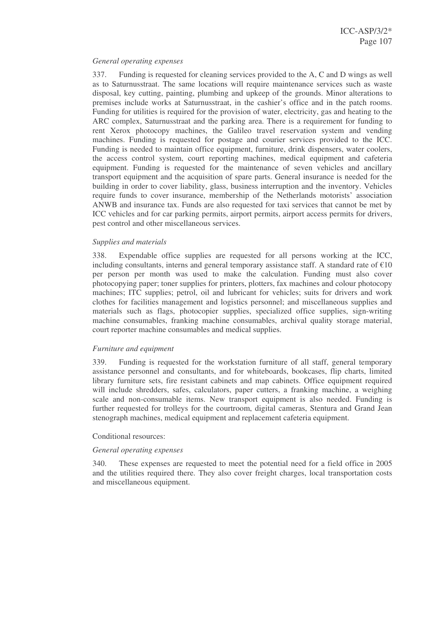#### *General operating expenses*

337. Funding is requested for cleaning services provided to the A, C and D wings as well as to Saturnusstraat. The same locations will require maintenance services such as waste disposal, key cutting, painting, plumbing and upkeep of the grounds. Minor alterations to premises include works at Saturnusstraat, in the cashier's office and in the patch rooms. Funding for utilities is required for the provision of water, electricity, gas and heating to the ARC complex, Saturnusstraat and the parking area. There is a requirement for funding to rent Xerox photocopy machines, the Galileo travel reservation system and vending machines. Funding is requested for postage and courier services provided to the ICC. Funding is needed to maintain office equipment, furniture, drink dispensers, water coolers, the access control system, court reporting machines, medical equipment and cafeteria equipment. Funding is requested for the maintenance of seven vehicles and ancillary transport equipment and the acquisition of spare parts. General insurance is needed for the building in order to cover liability, glass, business interruption and the inventory. Vehicles require funds to cover insurance, membership of the Netherlands motorists' association ANWB and insurance tax. Funds are also requested for taxi services that cannot be met by ICC vehicles and for car parking permits, airport permits, airport access permits for drivers, pest control and other miscellaneous services.

### *Supplies and materials*

338. Expendable office supplies are requested for all persons working at the ICC, including consultants, interns and general temporary assistance staff. A standard rate of  $\epsilon$ 10 per person per month was used to make the calculation. Funding must also cover photocopying paper; toner supplies for printers, plotters, fax machines and colour photocopy machines; ITC supplies; petrol, oil and lubricant for vehicles; suits for drivers and work clothes for facilities management and logistics personnel; and miscellaneous supplies and materials such as flags, photocopier supplies, specialized office supplies, sign-writing machine consumables, franking machine consumables, archival quality storage material, court reporter machine consumables and medical supplies.

#### *Furniture and equipment*

339. Funding is requested for the workstation furniture of all staff, general temporary assistance personnel and consultants, and for whiteboards, bookcases, flip charts, limited library furniture sets, fire resistant cabinets and map cabinets. Office equipment required will include shredders, safes, calculators, paper cutters, a franking machine, a weighing scale and non-consumable items. New transport equipment is also needed. Funding is further requested for trolleys for the courtroom, digital cameras, Stentura and Grand Jean stenograph machines, medical equipment and replacement cafeteria equipment.

#### Conditional resources:

#### *General operating expenses*

340. These expenses are requested to meet the potential need for a field office in 2005 and the utilities required there. They also cover freight charges, local transportation costs and miscellaneous equipment.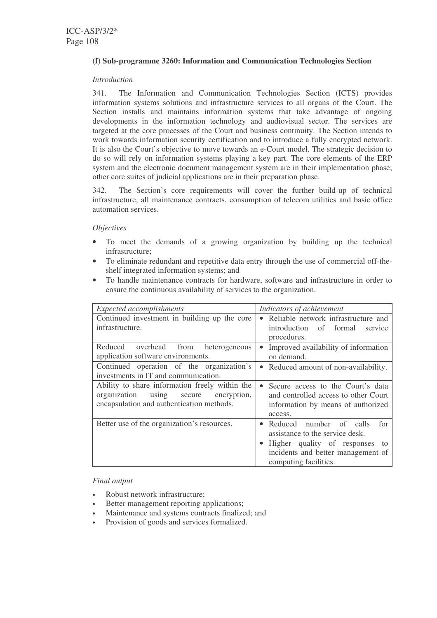## **(f) Sub-programme 3260: Information and Communication Technologies Section**

## *Introduction*

341. The Information and Communication Technologies Section (ICTS) provides information systems solutions and infrastructure services to all organs of the Court. The Section installs and maintains information systems that take advantage of ongoing developments in the information technology and audiovisual sector. The services are targeted at the core processes of the Court and business continuity. The Section intends to work towards information security certification and to introduce a fully encrypted network. It is also the Court's objective to move towards an e-Court model. The strategic decision to do so will rely on information systems playing a key part. The core elements of the ERP system and the electronic document management system are in their implementation phase; other core suites of judicial applications are in their preparation phase.

342. The Section's core requirements will cover the further build-up of technical infrastructure, all maintenance contracts, consumption of telecom utilities and basic office automation services.

## *Objectives*

- To meet the demands of a growing organization by building up the technical infrastructure;
- To eliminate redundant and repetitive data entry through the use of commercial off-theshelf integrated information systems; and
- To handle maintenance contracts for hardware, software and infrastructure in order to ensure the continuous availability of services to the organization.

| <i>Expected accomplishments</i>                                                                                                      | Indicators of achievement                                                                                                                                                         |
|--------------------------------------------------------------------------------------------------------------------------------------|-----------------------------------------------------------------------------------------------------------------------------------------------------------------------------------|
| Continued investment in building up the core<br>infrastructure.                                                                      | Reliable network infrastructure and<br>$\bullet$<br>introduction of formal<br>service<br>procedures.                                                                              |
| Reduced overhead from heterogeneous<br>application software environments.                                                            | Improved availability of information<br>$\bullet$<br>on demand.                                                                                                                   |
| Continued operation of the organization's<br>investments in IT and communication.                                                    | Reduced amount of non-availability.<br>$\bullet$                                                                                                                                  |
| Ability to share information freely within the<br>organization using secure encryption,<br>encapsulation and authentication methods. | Secure access to the Court's data<br>$\bullet$<br>and controlled access to other Court<br>information by means of authorized<br>access.                                           |
| Better use of the organization's resources.                                                                                          | Reduced number of calls<br>for<br>$\bullet$<br>assistance to the service desk.<br>• Higher quality of responses to<br>incidents and better management of<br>computing facilities. |

### *Final output*

- Robust network infrastructure;
- Better management reporting applications;
- Maintenance and systems contracts finalized; and
- Provision of goods and services formalized.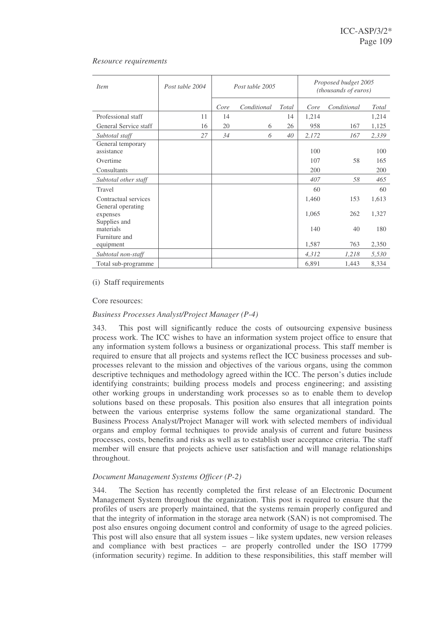| <i>Item</i>                                   | Post table 2004 | Post table 2005 |             |              |       |             |       | Proposed budget 2005<br>( <i>thousands of euros</i> ) |  |
|-----------------------------------------------|-----------------|-----------------|-------------|--------------|-------|-------------|-------|-------------------------------------------------------|--|
|                                               |                 | Core            | Conditional | <b>Total</b> | Core  | Conditional | Total |                                                       |  |
| Professional staff                            | 11              | 14              |             | 14           | 1,214 |             | 1,214 |                                                       |  |
| General Service staff                         | 16              | 20              | 6           | 26           | 958   | 167         | 1,125 |                                                       |  |
| Subtotal staff                                | 27              | 34              | 6           | 40           | 2,172 | 167         | 2,339 |                                                       |  |
| General temporary<br>assistance               |                 |                 |             |              | 100   |             | 100   |                                                       |  |
| Overtime                                      |                 |                 |             |              | 107   | 58          | 165   |                                                       |  |
| Consultants                                   |                 |                 |             |              | 200   |             | 200   |                                                       |  |
| Subtotal other staff                          |                 |                 |             |              | 407   | 58          | 465   |                                                       |  |
| Travel                                        |                 |                 |             |              | 60    |             | 60    |                                                       |  |
| Contractual services                          |                 |                 |             |              | 1,460 | 153         | 1,613 |                                                       |  |
| General operating<br>expenses<br>Supplies and |                 |                 |             |              | 1,065 | 262         | 1,327 |                                                       |  |
| materials<br>Furniture and                    |                 |                 |             |              | 140   | 40          | 180   |                                                       |  |
| equipment                                     |                 |                 |             |              | 1,587 | 763         | 2,350 |                                                       |  |
| Subtotal non-staff                            |                 |                 |             |              | 4,312 | 1,218       | 5,530 |                                                       |  |
| Total sub-programme                           |                 |                 |             |              | 6,891 | 1,443       | 8,334 |                                                       |  |

### *Resource requirements*

### (i) Staff requirements

Core resources:

### *Business Processes Analyst/Project Manager (P-4)*

343. This post will significantly reduce the costs of outsourcing expensive business process work. The ICC wishes to have an information system project office to ensure that any information system follows a business or organizational process. This staff member is required to ensure that all projects and systems reflect the ICC business processes and subprocesses relevant to the mission and objectives of the various organs, using the common descriptive techniques and methodology agreed within the ICC. The person's duties include identifying constraints; building process models and process engineering; and assisting other working groups in understanding work processes so as to enable them to develop solutions based on these proposals. This position also ensures that all integration points between the various enterprise systems follow the same organizational standard. The Business Process Analyst/Project Manager will work with selected members of individual organs and employ formal techniques to provide analysis of current and future business processes, costs, benefits and risks as well as to establish user acceptance criteria. The staff member will ensure that projects achieve user satisfaction and will manage relationships throughout.

### *Document Management Systems Officer (P-2)*

344. The Section has recently completed the first release of an Electronic Document Management System throughout the organization. This post is required to ensure that the profiles of users are properly maintained, that the systems remain properly configured and that the integrity of information in the storage area network (SAN) is not compromised. The post also ensures ongoing document control and conformity of usage to the agreed policies. This post will also ensure that all system issues – like system updates, new version releases and compliance with best practices – are properly controlled under the ISO 17799 (information security) regime. In addition to these responsibilities, this staff member will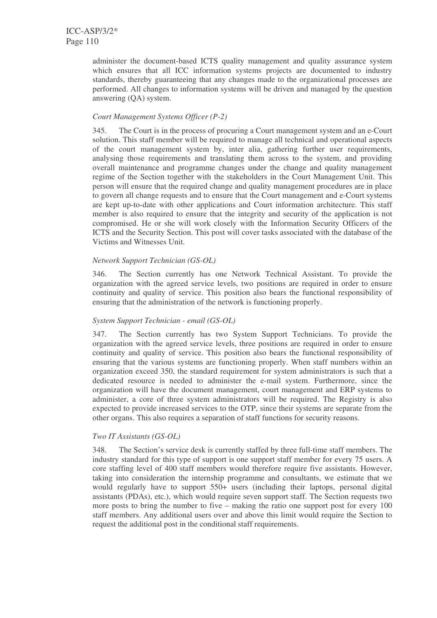administer the document-based ICTS quality management and quality assurance system which ensures that all ICC information systems projects are documented to industry standards, thereby guaranteeing that any changes made to the organizational processes are performed. All changes to information systems will be driven and managed by the question answering (QA) system.

### *Court Management Systems Officer (P-2)*

345. The Court is in the process of procuring a Court management system and an e-Court solution. This staff member will be required to manage all technical and operational aspects of the court management system by, inter alia, gathering further user requirements, analysing those requirements and translating them across to the system, and providing overall maintenance and programme changes under the change and quality management regime of the Section together with the stakeholders in the Court Management Unit. This person will ensure that the required change and quality management procedures are in place to govern all change requests and to ensure that the Court management and e-Court systems are kept up-to-date with other applications and Court information architecture. This staff member is also required to ensure that the integrity and security of the application is not compromised. He or she will work closely with the Information Security Officers of the ICTS and the Security Section. This post will cover tasks associated with the database of the Victims and Witnesses Unit.

### *Network Support Technician (GS-OL)*

346. The Section currently has one Network Technical Assistant. To provide the organization with the agreed service levels, two positions are required in order to ensure continuity and quality of service. This position also bears the functional responsibility of ensuring that the administration of the network is functioning properly.

### *System Support Technician - email (GS-OL)*

347. The Section currently has two System Support Technicians. To provide the organization with the agreed service levels, three positions are required in order to ensure continuity and quality of service. This position also bears the functional responsibility of ensuring that the various systems are functioning properly. When staff numbers within an organization exceed 350, the standard requirement for system administrators is such that a dedicated resource is needed to administer the e-mail system. Furthermore, since the organization will have the document management, court management and ERP systems to administer, a core of three system administrators will be required. The Registry is also expected to provide increased services to the OTP, since their systems are separate from the other organs. This also requires a separation of staff functions for security reasons.

### *Two IT Assistants (GS-OL)*

348. The Section's service desk is currently staffed by three full-time staff members. The industry standard for this type of support is one support staff member for every 75 users. A core staffing level of 400 staff members would therefore require five assistants. However, taking into consideration the internship programme and consultants, we estimate that we would regularly have to support 550+ users (including their laptops, personal digital assistants (PDAs), etc.), which would require seven support staff. The Section requests two more posts to bring the number to five – making the ratio one support post for every 100 staff members. Any additional users over and above this limit would require the Section to request the additional post in the conditional staff requirements.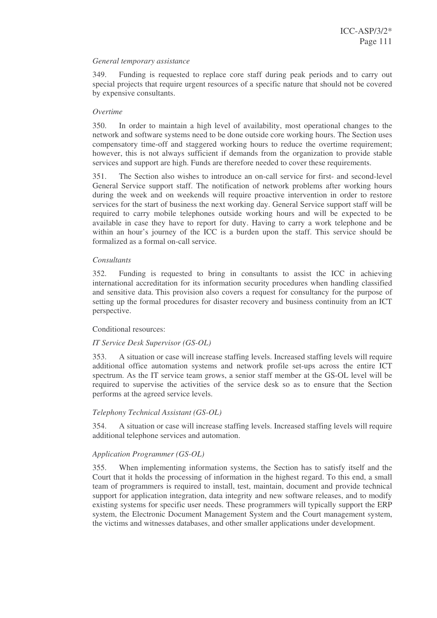### *General temporary assistance*

349. Funding is requested to replace core staff during peak periods and to carry out special projects that require urgent resources of a specific nature that should not be covered by expensive consultants.

### *Overtime*

350. In order to maintain a high level of availability, most operational changes to the network and software systems need to be done outside core working hours. The Section uses compensatory time-off and staggered working hours to reduce the overtime requirement; however, this is not always sufficient if demands from the organization to provide stable services and support are high. Funds are therefore needed to cover these requirements.

351. The Section also wishes to introduce an on-call service for first- and second-level General Service support staff. The notification of network problems after working hours during the week and on weekends will require proactive intervention in order to restore services for the start of business the next working day. General Service support staff will be required to carry mobile telephones outside working hours and will be expected to be available in case they have to report for duty. Having to carry a work telephone and be within an hour's journey of the ICC is a burden upon the staff. This service should be formalized as a formal on-call service.

### *Consultants*

352. Funding is requested to bring in consultants to assist the ICC in achieving international accreditation for its information security procedures when handling classified and sensitive data. This provision also covers a request for consultancy for the purpose of setting up the formal procedures for disaster recovery and business continuity from an ICT perspective.

#### Conditional resources:

### *IT Service Desk Supervisor (GS-OL)*

353. A situation or case will increase staffing levels. Increased staffing levels will require additional office automation systems and network profile set-ups across the entire ICT spectrum. As the IT service team grows, a senior staff member at the GS-OL level will be required to supervise the activities of the service desk so as to ensure that the Section performs at the agreed service levels.

#### *Telephony Technical Assistant (GS-OL)*

354. A situation or case will increase staffing levels. Increased staffing levels will require additional telephone services and automation.

### *Application Programmer (GS-OL)*

355. When implementing information systems, the Section has to satisfy itself and the Court that it holds the processing of information in the highest regard. To this end, a small team of programmers is required to install, test, maintain, document and provide technical support for application integration, data integrity and new software releases, and to modify existing systems for specific user needs. These programmers will typically support the ERP system, the Electronic Document Management System and the Court management system, the victims and witnesses databases, and other smaller applications under development.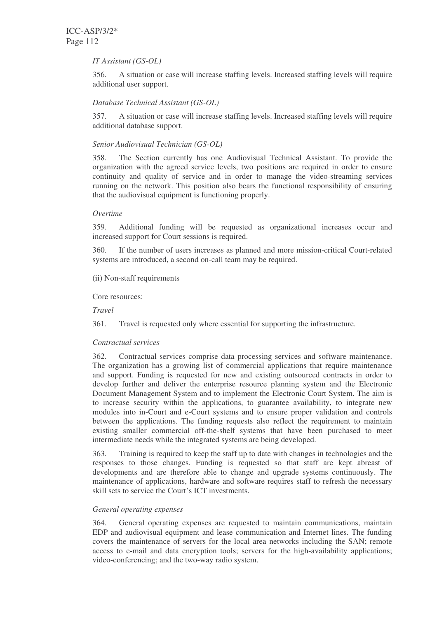## *IT Assistant (GS-OL)*

356. A situation or case will increase staffing levels. Increased staffing levels will require additional user support.

### *Database Technical Assistant (GS-OL)*

357. A situation or case will increase staffing levels. Increased staffing levels will require additional database support.

### *Senior Audiovisual Technician (GS-OL)*

358. The Section currently has one Audiovisual Technical Assistant. To provide the organization with the agreed service levels, two positions are required in order to ensure continuity and quality of service and in order to manage the video-streaming services running on the network. This position also bears the functional responsibility of ensuring that the audiovisual equipment is functioning properly.

### *Overtime*

359. Additional funding will be requested as organizational increases occur and increased support for Court sessions is required.

360. If the number of users increases as planned and more mission-critical Court-related systems are introduced, a second on-call team may be required.

### (ii) Non-staff requirements

Core resources:

*Travel*

361. Travel is requested only where essential for supporting the infrastructure.

### *Contractual services*

362. Contractual services comprise data processing services and software maintenance. The organization has a growing list of commercial applications that require maintenance and support. Funding is requested for new and existing outsourced contracts in order to develop further and deliver the enterprise resource planning system and the Electronic Document Management System and to implement the Electronic Court System. The aim is to increase security within the applications, to guarantee availability, to integrate new modules into in-Court and e-Court systems and to ensure proper validation and controls between the applications. The funding requests also reflect the requirement to maintain existing smaller commercial off-the-shelf systems that have been purchased to meet intermediate needs while the integrated systems are being developed.

363. Training is required to keep the staff up to date with changes in technologies and the responses to those changes. Funding is requested so that staff are kept abreast of developments and are therefore able to change and upgrade systems continuously. The maintenance of applications, hardware and software requires staff to refresh the necessary skill sets to service the Court's ICT investments.

#### *General operating expenses*

364. General operating expenses are requested to maintain communications, maintain EDP and audiovisual equipment and lease communication and Internet lines. The funding covers the maintenance of servers for the local area networks including the SAN; remote access to e-mail and data encryption tools; servers for the high-availability applications; video-conferencing; and the two-way radio system.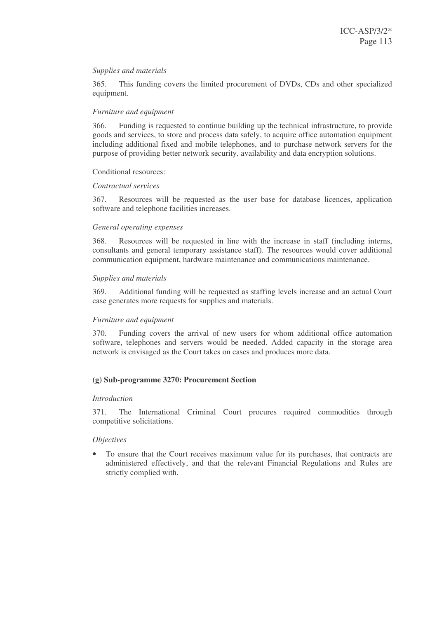### *Supplies and materials*

365. This funding covers the limited procurement of DVDs, CDs and other specialized equipment.

### *Furniture and equipment*

366. Funding is requested to continue building up the technical infrastructure, to provide goods and services, to store and process data safely, to acquire office automation equipment including additional fixed and mobile telephones, and to purchase network servers for the purpose of providing better network security, availability and data encryption solutions.

### Conditional resources:

### *Contractual services*

367. Resources will be requested as the user base for database licences, application software and telephone facilities increases.

### *General operating expenses*

368. Resources will be requested in line with the increase in staff (including interns, consultants and general temporary assistance staff). The resources would cover additional communication equipment, hardware maintenance and communications maintenance.

### *Supplies and materials*

369. Additional funding will be requested as staffing levels increase and an actual Court case generates more requests for supplies and materials.

### *Furniture and equipment*

370. Funding covers the arrival of new users for whom additional office automation software, telephones and servers would be needed. Added capacity in the storage area network is envisaged as the Court takes on cases and produces more data.

### **(g) Sub-programme 3270: Procurement Section**

#### *Introduction*

371. The International Criminal Court procures required commodities through competitive solicitations.

#### *Objectives*

• To ensure that the Court receives maximum value for its purchases, that contracts are administered effectively, and that the relevant Financial Regulations and Rules are strictly complied with.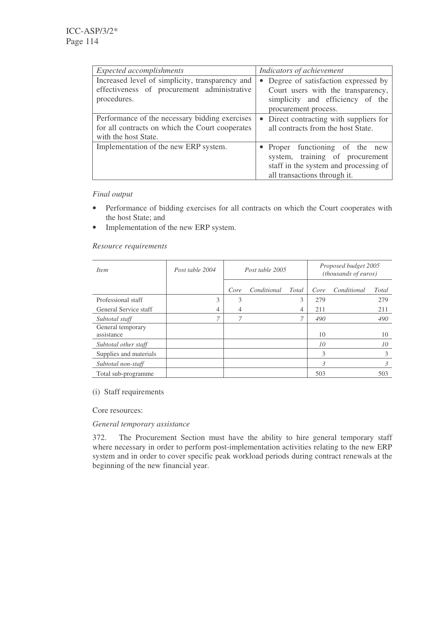| Expected accomplishments                                                                                                  | Indicators of achievement                                                                                                                   |
|---------------------------------------------------------------------------------------------------------------------------|---------------------------------------------------------------------------------------------------------------------------------------------|
| Increased level of simplicity, transparency and<br>effectiveness of procurement administrative<br>procedures.             | • Degree of satisfaction expressed by<br>Court users with the transparency,<br>simplicity and efficiency of the<br>procurement process.     |
| Performance of the necessary bidding exercises<br>for all contracts on which the Court cooperates<br>with the host State. | • Direct contracting with suppliers for<br>all contracts from the host State.                                                               |
| Implementation of the new ERP system.                                                                                     | • Proper functioning of the new<br>system, training of procurement<br>staff in the system and processing of<br>all transactions through it. |

## *Final output*

- Performance of bidding exercises for all contracts on which the Court cooperates with the host State; and
- Implementation of the new ERP system.

### *Resource requirements*

| <i>Item</i>                     | Post table 2004 | Post table 2005 |             | Proposed budget 2005<br><i>(thousands of euros)</i> |      |             |       |  |
|---------------------------------|-----------------|-----------------|-------------|-----------------------------------------------------|------|-------------|-------|--|
|                                 |                 | Core            | Conditional | Total                                               | Core | Conditional | Total |  |
| Professional staff              | 3               | 3               |             | 3                                                   | 279  |             | 279   |  |
| General Service staff           | 4               | 4               |             | 4                                                   | 211  |             | 211   |  |
| Subtotal staff                  |                 |                 |             | 7                                                   | 490  |             | 490   |  |
| General temporary<br>assistance |                 |                 |             |                                                     | 10   |             | 10    |  |
| Subtotal other staff            |                 |                 |             |                                                     | 10   |             | 10    |  |
| Supplies and materials          |                 |                 |             |                                                     |      |             | 3     |  |
| Subtotal non-staff              |                 |                 |             |                                                     | 3    |             | 3     |  |
| Total sub-programme             |                 |                 |             |                                                     | 503  |             | 503   |  |

#### (i) Staff requirements

#### Core resources:

#### *General temporary assistance*

372. The Procurement Section must have the ability to hire general temporary staff where necessary in order to perform post-implementation activities relating to the new ERP system and in order to cover specific peak workload periods during contract renewals at the beginning of the new financial year.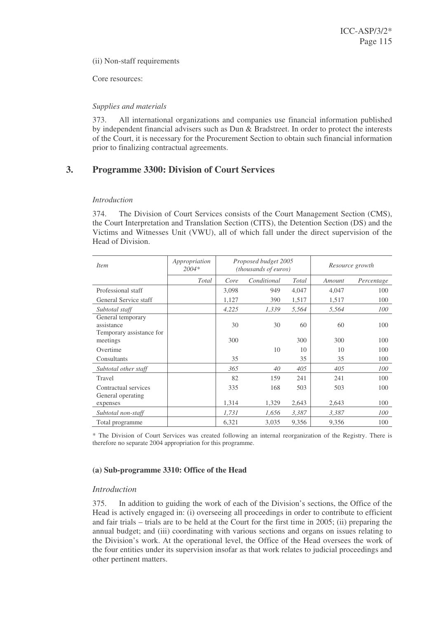(ii) Non-staff requirements

Core resources:

### *Supplies and materials*

373. All international organizations and companies use financial information published by independent financial advisers such as Dun & Bradstreet. In order to protect the interests of the Court, it is necessary for the Procurement Section to obtain such financial information prior to finalizing contractual agreements.

# **3. Programme 3300: Division of Court Services**

#### *Introduction*

374. The Division of Court Services consists of the Court Management Section (CMS), the Court Interpretation and Translation Section (CITS), the Detention Section (DS) and the Victims and Witnesses Unit (VWU), all of which fall under the direct supervision of the Head of Division.

| <i>Item</i>                                                 | Appropriation<br>$2004*$ | Proposed budget 2005<br><i>(thousands of euros)</i> |             |       | Resource growth |            |
|-------------------------------------------------------------|--------------------------|-----------------------------------------------------|-------------|-------|-----------------|------------|
|                                                             | Total                    | Core                                                | Conditional | Total | Amount          | Percentage |
| Professional staff                                          |                          | 3,098                                               | 949         | 4,047 | 4,047           | 100        |
| General Service staff                                       |                          | 1,127                                               | 390         | 1,517 | 1,517           | 100        |
| Subtotal staff                                              |                          | 4,225                                               | 1,339       | 5,564 | 5,564           | 100        |
| General temporary<br>assistance<br>Temporary assistance for |                          | 30                                                  | 30          | 60    | 60              | 100        |
| meetings                                                    |                          | 300                                                 |             | 300   | 300             | 100        |
| Overtime                                                    |                          |                                                     | 10          | 10    | 10              | 100        |
| Consultants                                                 |                          | 35                                                  |             | 35    | 35              | 100        |
| Subtotal other staff                                        |                          | 365                                                 | 40          | 405   | 405             | 100        |
| Travel                                                      |                          | 82                                                  | 159         | 241   | 241             | 100        |
| Contractual services                                        |                          | 335                                                 | 168         | 503   | 503             | 100        |
| General operating<br>expenses                               |                          | 1,314                                               | 1,329       | 2,643 | 2,643           | 100        |
| Subtotal non-staff                                          |                          | 1,731                                               | 1,656       | 3,387 | 3,387           | 100        |
| Total programme                                             |                          | 6,321                                               | 3,035       | 9,356 | 9,356           | 100        |

\* The Division of Court Services was created following an internal reorganization of the Registry. There is therefore no separate 2004 appropriation for this programme.

### **(a) Sub-programme 3310: Office of the Head**

#### *Introduction*

375. In addition to guiding the work of each of the Division's sections, the Office of the Head is actively engaged in: (i) overseeing all proceedings in order to contribute to efficient and fair trials – trials are to be held at the Court for the first time in 2005; (ii) preparing the annual budget; and (iii) coordinating with various sections and organs on issues relating to the Division's work. At the operational level, the Office of the Head oversees the work of the four entities under its supervision insofar as that work relates to judicial proceedings and other pertinent matters.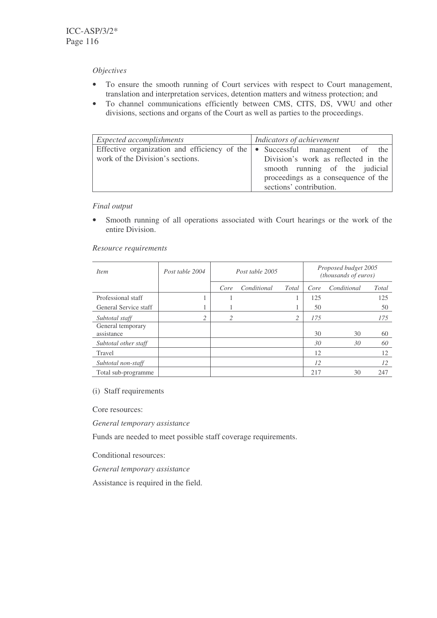## *Objectives*

- To ensure the smooth running of Court services with respect to Court management, translation and interpretation services, detention matters and witness protection; and
- To channel communications efficiently between CMS, CITS, DS, VWU and other divisions, sections and organs of the Court as well as parties to the proceedings.

| Expected accomplishments                                                            | Indicators of achievement           |
|-------------------------------------------------------------------------------------|-------------------------------------|
| Effective organization and efficiency of the $\bullet$ Successful management of the |                                     |
| work of the Division's sections.                                                    | Division's work as reflected in the |
|                                                                                     | smooth running of the judicial      |
|                                                                                     | proceedings as a consequence of the |
|                                                                                     | sections' contribution.             |

### *Final output*

• Smooth running of all operations associated with Court hearings or the work of the entire Division.

### *Resource requirements*

| <i>Item</i>                     | Post table 2004 | Post table 2005 |             |       | Proposed budget 2005<br><i>(thousands of euros)</i> |             |       |
|---------------------------------|-----------------|-----------------|-------------|-------|-----------------------------------------------------|-------------|-------|
|                                 |                 | Core            | Conditional | Total | Core                                                | Conditional | Total |
| Professional staff              |                 |                 |             |       | 125                                                 |             | 125   |
| General Service staff           |                 |                 |             |       | 50                                                  |             | 50    |
| Subtotal staff                  | 2               | 2               |             | 2     | 175                                                 |             | 175   |
| General temporary<br>assistance |                 |                 |             |       | 30                                                  | 30          | 60    |
| Subtotal other staff            |                 |                 |             |       | 30                                                  | 30          | 60    |
| Travel                          |                 |                 |             |       | 12                                                  |             | 12    |
| Subtotal non-staff              |                 |                 |             |       | 12                                                  |             | 12    |
| Total sub-programme             |                 |                 |             |       | 217                                                 | 30          | 247   |

### (i) Staff requirements

### Core resources:

*General temporary assistance*

Funds are needed to meet possible staff coverage requirements.

Conditional resources:

*General temporary assistance*

Assistance is required in the field.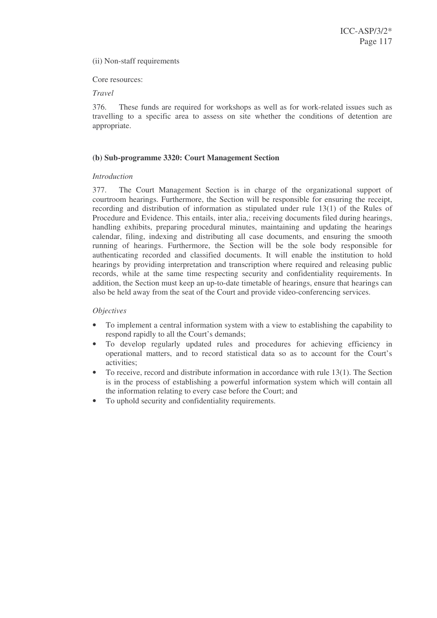### (ii) Non-staff requirements

### Core resources:

## *Travel*

376. These funds are required for workshops as well as for work-related issues such as travelling to a specific area to assess on site whether the conditions of detention are appropriate.

### **(b) Sub-programme 3320: Court Management Section**

### *Introduction*

377. The Court Management Section is in charge of the organizational support of courtroom hearings. Furthermore, the Section will be responsible for ensuring the receipt, recording and distribution of information as stipulated under rule 13(1) of the Rules of Procedure and Evidence. This entails, inter alia,: receiving documents filed during hearings, handling exhibits, preparing procedural minutes, maintaining and updating the hearings calendar, filing, indexing and distributing all case documents, and ensuring the smooth running of hearings. Furthermore, the Section will be the sole body responsible for authenticating recorded and classified documents. It will enable the institution to hold hearings by providing interpretation and transcription where required and releasing public records, while at the same time respecting security and confidentiality requirements. In addition, the Section must keep an up-to-date timetable of hearings, ensure that hearings can also be held away from the seat of the Court and provide video-conferencing services.

### *Objectives*

- To implement a central information system with a view to establishing the capability to respond rapidly to all the Court's demands;
- To develop regularly updated rules and procedures for achieving efficiency in operational matters, and to record statistical data so as to account for the Court's activities;
- To receive, record and distribute information in accordance with rule 13(1). The Section is in the process of establishing a powerful information system which will contain all the information relating to every case before the Court; and
- To uphold security and confidentiality requirements.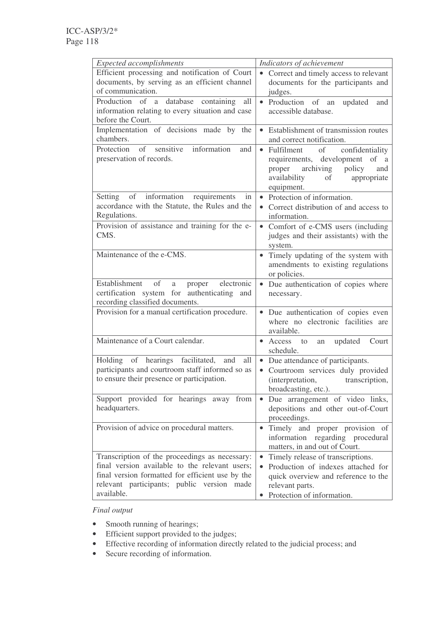| <b>Expected accomplishments</b>                             | Indicators of achievement                           |
|-------------------------------------------------------------|-----------------------------------------------------|
| Efficient processing and notification of Court              | Correct and timely access to relevant               |
| documents, by serving as an efficient channel               | documents for the participants and                  |
| of communication.                                           | judges.                                             |
| Production of a database containing<br>all                  | Production of an<br>$\bullet$<br>updated<br>and     |
| information relating to every situation and case            | accessible database.                                |
| before the Court.                                           |                                                     |
| Implementation of decisions made<br>by<br>the               | Establishment of transmission routes<br>$\bullet$   |
| chambers.                                                   | and correct notification.                           |
| $\sigma$<br>sensitive<br>Protection<br>information<br>and   | $\bullet$<br>Fulfilment<br>confidentiality<br>of    |
| preservation of records.                                    | requirements, development<br>of a                   |
|                                                             | archiving<br>policy<br>proper<br>and                |
|                                                             | availability<br>of<br>appropriate                   |
|                                                             | equipment.                                          |
| Setting of information requirements<br>in                   | • Protection of information.                        |
| accordance with the Statute, the Rules and the              | Correct distribution of and access to<br>$\bullet$  |
| Regulations.                                                | information.                                        |
| Provision of assistance and training for the e-             | Comfort of e-CMS users (including<br>$\bullet$      |
| CMS.                                                        | judges and their assistants) with the               |
|                                                             | system.                                             |
| Maintenance of the e-CMS.                                   | Timely updating of the system with                  |
|                                                             | amendments to existing regulations                  |
|                                                             | or policies.                                        |
| Establishment<br>of<br>electronic<br>$\mathbf{a}$<br>proper | Due authentication of copies where<br>$\bullet$     |
| certification system for authenticating and                 | necessary.                                          |
| recording classified documents.                             |                                                     |
| Provision for a manual certification procedure.             | • Due authentication of copies even                 |
|                                                             | where no electronic facilities are                  |
|                                                             | available.                                          |
| Maintenance of a Court calendar.                            | Court<br>Access<br>updated<br>$\bullet$<br>to<br>an |
|                                                             | schedule.                                           |
| Holding of hearings facilitated,<br>and<br>all              | Due attendance of participants.<br>$\bullet$        |
| participants and courtroom staff informed so as             | Courtroom services duly provided                    |
| to ensure their presence or participation.                  | (interpretation,<br>transcription,                  |
|                                                             | broadcasting, etc.).                                |
| Support provided for hearings away from                     | Due arrangement of video links,<br>$\bullet$        |
| headquarters.                                               | depositions and other out-of-Court                  |
|                                                             | proceedings.                                        |
| Provision of advice on procedural matters.                  | Timely and proper provision of                      |
|                                                             | information regarding procedural                    |
|                                                             | matters, in and out of Court.                       |
| Transcription of the proceedings as necessary:              | Timely release of transcriptions.<br>$\bullet$      |
| final version available to the relevant users;              | Production of indexes attached for<br>$\bullet$     |
| final version formatted for efficient use by the            | quick overview and reference to the                 |
| relevant participants; public version made                  | relevant parts.                                     |
| available.                                                  | Protection of information.                          |

# *Final output*

- Smooth running of hearings;
- Efficient support provided to the judges;
- Effective recording of information directly related to the judicial process; and
- Secure recording of information.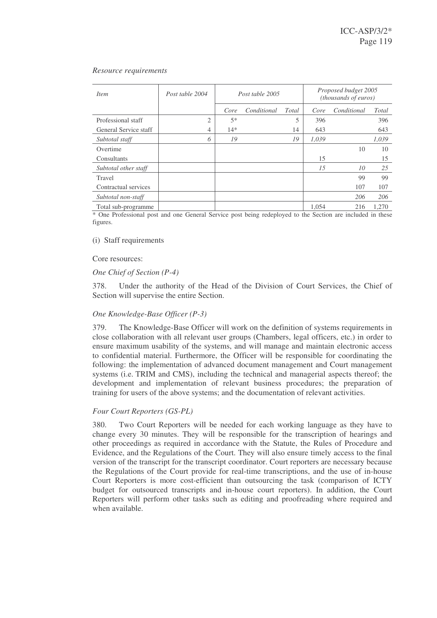#### *Resource requirements*

| <i>Item</i>           | Post table 2004 | Post table 2005 |             |       | Proposed budget 2005<br><i>(thousands of euros)</i> |             |       |
|-----------------------|-----------------|-----------------|-------------|-------|-----------------------------------------------------|-------------|-------|
|                       |                 | Core            | Conditional | Total | Core                                                | Conditional | Total |
| Professional staff    | $\overline{2}$  | $5*$            |             | 5     | 396                                                 |             | 396   |
| General Service staff | $\overline{4}$  | $14*$           |             | 14    | 643                                                 |             | 643   |
| Subtotal staff        | 6               | 19              |             | 19    | 1,039                                               |             | 1,039 |
| Overtime              |                 |                 |             |       |                                                     | 10          | 10    |
| Consultants           |                 |                 |             |       | 15                                                  |             | 15    |
| Subtotal other staff  |                 |                 |             |       | 15                                                  | 10          | 25    |
| Travel                |                 |                 |             |       |                                                     | 99          | 99    |
| Contractual services  |                 |                 |             |       |                                                     | 107         | 107   |
| Subtotal non-staff    |                 |                 |             |       |                                                     | 206         | 206   |
| Total sub-programme   |                 |                 |             |       | 1.054                                               | 216         | 1.270 |

\* One Professional post and one General Service post being redeployed to the Section are included in these figures.

#### (i) Staff requirements

### Core resources:

### *One Chief of Section (P-4)*

378. Under the authority of the Head of the Division of Court Services, the Chief of Section will supervise the entire Section.

#### *One Knowledge-Base Officer (P-3)*

379. The Knowledge-Base Officer will work on the definition of systems requirements in close collaboration with all relevant user groups (Chambers, legal officers, etc.) in order to ensure maximum usability of the systems, and will manage and maintain electronic access to confidential material. Furthermore, the Officer will be responsible for coordinating the following: the implementation of advanced document management and Court management systems (i.e. TRIM and CMS), including the technical and managerial aspects thereof; the development and implementation of relevant business procedures; the preparation of training for users of the above systems; and the documentation of relevant activities.

### *Four Court Reporters (GS-PL)*

380. Two Court Reporters will be needed for each working language as they have to change every 30 minutes. They will be responsible for the transcription of hearings and other proceedings as required in accordance with the Statute, the Rules of Procedure and Evidence, and the Regulations of the Court. They will also ensure timely access to the final version of the transcript for the transcript coordinator. Court reporters are necessary because the Regulations of the Court provide for real-time transcriptions, and the use of in-house Court Reporters is more cost-efficient than outsourcing the task (comparison of ICTY budget for outsourced transcripts and in-house court reporters). In addition, the Court Reporters will perform other tasks such as editing and proofreading where required and when available.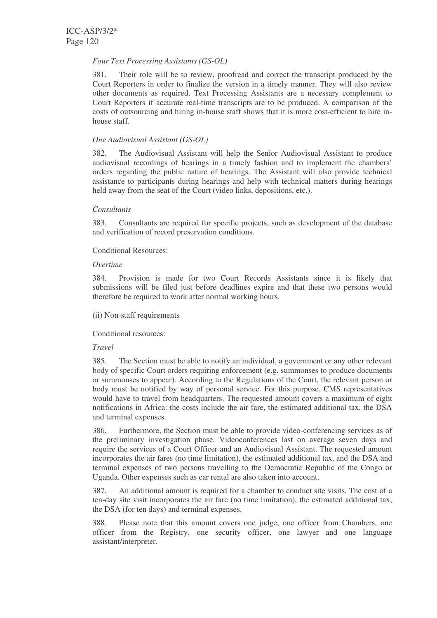## *Four Text Processing Assistants (GS-OL)*

381. Their role will be to review, proofread and correct the transcript produced by the Court Reporters in order to finalize the version in a timely manner. They will also review other documents as required. Text Processing Assistants are a necessary complement to Court Reporters if accurate real-time transcripts are to be produced. A comparison of the costs of outsourcing and hiring in-house staff shows that it is more cost-efficient to hire inhouse staff.

## *One Audiovisual Assistant (GS-OL)*

382. The Audiovisual Assistant will help the Senior Audiovisual Assistant to produce audiovisual recordings of hearings in a timely fashion and to implement the chambers' orders regarding the public nature of hearings. The Assistant will also provide technical assistance to participants during hearings and help with technical matters during hearings held away from the seat of the Court (video links, depositions, etc.).

### *Consultants*

383. Consultants are required for specific projects, such as development of the database and verification of record preservation conditions.

### Conditional Resources:

### *Overtime*

384. Provision is made for two Court Records Assistants since it is likely that submissions will be filed just before deadlines expire and that these two persons would therefore be required to work after normal working hours.

### (ii) Non-staff requirements

#### Conditional resources:

### *Travel*

385. The Section must be able to notify an individual, a government or any other relevant body of specific Court orders requiring enforcement (e.g. summonses to produce documents or summonses to appear). According to the Regulations of the Court, the relevant person or body must be notified by way of personal service. For this purpose, CMS representatives would have to travel from headquarters. The requested amount covers a maximum of eight notifications in Africa: the costs include the air fare, the estimated additional tax, the DSA and terminal expenses.

386. Furthermore, the Section must be able to provide video-conferencing services as of the preliminary investigation phase. Videoconferences last on average seven days and require the services of a Court Officer and an Audiovisual Assistant. The requested amount incorporates the air fares (no time limitation), the estimated additional tax, and the DSA and terminal expenses of two persons travelling to the Democratic Republic of the Congo or Uganda. Other expenses such as car rental are also taken into account.

387. An additional amount is required for a chamber to conduct site visits. The cost of a ten-day site visit incorporates the air fare (no time limitation), the estimated additional tax, the DSA (for ten days) and terminal expenses.

388. Please note that this amount covers one judge, one officer from Chambers, one officer from the Registry, one security officer, one lawyer and one language assistant/interpreter.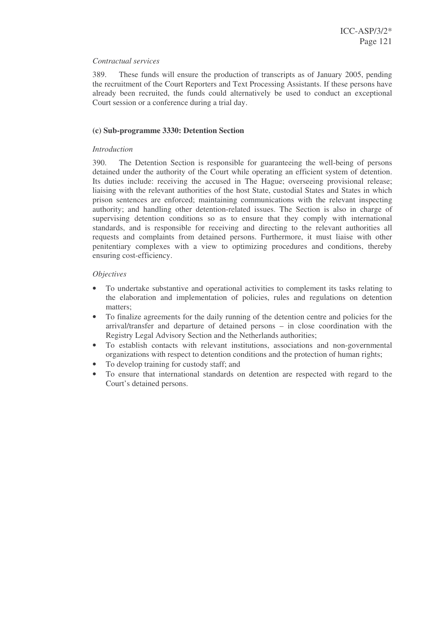### *Contractual services*

389. These funds will ensure the production of transcripts as of January 2005, pending the recruitment of the Court Reporters and Text Processing Assistants. If these persons have already been recruited, the funds could alternatively be used to conduct an exceptional Court session or a conference during a trial day.

### **(c) Sub-programme 3330: Detention Section**

#### *Introduction*

390. The Detention Section is responsible for guaranteeing the well-being of persons detained under the authority of the Court while operating an efficient system of detention. Its duties include: receiving the accused in The Hague; overseeing provisional release; liaising with the relevant authorities of the host State, custodial States and States in which prison sentences are enforced; maintaining communications with the relevant inspecting authority; and handling other detention-related issues. The Section is also in charge of supervising detention conditions so as to ensure that they comply with international standards, and is responsible for receiving and directing to the relevant authorities all requests and complaints from detained persons. Furthermore, it must liaise with other penitentiary complexes with a view to optimizing procedures and conditions, thereby ensuring cost-efficiency.

### *Objectives*

- To undertake substantive and operational activities to complement its tasks relating to the elaboration and implementation of policies, rules and regulations on detention matters;
- To finalize agreements for the daily running of the detention centre and policies for the arrival/transfer and departure of detained persons – in close coordination with the Registry Legal Advisory Section and the Netherlands authorities;
- To establish contacts with relevant institutions, associations and non-governmental organizations with respect to detention conditions and the protection of human rights;
- To develop training for custody staff; and
- To ensure that international standards on detention are respected with regard to the Court's detained persons.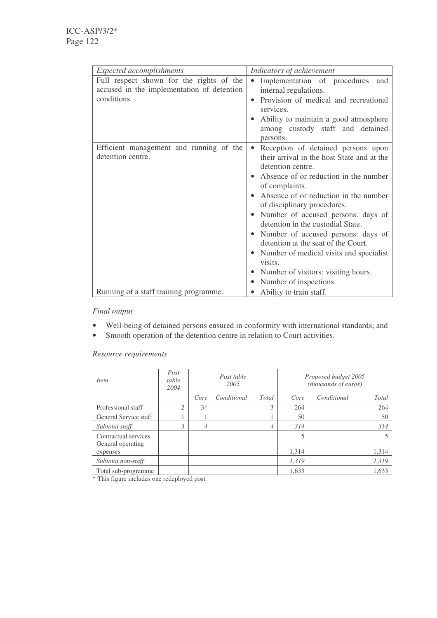| <b>Expected accomplishments</b>            | Indicators of achievement                          |
|--------------------------------------------|----------------------------------------------------|
| Full respect shown for the rights of the   | Implementation of procedures<br>and                |
| accused in the implementation of detention | internal regulations.                              |
| conditions.                                | Provision of medical and recreational<br>$\bullet$ |
|                                            | services.                                          |
|                                            | Ability to maintain a good atmosphere              |
|                                            | among custody staff and detained                   |
|                                            | persons.                                           |
| Efficient management and running of the    | Reception of detained persons upon<br>$\bullet$    |
| detention centre.                          | their arrival in the host State and at the         |
|                                            | detention centre.                                  |
|                                            | Absence of or reduction in the number<br>$\bullet$ |
|                                            | of complaints.                                     |
|                                            | Absence of or reduction in the number              |
|                                            | of disciplinary procedures.                        |
|                                            | Number of accused persons: days of<br>$\bullet$    |
|                                            | detention in the custodial State.                  |
|                                            | Number of accused persons: days of<br>$\bullet$    |
|                                            | detention at the seat of the Court.                |
|                                            | • Number of medical visits and specialist          |
|                                            | visits.                                            |
|                                            | Number of visitors: visiting hours.                |
|                                            | Number of inspections.                             |
| Running of a staff training programme.     | Ability to train staff.                            |

*Final output*

- Well-being of detained persons ensured in conformity with international standards; and
- Smooth operation of the detention centre in relation to Court activities.

*Resource requirements*

| <i>Item</i>                               | Post<br>table<br>2004 |      | Post table<br>2005 |       | Proposed budget 2005<br><i>(thousands of euros)</i> |             |       |  |
|-------------------------------------------|-----------------------|------|--------------------|-------|-----------------------------------------------------|-------------|-------|--|
|                                           |                       | Core | Conditional        | Total | Core                                                | Conditional | Total |  |
| Professional staff                        | $\overline{2}$        | $3*$ |                    | 3     | 264                                                 |             | 264   |  |
| General Service staff                     |                       |      |                    |       | 50                                                  |             | 50    |  |
| Subtotal staff                            | 3                     | 4    |                    | 4     | 314                                                 |             | 314   |  |
| Contractual services<br>General operating |                       |      |                    |       | 5                                                   |             |       |  |
| expenses                                  |                       |      |                    |       | 1.314                                               |             | 1,314 |  |
| Subtotal non-staff                        |                       |      |                    |       | 1,319                                               |             | 1,319 |  |
| Total sub-programme                       |                       |      |                    |       | 1,633                                               |             | 1,633 |  |

\* This figure includes one redeployed post.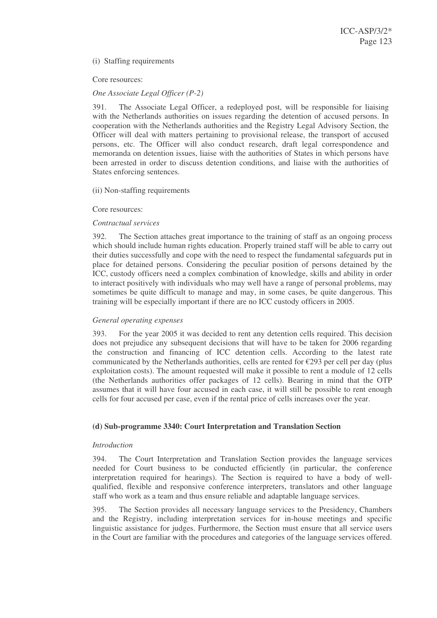### (i) Staffing requirements

#### Core resources:

### *One Associate Legal Officer (P-2)*

391. The Associate Legal Officer, a redeployed post, will be responsible for liaising with the Netherlands authorities on issues regarding the detention of accused persons. In cooperation with the Netherlands authorities and the Registry Legal Advisory Section, the Officer will deal with matters pertaining to provisional release, the transport of accused persons, etc. The Officer will also conduct research, draft legal correspondence and memoranda on detention issues, liaise with the authorities of States in which persons have been arrested in order to discuss detention conditions, and liaise with the authorities of States enforcing sentences.

### (ii) Non-staffing requirements

#### Core resources:

### *Contractual services*

392. The Section attaches great importance to the training of staff as an ongoing process which should include human rights education. Properly trained staff will be able to carry out their duties successfully and cope with the need to respect the fundamental safeguards put in place for detained persons. Considering the peculiar position of persons detained by the ICC, custody officers need a complex combination of knowledge, skills and ability in order to interact positively with individuals who may well have a range of personal problems, may sometimes be quite difficult to manage and may, in some cases, be quite dangerous. This training will be especially important if there are no ICC custody officers in 2005.

### *General operating expenses*

393. For the year 2005 it was decided to rent any detention cells required. This decision does not prejudice any subsequent decisions that will have to be taken for 2006 regarding the construction and financing of ICC detention cells. According to the latest rate communicated by the Netherlands authorities, cells are rented for  $\epsilon$ 293 per cell per day (plus exploitation costs). The amount requested will make it possible to rent a module of 12 cells (the Netherlands authorities offer packages of 12 cells). Bearing in mind that the OTP assumes that it will have four accused in each case, it will still be possible to rent enough cells for four accused per case, even if the rental price of cells increases over the year.

### **(d) Sub-programme 3340: Court Interpretation and Translation Section**

#### *Introduction*

394. The Court Interpretation and Translation Section provides the language services needed for Court business to be conducted efficiently (in particular, the conference interpretation required for hearings). The Section is required to have a body of wellqualified, flexible and responsive conference interpreters, translators and other language staff who work as a team and thus ensure reliable and adaptable language services.

395. The Section provides all necessary language services to the Presidency, Chambers and the Registry, including interpretation services for in-house meetings and specific linguistic assistance for judges. Furthermore, the Section must ensure that all service users in the Court are familiar with the procedures and categories of the language services offered.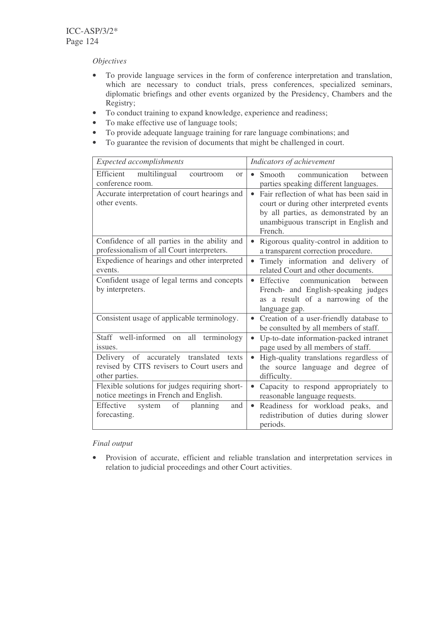## *Objectives*

- To provide language services in the form of conference interpretation and translation, which are necessary to conduct trials, press conferences, specialized seminars, diplomatic briefings and other events organized by the Presidency, Chambers and the Registry;
- To conduct training to expand knowledge, experience and readiness;
- To make effective use of language tools;
- To provide adequate language training for rare language combinations; and
- To guarantee the revision of documents that might be challenged in court.

| <b>Expected accomplishments</b>                                                                             | Indicators of achievement                                                                                                                                                                      |  |  |  |  |
|-------------------------------------------------------------------------------------------------------------|------------------------------------------------------------------------------------------------------------------------------------------------------------------------------------------------|--|--|--|--|
| Efficient<br>multilingual<br>courtroom<br><sub>or</sub><br>conference room.                                 | Smooth<br>communication<br>between<br>parties speaking different languages.                                                                                                                    |  |  |  |  |
| Accurate interpretation of court hearings and<br>other events.                                              | Fair reflection of what has been said in<br>$\bullet$<br>court or during other interpreted events<br>by all parties, as demonstrated by an<br>unambiguous transcript in English and<br>French. |  |  |  |  |
| Confidence of all parties in the ability and<br>professionalism of all Court interpreters.                  | Rigorous quality-control in addition to<br>$\bullet$<br>a transparent correction procedure.                                                                                                    |  |  |  |  |
| Expedience of hearings and other interpreted<br>events.                                                     | Timely information and delivery of<br>$\bullet$<br>related Court and other documents.                                                                                                          |  |  |  |  |
| Confident usage of legal terms and concepts<br>by interpreters.                                             | Effective<br>communication<br>between<br>French- and English-speaking judges<br>as a result of a narrowing of the<br>language gap.                                                             |  |  |  |  |
| Consistent usage of applicable terminology.                                                                 | Creation of a user-friendly database to<br>be consulted by all members of staff.                                                                                                               |  |  |  |  |
| Staff well-informed on all terminology<br>issues.                                                           | Up-to-date information-packed intranet<br>$\bullet$<br>page used by all members of staff.                                                                                                      |  |  |  |  |
| Delivery of accurately translated<br>texts<br>revised by CITS revisers to Court users and<br>other parties. | High-quality translations regardless of<br>the source language and degree of<br>difficulty.                                                                                                    |  |  |  |  |
| Flexible solutions for judges requiring short-<br>notice meetings in French and English.                    | Capacity to respond appropriately to<br>reasonable language requests.                                                                                                                          |  |  |  |  |
| Effective<br>of<br>planning<br>system<br>and<br>forecasting.                                                | Readiness for workload peaks, and<br>$\bullet$<br>redistribution of duties during slower<br>periods.                                                                                           |  |  |  |  |

### *Final output*

• Provision of accurate, efficient and reliable translation and interpretation services in relation to judicial proceedings and other Court activities.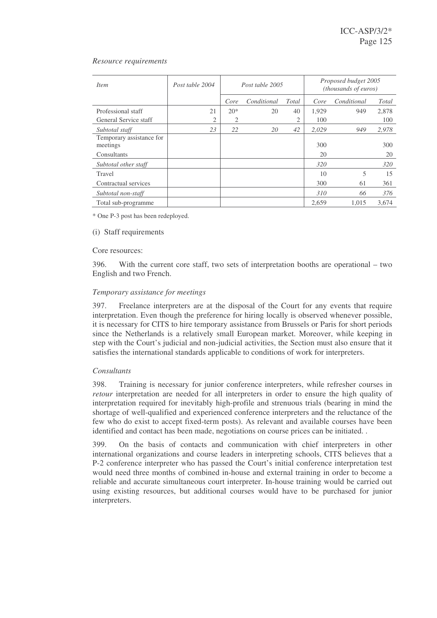## *Item Post table 2004 Post table 2005 Proposed budget 2005 (thousands of euros) Core Conditional Total Core Conditional Total* Professional staff 21 20<sup>\*</sup> 20 40 1,929 949 2,878 General Service staff  $\begin{vmatrix} 2 & 2 & 2 \end{vmatrix}$  100 100 *Subtotal staff 23 22 20 42 2,029 949 2,978* Temporary assistance for meetings and the contract of the contract of the contract of the state of the state of the state of the state of the state of the state of the state of the state of the state of the state of the state of the state of the s Consultants 20 20 *Subtotal other staff 320 320* Travel 10 5 15 Contractual services and the contractual services of the services of the services of the services of the services of the services of the services of the services of the services of the services of the services of the servi *Subtotal non-staff 310 66 376* Total sub-programme 2,659 1,015 3,674

#### *Resource requirements*

\* One P-3 post has been redeployed.

#### (i) Staff requirements

#### Core resources:

396. With the current core staff, two sets of interpretation booths are operational – two English and two French.

### *Temporary assistance for meetings*

397. Freelance interpreters are at the disposal of the Court for any events that require interpretation. Even though the preference for hiring locally is observed whenever possible, it is necessary for CITS to hire temporary assistance from Brussels or Paris for short periods since the Netherlands is a relatively small European market. Moreover, while keeping in step with the Court's judicial and non-judicial activities, the Section must also ensure that it satisfies the international standards applicable to conditions of work for interpreters.

#### *Consultants*

398. Training is necessary for junior conference interpreters, while refresher courses in *retour* interpretation are needed for all interpreters in order to ensure the high quality of interpretation required for inevitably high-profile and strenuous trials (bearing in mind the shortage of well-qualified and experienced conference interpreters and the reluctance of the few who do exist to accept fixed-term posts). As relevant and available courses have been identified and contact has been made, negotiations on course prices can be initiated. .

399. On the basis of contacts and communication with chief interpreters in other international organizations and course leaders in interpreting schools, CITS believes that a P-2 conference interpreter who has passed the Court's initial conference interpretation test would need three months of combined in-house and external training in order to become a reliable and accurate simultaneous court interpreter. In-house training would be carried out using existing resources, but additional courses would have to be purchased for junior interpreters.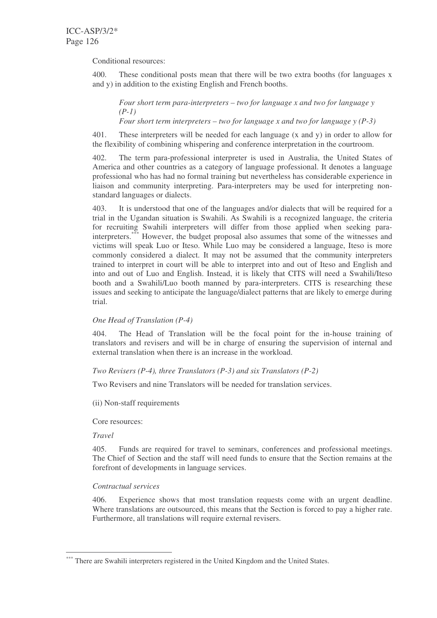Conditional resources:

400. These conditional posts mean that there will be two extra booths (for languages x and y) in addition to the existing English and French booths.

*Four short term para-interpreters – two for language x and two for language y (P-1)*

*Four short term interpreters – two for language x and two for language y (P-3)*

401. These interpreters will be needed for each language (x and y) in order to allow for the flexibility of combining whispering and conference interpretation in the courtroom.

402. The term para-professional interpreter is used in Australia, the United States of America and other countries as a category of language professional. It denotes a language professional who has had no formal training but nevertheless has considerable experience in liaison and community interpreting. Para-interpreters may be used for interpreting nonstandard languages or dialects.

403. It is understood that one of the languages and/or dialects that will be required for a trial in the Ugandan situation is Swahili. As Swahili is a recognized language, the criteria for recruiting Swahili interpreters will differ from those applied when seeking parainterpreters. However, the budget proposal also assumes that some of the witnesses and victims will speak Luo or Iteso. While Luo may be considered a language, Iteso is more commonly considered a dialect. It may not be assumed that the community interpreters trained to interpret in court will be able to interpret into and out of Iteso and English and into and out of Luo and English. Instead, it is likely that CITS will need a Swahili/Iteso booth and a Swahili/Luo booth manned by para-interpreters. CITS is researching these issues and seeking to anticipate the language/dialect patterns that are likely to emerge during trial.

## *One Head of Translation (P-4)*

404. The Head of Translation will be the focal point for the in-house training of translators and revisers and will be in charge of ensuring the supervision of internal and external translation when there is an increase in the workload.

### *Two Revisers (P-4), three Translators (P-3) and six Translators (P-2)*

Two Revisers and nine Translators will be needed for translation services.

(ii) Non-staff requirements

Core resources:

*Travel*

405. Funds are required for travel to seminars, conferences and professional meetings. The Chief of Section and the staff will need funds to ensure that the Section remains at the forefront of developments in language services.

## *Contractual services*

406. Experience shows that most translation requests come with an urgent deadline. Where translations are outsourced, this means that the Section is forced to pay a higher rate. Furthermore, all translations will require external revisers.

<sup>\*\*\*</sup> There are Swahili interpreters registered in the United Kingdom and the United States.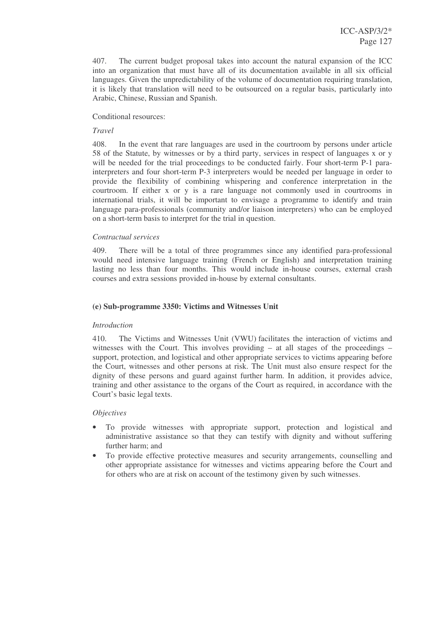407. The current budget proposal takes into account the natural expansion of the ICC into an organization that must have all of its documentation available in all six official languages. Given the unpredictability of the volume of documentation requiring translation, it is likely that translation will need to be outsourced on a regular basis, particularly into Arabic, Chinese, Russian and Spanish.

### Conditional resources:

### *Travel*

408. In the event that rare languages are used in the courtroom by persons under article 58 of the Statute, by witnesses or by a third party, services in respect of languages x or y will be needed for the trial proceedings to be conducted fairly. Four short-term P-1 parainterpreters and four short-term P-3 interpreters would be needed per language in order to provide the flexibility of combining whispering and conference interpretation in the courtroom. If either x or y is a rare language not commonly used in courtrooms in international trials, it will be important to envisage a programme to identify and train language para-professionals (community and/or liaison interpreters) who can be employed on a short-term basis to interpret for the trial in question.

### *Contractual services*

409. There will be a total of three programmes since any identified para-professional would need intensive language training (French or English) and interpretation training lasting no less than four months. This would include in-house courses, external crash courses and extra sessions provided in-house by external consultants.

### **(e) Sub-programme 3350: Victims and Witnesses Unit**

#### *Introduction*

410. The Victims and Witnesses Unit (VWU) facilitates the interaction of victims and witnesses with the Court. This involves providing  $-$  at all stages of the proceedings  $$ support, protection, and logistical and other appropriate services to victims appearing before the Court, witnesses and other persons at risk. The Unit must also ensure respect for the dignity of these persons and guard against further harm. In addition, it provides advice, training and other assistance to the organs of the Court as required, in accordance with the Court's basic legal texts.

#### *Objectives*

- To provide witnesses with appropriate support, protection and logistical and administrative assistance so that they can testify with dignity and without suffering further harm; and
- To provide effective protective measures and security arrangements, counselling and other appropriate assistance for witnesses and victims appearing before the Court and for others who are at risk on account of the testimony given by such witnesses.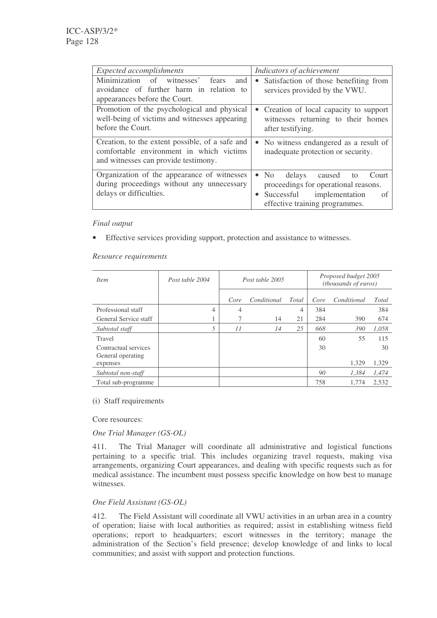| <i>Expected accomplishments</i>                                                                                                     | Indicators of achievement                                                                                                                                    |
|-------------------------------------------------------------------------------------------------------------------------------------|--------------------------------------------------------------------------------------------------------------------------------------------------------------|
| Minimization of witnesses' fears<br>and<br>avoidance of further harm in relation to<br>appearances before the Court.                | Satisfaction of those benefiting from<br>$\bullet$<br>services provided by the VWU.                                                                          |
| Promotion of the psychological and physical<br>well-being of victims and witnesses appearing<br>before the Court.                   | Creation of local capacity to support<br>$\bullet$<br>witnesses returning to their homes<br>after testifying.                                                |
| Creation, to the extent possible, of a safe and<br>comfortable environment in which victims<br>and witnesses can provide testimony. | • No witness endangered as a result of<br>inadequate protection or security.                                                                                 |
| Organization of the appearance of witnesses<br>during proceedings without any unnecessary<br>delays or difficulties.                | $\bullet$ No<br>delays<br>caused<br>Court<br>to<br>proceedings for operational reasons.<br>Successful implementation<br>of<br>effective training programmes. |

### *Final output*

• Effective services providing support, protection and assistance to witnesses.

*Resource requirements*

| <i>Item</i>           | Post table 2004 | Post table 2005 |             |       | Proposed budget 2005<br>(thousands of euros) |             |       |
|-----------------------|-----------------|-----------------|-------------|-------|----------------------------------------------|-------------|-------|
|                       |                 | Core            | Conditional | Total | Core                                         | Conditional | Total |
| Professional staff    | 4               | 4               |             | 4     | 384                                          |             | 384   |
| General Service staff |                 | 7               | 14          | 21    | 284                                          | 390         | 674   |
| Subtotal staff        | 5               | 11              | 14          | 25    | 668                                          | 390         | 1,058 |
| Travel                |                 |                 |             |       | 60                                           | 55          | 115   |
| Contractual services  |                 |                 |             |       | 30                                           |             | 30    |
| General operating     |                 |                 |             |       |                                              |             |       |
| expenses              |                 |                 |             |       |                                              | 1.329       | 1,329 |
| Subtotal non-staff    |                 |                 |             |       | 90                                           | 1.384       | 1.474 |
| Total sub-programme   |                 |                 |             |       | 758                                          | 1.774       | 2.532 |

### (i) Staff requirements

Core resources:

*One Trial Manager (GS-OL)*

411. The Trial Manager will coordinate all administrative and logistical functions pertaining to a specific trial. This includes organizing travel requests, making visa arrangements, organizing Court appearances, and dealing with specific requests such as for medical assistance. The incumbent must possess specific knowledge on how best to manage witnesses.

### *One Field Assistant (GS-OL)*

412. The Field Assistant will coordinate all VWU activities in an urban area in a country of operation; liaise with local authorities as required; assist in establishing witness field operations; report to headquarters; escort witnesses in the territory; manage the administration of the Section's field presence; develop knowledge of and links to local communities; and assist with support and protection functions.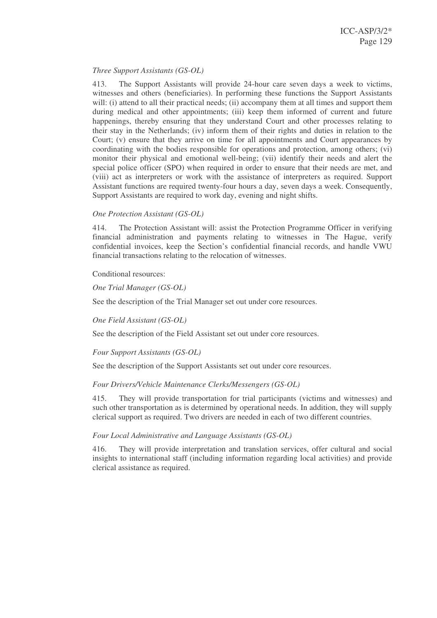### *Three Support Assistants (GS-OL)*

413. The Support Assistants will provide 24-hour care seven days a week to victims, witnesses and others (beneficiaries). In performing these functions the Support Assistants will: (i) attend to all their practical needs; (ii) accompany them at all times and support them during medical and other appointments; (iii) keep them informed of current and future happenings, thereby ensuring that they understand Court and other processes relating to their stay in the Netherlands; (iv) inform them of their rights and duties in relation to the Court; (v) ensure that they arrive on time for all appointments and Court appearances by coordinating with the bodies responsible for operations and protection, among others; (vi) monitor their physical and emotional well-being; (vii) identify their needs and alert the special police officer (SPO) when required in order to ensure that their needs are met, and (viii) act as interpreters or work with the assistance of interpreters as required. Support Assistant functions are required twenty-four hours a day, seven days a week. Consequently, Support Assistants are required to work day, evening and night shifts.

### *One Protection Assistant (GS-OL)*

414. The Protection Assistant will: assist the Protection Programme Officer in verifying financial administration and payments relating to witnesses in The Hague, verify confidential invoices, keep the Section's confidential financial records, and handle VWU financial transactions relating to the relocation of witnesses.

#### Conditional resources:

#### *One Trial Manager (GS-OL)*

See the description of the Trial Manager set out under core resources.

### *One Field Assistant (GS-OL)*

See the description of the Field Assistant set out under core resources.

#### *Four Support Assistants (GS-OL)*

See the description of the Support Assistants set out under core resources.

#### *Four Drivers/Vehicle Maintenance Clerks/Messengers (GS-OL)*

415. They will provide transportation for trial participants (victims and witnesses) and such other transportation as is determined by operational needs. In addition, they will supply clerical support as required. Two drivers are needed in each of two different countries.

#### *Four Local Administrative and Language Assistants (GS-OL)*

416. They will provide interpretation and translation services, offer cultural and social insights to international staff (including information regarding local activities) and provide clerical assistance as required.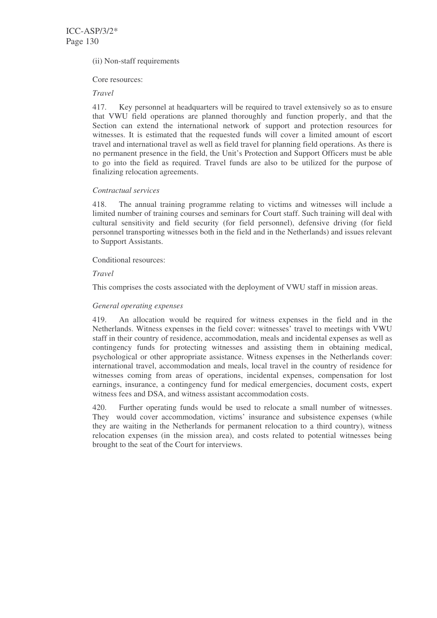### (ii) Non-staff requirements

### Core resources:

*Travel*

417. Key personnel at headquarters will be required to travel extensively so as to ensure that VWU field operations are planned thoroughly and function properly, and that the Section can extend the international network of support and protection resources for witnesses. It is estimated that the requested funds will cover a limited amount of escort travel and international travel as well as field travel for planning field operations. As there is no permanent presence in the field, the Unit's Protection and Support Officers must be able to go into the field as required. Travel funds are also to be utilized for the purpose of finalizing relocation agreements.

### *Contractual services*

418. The annual training programme relating to victims and witnesses will include a limited number of training courses and seminars for Court staff. Such training will deal with cultural sensitivity and field security (for field personnel), defensive driving (for field personnel transporting witnesses both in the field and in the Netherlands) and issues relevant to Support Assistants.

Conditional resources:

*Travel*

This comprises the costs associated with the deployment of VWU staff in mission areas.

### *General operating expenses*

419. An allocation would be required for witness expenses in the field and in the Netherlands. Witness expenses in the field cover: witnesses' travel to meetings with VWU staff in their country of residence, accommodation, meals and incidental expenses as well as contingency funds for protecting witnesses and assisting them in obtaining medical, psychological or other appropriate assistance. Witness expenses in the Netherlands cover: international travel, accommodation and meals, local travel in the country of residence for witnesses coming from areas of operations, incidental expenses, compensation for lost earnings, insurance, a contingency fund for medical emergencies, document costs, expert witness fees and DSA, and witness assistant accommodation costs.

420. Further operating funds would be used to relocate a small number of witnesses. They would cover accommodation, victims' insurance and subsistence expenses (while they are waiting in the Netherlands for permanent relocation to a third country), witness relocation expenses (in the mission area), and costs related to potential witnesses being brought to the seat of the Court for interviews.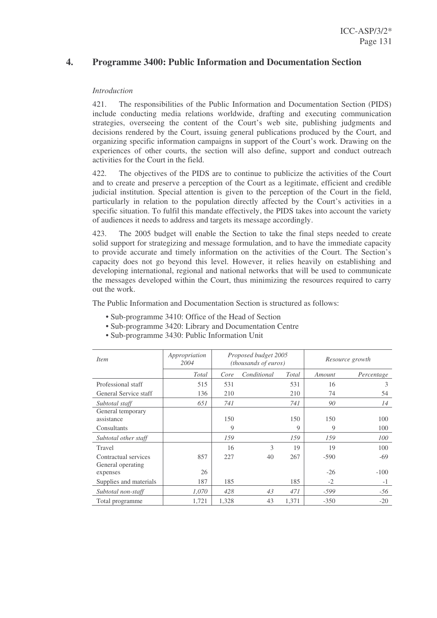# **4. Programme 3400: Public Information and Documentation Section**

### *Introduction*

421. The responsibilities of the Public Information and Documentation Section (PIDS) include conducting media relations worldwide, drafting and executing communication strategies, overseeing the content of the Court's web site, publishing judgments and decisions rendered by the Court, issuing general publications produced by the Court, and organizing specific information campaigns in support of the Court's work. Drawing on the experiences of other courts, the section will also define, support and conduct outreach activities for the Court in the field.

422. The objectives of the PIDS are to continue to publicize the activities of the Court and to create and preserve a perception of the Court as a legitimate, efficient and credible judicial institution. Special attention is given to the perception of the Court in the field, particularly in relation to the population directly affected by the Court's activities in a specific situation. To fulfil this mandate effectively, the PIDS takes into account the variety of audiences it needs to address and targets its message accordingly.

423. The 2005 budget will enable the Section to take the final steps needed to create solid support for strategizing and message formulation, and to have the immediate capacity to provide accurate and timely information on the activities of the Court. The Section's capacity does not go beyond this level. However, it relies heavily on establishing and developing international, regional and national networks that will be used to communicate the messages developed within the Court, thus minimizing the resources required to carry out the work.

The Public Information and Documentation Section is structured as follows:

- Sub-programme 3410: Office of the Head of Section
- Sub-programme 3420: Library and Documentation Centre
- Sub-programme 3430: Public Information Unit

| <i>Item</i>            | Appropriation<br>2004 | Proposed budget 2005<br>(thousands of euros) |             |       |        | Resource growth |  |
|------------------------|-----------------------|----------------------------------------------|-------------|-------|--------|-----------------|--|
|                        | Total                 | Core                                         | Conditional | Total | Amount | Percentage      |  |
| Professional staff     | 515                   | 531                                          |             | 531   | 16     | 3               |  |
| General Service staff  | 136                   | 210                                          |             | 210   | 74     | 54              |  |
| Subtotal staff         | 651                   | 741                                          |             | 741   | 90     | 14              |  |
| General temporary      |                       |                                              |             |       |        |                 |  |
| assistance             |                       | 150                                          |             | 150   | 150    | 100             |  |
| Consultants            |                       | 9                                            |             | 9     | 9      | 100             |  |
| Subtotal other staff   |                       | 159                                          |             | 159   | 159    | 100             |  |
| Travel                 |                       | 16                                           | 3           | 19    | 19     | 100             |  |
| Contractual services   | 857                   | 227                                          | 40          | 267   | $-590$ | $-69$           |  |
| General operating      |                       |                                              |             |       |        |                 |  |
| expenses               | 26                    |                                              |             |       | $-26$  | $-100$          |  |
| Supplies and materials | 187                   | 185                                          |             | 185   | $-2$   | $-1$            |  |
| Subtotal non-staff     | 1,070                 | 428                                          | 43          | 471   | $-599$ | -56             |  |
| Total programme        | 1,721                 | 1,328                                        | 43          | 1,371 | $-350$ | $-20$           |  |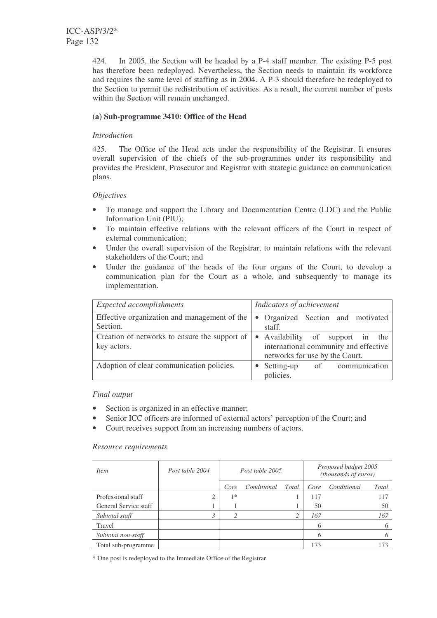424. In 2005, the Section will be headed by a P-4 staff member. The existing P-5 post has therefore been redeployed. Nevertheless, the Section needs to maintain its workforce and requires the same level of staffing as in 2004. A P-3 should therefore be redeployed to the Section to permit the redistribution of activities. As a result, the current number of posts within the Section will remain unchanged.

## **(a) Sub-programme 3410: Office of the Head**

## *Introduction*

425. The Office of the Head acts under the responsibility of the Registrar. It ensures overall supervision of the chiefs of the sub-programmes under its responsibility and provides the President, Prosecutor and Registrar with strategic guidance on communication plans.

### *Objectives*

- To manage and support the Library and Documentation Centre (LDC) and the Public Information Unit (PIU);
- To maintain effective relations with the relevant officers of the Court in respect of external communication;
- Under the overall supervision of the Registrar, to maintain relations with the relevant stakeholders of the Court; and
- Under the guidance of the heads of the four organs of the Court, to develop a communication plan for the Court as a whole, and subsequently to manage its implementation.

| Expected accomplishments                      | Indicators of achievement                   |
|-----------------------------------------------|---------------------------------------------|
| Effective organization and management of the  | • Organized Section and motivated           |
| Section.                                      | staff.                                      |
| Creation of networks to ensure the support of | Availability of support in the<br>$\bullet$ |
| key actors.                                   | international community and effective       |
|                                               | networks for use by the Court.              |
| Adoption of clear communication policies.     | Setting-up of communication                 |
|                                               | policies.                                   |

### *Final output*

- Section is organized in an effective manner;
- Senior ICC officers are informed of external actors' perception of the Court; and
- Court receives support from an increasing numbers of actors.

### *Resource requirements*

| <i>Item</i>           | Post table 2004 | Post table 2005 |             |       | Proposed budget 2005<br><i>(thousands of euros)</i> |             |       |
|-----------------------|-----------------|-----------------|-------------|-------|-----------------------------------------------------|-------------|-------|
|                       |                 | Core            | Conditional | Total | Core                                                | Conditional | Total |
| Professional staff    | ◠               | $1*$            |             |       | 117                                                 |             | 117   |
| General Service staff |                 |                 |             |       | 50                                                  |             | 50    |
| Subtotal staff        | 3               | າ               |             |       | 167                                                 |             | 167   |
| Travel                |                 |                 |             |       | 6                                                   |             | 6     |
| Subtotal non-staff    |                 |                 |             |       | Ô                                                   |             |       |
| Total sub-programme   |                 |                 |             |       | 173                                                 |             | 173   |

\* One post is redeployed to the Immediate Office of the Registrar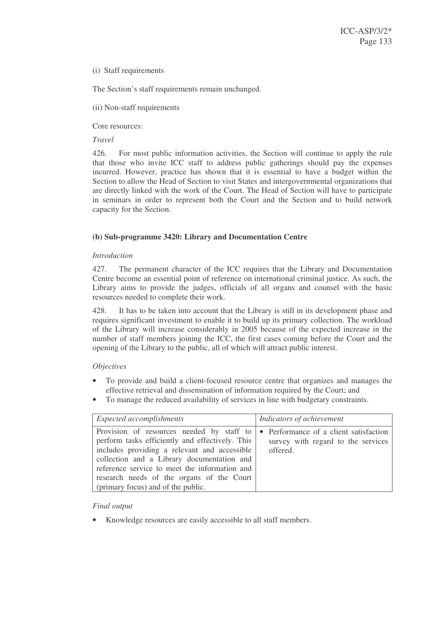### (i) Staff requirements

The Section's staff requirements remain unchanged.

(ii) Non-staff requirements

Core resources:

*Travel*

426. For most public information activities, the Section will continue to apply the rule that those who invite ICC staff to address public gatherings should pay the expenses incurred. However, practice has shown that it is essential to have a budget within the Section to allow the Head of Section to visit States and intergovernmental organizations that are directly linked with the work of the Court. The Head of Section will have to participate in seminars in order to represent both the Court and the Section and to build network capacity for the Section.

### **(b) Sub-programme 3420: Library and Documentation Centre**

#### *Introduction*

427. The permanent character of the ICC requires that the Library and Documentation Centre become an essential point of reference on international criminal justice. As such, the Library aims to provide the judges, officials of all organs and counsel with the basic resources needed to complete their work.

428. It has to be taken into account that the Library is still in its development phase and requires significant investment to enable it to build up its primary collection. The workload of the Library will increase considerably in 2005 because of the expected increase in the number of staff members joining the ICC, the first cases coming before the Court and the opening of the Library to the public, all of which will attract public interest.

#### *Objectives*

- To provide and build a client-focused resource centre that organizes and manages the effective retrieval and dissemination of information required by the Court; and
- To manage the reduced availability of services in line with budgetary constraints.

| <i>Expected accomplishments</i>                                                                                                                                                                                                                                                                                                                                               | Indicators of achievement                      |
|-------------------------------------------------------------------------------------------------------------------------------------------------------------------------------------------------------------------------------------------------------------------------------------------------------------------------------------------------------------------------------|------------------------------------------------|
| Provision of resources needed by staff to $\bullet$ Performance of a client satisfaction<br>perform tasks efficiently and effectively. This<br>includes providing a relevant and accessible<br>collection and a Library documentation and<br>reference service to meet the information and<br>research needs of the organs of the Court<br>(primary focus) and of the public. | survey with regard to the services<br>offered. |

### *Final output*

• Knowledge resources are easily accessible to all staff members.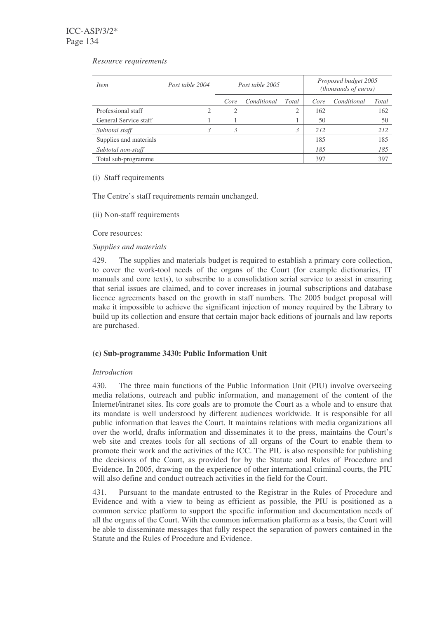# ICC-ASP/3/2\* Page 134

### *Resource requirements*

| <i>Item</i>            | Post table 2004 | Post table 2005 |             |       | Proposed budget 2005<br>(thousands of euros) |             |       |
|------------------------|-----------------|-----------------|-------------|-------|----------------------------------------------|-------------|-------|
|                        |                 | Core            | Conditional | Total | Core                                         | Conditional | Total |
| Professional staff     | ◠               | ∍               |             |       | 162                                          |             | 162   |
| General Service staff  |                 |                 |             |       | 50                                           |             | 50    |
| Subtotal staff         | 3               |                 |             | 3     | 212                                          |             | 212   |
| Supplies and materials |                 |                 |             |       | 185                                          |             | 185   |
| Subtotal non-staff     |                 |                 |             |       | 185                                          |             | 185   |
| Total sub-programme    |                 |                 |             |       | 397                                          |             | 397   |

### (i) Staff requirements

The Centre's staff requirements remain unchanged.

## (ii) Non-staff requirements

Core resources:

## *Supplies and materials*

429. The supplies and materials budget is required to establish a primary core collection, to cover the work-tool needs of the organs of the Court (for example dictionaries, IT manuals and core texts), to subscribe to a consolidation serial service to assist in ensuring that serial issues are claimed, and to cover increases in journal subscriptions and database licence agreements based on the growth in staff numbers. The 2005 budget proposal will make it impossible to achieve the significant injection of money required by the Library to build up its collection and ensure that certain major back editions of journals and law reports are purchased.

## **(c) Sub-programme 3430: Public Information Unit**

### *Introduction*

430. The three main functions of the Public Information Unit (PIU) involve overseeing media relations, outreach and public information, and management of the content of the Internet/intranet sites. Its core goals are to promote the Court as a whole and to ensure that its mandate is well understood by different audiences worldwide. It is responsible for all public information that leaves the Court. It maintains relations with media organizations all over the world, drafts information and disseminates it to the press, maintains the Court's web site and creates tools for all sections of all organs of the Court to enable them to promote their work and the activities of the ICC. The PIU is also responsible for publishing the decisions of the Court, as provided for by the Statute and Rules of Procedure and Evidence. In 2005, drawing on the experience of other international criminal courts, the PIU will also define and conduct outreach activities in the field for the Court.

431. Pursuant to the mandate entrusted to the Registrar in the Rules of Procedure and Evidence and with a view to being as efficient as possible, the PIU is positioned as a common service platform to support the specific information and documentation needs of all the organs of the Court. With the common information platform as a basis, the Court will be able to disseminate messages that fully respect the separation of powers contained in the Statute and the Rules of Procedure and Evidence.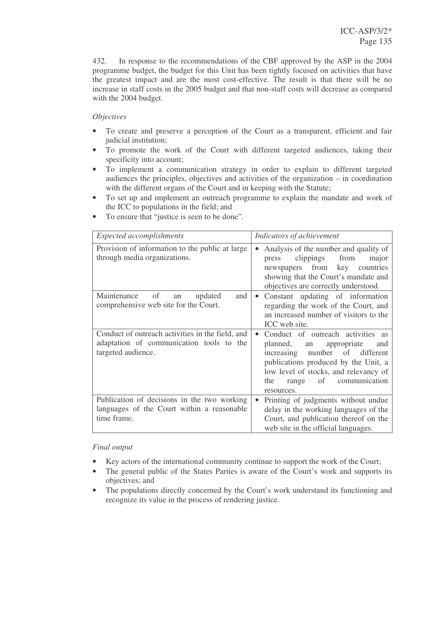432. In response to the recommendations of the CBF approved by the ASP in the 2004 programme budget, the budget for this Unit has been tightly focused on activities that have the greatest impact and are the most cost-effective. The result is that there will be no increase in staff costs in the 2005 budget and that non-staff costs will decrease as compared with the 2004 budget.

### *Objectives*

- To create and preserve a perception of the Court as a transparent, efficient and fair judicial institution;
- To promote the work of the Court with different targeted audiences, taking their specificity into account;
- To implement a communication strategy in order to explain to different targeted audiences the principles, objectives and activities of the organization – in coordination with the different organs of the Court and in keeping with the Statute;
- To set up and implement an outreach programme to explain the mandate and work of the ICC to populations in the field; and

| <b>Expected accomplishments</b>                                                                                    | Indicators of achievement                                                                                                                                                                                                                         |
|--------------------------------------------------------------------------------------------------------------------|---------------------------------------------------------------------------------------------------------------------------------------------------------------------------------------------------------------------------------------------------|
| Provision of information to the public at large<br>through media organizations.                                    | Analysis of the number and quality of<br>clippings<br>from<br>major<br>press<br>newspapers from key<br>countries<br>showing that the Court's mandate and<br>objectives are correctly understood.                                                  |
| of<br>and<br>Maintenance<br>updated<br>an<br>comprehensive web site for the Court.                                 | Constant updating of information<br>$\bullet$<br>regarding the work of the Court, and<br>an increased number of visitors to the<br>ICC web site.                                                                                                  |
| Conduct of outreach activities in the field, and<br>adaptation of communication tools to the<br>targeted audience. | Conduct of outreach activities as<br>planned,<br>appropriate<br>an<br>and<br>increasing number of different<br>publications produced by the Unit, a<br>low level of stocks, and relevancy of<br>communication<br>of<br>the<br>range<br>resources. |
| Publication of decisions in the two working<br>languages of the Court within a reasonable<br>time frame.           | Printing of judgments without undue<br>delay in the working languages of the<br>Court, and publication thereof on the<br>web site in the official languages.                                                                                      |

To ensure that "justice is seen to be done".

### *Final output*

- Key actors of the international community continue to support the work of the Court;
- The general public of the States Parties is aware of the Court's work and supports its objectives; and
- The populations directly concerned by the Court's work understand its functioning and recognize its value in the process of rendering justice.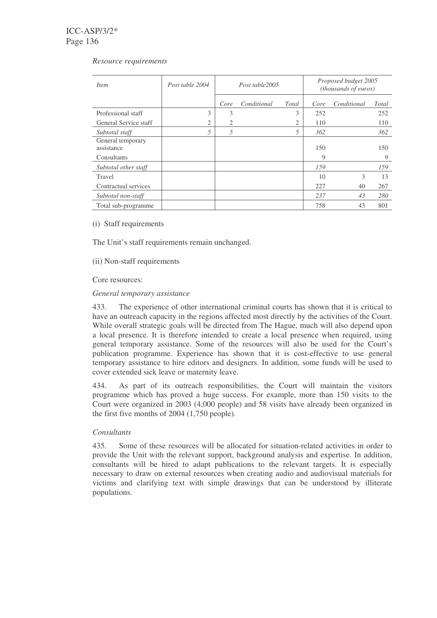# ICC-ASP/3/2\* Page 136

### *Resource requirements*

| <i>Item</i>                     | Post table 2004 | Post table 2005 |             |                |      | Proposed budget 2005<br><i>(thousands of euros)</i> |       |  |
|---------------------------------|-----------------|-----------------|-------------|----------------|------|-----------------------------------------------------|-------|--|
|                                 |                 | Core            | Conditional | Total          | Core | Conditional                                         | Total |  |
| Professional staff              | 3               | 3               |             | 3              | 252  |                                                     | 252   |  |
| General Service staff           | $\overline{2}$  | 2               |             | $\overline{c}$ | 110  |                                                     | 110   |  |
| Subtotal staff                  | 5               | 5               |             | 5              | 362  |                                                     | 362   |  |
| General temporary<br>assistance |                 |                 |             |                | 150  |                                                     | 150   |  |
| Consultants                     |                 |                 |             |                | 9    |                                                     | 9     |  |
| Subtotal other staff            |                 |                 |             |                | 159  |                                                     | 159   |  |
| Travel                          |                 |                 |             |                | 10   | 3                                                   | 13    |  |
| Contractual services            |                 |                 |             |                | 227  | 40                                                  | 267   |  |
| Subtotal non-staff              |                 |                 |             |                | 237  | 43                                                  | 280   |  |
| Total sub-programme             |                 |                 |             |                | 758  | 43                                                  | 801   |  |

(i) Staff requirements

The Unit's staff requirements remain unchanged.

### (ii) Non-staff requirements

### Core resources:

### *General temporary assistance*

433. The experience of other international criminal courts has shown that it is critical to have an outreach capacity in the regions affected most directly by the activities of the Court. While overall strategic goals will be directed from The Hague, much will also depend upon a local presence. It is therefore intended to create a local presence when required, using general temporary assistance. Some of the resources will also be used for the Court's publication programme. Experience has shown that it is cost-effective to use general temporary assistance to hire editors and designers. In addition, some funds will be used to cover extended sick leave or maternity leave.

434. As part of its outreach responsibilities, the Court will maintain the visitors programme which has proved a huge success. For example, more than 150 visits to the Court were organized in 2003 (4,000 people) and 58 visits have already been organized in the first five months of 2004 (1,750 people).

### *Consultants*

435. Some of these resources will be allocated for situation-related activities in order to provide the Unit with the relevant support, background analysis and expertise. In addition, consultants will be hired to adapt publications to the relevant targets. It is especially necessary to draw on external resources when creating audio and audiovisual materials for victims and clarifying text with simple drawings that can be understood by illiterate populations.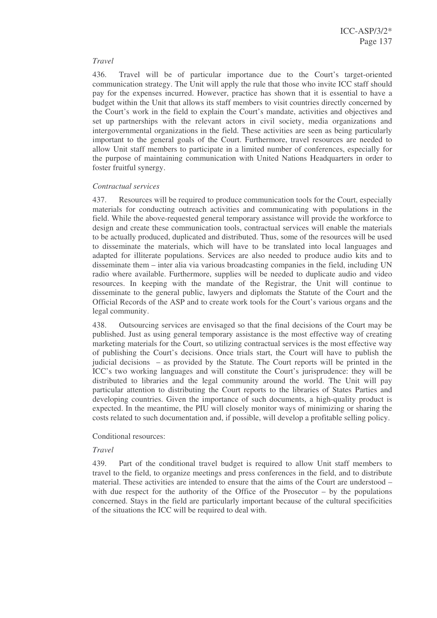#### *Travel*

436. Travel will be of particular importance due to the Court's target-oriented communication strategy. The Unit will apply the rule that those who invite ICC staff should pay for the expenses incurred. However, practice has shown that it is essential to have a budget within the Unit that allows its staff members to visit countries directly concerned by the Court's work in the field to explain the Court's mandate, activities and objectives and set up partnerships with the relevant actors in civil society, media organizations and intergovernmental organizations in the field. These activities are seen as being particularly important to the general goals of the Court. Furthermore, travel resources are needed to allow Unit staff members to participate in a limited number of conferences, especially for the purpose of maintaining communication with United Nations Headquarters in order to foster fruitful synergy.

#### *Contractual services*

437. Resources will be required to produce communication tools for the Court, especially materials for conducting outreach activities and communicating with populations in the field. While the above-requested general temporary assistance will provide the workforce to design and create these communication tools, contractual services will enable the materials to be actually produced, duplicated and distributed. Thus, some of the resources will be used to disseminate the materials, which will have to be translated into local languages and adapted for illiterate populations. Services are also needed to produce audio kits and to disseminate them – inter alia via various broadcasting companies in the field, including UN radio where available. Furthermore, supplies will be needed to duplicate audio and video resources. In keeping with the mandate of the Registrar, the Unit will continue to disseminate to the general public, lawyers and diplomats the Statute of the Court and the Official Records of the ASP and to create work tools for the Court's various organs and the legal community.

438. Outsourcing services are envisaged so that the final decisions of the Court may be published. Just as using general temporary assistance is the most effective way of creating marketing materials for the Court, so utilizing contractual services is the most effective way of publishing the Court's decisions. Once trials start, the Court will have to publish the judicial decisions – as provided by the Statute. The Court reports will be printed in the ICC's two working languages and will constitute the Court's jurisprudence: they will be distributed to libraries and the legal community around the world. The Unit will pay particular attention to distributing the Court reports to the libraries of States Parties and developing countries. Given the importance of such documents, a high-quality product is expected. In the meantime, the PIU will closely monitor ways of minimizing or sharing the costs related to such documentation and, if possible, will develop a profitable selling policy.

#### Conditional resources:

#### *Travel*

439. Part of the conditional travel budget is required to allow Unit staff members to travel to the field, to organize meetings and press conferences in the field, and to distribute material. These activities are intended to ensure that the aims of the Court are understood – with due respect for the authority of the Office of the Prosecutor – by the populations concerned. Stays in the field are particularly important because of the cultural specificities of the situations the ICC will be required to deal with.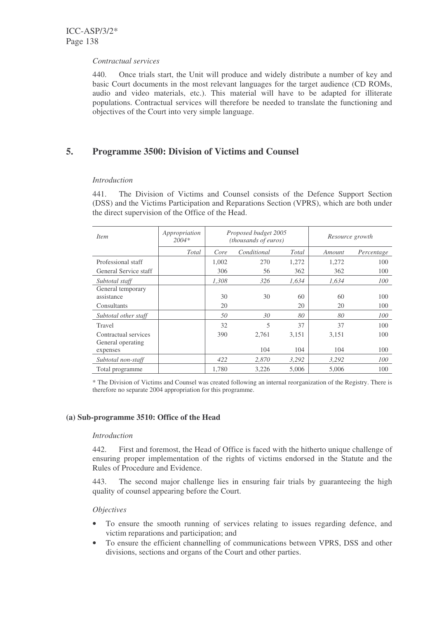### *Contractual services*

440. Once trials start, the Unit will produce and widely distribute a number of key and basic Court documents in the most relevant languages for the target audience (CD ROMs, audio and video materials, etc.). This material will have to be adapted for illiterate populations. Contractual services will therefore be needed to translate the functioning and objectives of the Court into very simple language.

# **5. Programme 3500: Division of Victims and Counsel**

### *Introduction*

441. The Division of Victims and Counsel consists of the Defence Support Section (DSS) and the Victims Participation and Reparations Section (VPRS), which are both under the direct supervision of the Office of the Head.

| <i>Item</i>                               | Appropriation<br>$2004*$ | Proposed budget 2005<br><i>(thousands of euros)</i> |             |       |        | Resource growth |  |
|-------------------------------------------|--------------------------|-----------------------------------------------------|-------------|-------|--------|-----------------|--|
|                                           | Total                    | Core                                                | Conditional | Total | Amount | Percentage      |  |
| Professional staff                        |                          | 1,002                                               | 270         | 1,272 | 1,272  | 100             |  |
| General Service staff                     |                          | 306                                                 | 56          | 362   | 362    | 100             |  |
| Subtotal staff                            |                          | 1.308                                               | 326         | 1.634 | 1.634  | 100             |  |
| General temporary<br>assistance           |                          | 30                                                  | 30          | 60    | 60     | 100             |  |
| Consultants                               |                          | 20                                                  |             | 20    | 20     | 100             |  |
| Subtotal other staff                      |                          | 50                                                  | 30          | 80    | 80     | 100             |  |
| Travel                                    |                          | 32                                                  | 5           | 37    | 37     | 100             |  |
| Contractual services<br>General operating |                          | 390                                                 | 2.761       | 3,151 | 3.151  | 100             |  |
| expenses                                  |                          |                                                     | 104         | 104   | 104    | 100             |  |
| Subtotal non-staff                        |                          | 422                                                 | 2.870       | 3,292 | 3,292  | 100             |  |
| Total programme                           |                          | 1.780                                               | 3,226       | 5,006 | 5,006  | 100             |  |

\* The Division of Victims and Counsel was created following an internal reorganization of the Registry. There is therefore no separate 2004 appropriation for this programme.

## **(a) Sub-programme 3510: Office of the Head**

#### *Introduction*

442. First and foremost, the Head of Office is faced with the hitherto unique challenge of ensuring proper implementation of the rights of victims endorsed in the Statute and the Rules of Procedure and Evidence.

443. The second major challenge lies in ensuring fair trials by guaranteeing the high quality of counsel appearing before the Court.

### *Objectives*

- To ensure the smooth running of services relating to issues regarding defence, and victim reparations and participation; and
- To ensure the efficient channelling of communications between VPRS, DSS and other divisions, sections and organs of the Court and other parties.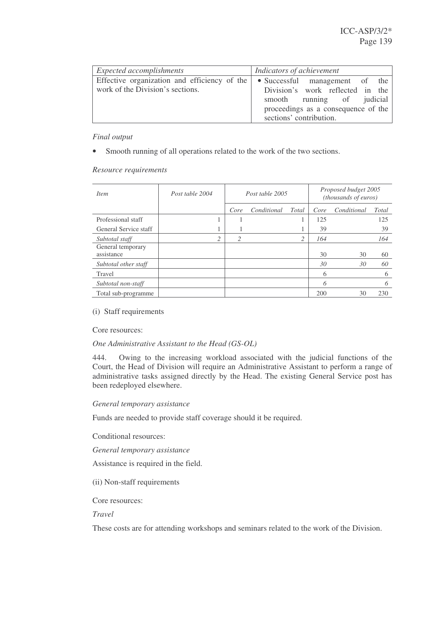| Expected accomplishments                     | Indicators of achievement           |
|----------------------------------------------|-------------------------------------|
| Effective organization and efficiency of the | • Successful management of the      |
| work of the Division's sections.             | Division's work reflected in the    |
|                                              | smooth running of judicial          |
|                                              | proceedings as a consequence of the |
|                                              | sections' contribution.             |

#### *Final output*

• Smooth running of all operations related to the work of the two sections.

#### *Resource requirements*

| <i>Item</i>                     | Post table 2004 | Post table 2005 |             |                |      | Proposed budget 2005<br><i>(thousands of euros)</i> |       |
|---------------------------------|-----------------|-----------------|-------------|----------------|------|-----------------------------------------------------|-------|
|                                 |                 | Core            | Conditional | Total          | Core | Conditional                                         | Total |
| Professional staff              |                 |                 |             | л              | 125  |                                                     | 125   |
| General Service staff           |                 |                 |             |                | 39   |                                                     | 39    |
| Subtotal staff                  | ↑               | $\overline{c}$  |             | $\overline{c}$ | 164  |                                                     | 164   |
| General temporary<br>assistance |                 |                 |             |                | 30   | 30                                                  | 60    |
| Subtotal other staff            |                 |                 |             |                | 30   | 30                                                  | 60    |
| Travel                          |                 |                 |             |                | 6    |                                                     | 6     |
| Subtotal non-staff              |                 |                 |             |                | 6    |                                                     | 6     |
| Total sub-programme             |                 |                 |             |                | 200  | 30                                                  | 230   |

# (i) Staff requirements

Core resources:

# *One Administrative Assistant to the Head (GS-OL)*

444. Owing to the increasing workload associated with the judicial functions of the Court, the Head of Division will require an Administrative Assistant to perform a range of administrative tasks assigned directly by the Head. The existing General Service post has been redeployed elsewhere.

#### *General temporary assistance*

Funds are needed to provide staff coverage should it be required.

Conditional resources:

*General temporary assistance*

Assistance is required in the field.

(ii) Non-staff requirements

Core resources:

*Travel*

These costs are for attending workshops and seminars related to the work of the Division.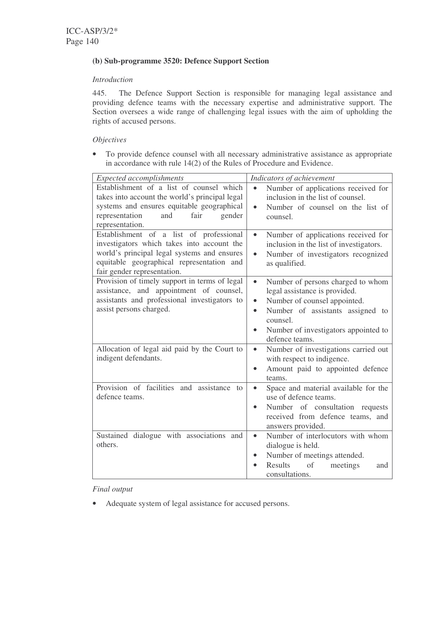# **(b) Sub-programme 3520: Defence Support Section**

# *Introduction*

445. The Defence Support Section is responsible for managing legal assistance and providing defence teams with the necessary expertise and administrative support. The Section oversees a wide range of challenging legal issues with the aim of upholding the rights of accused persons.

# *Objectives*

• To provide defence counsel with all necessary administrative assistance as appropriate in accordance with rule 14(2) of the Rules of Procedure and Evidence.

| Expected accomplishments                                                                                                                                                                                         | Indicators of achievement                                                                                                                                                                                                                           |
|------------------------------------------------------------------------------------------------------------------------------------------------------------------------------------------------------------------|-----------------------------------------------------------------------------------------------------------------------------------------------------------------------------------------------------------------------------------------------------|
| Establishment of a list of counsel which<br>takes into account the world's principal legal<br>systems and ensures equitable geographical<br>representation<br>and<br>fair<br>gender<br>representation.           | Number of applications received for<br>$\bullet$<br>inclusion in the list of counsel.<br>Number of counsel on the list of<br>$\bullet$<br>counsel.                                                                                                  |
| Establishment of a list of professional<br>investigators which takes into account the<br>world's principal legal systems and ensures<br>equitable geographical representation and<br>fair gender representation. | Number of applications received for<br>$\bullet$<br>inclusion in the list of investigators.<br>Number of investigators recognized<br>$\bullet$<br>as qualified.                                                                                     |
| Provision of timely support in terms of legal<br>assistance, and appointment of counsel,<br>assistants and professional investigators to<br>assist persons charged.                                              | Number of persons charged to whom<br>$\bullet$<br>legal assistance is provided.<br>Number of counsel appointed.<br>$\bullet$<br>Number of assistants assigned to<br>$\bullet$<br>counsel.<br>Number of investigators appointed to<br>defence teams. |
| Allocation of legal aid paid by the Court to<br>indigent defendants.                                                                                                                                             | Number of investigations carried out<br>$\bullet$<br>with respect to indigence.<br>Amount paid to appointed defence<br>$\bullet$<br>teams.                                                                                                          |
| Provision of facilities and assistance to<br>defence teams.                                                                                                                                                      | Space and material available for the<br>$\bullet$<br>use of defence teams.<br>Number of consultation requests<br>received from defence teams, and<br>answers provided.                                                                              |
| Sustained dialogue with associations and<br>others.                                                                                                                                                              | Number of interlocutors with whom<br>$\bullet$<br>dialogue is held.<br>Number of meetings attended.<br>$\bullet$<br>of<br>Results<br>meetings<br>and<br>consultations.                                                                              |

*Final output*

• Adequate system of legal assistance for accused persons.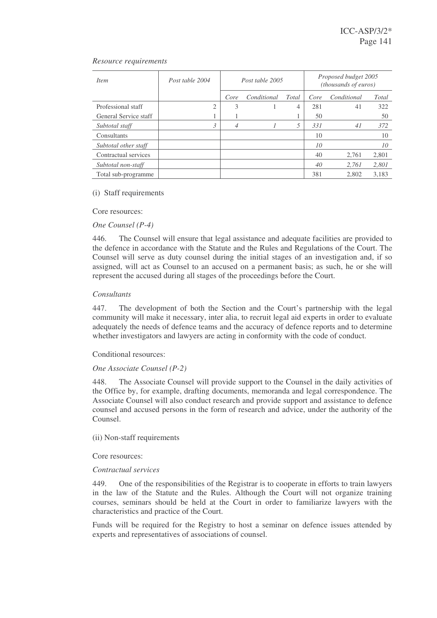#### *Resource requirements*

| <i>Item</i>           | Post table 2004 | Post table 2005 |             |       |      | Proposed budget 2005<br><i>(thousands of euros)</i> |       |
|-----------------------|-----------------|-----------------|-------------|-------|------|-----------------------------------------------------|-------|
|                       |                 | Core            | Conditional | Total | Core | Conditional                                         | Total |
| Professional staff    | $\overline{2}$  | 3               |             | 4     | 281  | 41                                                  | 322   |
| General Service staff |                 |                 |             |       | 50   |                                                     | 50    |
| Subtotal staff        | 3               | 4               |             | 5     | 331  | 41                                                  | 372   |
| Consultants           |                 |                 |             |       | 10   |                                                     | 10    |
| Subtotal other staff  |                 |                 |             |       | 10   |                                                     | 10    |
| Contractual services  |                 |                 |             |       | 40   | 2,761                                               | 2,801 |
| Subtotal non-staff    |                 |                 |             |       | 40   | 2.761                                               | 2,801 |
| Total sub-programme   |                 |                 |             |       | 381  | 2.802                                               | 3,183 |

#### (i) Staff requirements

Core resources:

#### *One Counsel (P-4)*

446. The Counsel will ensure that legal assistance and adequate facilities are provided to the defence in accordance with the Statute and the Rules and Regulations of the Court. The Counsel will serve as duty counsel during the initial stages of an investigation and, if so assigned, will act as Counsel to an accused on a permanent basis; as such, he or she will represent the accused during all stages of the proceedings before the Court.

#### *Consultants*

447. The development of both the Section and the Court's partnership with the legal community will make it necessary, inter alia, to recruit legal aid experts in order to evaluate adequately the needs of defence teams and the accuracy of defence reports and to determine whether investigators and lawyers are acting in conformity with the code of conduct.

#### Conditional resources:

#### *One Associate Counsel (P-2)*

448. The Associate Counsel will provide support to the Counsel in the daily activities of the Office by, for example, drafting documents, memoranda and legal correspondence. The Associate Counsel will also conduct research and provide support and assistance to defence counsel and accused persons in the form of research and advice, under the authority of the Counsel.

#### (ii) Non-staff requirements

#### Core resources:

#### *Contractual services*

449. One of the responsibilities of the Registrar is to cooperate in efforts to train lawyers in the law of the Statute and the Rules. Although the Court will not organize training courses, seminars should be held at the Court in order to familiarize lawyers with the characteristics and practice of the Court.

Funds will be required for the Registry to host a seminar on defence issues attended by experts and representatives of associations of counsel.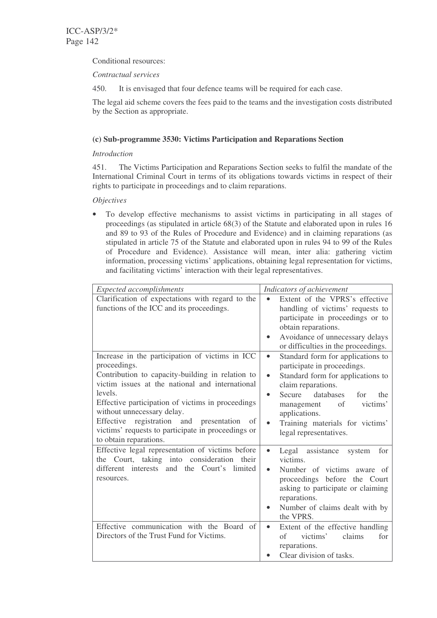Conditional resources:

*Contractual services*

450. It is envisaged that four defence teams will be required for each case.

The legal aid scheme covers the fees paid to the teams and the investigation costs distributed by the Section as appropriate.

# **(c) Sub-programme 3530: Victims Participation and Reparations Section**

# *Introduction*

451. The Victims Participation and Reparations Section seeks to fulfil the mandate of the International Criminal Court in terms of its obligations towards victims in respect of their rights to participate in proceedings and to claim reparations.

# *Objectives*

• To develop effective mechanisms to assist victims in participating in all stages of proceedings (as stipulated in article 68(3) of the Statute and elaborated upon in rules 16 and 89 to 93 of the Rules of Procedure and Evidence) and in claiming reparations (as stipulated in article 75 of the Statute and elaborated upon in rules 94 to 99 of the Rules of Procedure and Evidence). Assistance will mean, inter alia: gathering victim information, processing victims' applications, obtaining legal representation for victims, and facilitating victims' interaction with their legal representatives.

| Expected accomplishments                                                                                                                                                                                                                                                                                                                                                                                   | Indicators of achievement                                                                                                                                                                                                                                                                                             |
|------------------------------------------------------------------------------------------------------------------------------------------------------------------------------------------------------------------------------------------------------------------------------------------------------------------------------------------------------------------------------------------------------------|-----------------------------------------------------------------------------------------------------------------------------------------------------------------------------------------------------------------------------------------------------------------------------------------------------------------------|
| Clarification of expectations with regard to the<br>functions of the ICC and its proceedings.                                                                                                                                                                                                                                                                                                              | Extent of the VPRS's effective<br>$\bullet$<br>handling of victims' requests to<br>participate in proceedings or to<br>obtain reparations.<br>Avoidance of unnecessary delays<br>$\bullet$<br>or difficulties in the proceedings.                                                                                     |
| Increase in the participation of victims in ICC<br>proceedings.<br>Contribution to capacity-building in relation to<br>victim issues at the national and international<br>levels.<br>Effective participation of victims in proceedings<br>without unnecessary delay.<br>registration and presentation<br>Effective<br>- of<br>victims' requests to participate in proceedings or<br>to obtain reparations. | Standard form for applications to<br>$\bullet$<br>participate in proceedings.<br>Standard form for applications to<br>$\bullet$<br>claim reparations.<br>Secure<br>databases<br>for<br>the<br>$\bullet$<br>of<br>management<br>victims'<br>applications.<br>Training materials for victims'<br>legal representatives. |
| Effective legal representation of victims before<br>the Court, taking into consideration their<br>different interests and the Court's limited<br>resources.                                                                                                                                                                                                                                                | Legal assistance<br>for<br>system<br>$\bullet$<br>victims.<br>Number of victims aware<br>of<br>$\bullet$<br>proceedings before the Court<br>asking to participate or claiming<br>reparations.<br>Number of claims dealt with by<br>the VPRS.                                                                          |
| Effective communication with the Board of<br>Directors of the Trust Fund for Victims.                                                                                                                                                                                                                                                                                                                      | Extent of the effective handling<br>$\bullet$<br>of<br>victims'<br>claims<br>for<br>reparations.<br>Clear division of tasks.                                                                                                                                                                                          |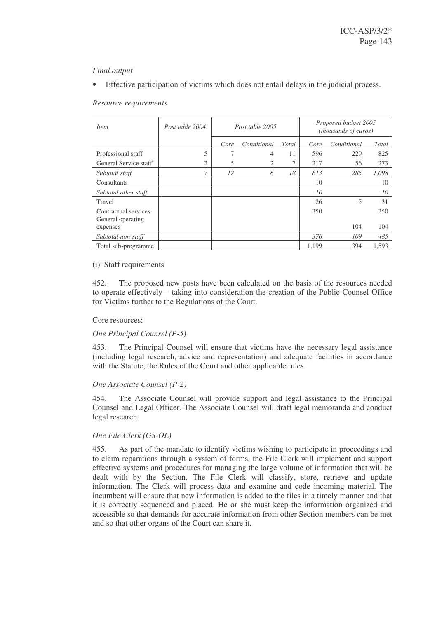# *Final output*

• Effective participation of victims which does not entail delays in the judicial process.

*Resource requirements*

| <i>Item</i>           | Post table 2004 | Post table 2005 |                |       |       | Proposed budget 2005<br>(thousands of euros) |       |
|-----------------------|-----------------|-----------------|----------------|-------|-------|----------------------------------------------|-------|
|                       |                 | Core            | Conditional    | Total | Core  | Conditional                                  | Total |
| Professional staff    | 5               | 7               | $\overline{4}$ | 11    | 596   | 229                                          | 825   |
| General Service staff | 2               | 5               | 2              | 7     | 217   | 56                                           | 273   |
| Subtotal staff        | 7               | 12              | 6              | 18    | 813   | 285                                          | 1,098 |
| Consultants           |                 |                 |                |       | 10    |                                              | 10    |
| Subtotal other staff  |                 |                 |                |       | 10    |                                              | 10    |
| Travel                |                 |                 |                |       | 26    | 5                                            | 31    |
| Contractual services  |                 |                 |                |       | 350   |                                              | 350   |
| General operating     |                 |                 |                |       |       |                                              |       |
| expenses              |                 |                 |                |       |       | 104                                          | 104   |
| Subtotal non-staff    |                 |                 |                |       | 376   | 109                                          | 485   |
| Total sub-programme   |                 |                 |                |       | 1.199 | 394                                          | 1.593 |

# (i) Staff requirements

452. The proposed new posts have been calculated on the basis of the resources needed to operate effectively – taking into consideration the creation of the Public Counsel Office for Victims further to the Regulations of the Court.

# Core resources:

# *One Principal Counsel (P-5)*

453. The Principal Counsel will ensure that victims have the necessary legal assistance (including legal research, advice and representation) and adequate facilities in accordance with the Statute, the Rules of the Court and other applicable rules.

# *One Associate Counsel (P-2)*

454. The Associate Counsel will provide support and legal assistance to the Principal Counsel and Legal Officer. The Associate Counsel will draft legal memoranda and conduct legal research.

# *One File Clerk (GS-OL)*

455. As part of the mandate to identify victims wishing to participate in proceedings and to claim reparations through a system of forms, the File Clerk will implement and support effective systems and procedures for managing the large volume of information that will be dealt with by the Section. The File Clerk will classify, store, retrieve and update information. The Clerk will process data and examine and code incoming material. The incumbent will ensure that new information is added to the files in a timely manner and that it is correctly sequenced and placed. He or she must keep the information organized and accessible so that demands for accurate information from other Section members can be met and so that other organs of the Court can share it.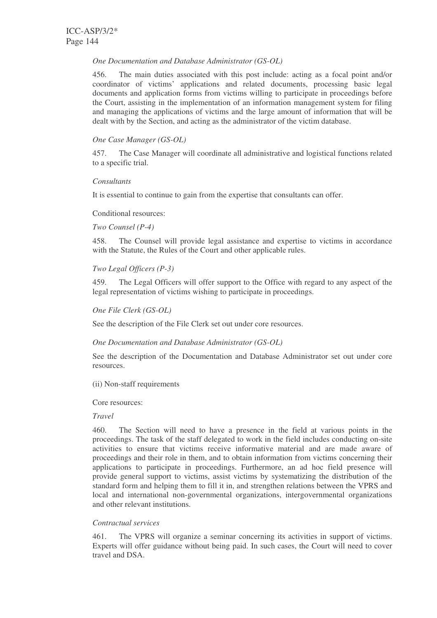# *One Documentation and Database Administrator (GS-OL)*

456. The main duties associated with this post include: acting as a focal point and/or coordinator of victims' applications and related documents, processing basic legal documents and application forms from victims willing to participate in proceedings before the Court, assisting in the implementation of an information management system for filing and managing the applications of victims and the large amount of information that will be dealt with by the Section, and acting as the administrator of the victim database.

# *One Case Manager (GS-OL)*

457. The Case Manager will coordinate all administrative and logistical functions related to a specific trial.

# *Consultants*

It is essential to continue to gain from the expertise that consultants can offer.

Conditional resources:

*Two Counsel (P-4)*

458. The Counsel will provide legal assistance and expertise to victims in accordance with the Statute, the Rules of the Court and other applicable rules.

# *Two Legal Officers (P-3)*

459. The Legal Officers will offer support to the Office with regard to any aspect of the legal representation of victims wishing to participate in proceedings.

*One File Clerk (GS-OL)*

See the description of the File Clerk set out under core resources.

# *One Documentation and Database Administrator (GS-OL)*

See the description of the Documentation and Database Administrator set out under core resources.

#### (ii) Non-staff requirements

Core resources:

#### *Travel*

460. The Section will need to have a presence in the field at various points in the proceedings. The task of the staff delegated to work in the field includes conducting on-site activities to ensure that victims receive informative material and are made aware of proceedings and their role in them, and to obtain information from victims concerning their applications to participate in proceedings. Furthermore, an ad hoc field presence will provide general support to victims, assist victims by systematizing the distribution of the standard form and helping them to fill it in, and strengthen relations between the VPRS and local and international non-governmental organizations, intergovernmental organizations and other relevant institutions.

# *Contractual services*

461. The VPRS will organize a seminar concerning its activities in support of victims. Experts will offer guidance without being paid. In such cases, the Court will need to cover travel and DSA.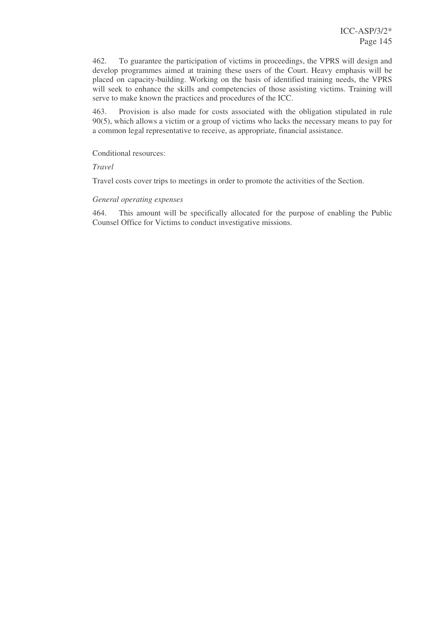462. To guarantee the participation of victims in proceedings, the VPRS will design and develop programmes aimed at training these users of the Court. Heavy emphasis will be placed on capacity-building. Working on the basis of identified training needs, the VPRS will seek to enhance the skills and competencies of those assisting victims. Training will serve to make known the practices and procedures of the ICC.

463. Provision is also made for costs associated with the obligation stipulated in rule 90(5), which allows a victim or a group of victims who lacks the necessary means to pay for a common legal representative to receive, as appropriate, financial assistance.

Conditional resources:

*Travel*

Travel costs cover trips to meetings in order to promote the activities of the Section.

#### *General operating expenses*

464. This amount will be specifically allocated for the purpose of enabling the Public Counsel Office for Victims to conduct investigative missions.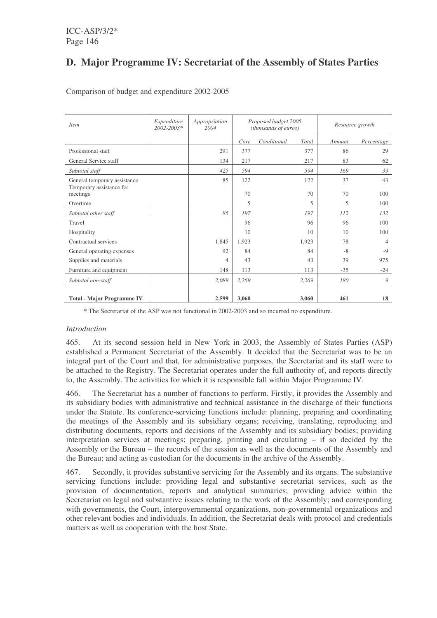# **D. Major Programme IV: Secretariat of the Assembly of States Parties**

| <i>Item</i>                          | Expenditure<br>2002-2003* | Appropriation<br>2004 | Proposed budget 2005<br>(thousands of euros) |             |       | Resource growth |            |
|--------------------------------------|---------------------------|-----------------------|----------------------------------------------|-------------|-------|-----------------|------------|
|                                      |                           |                       | Core                                         | Conditional | Total | Amount          | Percentage |
| Professional staff                   |                           | 291                   | 377                                          |             | 377   | 86              | 29         |
| General Service staff                |                           | 134                   | 217                                          |             | 217   | 83              | 62         |
| Subtotal staff                       |                           | 425                   | 594                                          |             | 594   | 169             | 39         |
| General temporary assistance         |                           | 85                    | 122                                          |             | 122   | 37              | 43         |
| Temporary assistance for<br>meetings |                           |                       | 70                                           |             | 70    | 70              | 100        |
| Overtime                             |                           |                       | 5                                            |             | 5     | 5               | 100        |
| Subtotal other staff                 |                           | 85                    | 197                                          |             | 197   | 112             | 132        |
| Travel                               |                           |                       | 96                                           |             | 96    | 96              | 100        |
| Hospitality                          |                           |                       | 10                                           |             | 10    | 10              | 100        |
| Contractual services                 |                           | 1,845                 | 1,923                                        |             | 1,923 | 78              | 4          |
| General operating expenses           |                           | 92                    | 84                                           |             | 84    | $-8$            | $-9$       |
| Supplies and materials               |                           | 4                     | 43                                           |             | 43    | 39              | 975        |
| Furniture and equipment              |                           | 148                   | 113                                          |             | 113   | $-35$           | $-24$      |
| Subtotal non-staff                   |                           | 2,089                 | 2,269                                        |             | 2,269 | 180             | 9          |
|                                      |                           |                       |                                              |             |       |                 |            |
| <b>Total - Major Programme IV</b>    |                           | 2,599                 | 3,060                                        |             | 3,060 | 461             | 18         |

Comparison of budget and expenditure 2002-2005

\* The Secretariat of the ASP was not functional in 2002-2003 and so incurred no expenditure.

# *Introduction*

465. At its second session held in New York in 2003, the Assembly of States Parties (ASP) established a Permanent Secretariat of the Assembly. It decided that the Secretariat was to be an integral part of the Court and that, for administrative purposes, the Secretariat and its staff were to be attached to the Registry. The Secretariat operates under the full authority of, and reports directly to, the Assembly. The activities for which it is responsible fall within Major Programme IV.

466. The Secretariat has a number of functions to perform. Firstly, it provides the Assembly and its subsidiary bodies with administrative and technical assistance in the discharge of their functions under the Statute. Its conference-servicing functions include: planning, preparing and coordinating the meetings of the Assembly and its subsidiary organs; receiving, translating, reproducing and distributing documents, reports and decisions of the Assembly and its subsidiary bodies; providing interpretation services at meetings; preparing, printing and circulating – if so decided by the Assembly or the Bureau – the records of the session as well as the documents of the Assembly and the Bureau; and acting as custodian for the documents in the archive of the Assembly.

467. Secondly, it provides substantive servicing for the Assembly and its organs. The substantive servicing functions include: providing legal and substantive secretariat services, such as the provision of documentation, reports and analytical summaries; providing advice within the Secretariat on legal and substantive issues relating to the work of the Assembly; and corresponding with governments, the Court, intergovernmental organizations, non-governmental organizations and other relevant bodies and individuals. In addition, the Secretariat deals with protocol and credentials matters as well as cooperation with the host State.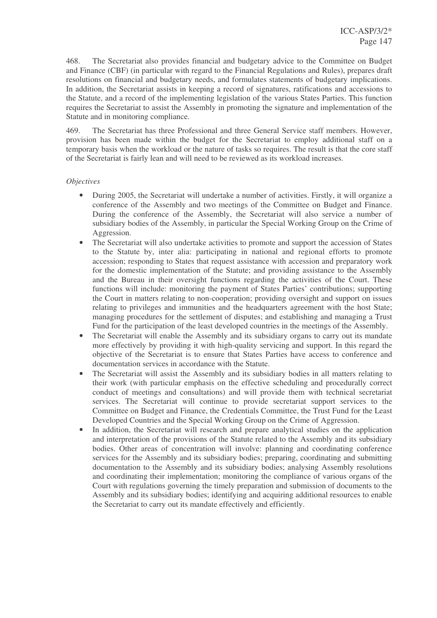468. The Secretariat also provides financial and budgetary advice to the Committee on Budget and Finance (CBF) (in particular with regard to the Financial Regulations and Rules), prepares draft resolutions on financial and budgetary needs, and formulates statements of budgetary implications. In addition, the Secretariat assists in keeping a record of signatures, ratifications and accessions to the Statute, and a record of the implementing legislation of the various States Parties. This function requires the Secretariat to assist the Assembly in promoting the signature and implementation of the Statute and in monitoring compliance.

469. The Secretariat has three Professional and three General Service staff members. However, provision has been made within the budget for the Secretariat to employ additional staff on a temporary basis when the workload or the nature of tasks so requires. The result is that the core staff of the Secretariat is fairly lean and will need to be reviewed as its workload increases.

# *Objectives*

- During 2005, the Secretariat will undertake a number of activities. Firstly, it will organize a conference of the Assembly and two meetings of the Committee on Budget and Finance. During the conference of the Assembly, the Secretariat will also service a number of subsidiary bodies of the Assembly, in particular the Special Working Group on the Crime of Aggression.
- The Secretariat will also undertake activities to promote and support the accession of States to the Statute by, inter alia: participating in national and regional efforts to promote accession; responding to States that request assistance with accession and preparatory work for the domestic implementation of the Statute; and providing assistance to the Assembly and the Bureau in their oversight functions regarding the activities of the Court. These functions will include: monitoring the payment of States Parties' contributions; supporting the Court in matters relating to non-cooperation; providing oversight and support on issues relating to privileges and immunities and the headquarters agreement with the host State; managing procedures for the settlement of disputes; and establishing and managing a Trust Fund for the participation of the least developed countries in the meetings of the Assembly.
- The Secretariat will enable the Assembly and its subsidiary organs to carry out its mandate more effectively by providing it with high-quality servicing and support. In this regard the objective of the Secretariat is to ensure that States Parties have access to conference and documentation services in accordance with the Statute.
- The Secretariat will assist the Assembly and its subsidiary bodies in all matters relating to their work (with particular emphasis on the effective scheduling and procedurally correct conduct of meetings and consultations) and will provide them with technical secretariat services. The Secretariat will continue to provide secretariat support services to the Committee on Budget and Finance, the Credentials Committee, the Trust Fund for the Least Developed Countries and the Special Working Group on the Crime of Aggression.
- In addition, the Secretariat will research and prepare analytical studies on the application and interpretation of the provisions of the Statute related to the Assembly and its subsidiary bodies. Other areas of concentration will involve: planning and coordinating conference services for the Assembly and its subsidiary bodies; preparing, coordinating and submitting documentation to the Assembly and its subsidiary bodies; analysing Assembly resolutions and coordinating their implementation; monitoring the compliance of various organs of the Court with regulations governing the timely preparation and submission of documents to the Assembly and its subsidiary bodies; identifying and acquiring additional resources to enable the Secretariat to carry out its mandate effectively and efficiently.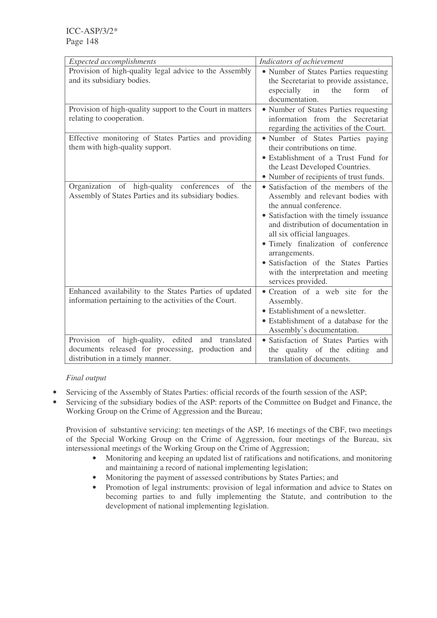| <b>Expected accomplishments</b>                                                                                                                    | Indicators of achievement                                                                                                                                                                                                                                                                                                                                                          |
|----------------------------------------------------------------------------------------------------------------------------------------------------|------------------------------------------------------------------------------------------------------------------------------------------------------------------------------------------------------------------------------------------------------------------------------------------------------------------------------------------------------------------------------------|
| Provision of high-quality legal advice to the Assembly<br>and its subsidiary bodies.                                                               | • Number of States Parties requesting<br>the Secretariat to provide assistance,<br>especially<br>in<br>the<br>form<br>of<br>documentation.                                                                                                                                                                                                                                         |
| Provision of high-quality support to the Court in matters<br>relating to cooperation.                                                              | • Number of States Parties requesting<br>information from the Secretariat<br>regarding the activities of the Court.                                                                                                                                                                                                                                                                |
| Effective monitoring of States Parties and providing<br>them with high-quality support.                                                            | · Number of States Parties paying<br>their contributions on time.<br>• Establishment of a Trust Fund for<br>the Least Developed Countries.<br>• Number of recipients of trust funds.                                                                                                                                                                                               |
| Organization of high-quality conferences of the<br>Assembly of States Parties and its subsidiary bodies.                                           | • Satisfaction of the members of the<br>Assembly and relevant bodies with<br>the annual conference.<br>• Satisfaction with the timely issuance<br>and distribution of documentation in<br>all six official languages.<br>• Timely finalization of conference<br>arrangements.<br>· Satisfaction of the States Parties<br>with the interpretation and meeting<br>services provided. |
| Enhanced availability to the States Parties of updated<br>information pertaining to the activities of the Court.                                   | • Creation of a web site for the<br>Assembly.<br>• Establishment of a newsletter.<br>• Establishment of a database for the<br>Assembly's documentation.                                                                                                                                                                                                                            |
| Provision<br>of high-quality, edited<br>and translated<br>documents released for processing,<br>production and<br>distribution in a timely manner. | • Satisfaction of States Parties with<br>quality of the editing<br>the<br>and<br>translation of documents.                                                                                                                                                                                                                                                                         |

# *Final output*

- Servicing of the Assembly of States Parties: official records of the fourth session of the ASP;
- Servicing of the subsidiary bodies of the ASP: reports of the Committee on Budget and Finance, the Working Group on the Crime of Aggression and the Bureau;

Provision of substantive servicing: ten meetings of the ASP, 16 meetings of the CBF, two meetings of the Special Working Group on the Crime of Aggression, four meetings of the Bureau, six intersessional meetings of the Working Group on the Crime of Aggression;

- Monitoring and keeping an updated list of ratifications and notifications, and monitoring and maintaining a record of national implementing legislation;
- Monitoring the payment of assessed contributions by States Parties; and
- Promotion of legal instruments: provision of legal information and advice to States on becoming parties to and fully implementing the Statute, and contribution to the development of national implementing legislation.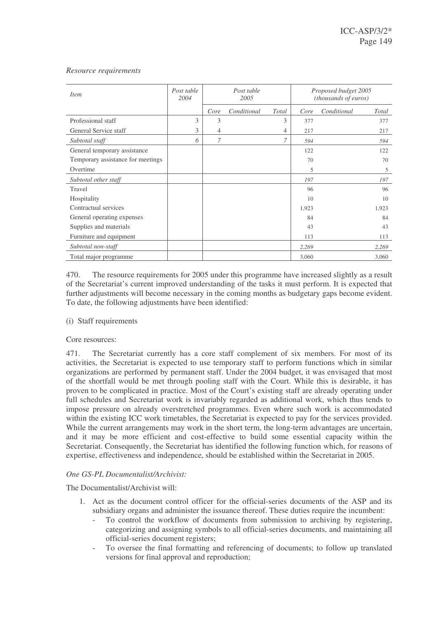### *Resource requirements*

| <i>Item</i>                       | Post table<br>2004 | Post table<br>2005 |             | Proposed budget 2005<br><i>(thousands of euros)</i> |       |             |       |
|-----------------------------------|--------------------|--------------------|-------------|-----------------------------------------------------|-------|-------------|-------|
|                                   |                    | Core               | Conditional | Total                                               | Core  | Conditional | Total |
| Professional staff                | 3                  | 3                  |             | 3                                                   | 377   |             | 377   |
| General Service staff             | 3                  | 4                  |             | $\overline{4}$                                      | 217   |             | 217   |
| Subtotal staff                    | 6                  | 7                  |             | 7                                                   | 594   |             | 594   |
| General temporary assistance      |                    |                    |             |                                                     | 122   |             | 122   |
| Temporary assistance for meetings |                    |                    |             |                                                     | 70    |             | 70    |
| Overtime                          |                    |                    |             |                                                     | 5     |             | 5     |
| Subtotal other staff              |                    |                    |             |                                                     | 197   |             | 197   |
| Travel                            |                    |                    |             |                                                     | 96    |             | 96    |
| Hospitality                       |                    |                    |             |                                                     | 10    |             | 10    |
| Contractual services              |                    |                    |             |                                                     | 1,923 |             | 1,923 |
| General operating expenses        |                    |                    |             |                                                     | 84    |             | 84    |
| Supplies and materials            |                    |                    |             |                                                     | 43    |             | 43    |
| Furniture and equipment           |                    |                    |             |                                                     | 113   |             | 113   |
| Subtotal non-staff                |                    |                    |             |                                                     | 2,269 |             | 2,269 |
| Total major programme             |                    |                    |             |                                                     | 3,060 |             | 3,060 |

470. The resource requirements for 2005 under this programme have increased slightly as a result of the Secretariat's current improved understanding of the tasks it must perform. It is expected that further adjustments will become necessary in the coming months as budgetary gaps become evident. To date, the following adjustments have been identified:

# (i) Staff requirements

# Core resources:

471. The Secretariat currently has a core staff complement of six members. For most of its activities, the Secretariat is expected to use temporary staff to perform functions which in similar organizations are performed by permanent staff. Under the 2004 budget, it was envisaged that most of the shortfall would be met through pooling staff with the Court. While this is desirable, it has proven to be complicated in practice. Most of the Court's existing staff are already operating under full schedules and Secretariat work is invariably regarded as additional work, which thus tends to impose pressure on already overstretched programmes. Even where such work is accommodated within the existing ICC work timetables, the Secretariat is expected to pay for the services provided. While the current arrangements may work in the short term, the long-term advantages are uncertain, and it may be more efficient and cost-effective to build some essential capacity within the Secretariat. Consequently, the Secretariat has identified the following function which, for reasons of expertise, effectiveness and independence, should be established within the Secretariat in 2005.

# *One GS-PL Documentalist/Archivist:*

The Documentalist/Archivist will:

- 1. Act as the document control officer for the official-series documents of the ASP and its subsidiary organs and administer the issuance thereof. These duties require the incumbent:
	- To control the workflow of documents from submission to archiving by registering, categorizing and assigning symbols to all official-series documents, and maintaining all official-series document registers;
	- To oversee the final formatting and referencing of documents; to follow up translated versions for final approval and reproduction;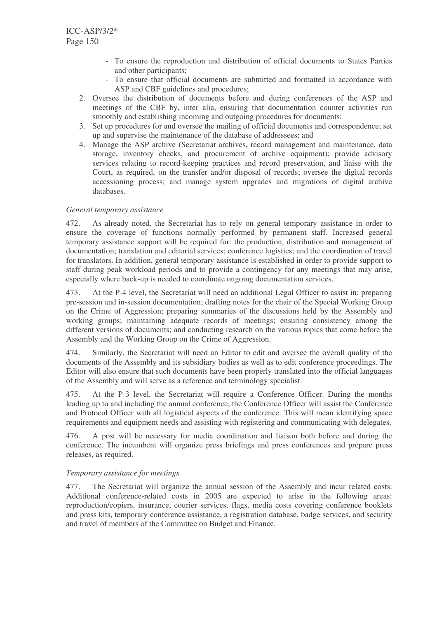- To ensure the reproduction and distribution of official documents to States Parties and other participants;
- To ensure that official documents are submitted and formatted in accordance with ASP and CBF guidelines and procedures;
- 2. Oversee the distribution of documents before and during conferences of the ASP and meetings of the CBF by, inter alia, ensuring that documentation counter activities run smoothly and establishing incoming and outgoing procedures for documents;
- 3. Set up procedures for and oversee the mailing of official documents and correspondence; set up and supervise the maintenance of the database of addressees; and
- 4. Manage the ASP archive (Secretariat archives, record management and maintenance, data storage, inventory checks, and procurement of archive equipment); provide advisory services relating to record-keeping practices and record preservation, and liaise with the Court, as required, on the transfer and/or disposal of records; oversee the digital records accessioning process; and manage system upgrades and migrations of digital archive databases.

# *General temporary assistance*

472. As already noted, the Secretariat has to rely on general temporary assistance in order to ensure the coverage of functions normally performed by permanent staff. Increased general temporary assistance support will be required for: the production, distribution and management of documentation; translation and editorial services; conference logistics; and the coordination of travel for translators. In addition, general temporary assistance is established in order to provide support to staff during peak workload periods and to provide a contingency for any meetings that may arise, especially where back-up is needed to coordinate ongoing documentation services.

473. At the P-4 level, the Secretariat will need an additional Legal Officer to assist in: preparing pre-session and in-session documentation; drafting notes for the chair of the Special Working Group on the Crime of Aggression; preparing summaries of the discussions held by the Assembly and working groups; maintaining adequate records of meetings; ensuring consistency among the different versions of documents; and conducting research on the various topics that come before the Assembly and the Working Group on the Crime of Aggression.

474. Similarly, the Secretariat will need an Editor to edit and oversee the overall quality of the documents of the Assembly and its subsidiary bodies as well as to edit conference proceedings. The Editor will also ensure that such documents have been properly translated into the official languages of the Assembly and will serve as a reference and terminology specialist.

475. At the P-3 level, the Secretariat will require a Conference Officer. During the months leading up to and including the annual conference, the Conference Officer will assist the Conference and Protocol Officer with all logistical aspects of the conference. This will mean identifying space requirements and equipment needs and assisting with registering and communicating with delegates.

476. A post will be necessary for media coordination and liaison both before and during the conference. The incumbent will organize press briefings and press conferences and prepare press releases, as required.

# *Temporary assistance for meetings*

477. The Secretariat will organize the annual session of the Assembly and incur related costs. Additional conference-related costs in 2005 are expected to arise in the following areas: reproduction/copiers, insurance, courier services, flags, media costs covering conference booklets and press kits, temporary conference assistance, a registration database, badge services, and security and travel of members of the Committee on Budget and Finance.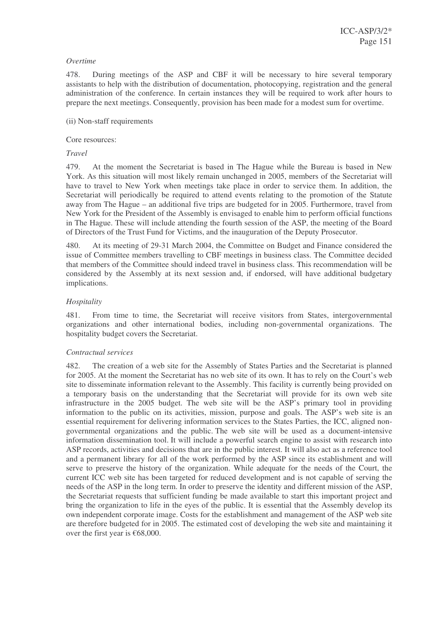#### *Overtime*

478. During meetings of the ASP and CBF it will be necessary to hire several temporary assistants to help with the distribution of documentation, photocopying, registration and the general administration of the conference. In certain instances they will be required to work after hours to prepare the next meetings. Consequently, provision has been made for a modest sum for overtime.

### (ii) Non-staff requirements

#### Core resources:

### *Travel*

479. At the moment the Secretariat is based in The Hague while the Bureau is based in New York. As this situation will most likely remain unchanged in 2005, members of the Secretariat will have to travel to New York when meetings take place in order to service them. In addition, the Secretariat will periodically be required to attend events relating to the promotion of the Statute away from The Hague – an additional five trips are budgeted for in 2005. Furthermore, travel from New York for the President of the Assembly is envisaged to enable him to perform official functions in The Hague. These will include attending the fourth session of the ASP, the meeting of the Board of Directors of the Trust Fund for Victims, and the inauguration of the Deputy Prosecutor.

480. At its meeting of 29-31 March 2004, the Committee on Budget and Finance considered the issue of Committee members travelling to CBF meetings in business class. The Committee decided that members of the Committee should indeed travel in business class. This recommendation will be considered by the Assembly at its next session and, if endorsed, will have additional budgetary implications.

# *Hospitality*

481. From time to time, the Secretariat will receive visitors from States, intergovernmental organizations and other international bodies, including non-governmental organizations. The hospitality budget covers the Secretariat.

# *Contractual services*

482. The creation of a web site for the Assembly of States Parties and the Secretariat is planned for 2005. At the moment the Secretariat has no web site of its own. It has to rely on the Court's web site to disseminate information relevant to the Assembly. This facility is currently being provided on a temporary basis on the understanding that the Secretariat will provide for its own web site infrastructure in the 2005 budget. The web site will be the ASP's primary tool in providing information to the public on its activities, mission, purpose and goals. The ASP's web site is an essential requirement for delivering information services to the States Parties, the ICC, aligned nongovernmental organizations and the public. The web site will be used as a document-intensive information dissemination tool. It will include a powerful search engine to assist with research into ASP records, activities and decisions that are in the public interest. It will also act as a reference tool and a permanent library for all of the work performed by the ASP since its establishment and will serve to preserve the history of the organization. While adequate for the needs of the Court, the current ICC web site has been targeted for reduced development and is not capable of serving the needs of the ASP in the long term. In order to preserve the identity and different mission of the ASP, the Secretariat requests that sufficient funding be made available to start this important project and bring the organization to life in the eyes of the public. It is essential that the Assembly develop its own independent corporate image. Costs for the establishment and management of the ASP web site are therefore budgeted for in 2005. The estimated cost of developing the web site and maintaining it over the first year is  $€68,000$ .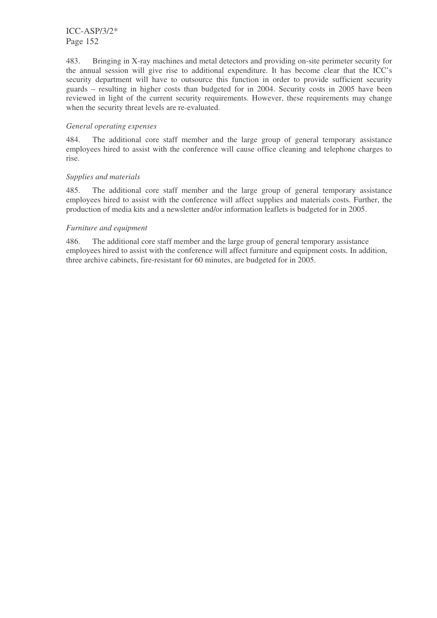ICC-ASP/3/2\* Page 152

483. Bringing in X-ray machines and metal detectors and providing on-site perimeter security for the annual session will give rise to additional expenditure. It has become clear that the ICC's security department will have to outsource this function in order to provide sufficient security guards – resulting in higher costs than budgeted for in 2004. Security costs in 2005 have been reviewed in light of the current security requirements. However, these requirements may change when the security threat levels are re-evaluated.

# *General operating expenses*

484. The additional core staff member and the large group of general temporary assistance employees hired to assist with the conference will cause office cleaning and telephone charges to rise.

# *Supplies and materials*

485. The additional core staff member and the large group of general temporary assistance employees hired to assist with the conference will affect supplies and materials costs. Further, the production of media kits and a newsletter and/or information leaflets is budgeted for in 2005.

# *Furniture and equipment*

486. The additional core staff member and the large group of general temporary assistance employees hired to assist with the conference will affect furniture and equipment costs. In addition, three archive cabinets, fire-resistant for 60 minutes, are budgeted for in 2005.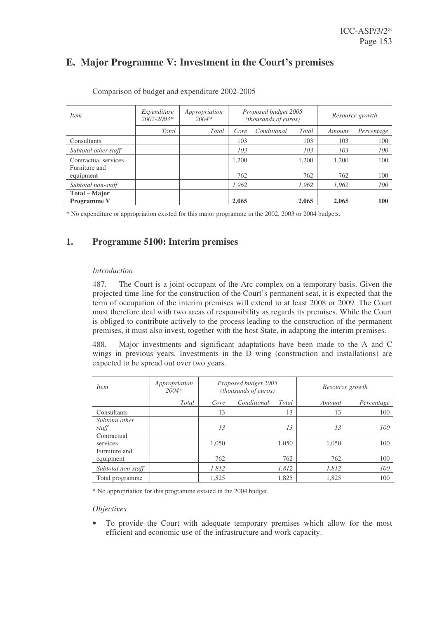# **E. Major Programme V: Investment in the Court's premises**

| <i>Item</i>                           | Expenditure<br>$2002 - 2003*$ | Proposed budget 2005<br>Appropriation<br>( <i>thousands of euros</i> )<br>$2004*$ |       |             |       | Resource growth |            |
|---------------------------------------|-------------------------------|-----------------------------------------------------------------------------------|-------|-------------|-------|-----------------|------------|
|                                       | Total                         | Total                                                                             | Core  | Conditional | Total | Amount          | Percentage |
| Consultants                           |                               |                                                                                   | 103   |             | 103   | 103             | 100        |
| Subtotal other staff                  |                               |                                                                                   | 103   |             | 103   | 103             | 100        |
| Contractual services<br>Furniture and |                               |                                                                                   | 1,200 |             | 1,200 | 1,200           | 100        |
| equipment                             |                               |                                                                                   | 762   |             | 762   | 762             | 100        |
| Subtotal non-staff                    |                               |                                                                                   | 1,962 |             | 1,962 | 1,962           | 100        |
| Total – Major<br>Programme V          |                               |                                                                                   | 2,065 |             | 2,065 | 2,065           | <b>100</b> |

Comparison of budget and expenditure 2002-2005

\* No expenditure or appropriation existed for this major programme in the 2002, 2003 or 2004 budgets.

# **1. Programme 5100: Interim premises**

# *Introduction*

487. The Court is a joint occupant of the Arc complex on a temporary basis. Given the projected time-line for the construction of the Court's permanent seat, it is expected that the term of occupation of the interim premises will extend to at least 2008 or 2009. The Court must therefore deal with two areas of responsibility as regards its premises. While the Court is obliged to contribute actively to the process leading to the construction of the permanent premises, it must also invest, together with the host State, in adapting the interim premises.

488. Major investments and significant adaptations have been made to the A and C wings in previous years. Investments in the D wing (construction and installations) are expected to be spread out over two years.

| <i>Item</i>        | Appropriation<br>$2004*$ | Proposed budget 2005<br>( <i>thousands of euros</i> ) |             |       | Resource growth |            |
|--------------------|--------------------------|-------------------------------------------------------|-------------|-------|-----------------|------------|
|                    | Total                    | Core                                                  | Conditional | Total | Amount          | Percentage |
| Consultants        |                          | 13                                                    |             | 13    | 13              | 100        |
| Subtotal other     |                          |                                                       |             |       |                 |            |
| staff              |                          | 13                                                    |             | 13    | 13              | 100        |
| Contractual        |                          |                                                       |             |       |                 |            |
| services           |                          | 1.050                                                 |             | 1,050 | 1.050           | 100        |
| Furniture and      |                          |                                                       |             |       |                 |            |
| equipment          |                          | 762                                                   |             | 762   | 762             | 100        |
| Subtotal non-staff |                          | 1,812                                                 |             | 1,812 | 1.812           | 100        |
| Total programme    |                          | 1,825                                                 |             | 1,825 | 1.825           | 100        |

\* No appropriation for this programme existed in the 2004 budget.

### *Objectives*

• To provide the Court with adequate temporary premises which allow for the most efficient and economic use of the infrastructure and work capacity.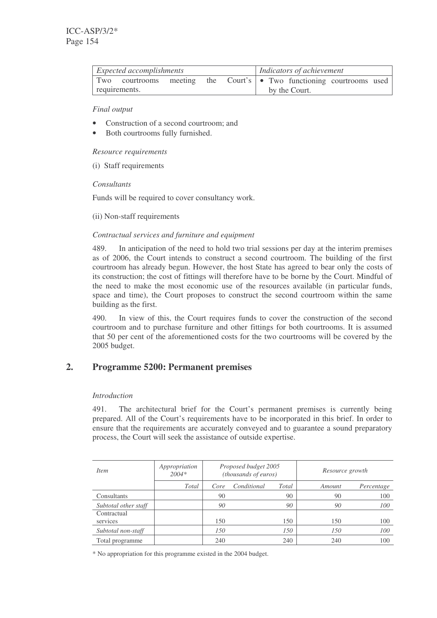| <i>Expected accomplishments</i> |               |  |  |  | Indicators of achievement                                            |  |  |  |  |
|---------------------------------|---------------|--|--|--|----------------------------------------------------------------------|--|--|--|--|
|                                 |               |  |  |  | Two courtrooms meeting the Court's • Two functioning courtrooms used |  |  |  |  |
|                                 | requirements. |  |  |  | by the Court.                                                        |  |  |  |  |

*Final output*

- Construction of a second courtroom; and
- Both courtrooms fully furnished.

#### *Resource requirements*

(i) Staff requirements

#### *Consultants*

Funds will be required to cover consultancy work.

#### (ii) Non-staff requirements

#### *Contractual services and furniture and equipment*

489. In anticipation of the need to hold two trial sessions per day at the interim premises as of 2006, the Court intends to construct a second courtroom. The building of the first courtroom has already begun. However, the host State has agreed to bear only the costs of its construction; the cost of fittings will therefore have to be borne by the Court. Mindful of the need to make the most economic use of the resources available (in particular funds, space and time), the Court proposes to construct the second courtroom within the same building as the first.

490. In view of this, the Court requires funds to cover the construction of the second courtroom and to purchase furniture and other fittings for both courtrooms. It is assumed that 50 per cent of the aforementioned costs for the two courtrooms will be covered by the 2005 budget.

# **2. Programme 5200: Permanent premises**

#### *Introduction*

491. The architectural brief for the Court's permanent premises is currently being prepared. All of the Court's requirements have to be incorporated in this brief. In order to ensure that the requirements are accurately conveyed and to guarantee a sound preparatory process, the Court will seek the assistance of outside expertise.

| <i>Item</i>             | Appropriation<br>$2004*$ | Proposed budget 2005<br>(thousands of euros) |             |       | Resource growth |            |  |
|-------------------------|--------------------------|----------------------------------------------|-------------|-------|-----------------|------------|--|
|                         | Total                    | Core                                         | Conditional | Total | Amount          | Percentage |  |
| Consultants             |                          | 90                                           |             | 90    | 90              | 100        |  |
| Subtotal other staff    |                          | 90                                           |             | 90    | 90              | 100        |  |
| Contractual<br>services |                          | 150                                          |             | 150   | 150             | 100        |  |
| Subtotal non-staff      |                          | 150                                          |             | 150   | 150             | 100        |  |
| Total programme         |                          | 240                                          |             | 240   | 240             | 100        |  |

\* No appropriation for this programme existed in the 2004 budget.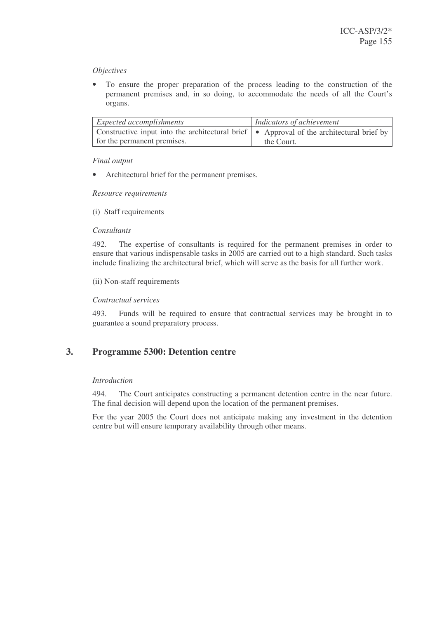# *Objectives*

• To ensure the proper preparation of the process leading to the construction of the permanent premises and, in so doing, to accommodate the needs of all the Court's organs.

| <i>Expected accomplishments</i>                                                                  | Indicators of achievement |
|--------------------------------------------------------------------------------------------------|---------------------------|
| Constructive input into the architectural brief $\bullet$ Approval of the architectural brief by |                           |
| for the permanent premises.                                                                      | the Court.                |

#### *Final output*

• Architectural brief for the permanent premises.

#### *Resource requirements*

(i) Staff requirements

#### *Consultants*

492. The expertise of consultants is required for the permanent premises in order to ensure that various indispensable tasks in 2005 are carried out to a high standard. Such tasks include finalizing the architectural brief, which will serve as the basis for all further work.

#### (ii) Non-staff requirements

#### *Contractual services*

493. Funds will be required to ensure that contractual services may be brought in to guarantee a sound preparatory process.

# **3. Programme 5300: Detention centre**

#### *Introduction*

494. The Court anticipates constructing a permanent detention centre in the near future. The final decision will depend upon the location of the permanent premises.

For the year 2005 the Court does not anticipate making any investment in the detention centre but will ensure temporary availability through other means.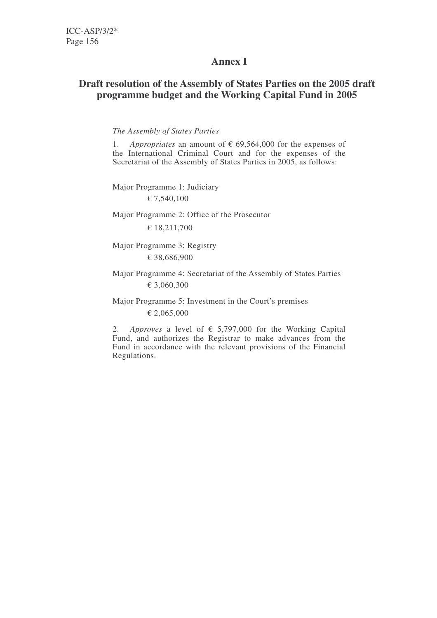# **Annex I**

# **Draft resolution of the Assembly of States Parties on the 2005 draft programme budget and the Working Capital Fund in 2005**

*The Assembly of States Parties*

1. *Appropriates* an amount of  $\epsilon$  69,564,000 for the expenses of the International Criminal Court and for the expenses of the Secretariat of the Assembly of States Parties in 2005, as follows:

Major Programme 1: Judiciary

€ 7,540,100

Major Programme 2: Office of the Prosecutor

€ 18,211,700

Major Programme 3: Registry € 38,686,900

Major Programme 4: Secretariat of the Assembly of States Parties € 3,060,300

Major Programme 5: Investment in the Court's premises

€ 2,065,000

2. *Approves* a level of  $\epsilon$  5,797,000 for the Working Capital Fund, and authorizes the Registrar to make advances from the Fund in accordance with the relevant provisions of the Financial Regulations.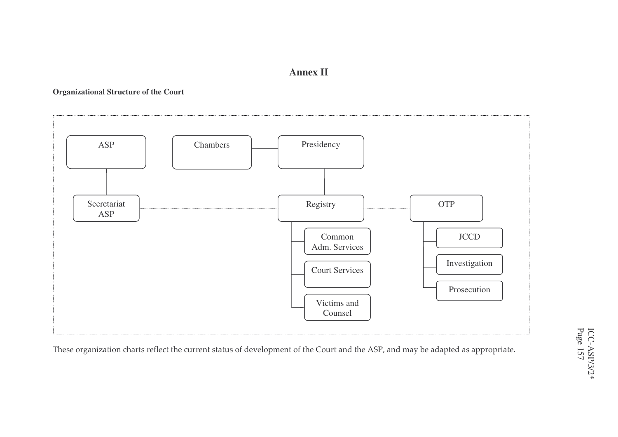# **Annex II**

# **Organizational Structure of the Court**



These organization charts reflect the current status of development of the Court and the ASP, and may be adapted as appropriate.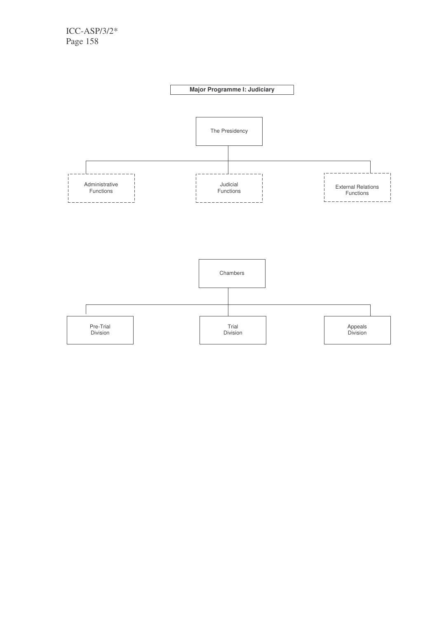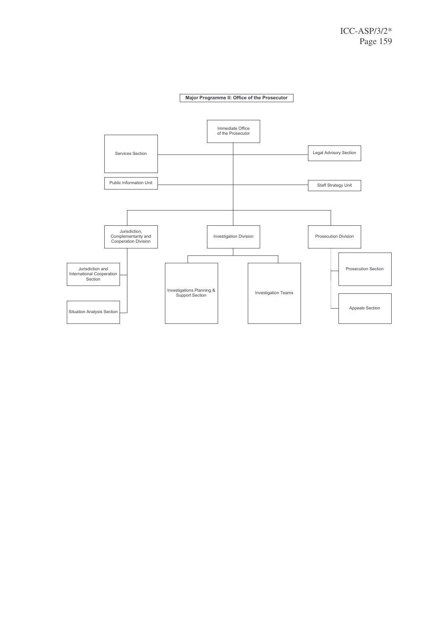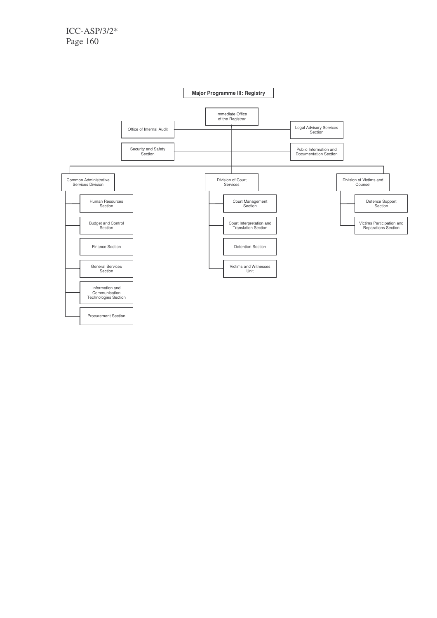

Procurement Section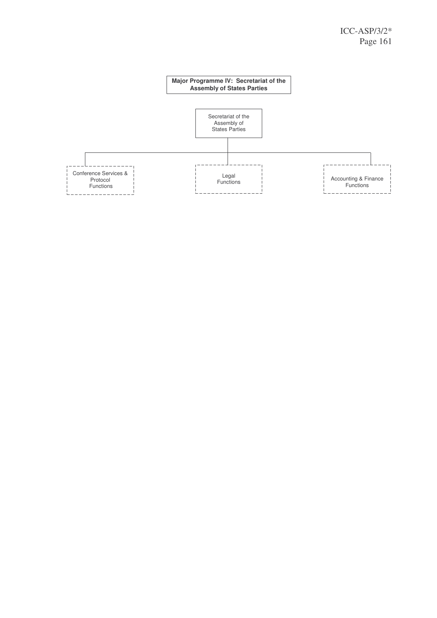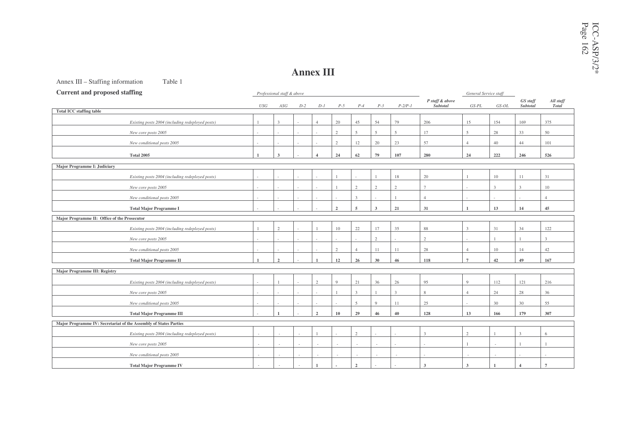# **Annex III**

Annex III – Staffing information Table 1

| <b>Current and proposed staffing</b>                              |                                                  | Professional staff & above |                         |       |                |                |                         | General Service staff   |                |                             |                         |              |                       |                           |
|-------------------------------------------------------------------|--------------------------------------------------|----------------------------|-------------------------|-------|----------------|----------------|-------------------------|-------------------------|----------------|-----------------------------|-------------------------|--------------|-----------------------|---------------------------|
|                                                                   |                                                  | USG                        | $ASG$                   | $D-2$ | $D-I$          | $P-5$          | $P-4$                   | $P-3$                   | $P - 2/P - I$  | P staff & above<br>Subtotal | $GS$ - $PL$             | $GS-OL$      | GS staff<br>Subtotal  | All staff<br><b>Total</b> |
| <b>Total ICC</b> staffing table                                   |                                                  |                            |                         |       |                |                |                         |                         |                |                             |                         |              |                       |                           |
|                                                                   | Existing posts 2004 (including redeployed posts) |                            | 3                       |       | $\Delta$       | 20             | 45                      | 54                      | 79             | 206                         | 15                      | 154          | 169                   | 375                       |
|                                                                   | New core posts 2005                              |                            |                         |       |                | $\mathcal{D}$  | $\sim$                  | -5                      | 5              | 17                          | -5                      | 28           | 33                    | 50                        |
|                                                                   | New conditional posts 2005                       |                            |                         |       |                | 2              | 12                      | 20                      | 23             | 57                          | $\overline{4}$          | 40           | 44                    | 101                       |
|                                                                   | <b>Total 2005</b>                                | $\mathbf{1}$               | $\overline{\mathbf{3}}$ |       |                | 24             | 62                      | 79                      | 107            | 280                         | 24                      | 222          | 246                   | 526                       |
| Major Programme I: Judiciary                                      |                                                  |                            |                         |       |                |                |                         |                         |                |                             |                         |              |                       |                           |
|                                                                   |                                                  |                            |                         |       |                |                |                         |                         |                |                             |                         |              |                       |                           |
|                                                                   | Existing posts 2004 (including redeployed posts) |                            |                         |       |                |                |                         |                         | 18             | 20                          |                         | 10           | 11                    | 31                        |
|                                                                   | New core posts 2005                              |                            |                         |       |                |                | $\mathcal{L}$           | $\mathcal{D}$           | 2              | $\tau$                      |                         | 3            | $\mathbf{3}$          | 10                        |
|                                                                   | New conditional posts 2005                       |                            |                         |       |                |                | $\overline{\mathbf{a}}$ |                         |                | $\overline{4}$              |                         |              |                       | $\overline{4}$            |
|                                                                   | <b>Total Major Programme I</b>                   |                            |                         |       |                | $\overline{2}$ | 5                       | $\overline{\mathbf{3}}$ | 21             | 31                          |                         | 13           | 14                    | 45                        |
| Major Programme II: Office of the Prosecutor                      |                                                  |                            |                         |       |                |                |                         |                         |                |                             |                         |              |                       |                           |
|                                                                   | Existing posts 2004 (including redeployed posts) |                            | $\overline{2}$          |       |                | 10             | $22\,$                  | 17                      | 35             | 88                          | 3                       | 31           | 34                    | 122                       |
|                                                                   | New core posts 2005                              |                            |                         |       |                |                |                         | 2                       |                | $\overline{2}$              |                         |              |                       | $\mathbf{3}$              |
|                                                                   | New conditional posts 2005                       |                            |                         |       |                | $\mathcal{D}$  |                         | 11                      | 11             | 28                          | $\overline{4}$          | 10           | 14                    | 42                        |
|                                                                   | <b>Total Major Programme II</b>                  |                            | $\overline{2}$          |       |                | 12             | 26                      | 30                      | 46             | 118                         |                         | 42           | 49                    | 167                       |
| <b>Major Programme III: Registry</b>                              |                                                  |                            |                         |       |                |                |                         |                         |                |                             |                         |              |                       |                           |
|                                                                   |                                                  |                            |                         |       |                |                |                         |                         |                |                             |                         |              |                       |                           |
|                                                                   | Existing posts 2004 (including redeployed posts) |                            |                         |       | $\gamma$       | 9              | 21                      | 36                      | 26             | 95                          | $\overline{Q}$          | 112          | 121                   | 216                       |
|                                                                   | New core posts 2005                              |                            |                         |       |                |                | $\mathcal{R}$           |                         | $\overline{3}$ | 8                           | $\overline{4}$          | 24           | 28                    | 36                        |
|                                                                   | New conditional posts 2005                       |                            |                         |       |                |                | $\tilde{\mathcal{L}}$   | $\overline{Q}$          | 11             | 25                          |                         | 30           | 30                    | 55                        |
|                                                                   | <b>Total Major Programme III</b>                 |                            |                         |       | $\overline{2}$ | 10             | 29                      | 46                      | 40             | 128                         | 13                      | 166          | 179                   | 307                       |
| Major Programme IV: Secretariat of the Assembly of States Parties |                                                  |                            |                         |       |                |                |                         |                         |                |                             |                         |              |                       |                           |
|                                                                   | Existing posts 2004 (including redeployed posts) |                            |                         |       |                |                | 2                       |                         |                | $\mathcal{R}$               | 2                       |              |                       | 6                         |
|                                                                   | New core posts 2005                              |                            |                         |       |                |                |                         |                         |                |                             |                         |              |                       |                           |
|                                                                   | New conditional posts 2005                       |                            |                         |       |                |                |                         |                         |                |                             |                         |              |                       |                           |
|                                                                   | <b>Total Major Programme IV</b>                  | $\sim$                     | ٠                       |       |                |                | $\overline{2}$          |                         |                | 3                           | $\overline{\mathbf{3}}$ | $\mathbf{1}$ | $\boldsymbol{\Delta}$ | $\overline{7}$            |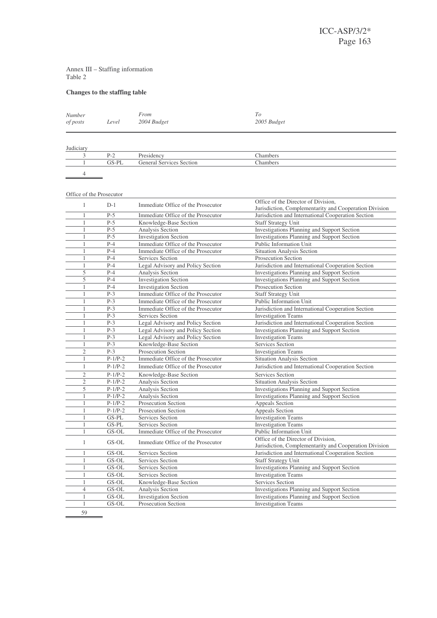Annex III – Staffing information Table 2

#### **Changes to the staffing table**

| <b>Number</b> | From              |             |
|---------------|-------------------|-------------|
| of posts      | Level 2004 Budget | 2005 Budget |

#### Judiciary

| P-2   | Presidency               | <b>Thambers</b> |  |
|-------|--------------------------|-----------------|--|
| GS-PI | General Services Section | <b>Thambers</b> |  |
|       |                          |                 |  |

#### Office of the Prosecutor

| $\mathbf{1}$   | $D-1$     | Immediate Office of the Prosecutor | Office of the Director of Division,                    |
|----------------|-----------|------------------------------------|--------------------------------------------------------|
|                |           |                                    | Jurisdiction, Complementarity and Cooperation Division |
| 1              | $P-5$     | Immediate Office of the Prosecutor | Jurisdiction and International Cooperation Section     |
| $\mathbf{1}$   | $P-5$     | Knowledge-Base Section             | <b>Staff Strategy Unit</b>                             |
| $\mathbf{1}$   | $P-5$     | Analysis Section                   | Investigations Planning and Support Section            |
| 1              | $P-5$     | <b>Investigation Section</b>       | Investigations Planning and Support Section            |
| $\mathbf{1}$   | $P-4$     | Immediate Office of the Prosecutor | Public Information Unit                                |
| $\mathbf{1}$   | $P-4$     | Immediate Office of the Prosecutor | <b>Situation Analysis Section</b>                      |
| $\mathbf{1}$   | $P-4$     | Services Section                   | Prosecution Section                                    |
| 1              | $P-4$     | Legal Advisory and Policy Section  | Jurisdiction and International Cooperation Section     |
| 5              | $P-4$     | Analysis Section                   | Investigations Planning and Support Section            |
| 5              | $P-4$     | <b>Investigation Section</b>       | <b>Investigations Planning and Support Section</b>     |
| 1              | $P-4$     | <b>Investigation Section</b>       | Prosecution Section                                    |
| $\mathbf{1}$   | $P-3$     | Immediate Office of the Prosecutor | <b>Staff Strategy Unit</b>                             |
| $\mathbf{1}$   | $P-3$     | Immediate Office of the Prosecutor | Public Information Unit                                |
| $\mathbf{1}$   | $P-3$     | Immediate Office of the Prosecutor | Jurisdiction and International Cooperation Section     |
| 1              | $P-3$     | Services Section                   | <b>Investigation Teams</b>                             |
| $\mathbf{1}$   | $P-3$     | Legal Advisory and Policy Section  | Jurisdiction and International Cooperation Section     |
| $\mathbf{1}$   | $P-3$     | Legal Advisory and Policy Section  | <b>Investigations Planning and Support Section</b>     |
| 1              | $P-3$     | Legal Advisory and Policy Section  | <b>Investigation Teams</b>                             |
| $\mathbf{1}$   | $P-3$     | Knowledge-Base Section             | <b>Services Section</b>                                |
| $\overline{c}$ | $P-3$     | <b>Prosecution Section</b>         | <b>Investigation Teams</b>                             |
| $\mathbf{1}$   | $P-1/P-2$ | Immediate Office of the Prosecutor | <b>Situation Analysis Section</b>                      |
| $\mathbf{1}$   | $P-1/P-2$ | Immediate Office of the Prosecutor | Jurisdiction and International Cooperation Section     |
| $\overline{c}$ | $P-1/P-2$ | Knowledge-Base Section             | <b>Services Section</b>                                |
| $\overline{2}$ | $P-1/P-2$ | Analysis Section                   | <b>Situation Analysis Section</b>                      |
| 5              | $P-1/P-2$ | Analysis Section                   | Investigations Planning and Support Section            |
| $\mathbf{1}$   | $P-1/P-2$ | Analysis Section                   | Investigations Planning and Support Section            |
| 1              | $P-1/P-2$ | <b>Prosecution Section</b>         | Appeals Section                                        |
| $\mathbf{1}$   | $P-1/P-2$ | <b>Prosecution Section</b>         | Appeals Section                                        |
| $\mathbf{1}$   | GS-PL     | Services Section                   | <b>Investigation Teams</b>                             |
| 1              | GS-PL     | Services Section                   | <b>Investigation Teams</b>                             |
| $\mathbf{1}$   | GS-OL     | Immediate Office of the Prosecutor | Public Information Unit                                |
| $\mathbf{1}$   | GS-OL     | Immediate Office of the Prosecutor | Office of the Director of Division.                    |
|                |           |                                    | Jurisdiction, Complementarity and Cooperation Division |
| $\mathbf{1}$   | GS-OL     | Services Section                   | Jurisdiction and International Cooperation Section     |
| $\mathbf{1}$   | GS-OL     | Services Section                   | <b>Staff Strategy Unit</b>                             |
| $\mathbf{1}$   | GS-OL     | Services Section                   | <b>Investigations Planning and Support Section</b>     |
| 1              | GS-OL     | Services Section                   | <b>Investigation Teams</b>                             |
| $\mathbf{1}$   | GS-OL     | Knowledge-Base Section             | <b>Services Section</b>                                |
| $\overline{4}$ | GS-OL     | Analysis Section                   | Investigations Planning and Support Section            |
| $\mathbf{1}$   | GS-OL     | <b>Investigation Section</b>       | <b>Investigations Planning and Support Section</b>     |
| $\mathbf{1}$   | GS-OL     | Prosecution Section                | <b>Investigation Teams</b>                             |
|                |           |                                    |                                                        |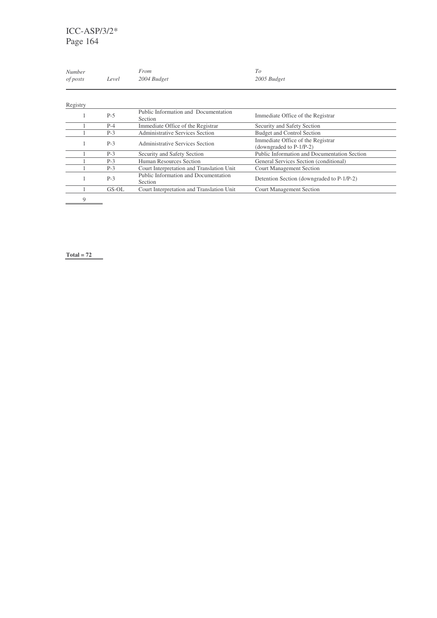ICC-ASP/3/2\* Page 164

| Number<br>of posts | Level                                                    | From<br>2004 Budget                             | To<br>2005 Budget                                            |
|--------------------|----------------------------------------------------------|-------------------------------------------------|--------------------------------------------------------------|
| Registry           |                                                          |                                                 |                                                              |
|                    | $P-5$                                                    | Public Information and Documentation<br>Section | Immediate Office of the Registrar                            |
|                    | $P-4$                                                    | Immediate Office of the Registrar               | Security and Safety Section                                  |
|                    | $P-3$                                                    | <b>Administrative Services Section</b>          | <b>Budget and Control Section</b>                            |
| ı.                 | $P-3$                                                    | Administrative Services Section                 | Immediate Office of the Registrar<br>(downgraded to P-1/P-2) |
|                    | $P-3$                                                    | Security and Safety Section                     | Public Information and Documentation Section                 |
|                    | $P-3$                                                    | Human Resources Section                         | General Services Section (conditional)                       |
|                    | $P-3$                                                    | Court Interpretation and Translation Unit       | <b>Court Management Section</b>                              |
|                    | Public Information and Documentation<br>$P-3$<br>Section |                                                 | Detention Section (downgraded to P-1/P-2)                    |
|                    | GS-OL                                                    | Court Interpretation and Translation Unit       | <b>Court Management Section</b>                              |
| 9                  |                                                          |                                                 |                                                              |

**Total = 72**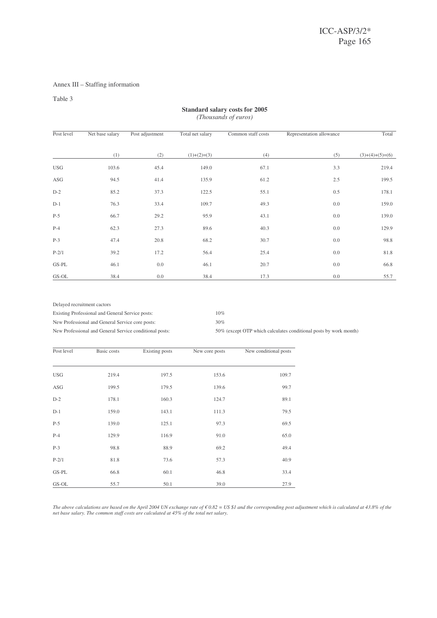#### Annex III – Staffing information

Table 3

|            | $11100$ <i>asanas</i> 01 cm 031 |                 |                  |                    |                          |                   |  |  |
|------------|---------------------------------|-----------------|------------------|--------------------|--------------------------|-------------------|--|--|
| Post level | Net base salary                 | Post adjustment | Total net salary | Common staff costs | Representation allowance | Total             |  |  |
|            | (1)                             | (2)             | $(1)+(2)=(3)$    | (4)                | (5)                      | $(3)+(4)+(5)=(6)$ |  |  |
| <b>USG</b> | 103.6                           | 45.4            | 149.0            | 67.1               | 3.3                      | 219.4             |  |  |
| ASG        | 94.5                            | 41.4            | 135.9            | 61.2               | 2.5                      | 199.5             |  |  |
| $D-2$      | 85.2                            | 37.3            | 122.5            | 55.1               | 0.5                      | 178.1             |  |  |
| $D-1$      | 76.3                            | 33.4            | 109.7            | 49.3               | 0.0                      | 159.0             |  |  |
| $P-5$      | 66.7                            | 29.2            | 95.9             | 43.1               | 0.0                      | 139.0             |  |  |
| $P-4$      | 62.3                            | 27.3            | 89.6             | 40.3               | 0.0                      | 129.9             |  |  |
| $P-3$      | 47.4                            | 20.8            | 68.2             | 30.7               | 0.0                      | 98.8              |  |  |
| $P-2/1$    | 39.2                            | 17.2            | 56.4             | 25.4               | 0.0                      | 81.8              |  |  |
| GS-PL      | 46.1                            | 0.0             | 46.1             | 20.7               | 0.0                      | 66.8              |  |  |
| GS-OL      | 38.4                            | 0.0             | 38.4             | 17.3               | 0.0                      | 55.7              |  |  |

| <b>Standard salary costs for 2005</b> |  |  |
|---------------------------------------|--|--|
| (Thousands of euros)                  |  |  |

| Delayed recruitment cactors                      |     |
|--------------------------------------------------|-----|
| Existing Professional and General Service posts: | 10% |
| New Professional and General Service core posts: | 30% |

New Professional and General Service conditional posts: 50% (except OTP which calculates conditional posts by work month)

| Post level | Basic costs | Existing posts | New core posts | New conditional posts |
|------------|-------------|----------------|----------------|-----------------------|
|            |             |                |                |                       |
| <b>USG</b> | 219.4       | 197.5          | 153.6          | 109.7                 |
| ASG        | 199.5       | 179.5          | 139.6          | 99.7                  |
| $D-2$      | 178.1       | 160.3          | 124.7          | 89.1                  |
| $D-1$      | 159.0       | 143.1          | 111.3          | 79.5                  |
| $P-5$      | 139.0       | 125.1          | 97.3           | 69.5                  |
| $P-4$      | 129.9       | 116.9          | 91.0           | 65.0                  |
| $P-3$      | 98.8        | 88.9           | 69.2           | 49.4                  |
| $P-2/1$    | 81.8        | 73.6           | 57.3           | 40.9                  |
| GS-PL      | 66.8        | 60.1           | 46.8           | 33.4                  |
| GS-OL      | 55.7        | 50.1           | 39.0           | 27.9                  |

The above calculations are based on the April 2004 UN exchange rate of  $\epsilon$ 0.82 = US \$1 and the corresponding post adjustment which is calculated at 43.8% of the *net base salary. The common staff costs are calculated at 45% of the total net salary.*